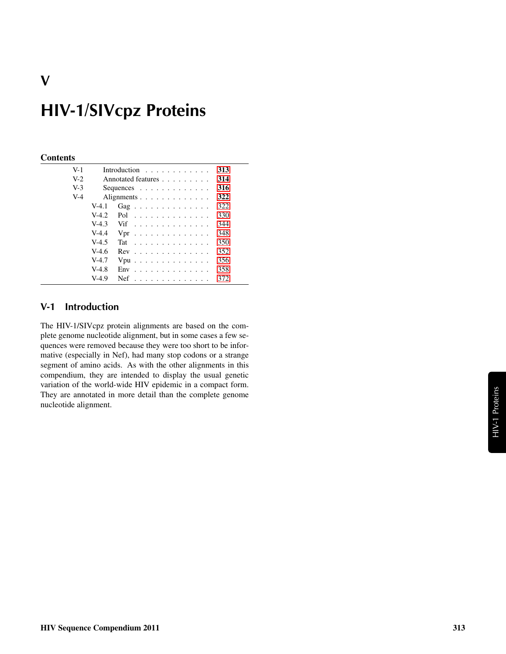# HIV-1/SIVcpz Proteins

#### **Contents**

V

| $V-1$ |         | Introduction $\ldots$ ,                       | 313 |
|-------|---------|-----------------------------------------------|-----|
| $V-2$ |         | Annotated features                            | 314 |
| $V-3$ |         | Sequences $\ldots$ $\ldots$ $\ldots$ $\ldots$ | 316 |
| $V-4$ |         | Alignments                                    | 322 |
|       | $V-4.1$ | Gag                                           | 322 |
|       | $V-4.2$ | Pol                                           | 330 |
|       | $V-4.3$ | Vif                                           | 344 |
|       | $V-4.4$ | $Vpr$                                         | 348 |
|       | $V-4.5$ | Tat                                           | 350 |
|       | $V-4.6$ | $Rev$                                         | 352 |
|       | $V-4.7$ | $Vpu$                                         | 356 |
|       | $V-4.8$ | $Env$                                         | 358 |
|       | $V-4.9$ | $Nef$                                         | 372 |
|       |         |                                               |     |

# <span id="page-0-0"></span>V-1 Introduction

The HIV-1/SIVcpz protein alignments are based on the complete genome nucleotide alignment, but in some cases a few sequences were removed because they were too short to be informative (especially in Nef), had many stop codons or a strange segment of amino acids. As with the other alignments in this compendium, they are intended to display the usual genetic variation of the world-wide HIV epidemic in a compact form. They are annotated in more detail than the complete genome nucleotide alignment.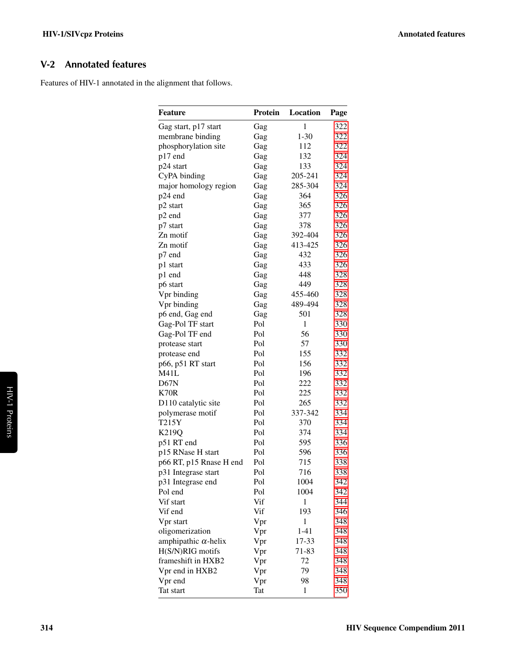# <span id="page-1-0"></span>V-2 Annotated features

Features of HIV-1 annotated in the alignment that follows.

| Feature                     | Protein | Location     | Page |
|-----------------------------|---------|--------------|------|
| Gag start, p17 start        | Gag     | $\mathbf{1}$ | 322  |
| membrane binding            | Gag     | $1 - 30$     | 322  |
| phosphorylation site        | Gag     | 112          | 322  |
| p17 end                     | Gag     | 132          | 324  |
| p24 start                   | Gag     | 133          | 324  |
| CyPA binding                | Gag     | 205-241      | 324  |
| major homology region       | Gag     | 285-304      | 324  |
| p24 end                     | Gag     | 364          | 326  |
| p2 start                    | Gag     | 365          | 326  |
| p2 end                      | Gag     | 377          | 326  |
| p7 start                    | Gag     | 378          | 326  |
| Zn motif                    | Gag     | 392-404      | 326  |
| Zn motif                    | Gag     | 413-425      | 326  |
| p7 end                      | Gag     | 432          | 326  |
| p1 start                    | Gag     | 433          | 326  |
| p1 end                      | Gag     | 448          | 328  |
| p6 start                    | Gag     | 449          | 328  |
| Vpr binding                 | Gag     | 455-460      | 328  |
| Vpr binding                 | Gag     | 489-494      | 328  |
| p6 end, Gag end             | Gag     | 501          | 328  |
| Gag-Pol TF start            | Pol     | $\mathbf{1}$ | 330  |
| Gag-Pol TF end              | Pol     | 56           | 330  |
| protease start              | Pol     | 57           | 330  |
| protease end                | Pol     | 155          | 332  |
| p66, p51 RT start           | Pol     | 156          | 332  |
| M41L                        | Pol     | 196          | 332  |
| D67N                        | Pol     | 222          | 332  |
| K70R                        | Pol     | 225          | 332  |
| D110 catalytic site         | Pol     | 265          | 332  |
| polymerase motif            | Pol     | 337-342      | 334  |
| T215Y                       | Pol     | 370          | 334  |
| K219Q                       | Pol     | 374          | 334  |
| p51 RT end                  | Pol     | 595          | 336  |
| p15 RNase H start           | Pol     | 596          | 336  |
| p66 RT, p15 Rnase H end     | Pol     | 715          | 338  |
| p31 Integrase start         | Pol     | 716          | 338  |
| p31 Integrase end           | Pol     | 1004         | 342  |
| Pol end                     | Pol     | 1004         | 342  |
| Vif start                   | Vif     | 1            | 344  |
| Vif end                     | Vif     | 193          | 346  |
| Vpr start                   | Vpr     | 1            | 348  |
| oligomerization             | Vpr     | $1 - 41$     | 348  |
| amphipathic $\alpha$ -helix | Vpr     | 17-33        | 348  |
| H(S/N)RIG motifs            | Vpr     | 71-83        | 348  |
| frameshift in HXB2          | Vpr     | 72           | 348  |
| Vpr end in HXB2             | Vpr     | 79           | 348  |
| Vpr end                     | Vpr     | 98           | 348  |
| Tat start                   | Tat     | 1            | 350  |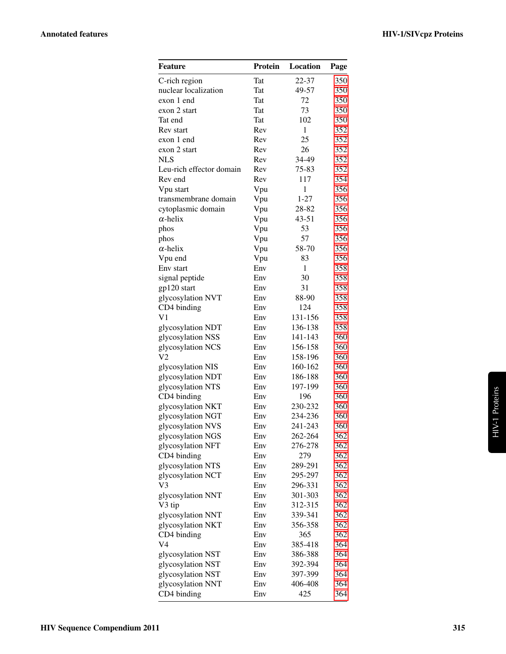| Feature                  | Protein    | Location     | Page |
|--------------------------|------------|--------------|------|
| C-rich region            | Tat        | 22-37        | 350  |
| nuclear localization     | Tat        | 49-57        | 350  |
| exon 1 end               | <b>Tat</b> | 72           | 350  |
| exon 2 start             | Tat        | 73           | 350  |
| Tat end                  | <b>Tat</b> | 102          | 350  |
| Rev start                | Rev        | 1            | 352  |
| exon 1 end               | Rev        | 25           | 352  |
| exon 2 start             | Rev        | 26           | 352  |
| <b>NLS</b>               | Rev        | 34-49        | 352  |
| Leu-rich effector domain | Rev        | 75-83        | 352  |
| Rev end                  | Rev        | 117          | 354  |
| Vpu start                | Vpu        | $\mathbf{1}$ | 356  |
| transmembrane domain     | Vpu        | $1 - 27$     | 356  |
| cytoplasmic domain       | Vpu        | 28-82        | 356  |
| $\alpha$ -helix          | Vpu        | $43 - 51$    | 356  |
| phos                     | Vpu        | 53           | 356  |
| phos                     | Vpu        | 57           | 356  |
| $\alpha$ -helix          | Vpu        | 58-70        | 356  |
| Vpu end                  | Vpu        | 83           | 356  |
| Env start                | Env        | 1            | 358  |
| signal peptide           | Env        | 30           | 358  |
| gp120 start              | Env        | 31           | 358  |
| glycosylation NVT        | Env        | 88-90        | 358  |
| CD4 binding              | Env        | 124          | 358  |
| V <sub>1</sub>           | Env        | 131-156      | 358  |
| glycosylation NDT        | Env        | 136-138      | 358  |
| glycosylation NSS        | Env        | 141-143      | 360  |
| glycosylation NCS        | Env        | 156-158      | 360  |
| V2                       | Env        | 158-196      | 360  |
| glycosylation NIS        | Env        | 160-162      | 360  |
| glycosylation NDT        | Env        | 186-188      | 360  |
| glycosylation NTS        | Env        | 197-199      | 360  |
| CD4 binding              | Env        | 196          | 360  |
| glycosylation NKT        | Env        | 230-232      | 360  |
| glycosylation NGT        | Env        | 234-236      | 360  |
| glycosylation NVS        | Env        | 241-243      | 360  |
| glycosylation NGS        | Env        | 262-264      | 362  |
| glycosylation NFT        | Env        | 276-278      | 362  |
| CD4 binding              | Env        | 279          | 362  |
| glycosylation NTS        | Env        | 289-291      | 362  |
| glycosylation NCT        | Env        | 295-297      | 362  |
| V3                       | Env        | 296-331      | 362  |
| glycosylation NNT        | Env        | 301-303      | 362  |
| V3 tip                   | Env        | 312-315      | 362  |
| glycosylation NNT        | Env        | 339-341      | 362  |
| glycosylation NKT        | Env        | 356-358      | 362  |
| CD4 binding              | Env        | 365          | 362  |
| V4                       | Env        | 385-418      | 364  |
| glycosylation NST        | Env        | 386-388      | 364  |
| glycosylation NST        | Env        | 392-394      | 364  |
| glycosylation NST        | Env        | 397-399      | 364  |
| glycosylation NNT        | Env        | 406-408      | 364  |
| CD4 binding              | Env        | 425          | 364  |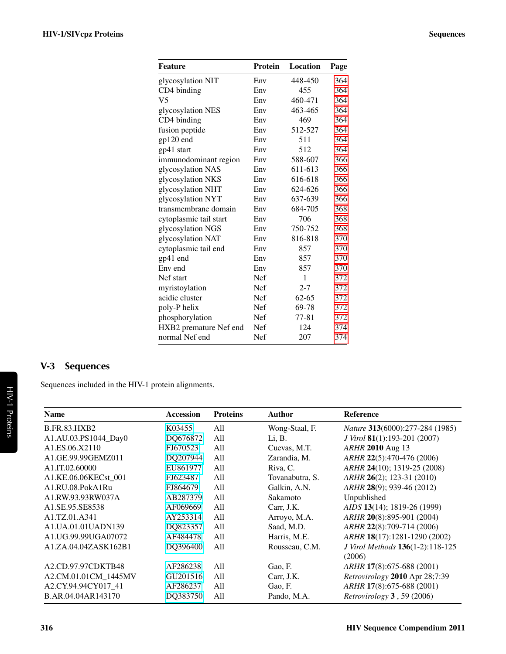| Feature                | <b>Protein</b> | Location  | Page |
|------------------------|----------------|-----------|------|
| glycosylation NIT      | Env            | 448-450   | 364  |
| CD4 binding            | Env            | 455       | 364  |
| V <sub>5</sub>         | Env            | 460-471   | 364  |
| glycosylation NES      | Env            | 463-465   | 364  |
| CD4 binding            | Env            | 469       | 364  |
| fusion peptide         | Env            | 512-527   | 364  |
| gp120 end              | Env            | 511       | 364  |
| gp41 start             | Env            | 512       | 364  |
| immunodominant region  | Env            | 588-607   | 366  |
| glycosylation NAS      | Env            | 611-613   | 366  |
| glycosylation NKS      | Env            | 616-618   | 366  |
| glycosylation NHT      | Env            | 624-626   | 366  |
| glycosylation NYT      | Env            | 637-639   | 366  |
| transmembrane domain   | Env            | 684-705   | 368  |
| cytoplasmic tail start | Env            | 706       | 368  |
| glycosylation NGS      | Env            | 750-752   | 368  |
| glycosylation NAT      | Env            | 816-818   | 370  |
| cytoplasmic tail end   | Env            | 857       | 370  |
| gp41 end               | Env            | 857       | 370  |
| Env end                | Env            | 857       | 370  |
| Nef start              | <b>Nef</b>     | 1         | 372  |
| myristoylation         | Nef            | $2 - 7$   | 372  |
| acidic cluster         | Nef            | $62 - 65$ | 372  |
| poly-P helix           | Nef            | 69-78     | 372  |
| phosphorylation        | Nef            | 77-81     | 372  |
| HXB2 premature Nef end | Nef            | 124       | 374  |
| normal Nef end         | Nef            | 207       | 374  |

# <span id="page-3-0"></span>V-3 Sequences

Sequences included in the HIV-1 protein alignments.

| <b>Name</b>                                          | <b>Accession</b> | <b>Proteins</b> | <b>Author</b>   | Reference                        |
|------------------------------------------------------|------------------|-----------------|-----------------|----------------------------------|
| <b>B.FR.83.HXB2</b>                                  | K03455           | All             | Wong-Staal, F.  | Nature 313(6000):277-284 (1985)  |
| A1.AU.03.PS1044_Day0                                 | DQ676872         | All             | Li, B.          | J Virol 81(1):193-201 (2007)     |
| A <sub>1</sub> ,ES <sub>.06</sub> ,X <sub>2110</sub> | FJ670523         | All             | Cuevas, M.T.    | ARHR 2010 Aug 13                 |
| A1.GE.99.99GEMZ011                                   | DQ207944         | All             | Zarandia, M.    | ARHR 22(5):470-476 (2006)        |
| A1.IT.02.60000                                       | EU861977         | All             | Riva, C.        | ARHR 24(10); 1319-25 (2008)      |
| A1.KE.06.06KECst 001                                 | FJ623487         | All             | Tovanabutra, S. | ARHR 26(2); 123-31 (2010)        |
| A1.RU.08.PokA1Ru                                     | FJ864679         | All             | Galkin, A.N.    | ARHR 28(9); 939-46 (2012)        |
| A1.RW.93.93RW037A                                    | AB287379         | All             | Sakamoto        | Unpublished                      |
| A <sub>1.</sub> SE.95.SE8538                         | AF069669         | All             | Carr, J.K.      | AIDS 13(14); 1819-26 (1999)      |
| A1.TZ.01.A341                                        | AY253314         | All             | Arroyo, M.A.    | ARHR 20(8):895-901 (2004)        |
| A1.UA.01.01UADN139                                   | DQ823357         | All             | Saad, M.D.      | ARHR 22(8):709-714 (2006)        |
| A1.UG.99.99UGA07072                                  | AF484478         | A11             | Harris, M.E.    | ARHR 18(17):1281-1290 (2002)     |
| A1.ZA.04.04ZASK162B1                                 | DQ396400         | All             | Rousseau, C.M.  | J Virol Methods 136(1-2):118-125 |
|                                                      |                  |                 |                 | (2006)                           |
| A2.CD.97.97CDKTB48                                   | AF286238         | A11             | Gao, F.         | <i>ARHR</i> 17(8):675-688 (2001) |
| A2.CM.01.01CM 1445MV                                 | GU201516         | A11             | Carr, J.K.      | Retrovirology 2010 Apr 28;7:39   |
| A2.CY.94.94CY017 41                                  | AF286237         | All             | Gao, F.         | ARHR 17(8):675-688 (2001)        |
| B.AR.04.04AR143170                                   | DQ383750         | All             | Pando, M.A.     | Retrovirology 3, 59 (2006)       |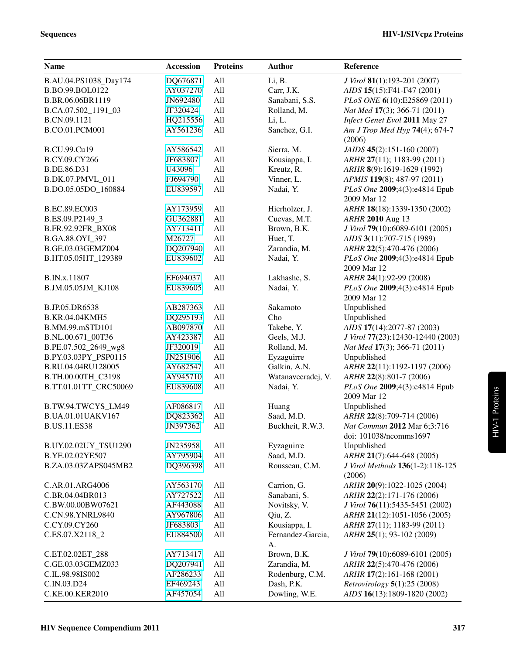| <b>Name</b>             | <b>Accession</b> | <b>Proteins</b> | <b>Author</b>      | Reference                            |
|-------------------------|------------------|-----------------|--------------------|--------------------------------------|
| B.AU.04.PS1038_Day174   | DQ676871         | All             | Li, B.             | J Virol 81(1):193-201 (2007)         |
| B.BO.99.BOL0122         | AY037270         | All             | Carr, J.K.         | AIDS 15(15):F41-F47 (2001)           |
| B.BR.06.06BR1119        | JN692480         | All             | Sanabani, S.S.     | PLoS ONE 6(10):E25869 (2011)         |
| B.CA.07.502_1191_03     | JF320424         | All             | Rolland, M.        | Nat Med 17(3); 366-71 (2011)         |
| B.CN.09.1121            | HQ215556         | All             | Li, L.             | Infect Genet Evol 2011 May 27        |
| B.CO.01.PCM001          | AY561236         | All             | Sanchez, G.I.      | Am J Trop Med Hyg 74(4); 674-7       |
|                         |                  |                 |                    | (2006)                               |
| B.CU.99.Cu19            | AY586542         | All             | Sierra, M.         | JAIDS 45(2):151-160 (2007)           |
| B.CY.09.CY266           | JF683807         | All             | Kousiappa, I.      | ARHR 27(11); 1183-99 (2011)          |
| B.DE.86.D31             | U43096           | All             | Kreutz, R.         | ARHR 8(9):1619-1629 (1992)           |
| <b>B.DK.07.PMVL 011</b> | FJ694790         | All             | Vinner, L.         | APMIS 119(8); 487-97 (2011)          |
| B.DO.05.05DO_160884     | EU839597         | All             | Nadai, Y.          | PLoS One 2009;4(3):e4814 Epub        |
|                         |                  |                 |                    | 2009 Mar 12                          |
| B.EC.89.EC003           | AY173959         | All             | Hierholzer, J.     | ARHR 18(18):1339-1350 (2002)         |
| B.ES.09.P2149_3         | GU362881         | All             | Cuevas, M.T.       | ARHR 2010 Aug 13                     |
| B.FR.92.92FR_BX08       | AY713411         | All             | Brown, B.K.        | J Virol 79(10):6089-6101 (2005)      |
| B.GA.88.OYI_397         | M26727           | All             | Huet, T.           | AIDS 3(11):707-715 (1989)            |
| B.GE.03.03GEMZ004       | DQ207940         | All             | Zarandia, M.       | ARHR 22(5):470-476 (2006)            |
| B.HT.05.05HT_129389     | EU839602         | All             | Nadai, Y.          | PLoS One 2009;4(3):e4814 Epub        |
|                         |                  |                 |                    | 2009 Mar 12                          |
| B.IN.x.11807            | EF694037         | All             | Lakhashe, S.       | ARHR 24(1):92-99 (2008)              |
| B.JM.05.05JM_KJ108      | EU839605         | All             | Nadai, Y.          | PLoS One 2009;4(3):e4814 Epub        |
|                         |                  |                 |                    | 2009 Mar 12                          |
| B.JP.05.DR6538          | AB287363         | All             | Sakamoto           | Unpublished                          |
| <b>B.KR.04.04KMH5</b>   | DQ295193         | All             | Cho                | Unpublished                          |
| B.MM.99.mSTD101         | AB097870         | All             | Takebe, Y.         | AIDS 17(14):2077-87 (2003)           |
| B.NL.00.671_00T36       | AY423387         | All             | Geels, M.J.        | J Virol 77(23):12430-12440 (2003)    |
| B.PE.07.502_2649_wg8    | JF320019         | All             | Rolland, M.        | Nat Med 17(3); 366-71 (2011)         |
| B.PY.03.03PY_PSP0115    | JN251906         | All             | Eyzaguirre         | Unpublished                          |
| B.RU.04.04RU128005      | AY682547         | All             | Galkin, A.N.       | ARHR 22(11):1192-1197 (2006)         |
| B.TH.00.00TH_C3198      | AY945710         | All             | Watanaveeradej, V. | ARHR 22(8):801-7 (2006)              |
| B.TT.01.01TT_CRC50069   | EU839608         | All             | Nadai, Y.          | PLoS One 2009;4(3):e4814 Epub        |
|                         |                  |                 |                    | 2009 Mar 12                          |
| B.TW.94.TWCYS_LM49      | AF086817         | All             | Huang              | Unpublished                          |
| B.UA.01.01UAKV167       | DQ823362         | All             | Saad, M.D.         | ARHR 22(8):709-714 (2006)            |
| <b>B.US.11.ES38</b>     | JN397362         | All             | Buckheit, R.W.3.   | Nat Commun 2012 Mar 6;3:716          |
|                         |                  |                 |                    | doi: 101038/ncomms1697               |
| B.UY.02.02UY_TSU1290    | JN235958         | All             | Eyzaguirre         | Unpublished                          |
| B.YE.02.02YE507         | AY795904         | All             | Saad, M.D.         | ARHR 21(7):644-648 (2005)            |
| B.ZA.03.03ZAPS045MB2    | DQ396398         | All             | Rousseau, C.M.     | J Virol Methods 136(1-2):118-125     |
|                         |                  |                 |                    | (2006)                               |
| C.AR.01.ARG4006         | AY563170         | All             | Carrion, G.        | ARHR 20(9):1022-1025 (2004)          |
| C.BR.04.04BR013         | AY727522         | All             | Sanabani, S.       | ARHR 22(2):171-176 (2006)            |
| C.BW.00.00BW07621       | AF443088         | All             | Novitsky, V.       | J Virol 76(11):5435-5451 (2002)      |
| C.CN.98.YNRL9840        | AY967806         | All             | Qiu, Z.            | ARHR 21(12):1051-1056 (2005)         |
| C.CY.09.CY260           | JF683803         | All             | Kousiappa, I.      | ARHR 27(11); 1183-99 (2011)          |
| C.ES.07.X2118_2         | EU884500         | All             | Fernandez-Garcia,  | ARHR 25(1); 93-102 (2009)            |
|                         |                  |                 | A.                 |                                      |
| C.ET.02.02ET_288        | AY713417         | All             | Brown, B.K.        | J Virol 79(10):6089-6101 (2005)      |
| C.GE.03.03GEMZ033       | DQ207941         | All             | Zarandia, M.       | ARHR 22(5):470-476 (2006)            |
| C.IL.98.98IS002         | AF286233         | All             | Rodenburg, C.M.    | ARHR 17(2):161-168 (2001)            |
| C.IN.03.D24             | EF469243         | All             | Dash, P.K.         | <i>Retrovirology</i> $5(1):25(2008)$ |
| C.KE.00.KER2010         | AF457054         | All             | Dowling, W.E.      | AIDS 16(13):1809-1820 (2002)         |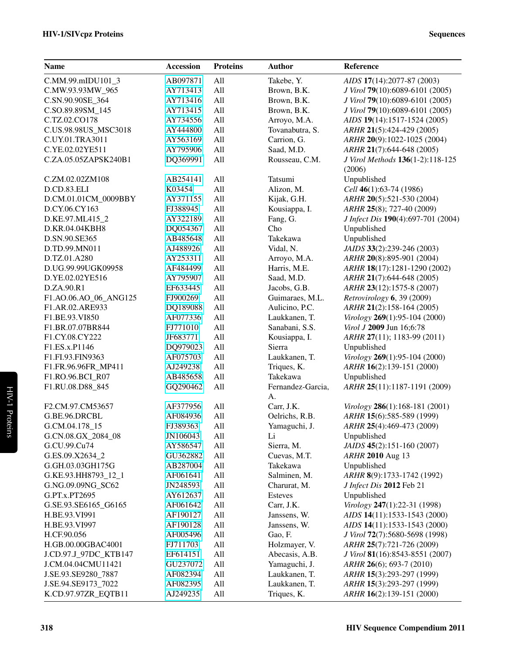| <b>Name</b>           | <b>Accession</b> | <b>Proteins</b> | <b>Author</b>     | Reference                          |
|-----------------------|------------------|-----------------|-------------------|------------------------------------|
| C.MM.99.mIDU101_3     | AB097871         | All             | Takebe, Y.        | AIDS 17(14):2077-87 (2003)         |
| C.MW.93.93MW_965      | AY713413         | All             | Brown, B.K.       | J Virol 79(10):6089-6101 (2005)    |
| C.SN.90.90SE_364      | AY713416         | All             | Brown, B.K.       | J Virol 79(10):6089-6101 (2005)    |
| C.SO.89.89SM 145      | AY713415         | All             | Brown, B.K.       | J Virol 79(10):6089-6101 (2005)    |
| C.TZ.02.CO178         | AY734556         | All             | Arroyo, M.A.      | AIDS 19(14):1517-1524 (2005)       |
| C.US.98.98US_MSC3018  | AY444800         | All             | Tovanabutra, S.   | ARHR 21(5):424-429 (2005)          |
| C.UY.01.TRA3011       | AY563169         | All             | Carrion, G.       | ARHR 20(9):1022-1025 (2004)        |
| C.YE.02.02YE511       | AY795906         | All             | Saad, M.D.        | ARHR 21(7):644-648 (2005)          |
| C.ZA.05.05ZAPSK240B1  | DQ369991         | All             | Rousseau, C.M.    | J Virol Methods 136(1-2):118-125   |
|                       |                  |                 |                   | (2006)                             |
| C.ZM.02.02ZM108       | AB254141         | All             | Tatsumi           | Unpublished                        |
| D.CD.83.ELI           | K03454           | All             | Alizon, M.        | Cell 46(1):63-74 (1986)            |
| D.CM.01.01CM_0009BBY  | AY371155         | All             | Kijak, G.H.       | ARHR 20(5):521-530 (2004)          |
| D.CY.06.CY163         | FJ388945         | All             | Kousiappa, I.     | ARHR 25(8); 727-40 (2009)          |
| D.KE.97.ML415_2       | AY322189         | All             | Fang, G.          | J Infect Dis 190(4):697-701 (2004) |
| D.KR.04.04KBH8        | DQ054367         | All             | Cho               | Unpublished                        |
| D.SN.90.SE365         | AB485648         | All             | Takekawa          | Unpublished                        |
| D.TD.99.MN011         | AJ488926         | All             | Vidal, N.         | JAIDS 33(2):239-246 (2003)         |
| D.TZ.01.A280          | AY253311         | All             | Arroyo, M.A.      | ARHR 20(8):895-901 (2004)          |
| D.UG.99.99UGK09958    | AF484499         | All             | Harris, M.E.      | ARHR 18(17):1281-1290 (2002)       |
| D.YE.02.02YE516       | AY795907         | All             | Saad, M.D.        | ARHR 21(7):644-648 (2005)          |
| D.ZA.90.R1            | EF633445         | All             | Jacobs, G.B.      | ARHR 23(12):1575-8 (2007)          |
| F1.AO.06.AO_06_ANG125 | FJ900269         | All             | Guimaraes, M.L.   | Retrovirology 6, 39 (2009)         |
| F1.AR.02.ARE933       | DQ189088         | All             | Aulicino, P.C.    | ARHR 21(2):158-164 (2005)          |
| F1.BE.93.VI850        | AF077336         | All             | Laukkanen, T.     | Virology 269(1):95-104 (2000)      |
| F1.BR.07.07BR844      | FJ771010         | All             | Sanabani, S.S.    | Virol J 2009 Jun 16;6:78           |
| F1.CY.08.CY222        | JF683771         | All             | Kousiappa, I.     | ARHR 27(11); 1183-99 (2011)        |
| F1.ES.x.P1146         | DQ979023         | All             | Sierra            | Unpublished                        |
| F1.FI.93.FIN9363      | AF075703         | All             | Laukkanen, T.     | Virology 269(1):95-104 (2000)      |
| F1.FR.96.96FR_MP411   | AJ249238         | All             | Triques, K.       | ARHR 16(2):139-151 (2000)          |
| F1.RO.96.BCI_R07      | AB485658         | All             | Takekawa          | Unpublished                        |
| F1.RU.08.D88_845      | GQ290462         | All             | Fernandez-Garcia, | ARHR 25(11):1187-1191 (2009)       |
|                       |                  |                 | A.                |                                    |
| F2.CM.97.CM53657      | AF377956         | All             | Carr, J.K.        | Virology 286(1):168-181 (2001)     |
| G.BE.96.DRCBL         | AF084936         | All             | Oelrichs, R.B.    | ARHR 15(6):585-589 (1999)          |
| G.CM.04.178_15        | FJ389363         | All             | Yamaguchi, J.     | ARHR 25(4):469-473 (2009)          |
| G.CN.08.GX_2084_08    | JN106043         | All             | Li                | Unpublished                        |
| G.CU.99.Cu74          | AY586547         | All             | Sierra, M.        | JAIDS 45(2):151-160 (2007)         |
| G.ES.09.X2634_2       | GU362882         | All             | Cuevas, M.T.      | ARHR 2010 Aug 13                   |
| G.GH.03.03GH175G      | AB287004         | All             | Takekawa          | Unpublished                        |
| G.KE.93.HH8793_12_1   | AF061641         | All             | Salminen, M.      | ARHR 8(9):1733-1742 (1992)         |
| G.NG.09.09NG_SC62     | JN248593         | All             | Charurat, M.      | J Infect Dis 2012 Feb 21           |
| G.PT.x.PT2695         | AY612637         | All             | <b>Esteves</b>    | Unpublished                        |
| G.SE.93.SE6165_G6165  | AF061642         | All             | Carr, J.K.        | Virology 247(1):22-31 (1998)       |
| H.BE.93.VI991         | AF190127         | All             | Janssens, W.      | AIDS 14(11):1533-1543 (2000)       |
| H.BE.93.VI997         | AF190128         | All             | Janssens, W.      | AIDS 14(11):1533-1543 (2000)       |
| H.CF.90.056           | AF005496         | All             | Gao, F.           | J Virol 72(7):5680-5698 (1998)     |
| H.GB.00.00GBAC4001    | FJ711703         | All             | Holzmayer, V.     | ARHR 25(7):721-726 (2009)          |
| J.CD.97.J_97DC_KTB147 | EF614151         | All             | Abecasis, A.B.    | J Virol 81(16):8543-8551 (2007)    |
| J.CM.04.04CMU11421    | GU237072         | All             | Yamaguchi, J.     | ARHR 26(6); 693-7 (2010)           |
| J.SE.93.SE9280_7887   | AF082394         | All             | Laukkanen, T.     | ARHR 15(3):293-297 (1999)          |
| J.SE.94.SE9173_7022   | AF082395         | All             | Laukkanen, T.     | ARHR 15(3):293-297 (1999)          |
| K.CD.97.97ZR_EQTB11   | AJ249235         | All             | Triques, K.       | ARHR 16(2):139-151 (2000)          |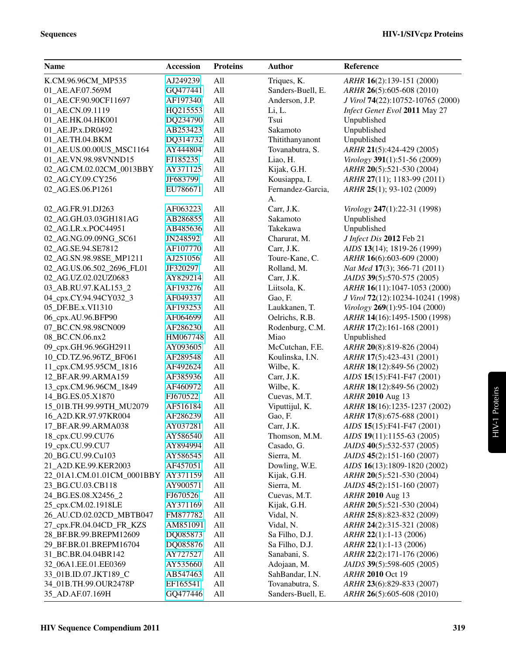| AJ249239<br>All<br>Triques, K.<br>K.CM.96.96CM_MP535<br>ARHR 16(2):139-151 (2000)<br>All<br>Sanders-Buell, E.<br>01 AE.AF.07.569M<br>GQ477441<br>ARHR 26(5):605-608 (2010)<br>AF197340<br>All<br>Anderson, J.P.<br>J Virol 74(22):10752-10765 (2000)<br>01_AE.CF.90.90CF11697<br>HQ215553<br>All<br>Infect Genet Evol 2011 May 27<br>01_AE.CN.09.1119<br>Li, L.<br>DQ234790<br>All<br>Tsui<br>01_AE.HK.04.HK001<br>Unpublished<br>AB253423<br>All<br>Sakamoto<br>Unpublished<br>01_AE.JP.x.DR0492<br>All<br>Thitithanyanont<br>Unpublished<br>01_AE.TH.04.BKM<br>DQ314732<br>All<br>Tovanabutra, S.<br>01_AE.US.00.00US_MSC1164<br>AY444804<br>ARHR 21(5):424-429 (2005)<br>All<br>Liao, H.<br>01_AE.VN.98.98VNND15<br>FJ185235<br>Virology 391(1):51-56 (2009)<br>All<br>Kijak, G.H.<br>02_AG.CM.02.02CM_0013BBY<br>AY371125<br>ARHR 20(5):521-530 (2004)<br>JF683799<br>All<br>Kousiappa, I.<br>02_AG.CY.09.CY256<br>ARHR 27(11); 1183-99 (2011) |
|----------------------------------------------------------------------------------------------------------------------------------------------------------------------------------------------------------------------------------------------------------------------------------------------------------------------------------------------------------------------------------------------------------------------------------------------------------------------------------------------------------------------------------------------------------------------------------------------------------------------------------------------------------------------------------------------------------------------------------------------------------------------------------------------------------------------------------------------------------------------------------------------------------------------------------------------------|
|                                                                                                                                                                                                                                                                                                                                                                                                                                                                                                                                                                                                                                                                                                                                                                                                                                                                                                                                                    |
|                                                                                                                                                                                                                                                                                                                                                                                                                                                                                                                                                                                                                                                                                                                                                                                                                                                                                                                                                    |
|                                                                                                                                                                                                                                                                                                                                                                                                                                                                                                                                                                                                                                                                                                                                                                                                                                                                                                                                                    |
|                                                                                                                                                                                                                                                                                                                                                                                                                                                                                                                                                                                                                                                                                                                                                                                                                                                                                                                                                    |
|                                                                                                                                                                                                                                                                                                                                                                                                                                                                                                                                                                                                                                                                                                                                                                                                                                                                                                                                                    |
|                                                                                                                                                                                                                                                                                                                                                                                                                                                                                                                                                                                                                                                                                                                                                                                                                                                                                                                                                    |
|                                                                                                                                                                                                                                                                                                                                                                                                                                                                                                                                                                                                                                                                                                                                                                                                                                                                                                                                                    |
|                                                                                                                                                                                                                                                                                                                                                                                                                                                                                                                                                                                                                                                                                                                                                                                                                                                                                                                                                    |
|                                                                                                                                                                                                                                                                                                                                                                                                                                                                                                                                                                                                                                                                                                                                                                                                                                                                                                                                                    |
|                                                                                                                                                                                                                                                                                                                                                                                                                                                                                                                                                                                                                                                                                                                                                                                                                                                                                                                                                    |
|                                                                                                                                                                                                                                                                                                                                                                                                                                                                                                                                                                                                                                                                                                                                                                                                                                                                                                                                                    |
| 02_AG.ES.06.P1261<br>All<br>Fernandez-Garcia,<br>EU786671<br>ARHR 25(1); 93-102 (2009)                                                                                                                                                                                                                                                                                                                                                                                                                                                                                                                                                                                                                                                                                                                                                                                                                                                             |
| A.                                                                                                                                                                                                                                                                                                                                                                                                                                                                                                                                                                                                                                                                                                                                                                                                                                                                                                                                                 |
| All<br>Carr, J.K.<br>Virology 247(1):22-31 (1998)<br>02_AG.FR.91.DJ263<br>AF063223                                                                                                                                                                                                                                                                                                                                                                                                                                                                                                                                                                                                                                                                                                                                                                                                                                                                 |
| All<br>Sakamoto<br>02_AG.GH.03.03GH181AG<br>AB286855<br>Unpublished                                                                                                                                                                                                                                                                                                                                                                                                                                                                                                                                                                                                                                                                                                                                                                                                                                                                                |
| All<br>Takekawa<br>Unpublished<br>02 AG.LR.x.POC44951<br>AB485636                                                                                                                                                                                                                                                                                                                                                                                                                                                                                                                                                                                                                                                                                                                                                                                                                                                                                  |
| All<br>Charurat, M.<br>J Infect Dis 2012 Feb 21<br>02_AG.NG.09.09NG_SC61<br>JN248592                                                                                                                                                                                                                                                                                                                                                                                                                                                                                                                                                                                                                                                                                                                                                                                                                                                               |
| All<br>Carr, J.K.<br>02_AG.SE.94.SE7812<br>AF107770<br>AIDS 13(14); 1819-26 (1999)                                                                                                                                                                                                                                                                                                                                                                                                                                                                                                                                                                                                                                                                                                                                                                                                                                                                 |
| AJ251056<br>All<br>Toure-Kane, C.<br>02_AG.SN.98.98SE_MP1211<br>ARHR 16(6):603-609 (2000)                                                                                                                                                                                                                                                                                                                                                                                                                                                                                                                                                                                                                                                                                                                                                                                                                                                          |
| All<br>02_AG.US.06.502_2696_FL01<br>JF320297<br>Rolland, M.<br>Nat Med 17(3); 366-71 (2011)                                                                                                                                                                                                                                                                                                                                                                                                                                                                                                                                                                                                                                                                                                                                                                                                                                                        |
| All<br>JAIDS 39(5):570-575 (2005)<br>02_AG.UZ.02.02UZ0683<br>AY829214<br>Carr, J.K.                                                                                                                                                                                                                                                                                                                                                                                                                                                                                                                                                                                                                                                                                                                                                                                                                                                                |
| 03_AB.RU.97.KAL153_2<br>All<br>Liitsola, K.<br>ARHR 16(11):1047-1053 (2000)<br>AF193276                                                                                                                                                                                                                                                                                                                                                                                                                                                                                                                                                                                                                                                                                                                                                                                                                                                            |
| All<br>04_cpx.CY.94.94CY032_3<br>AF049337<br>Gao, F.<br>J Virol 72(12):10234-10241 (1998)                                                                                                                                                                                                                                                                                                                                                                                                                                                                                                                                                                                                                                                                                                                                                                                                                                                          |
| All<br>Laukkanen, T.<br>05_DF.BE.x.VI1310<br>AF193253<br>Virology 269(1):95-104 (2000)                                                                                                                                                                                                                                                                                                                                                                                                                                                                                                                                                                                                                                                                                                                                                                                                                                                             |
| All<br>Oelrichs, R.B.<br>06_cpx.AU.96.BFP90<br>AF064699<br>ARHR 14(16):1495-1500 (1998)                                                                                                                                                                                                                                                                                                                                                                                                                                                                                                                                                                                                                                                                                                                                                                                                                                                            |
| AF286230<br>All<br>Rodenburg, C.M.<br>07_BC.CN.98.98CN009<br>ARHR 17(2):161-168 (2001)                                                                                                                                                                                                                                                                                                                                                                                                                                                                                                                                                                                                                                                                                                                                                                                                                                                             |
| All<br>Miao<br>08_BC.CN.06.nx2<br>HM067748<br>Unpublished                                                                                                                                                                                                                                                                                                                                                                                                                                                                                                                                                                                                                                                                                                                                                                                                                                                                                          |
| All<br>09_cpx.GH.96.96GH2911<br>AY093605<br>McCutchan, F.E.<br>ARHR 20(8):819-826 (2004)                                                                                                                                                                                                                                                                                                                                                                                                                                                                                                                                                                                                                                                                                                                                                                                                                                                           |
| 10_CD.TZ.96.96TZ_BF061<br>All<br>Koulinska, I.N.<br>AF289548<br>ARHR 17(5):423-431 (2001)                                                                                                                                                                                                                                                                                                                                                                                                                                                                                                                                                                                                                                                                                                                                                                                                                                                          |
| All<br>11_cpx.CM.95.95CM_1816<br>AF492624<br>Wilbe, K.<br>ARHR 18(12):849-56 (2002)                                                                                                                                                                                                                                                                                                                                                                                                                                                                                                                                                                                                                                                                                                                                                                                                                                                                |
| All<br>12_BF.AR.99.ARMA159<br>AF385936<br>Carr, J.K.<br>AIDS 15(15):F41-F47 (2001)                                                                                                                                                                                                                                                                                                                                                                                                                                                                                                                                                                                                                                                                                                                                                                                                                                                                 |
| All<br>13_cpx.CM.96.96CM_1849<br>AF460972<br>Wilbe, K.<br>ARHR 18(12):849-56 (2002)                                                                                                                                                                                                                                                                                                                                                                                                                                                                                                                                                                                                                                                                                                                                                                                                                                                                |
| All<br>ARHR 2010 Aug 13<br>14_BG.ES.05.X1870<br>FJ670522<br>Cuevas, M.T.                                                                                                                                                                                                                                                                                                                                                                                                                                                                                                                                                                                                                                                                                                                                                                                                                                                                           |
| All<br>Viputtijul, K.<br>ARHR 18(16):1235-1237 (2002)<br>15_01B.TH.99.99TH_MU2079<br>AF516184                                                                                                                                                                                                                                                                                                                                                                                                                                                                                                                                                                                                                                                                                                                                                                                                                                                      |
| 16_A2D.KR.97.97KR004<br>AF286239<br>All<br>Gao, F.<br>ARHR 17(8):675-688 (2001)                                                                                                                                                                                                                                                                                                                                                                                                                                                                                                                                                                                                                                                                                                                                                                                                                                                                    |
| All<br>17_BF.AR.99.ARMA038<br>AY037281<br>Carr, J.K.<br>AIDS 15(15):F41-F47 (2001)                                                                                                                                                                                                                                                                                                                                                                                                                                                                                                                                                                                                                                                                                                                                                                                                                                                                 |
| 18_cpx.CU.99.CU76<br>AY586540<br>All<br>Thomson, M.M.<br>AIDS 19(11):1155-63 (2005)                                                                                                                                                                                                                                                                                                                                                                                                                                                                                                                                                                                                                                                                                                                                                                                                                                                                |
| 19_cpx.CU.99.CU7<br>Casado, G.<br>JAIDS 40(5):532-537 (2005)<br>AY894994<br>All                                                                                                                                                                                                                                                                                                                                                                                                                                                                                                                                                                                                                                                                                                                                                                                                                                                                    |
| 20_BG.CU.99.Cu103<br>Sierra, M.<br>JAIDS 45(2):151-160 (2007)<br>All<br>AY586545                                                                                                                                                                                                                                                                                                                                                                                                                                                                                                                                                                                                                                                                                                                                                                                                                                                                   |
| 21_A2D.KE.99.KER2003<br>All<br>Dowling, W.E.<br>AIDS 16(13):1809-1820 (2002)<br>AF457051                                                                                                                                                                                                                                                                                                                                                                                                                                                                                                                                                                                                                                                                                                                                                                                                                                                           |
| 22_01A1.CM.01.01CM_0001BBY AY371159<br>All<br>Kijak, G.H.<br>ARHR 20(5):521-530 (2004)                                                                                                                                                                                                                                                                                                                                                                                                                                                                                                                                                                                                                                                                                                                                                                                                                                                             |
| Sierra, M.<br>23_BG.CU.03.CB118<br>All<br>JAIDS 45(2):151-160 (2007)<br>AY900571                                                                                                                                                                                                                                                                                                                                                                                                                                                                                                                                                                                                                                                                                                                                                                                                                                                                   |
| Cuevas, M.T.<br>24_BG.ES.08.X2456_2<br>FJ670526<br>All<br>ARHR 2010 Aug 13                                                                                                                                                                                                                                                                                                                                                                                                                                                                                                                                                                                                                                                                                                                                                                                                                                                                         |
| 25_cpx.CM.02.1918LE<br>Kijak, G.H.<br>All<br>ARHR 20(5):521-530 (2004)<br>AY371169                                                                                                                                                                                                                                                                                                                                                                                                                                                                                                                                                                                                                                                                                                                                                                                                                                                                 |
| 26_AU.CD.02.02CD_MBTB047<br>All<br>Vidal, N.<br>ARHR 25(8):823-832 (2009)<br>FM877782                                                                                                                                                                                                                                                                                                                                                                                                                                                                                                                                                                                                                                                                                                                                                                                                                                                              |
| 27 cpx.FR.04.04CD FR KZS<br>AM851091<br>All<br>Vidal, N.<br>ARHR 24(2):315-321 (2008)                                                                                                                                                                                                                                                                                                                                                                                                                                                                                                                                                                                                                                                                                                                                                                                                                                                              |
| 28_BF.BR.99.BREPM12609<br>DQ085873<br>All<br>Sa Filho, D.J.<br>ARHR 22(1):1-13 (2006)                                                                                                                                                                                                                                                                                                                                                                                                                                                                                                                                                                                                                                                                                                                                                                                                                                                              |
| 29_BF.BR.01.BREPM16704<br>Sa Filho, D.J.<br>ARHR 22(1):1-13 (2006)<br>DQ085876<br>All                                                                                                                                                                                                                                                                                                                                                                                                                                                                                                                                                                                                                                                                                                                                                                                                                                                              |
| 31_BC.BR.04.04BR142<br>All<br>Sanabani, S.<br>ARHR 22(2):171-176 (2006)<br>AY727527                                                                                                                                                                                                                                                                                                                                                                                                                                                                                                                                                                                                                                                                                                                                                                                                                                                                |
| 32_06A1.EE.01.EE0369<br>All<br>Adojaan, M.<br>JAIDS 39(5):598-605 (2005)<br>AY535660                                                                                                                                                                                                                                                                                                                                                                                                                                                                                                                                                                                                                                                                                                                                                                                                                                                               |
| SahBandar, I.N.<br>33_01B.ID.07.JKT189_C<br>ARHR 2010 Oct 19<br>AB547463<br>All                                                                                                                                                                                                                                                                                                                                                                                                                                                                                                                                                                                                                                                                                                                                                                                                                                                                    |
| Tovanabutra, S.<br>34_01B.TH.99.OUR2478P<br>EF165541<br>All<br>ARHR 23(6):829-833 (2007)                                                                                                                                                                                                                                                                                                                                                                                                                                                                                                                                                                                                                                                                                                                                                                                                                                                           |
| Sanders-Buell, E.<br>35_AD.AF.07.169H<br>GQ477446<br>All<br>ARHR 26(5):605-608 (2010)                                                                                                                                                                                                                                                                                                                                                                                                                                                                                                                                                                                                                                                                                                                                                                                                                                                              |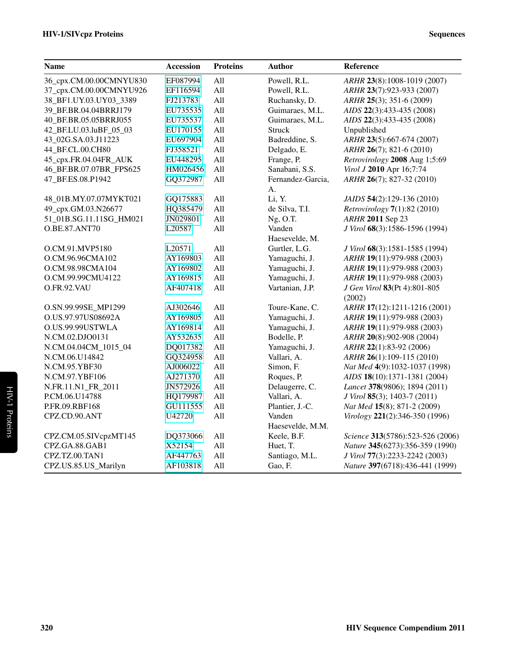| <b>Name</b>             | <b>Accession</b> | <b>Proteins</b> | <b>Author</b>     | Reference                              |
|-------------------------|------------------|-----------------|-------------------|----------------------------------------|
| 36_cpx.CM.00.00CMNYU830 | EF087994         | All             | Powell, R.L.      | ARHR 23(8):1008-1019 (2007)            |
| 37_cpx.CM.00.00CMNYU926 | EF116594         | All             | Powell, R.L.      | ARHR 23(7):923-933 (2007)              |
| 38_BF1.UY.03.UY03_3389  | FJ213783         | All             | Ruchansky, D.     | ARHR 25(3); 351-6 (2009)               |
| 39_BF.BR.04.04BRRJ179   | EU735535         | All             | Guimaraes, M.L.   | AIDS 22(3):433-435 (2008)              |
| 40 BF.BR.05.05BRRJ055   | EU735537         | All             | Guimaraes, M.L.   | AIDS 22(3):433-435 (2008)              |
| 42_BF.LU.03.luBF_05_03  | EU170155         | All             | <b>Struck</b>     | Unpublished                            |
| 43_02G.SA.03.J11223     | EU697904         | All             | Badreddine, S.    | ARHR 23(5):667-674 (2007)              |
| 44_BF.CL.00.CH80        | FJ358521         | All             | Delgado, E.       | ARHR 26(7); 821-6 (2010)               |
| 45_cpx.FR.04.04FR_AUK   | EU448295         | All             | Frange, P.        | Retrovirology 2008 Aug 1;5:69          |
| 46_BF.BR.07.07BR_FPS625 | HM026456         | All             | Sanabani, S.S.    | Virol J 2010 Apr 16;7:74               |
| 47_BF.ES.08.P1942       | GQ372987         | All             | Fernandez-Garcia, | ARHR 26(7); 827-32 (2010)              |
|                         |                  |                 | А.                |                                        |
| 48_01B.MY.07.07MYKT021  | GQ175883         | All             | Li, Y.            | JAIDS 54(2):129-136 (2010)             |
| 49_cpx.GM.03.N26677     | HQ385479         | All             | de Silva, T.I.    | Retrovirology 7(1):82 (2010)           |
| 51_01B.SG.11.11SG_HM021 | JN029801         | All             | Ng, O.T.          | ARHR 2011 Sep 23                       |
| O.BE.87.ANT70           | L20587           | All             | Vanden            | J Virol 68(3):1586-1596 (1994)         |
|                         |                  |                 | Haesevelde, M.    |                                        |
| O.CM.91.MVP5180         | L20571           | All             | Gurtler, L.G.     | J Virol 68(3):1581-1585 (1994)         |
| O.CM.96.96CMA102        | AY169803         | All             | Yamaguchi, J.     | ARHR 19(11):979-988 (2003)             |
| O.CM.98.98CMA104        | AY169802         | All             | Yamaguchi, J.     | ARHR 19(11):979-988 (2003)             |
| O.CM.99.99CMU4122       | AY169815         | All             | Yamaguchi, J.     | ARHR 19(11):979-988 (2003)             |
| O.FR.92.VAU             | AF407418         | All             | Vartanian, J.P.   | J Gen Virol 83(Pt 4):801-805<br>(2002) |
| O.SN.99.99SE_MP1299     | AJ302646         | All             | Toure-Kane, C.    | ARHR 17(12):1211-1216 (2001)           |
| O.US.97.97US08692A      | AY169805         | All             | Yamaguchi, J.     | ARHR 19(11):979-988 (2003)             |
| O.US.99.99USTWLA        | AY169814         | All             | Yamaguchi, J.     | ARHR 19(11):979-988 (2003)             |
| N.CM.02.DJO0131         | AY532635         | All             | Bodelle, P.       | ARHR 20(8):902-908 (2004)              |
| N.CM.04.04CM_1015_04    | DQ017382         | All             | Yamaguchi, J.     | ARHR 22(1):83-92 (2006)                |
| N.CM.06.U14842          | GQ324958         | All             | Vallari, A.       | ARHR 26(1):109-115 (2010)              |
| N.CM.95.YBF30           | AJ006022         | All             | Simon, F.         | Nat Med 4(9):1032-1037 (1998)          |
| N.CM.97.YBF106          | AJ271370         | All             | Roques, P.        | AIDS 18(10):1371-1381 (2004)           |
| N.FR.11.N1_FR_2011      | JN572926         | All             | Delaugerre, C.    | Lancet 378(9806); 1894 (2011)          |
| P.CM.06.U14788          | HQ179987         | All             | Vallari, A.       | J Virol 85(3); 1403-7 (2011)           |
| P.FR.09.RBF168          | GU111555         | All             | Plantier, J.-C.   | Nat Med 15(8); 871-2 (2009)            |
| CPZ.CD.90.ANT           | U42720           | All             | Vanden            | Virology 221(2):346-350 (1996)         |
|                         |                  |                 | Haesevelde, M.M.  |                                        |
| CPZ.CM.05.SIVcpzMT145   | DQ373066         | All             | Keele, B.F.       | Science 313(5786):523-526 (2006)       |
| CPZ.GA.88.GAB1          | X52154           | All             | Huet, T.          | Nature 345(6273):356-359 (1990)        |
| CPZ.TZ.00.TAN1          | AF447763         | All             | Santiago, M.L.    | J Virol 77(3):2233-2242 (2003)         |
| CPZ.US.85.US_Marilyn    | AF103818         | All             | Gao, F.           | Nature 397(6718):436-441 (1999)        |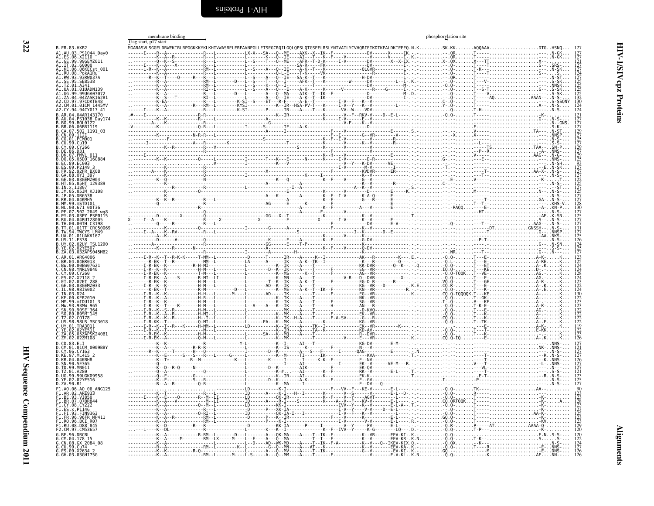<span id="page-9-2"></span><span id="page-9-1"></span><span id="page-9-0"></span>

|                                      | membrane binding<br>Gag start, p17 start       |                                                                                                                                                                                                                                                                                                                                                                                                                              | phosphorylation site |                                     |
|--------------------------------------|------------------------------------------------|------------------------------------------------------------------------------------------------------------------------------------------------------------------------------------------------------------------------------------------------------------------------------------------------------------------------------------------------------------------------------------------------------------------------------|----------------------|-------------------------------------|
| B. FR. 83. HXB2                      | .<br>MGARASVLSGGELDRWEKIRLRPGGKKKYKLKHIVWASREL |                                                                                                                                                                                                                                                                                                                                                                                                                              | $AOOAAA$             |                                     |
| .AU.03.PS1044 Day0<br>. X2110        |                                                |                                                                                                                                                                                                                                                                                                                                                                                                                              |                      |                                     |
| 99.99GEMZ011<br>.IT.02.60000         |                                                |                                                                                                                                                                                                                                                                                                                                                                                                                              |                      |                                     |
| .06KECst<br>08.PokA1Ru               |                                                |                                                                                                                                                                                                                                                                                                                                                                                                                              |                      |                                     |
| 93RW037A                             |                                                |                                                                                                                                                                                                                                                                                                                                                                                                                              |                      |                                     |
|                                      |                                                |                                                                                                                                                                                                                                                                                                                                                                                                                              |                      |                                     |
|                                      |                                                |                                                                                                                                                                                                                                                                                                                                                                                                                              |                      |                                     |
|                                      |                                                |                                                                                                                                                                                                                                                                                                                                                                                                                              |                      |                                     |
| 2.CY.94.94CY017 41                   |                                                |                                                                                                                                                                                                                                                                                                                                                                                                                              |                      |                                     |
| AR 04 04AR143170<br>04.PS1038 Dav174 |                                                |                                                                                                                                                                                                                                                                                                                                                                                                                              |                      |                                     |
| 99. RNI 0127<br>.06.06BR1119         |                                                |                                                                                                                                                                                                                                                                                                                                                                                                                              |                      |                                     |
| 502 1191 03                          |                                                |                                                                                                                                                                                                                                                                                                                                                                                                                              |                      |                                     |
| 01 PCM001                            |                                                |                                                                                                                                                                                                                                                                                                                                                                                                                              |                      |                                     |
|                                      |                                                |                                                                                                                                                                                                                                                                                                                                                                                                                              |                      |                                     |
|                                      |                                                |                                                                                                                                                                                                                                                                                                                                                                                                                              |                      |                                     |
| 09.P2149 3                           |                                                |                                                                                                                                                                                                                                                                                                                                                                                                                              |                      |                                     |
| 92FR RX08                            |                                                |                                                                                                                                                                                                                                                                                                                                                                                                                              |                      |                                     |
| 0YT 397                              |                                                |                                                                                                                                                                                                                                                                                                                                                                                                                              |                      |                                     |
| 05HT 129389                          |                                                |                                                                                                                                                                                                                                                                                                                                                                                                                              |                      |                                     |
|                                      |                                                |                                                                                                                                                                                                                                                                                                                                                                                                                              |                      |                                     |
|                                      |                                                |                                                                                                                                                                                                                                                                                                                                                                                                                              |                      |                                     |
| 671 00T36                            |                                                |                                                                                                                                                                                                                                                                                                                                                                                                                              |                      |                                     |
| PSP0115                              |                                                |                                                                                                                                                                                                                                                                                                                                                                                                                              |                      |                                     |
| 01.01TT <sup>-</sup> CRC50069        |                                                |                                                                                                                                                                                                                                                                                                                                                                                                                              |                      |                                     |
| TWCYS I M49<br>01UAKV167             |                                                |                                                                                                                                                                                                                                                                                                                                                                                                                              |                      |                                     |
|                                      |                                                |                                                                                                                                                                                                                                                                                                                                                                                                                              |                      |                                     |
|                                      |                                                |                                                                                                                                                                                                                                                                                                                                                                                                                              |                      |                                     |
|                                      |                                                |                                                                                                                                                                                                                                                                                                                                                                                                                              |                      |                                     |
|                                      |                                                |                                                                                                                                                                                                                                                                                                                                                                                                                              |                      |                                     |
|                                      |                                                |                                                                                                                                                                                                                                                                                                                                                                                                                              |                      |                                     |
|                                      |                                                |                                                                                                                                                                                                                                                                                                                                                                                                                              |                      |                                     |
|                                      |                                                |                                                                                                                                                                                                                                                                                                                                                                                                                              |                      |                                     |
| mIDU101                              |                                                |                                                                                                                                                                                                                                                                                                                                                                                                                              |                      |                                     |
|                                      |                                                |                                                                                                                                                                                                                                                                                                                                                                                                                              |                      |                                     |
|                                      |                                                |                                                                                                                                                                                                                                                                                                                                                                                                                              |                      |                                     |
| 98 98US MSC3018<br>01 TRA3011        |                                                |                                                                                                                                                                                                                                                                                                                                                                                                                              |                      |                                     |
| .02YE511                             |                                                |                                                                                                                                                                                                                                                                                                                                                                                                                              |                      | 22<br>  19<br>  122<br>  23<br>  23 |
| ZM.02.02ZM108                        |                                                |                                                                                                                                                                                                                                                                                                                                                                                                                              |                      |                                     |
| 01.01CM 0009BBY                      |                                                |                                                                                                                                                                                                                                                                                                                                                                                                                              |                      |                                     |
| 06 CY163                             |                                                |                                                                                                                                                                                                                                                                                                                                                                                                                              |                      |                                     |
| 04.04KBH8                            |                                                |                                                                                                                                                                                                                                                                                                                                                                                                                              |                      |                                     |
| 99 MN011<br>A280                     |                                                |                                                                                                                                                                                                                                                                                                                                                                                                                              |                      |                                     |
| 99.99UGK09958<br>02.02YE516          |                                                |                                                                                                                                                                                                                                                                                                                                                                                                                              |                      |                                     |
| D.ZA.90.R1<br>06.AO 06 ANG125        |                                                |                                                                                                                                                                                                                                                                                                                                                                                                                              |                      |                                     |
| <b>ARF933</b>                        |                                                |                                                                                                                                                                                                                                                                                                                                                                                                                              |                      |                                     |
|                                      |                                                | $\begin{minipage}[t]{.000\textwidth} \begin{tabular}{ c c c c c } \hline \textbf{0.000\textwidth} \begin{tabular}{ c c c c c } \hline \textbf{0.000\textwidth} \begin{tabular}{ c c c c c } \hline \textbf{0.000\textwidth} \begin{tabular}{ c c c c } \hline \textbf{0.000\textwidth} \begin{tabular}{ c c c c } \hline \textbf{0.000\textwidth} \begin{tabular}{ c c c c } \hline \textbf{0.000\textwidth} \begin{tabular$ | - A - - . T . - - 0. |                                     |
|                                      |                                                |                                                                                                                                                                                                                                                                                                                                                                                                                              |                      |                                     |
|                                      |                                                |                                                                                                                                                                                                                                                                                                                                                                                                                              |                      |                                     |
|                                      |                                                |                                                                                                                                                                                                                                                                                                                                                                                                                              |                      |                                     |
|                                      | -------R-RM--I-------D---I-------A             | ---K--I---------------K--F--IVV--Y-----K-G------<br>---OK-MA----A----T--IK--F-----------K--VR-----                                                                                                                                                                                                                                                                                                                           |                      |                                     |
| GX 2084 08                           |                                                |                                                                                                                                                                                                                                                                                                                                                                                                                              |                      |                                     |
| 09.X2634 2                           |                                                | L-------A---Q--MV----A---                                                                                                                                                                                                                                                                                                                                                                                                    |                      |                                     |
| G GH 03 03GH175G                     |                                                |                                                                                                                                                                                                                                                                                                                                                                                                                              |                      |                                     |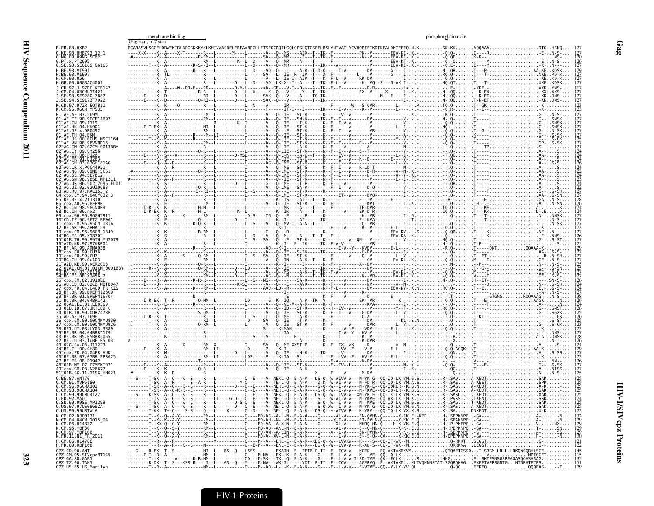|                                                                                                              | Gag start, p17 start | membrane binding |  | phosphorylation site |                   |
|--------------------------------------------------------------------------------------------------------------|----------------------|------------------|--|----------------------|-------------------|
| B.FR.83.HXB2                                                                                                 |                      |                  |  |                      |                   |
| G.KE.93.HH8793 12 1<br>G.NG.09.09NG SC62                                                                     |                      |                  |  |                      |                   |
| G.PT.x.PT2695<br>G.SE.93.SE6165 G6165                                                                        |                      |                  |  |                      |                   |
| H.BE.93.VI991<br>.BE.93.VI997<br>.CF.90.056                                                                  |                      |                  |  |                      |                   |
| H.GB.00.00GBAC4001<br>J.CD.97.J 97DC KTB147                                                                  |                      |                  |  |                      |                   |
| J.CM.04.04CMU1I421<br>SE.93.SE9280 7887                                                                      |                      |                  |  |                      |                   |
| J.SE.94.SE9173 <sup>-</sup> 7022<br>K.CD.97.97ZR EOTB11                                                      |                      |                  |  |                      |                   |
|                                                                                                              |                      |                  |  |                      |                   |
|                                                                                                              |                      |                  |  |                      |                   |
|                                                                                                              |                      |                  |  |                      |                   |
|                                                                                                              |                      |                  |  |                      |                   |
| 02CM 0013BBY                                                                                                 |                      |                  |  |                      |                   |
|                                                                                                              |                      |                  |  |                      |                   |
|                                                                                                              |                      |                  |  |                      |                   |
|                                                                                                              |                      |                  |  |                      |                   |
|                                                                                                              |                      |                  |  |                      |                   |
| AB RU 97 KAL153 2                                                                                            |                      |                  |  |                      |                   |
|                                                                                                              |                      |                  |  |                      |                   |
| CN.98.98CN009                                                                                                |                      |                  |  |                      |                   |
| ГZ.96.96TZ BF061<br>.CM.95.95CM 1816                                                                         |                      |                  |  |                      |                   |
| 12 <sup>-</sup> BF.AR.99.ARMA159                                                                             |                      |                  |  |                      |                   |
| TH.99.99TH MU2079                                                                                            |                      |                  |  |                      |                   |
| R.97.97KR004:<br>99.ARMA038                                                                                  |                      |                  |  |                      |                   |
| . 99.CU76                                                                                                    |                      |                  |  |                      |                   |
| .99.Cu103<br>KE.99.KER2003                                                                                   |                      |                  |  |                      |                   |
|                                                                                                              |                      |                  |  |                      |                   |
|                                                                                                              |                      |                  |  |                      |                   |
|                                                                                                              |                      |                  |  |                      |                   |
|                                                                                                              |                      |                  |  |                      |                   |
| ID.07.JKT189<br>01B.TH.99.0UR2478P                                                                           |                      |                  |  |                      |                   |
|                                                                                                              |                      |                  |  |                      |                   |
|                                                                                                              |                      |                  |  |                      |                   |
|                                                                                                              |                      |                  |  |                      |                   |
| .03.luBF 05 03                                                                                               |                      |                  |  |                      |                   |
|                                                                                                              |                      |                  |  |                      |                   |
| BF.ES.08.P1942-<br>48 <sup>-</sup> 01B.MY.07.07MYKT021                                                       |                      |                  |  |                      |                   |
| cpx.GM.03.N26677<br>51 <sup>-</sup> 01B.SG.11.11SG HM023                                                     |                      |                  |  |                      |                   |
|                                                                                                              |                      |                  |  |                      |                   |
| O.CM.96.96CMA102<br>0.CM.98.98CMA104<br>0.CM.99.99CMU4122                                                    |                      |                  |  |                      |                   |
| 0.FR.92.VAU<br>U.SN.99.99SE MP1Z99                                                                           |                      |                  |  |                      |                   |
| 0.US.97.97US08692A<br>0. US. 99. 99 USTWLA                                                                   |                      |                  |  |                      | $\frac{125}{122}$ |
| 0.000131<br>N.CM.02.DJ00131<br>N.CM.04.04CM 1015_04<br>N.CM.05.YBF30<br>N.CM.95.YBF30<br>N.CM.97.YBF106      |                      |                  |  |                      |                   |
|                                                                                                              |                      |                  |  |                      |                   |
| N.FR.11.N1 FR 2011                                                                                           |                      |                  |  |                      |                   |
| P.CM.06.U14788<br>P.FR.09.RBF168                                                                             |                      |                  |  |                      |                   |
|                                                                                                              |                      |                  |  |                      |                   |
| CPZ.CD.90.ANT<br>CPZ.CD.90.ANT<br>CPZ.GA.88.GABI<br>CPZ.GA.88.GABI<br>CPZ.TZ.00.TAN1<br>CPZ.US.85.US_Marilyn |                      |                  |  |                      |                   |

 $\mathbf{Gag}$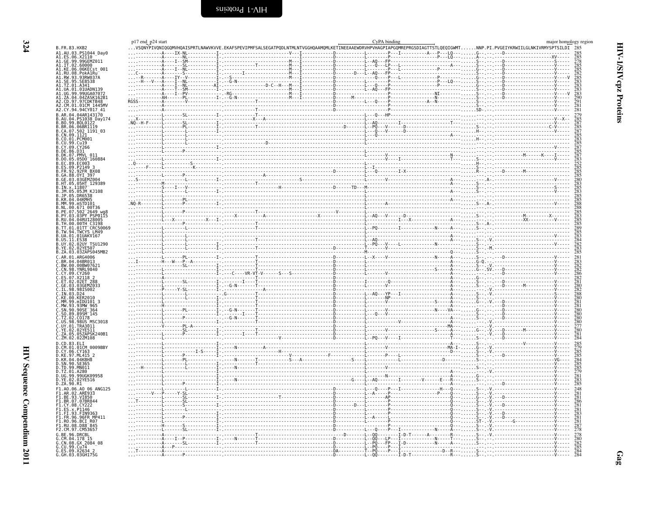<span id="page-11-0"></span>

| p17 end p24 start | CyPA binding<br>$\ldots$ VSONYPIVONIOGOMVHOAISPRTLNAWVKVVE.EKAFSPEVIPMFSALSEGATPODLNTMLNTVGGHOAAMOMLKETINEEAAEWDRVHPVHAGPIAPGOMREPRGSDIAGTTSTLOEOIGWMTNNP.PI.PVGEIYKRWIILGLNKIVRMYSPTSILDI 285                                                                                                                                                                                                                                                               | major homology region |
|-------------------|--------------------------------------------------------------------------------------------------------------------------------------------------------------------------------------------------------------------------------------------------------------------------------------------------------------------------------------------------------------------------------------------------------------------------------------------------------------|-----------------------|
|                   |                                                                                                                                                                                                                                                                                                                                                                                                                                                              |                       |
|                   |                                                                                                                                                                                                                                                                                                                                                                                                                                                              |                       |
|                   |                                                                                                                                                                                                                                                                                                                                                                                                                                                              |                       |
|                   |                                                                                                                                                                                                                                                                                                                                                                                                                                                              |                       |
|                   |                                                                                                                                                                                                                                                                                                                                                                                                                                                              |                       |
|                   |                                                                                                                                                                                                                                                                                                                                                                                                                                                              |                       |
|                   |                                                                                                                                                                                                                                                                                                                                                                                                                                                              |                       |
|                   |                                                                                                                                                                                                                                                                                                                                                                                                                                                              |                       |
|                   |                                                                                                                                                                                                                                                                                                                                                                                                                                                              |                       |
|                   |                                                                                                                                                                                                                                                                                                                                                                                                                                                              |                       |
|                   |                                                                                                                                                                                                                                                                                                                                                                                                                                                              |                       |
|                   |                                                                                                                                                                                                                                                                                                                                                                                                                                                              |                       |
|                   |                                                                                                                                                                                                                                                                                                                                                                                                                                                              |                       |
|                   |                                                                                                                                                                                                                                                                                                                                                                                                                                                              |                       |
|                   |                                                                                                                                                                                                                                                                                                                                                                                                                                                              |                       |
|                   |                                                                                                                                                                                                                                                                                                                                                                                                                                                              |                       |
|                   |                                                                                                                                                                                                                                                                                                                                                                                                                                                              |                       |
|                   |                                                                                                                                                                                                                                                                                                                                                                                                                                                              |                       |
|                   |                                                                                                                                                                                                                                                                                                                                                                                                                                                              |                       |
|                   |                                                                                                                                                                                                                                                                                                                                                                                                                                                              |                       |
|                   |                                                                                                                                                                                                                                                                                                                                                                                                                                                              |                       |
|                   |                                                                                                                                                                                                                                                                                                                                                                                                                                                              |                       |
|                   |                                                                                                                                                                                                                                                                                                                                                                                                                                                              |                       |
|                   |                                                                                                                                                                                                                                                                                                                                                                                                                                                              |                       |
|                   |                                                                                                                                                                                                                                                                                                                                                                                                                                                              |                       |
|                   |                                                                                                                                                                                                                                                                                                                                                                                                                                                              |                       |
|                   |                                                                                                                                                                                                                                                                                                                                                                                                                                                              |                       |
|                   |                                                                                                                                                                                                                                                                                                                                                                                                                                                              |                       |
|                   |                                                                                                                                                                                                                                                                                                                                                                                                                                                              |                       |
|                   |                                                                                                                                                                                                                                                                                                                                                                                                                                                              |                       |
|                   |                                                                                                                                                                                                                                                                                                                                                                                                                                                              |                       |
|                   |                                                                                                                                                                                                                                                                                                                                                                                                                                                              |                       |
|                   |                                                                                                                                                                                                                                                                                                                                                                                                                                                              |                       |
|                   |                                                                                                                                                                                                                                                                                                                                                                                                                                                              |                       |
|                   |                                                                                                                                                                                                                                                                                                                                                                                                                                                              |                       |
|                   |                                                                                                                                                                                                                                                                                                                                                                                                                                                              |                       |
|                   |                                                                                                                                                                                                                                                                                                                                                                                                                                                              |                       |
|                   |                                                                                                                                                                                                                                                                                                                                                                                                                                                              |                       |
|                   |                                                                                                                                                                                                                                                                                                                                                                                                                                                              |                       |
|                   | $\begin{minipage}{0.5cm} \begin{minipage}{0.5cm} \begin{minipage}{0.5cm} \begin{minipage}{0.5cm} \begin{minipage}{0.5cm} \begin{minipage}{0.5cm} \begin{minipage}{0.5cm} \begin{minipage}{0.5cm} \begin{minipage}{0.5cm} \begin{minipage}{0.5cm} \begin{minipage}{0.5cm} \begin{minipage}{0.5cm} \begin{minipage}{0.5cm} \begin{minipage}{0.5cm} \begin{minipage}{0.5cm} \begin{minipage}{0.5cm} \begin{minipage}{0.5cm} \begin{minipage}{0.5cm} \begin{min$ |                       |
|                   |                                                                                                                                                                                                                                                                                                                                                                                                                                                              |                       |
|                   |                                                                                                                                                                                                                                                                                                                                                                                                                                                              |                       |
|                   |                                                                                                                                                                                                                                                                                                                                                                                                                                                              |                       |
|                   |                                                                                                                                                                                                                                                                                                                                                                                                                                                              |                       |
|                   |                                                                                                                                                                                                                                                                                                                                                                                                                                                              |                       |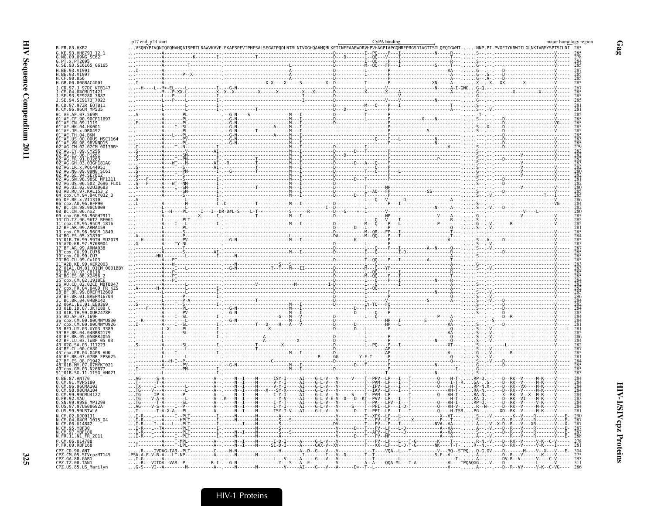|                                                                                                                                    | p17 end p24 start |                                                                        |                                                                                                                                                                                                                                                                                                                                                                                                                                  | CyPA binding                                                                                                                                                   |                                                                                                                                                                                                                                                                                                                                                                        |                                             | major homology region    |
|------------------------------------------------------------------------------------------------------------------------------------|-------------------|------------------------------------------------------------------------|----------------------------------------------------------------------------------------------------------------------------------------------------------------------------------------------------------------------------------------------------------------------------------------------------------------------------------------------------------------------------------------------------------------------------------|----------------------------------------------------------------------------------------------------------------------------------------------------------------|------------------------------------------------------------------------------------------------------------------------------------------------------------------------------------------------------------------------------------------------------------------------------------------------------------------------------------------------------------------------|---------------------------------------------|--------------------------|
| B.FR.83.HXB2                                                                                                                       |                   |                                                                        | vSQNYPIVQNIQGQMVHQAISPRTLNAWVKVVE.EKAFSPEVIPMFSALSEGATPQDLNTMLNTVGGHQAAMQMLKETINEEAAEWDRVHPVHAGPIAPGQMREPRGSDIAGTTSTLQEQIGWMT                                                                                                                                                                                                                                                                                                    |                                                                                                                                                                |                                                                                                                                                                                                                                                                                                                                                                        | .NNP.PI.PVGEIYKRWIILGLNKIVRMYSPTSILDI 285   |                          |
| G.KE.93.HH8793_12_1<br>G.NG.09.09NG_SC62                                                                                           |                   |                                                                        |                                                                                                                                                                                                                                                                                                                                                                                                                                  |                                                                                                                                                                |                                                                                                                                                                                                                                                                                                                                                                        |                                             |                          |
|                                                                                                                                    |                   |                                                                        |                                                                                                                                                                                                                                                                                                                                                                                                                                  |                                                                                                                                                                |                                                                                                                                                                                                                                                                                                                                                                        |                                             |                          |
| G.SE.93.SE6165 G6165                                                                                                               |                   |                                                                        |                                                                                                                                                                                                                                                                                                                                                                                                                                  |                                                                                                                                                                |                                                                                                                                                                                                                                                                                                                                                                        |                                             | 285                      |
| H.RF.93.VT991<br>H.BE.93.VI997                                                                                                     |                   |                                                                        |                                                                                                                                                                                                                                                                                                                                                                                                                                  |                                                                                                                                                                |                                                                                                                                                                                                                                                                                                                                                                        |                                             |                          |
| $C\bar{F}$ .90.056                                                                                                                 |                   |                                                                        |                                                                                                                                                                                                                                                                                                                                                                                                                                  |                                                                                                                                                                |                                                                                                                                                                                                                                                                                                                                                                        |                                             |                          |
| H.GB.00.00GBAC4001<br>.CD.97.J 97DC KTB147                                                                                         |                   |                                                                        |                                                                                                                                                                                                                                                                                                                                                                                                                                  |                                                                                                                                                                |                                                                                                                                                                                                                                                                                                                                                                        |                                             |                          |
| .CM.04.04CMU11421                                                                                                                  |                   |                                                                        |                                                                                                                                                                                                                                                                                                                                                                                                                                  |                                                                                                                                                                |                                                                                                                                                                                                                                                                                                                                                                        |                                             | 267<br>285               |
| 93.SE9280 788<br>.SE.94.SE9173 7022                                                                                                |                   |                                                                        |                                                                                                                                                                                                                                                                                                                                                                                                                                  |                                                                                                                                                                |                                                                                                                                                                                                                                                                                                                                                                        |                                             |                          |
| K.CD.97.97ZR EQTB11                                                                                                                |                   |                                                                        |                                                                                                                                                                                                                                                                                                                                                                                                                                  |                                                                                                                                                                |                                                                                                                                                                                                                                                                                                                                                                        |                                             |                          |
| K.CM.96.96CM_MP535                                                                                                                 |                   |                                                                        |                                                                                                                                                                                                                                                                                                                                                                                                                                  |                                                                                                                                                                |                                                                                                                                                                                                                                                                                                                                                                        |                                             |                          |
| 01 AE.AF.07.569M<br>AE.CF.90.90CF11697                                                                                             |                   |                                                                        |                                                                                                                                                                                                                                                                                                                                                                                                                                  |                                                                                                                                                                |                                                                                                                                                                                                                                                                                                                                                                        |                                             |                          |
| 01 <sup>-</sup> AE.CN.09.1119                                                                                                      |                   |                                                                        |                                                                                                                                                                                                                                                                                                                                                                                                                                  |                                                                                                                                                                |                                                                                                                                                                                                                                                                                                                                                                        |                                             |                          |
| 01-AE.HK.04.HK001<br>01-AE.JP.x.DR0492                                                                                             |                   |                                                                        |                                                                                                                                                                                                                                                                                                                                                                                                                                  |                                                                                                                                                                |                                                                                                                                                                                                                                                                                                                                                                        |                                             |                          |
| AE.TH.04.BKM                                                                                                                       |                   |                                                                        |                                                                                                                                                                                                                                                                                                                                                                                                                                  |                                                                                                                                                                |                                                                                                                                                                                                                                                                                                                                                                        |                                             |                          |
| AE.US.00.<br>.00US<br>MSC1164<br>AE.VN.98.                                                                                         |                   |                                                                        |                                                                                                                                                                                                                                                                                                                                                                                                                                  |                                                                                                                                                                |                                                                                                                                                                                                                                                                                                                                                                        |                                             |                          |
| .98VNND15<br>.02CM_0013BBY<br>.CM.02                                                                                               |                   |                                                                        |                                                                                                                                                                                                                                                                                                                                                                                                                                  |                                                                                                                                                                |                                                                                                                                                                                                                                                                                                                                                                        |                                             |                          |
| FS 06.                                                                                                                             |                   |                                                                        |                                                                                                                                                                                                                                                                                                                                                                                                                                  |                                                                                                                                                                |                                                                                                                                                                                                                                                                                                                                                                        |                                             |                          |
|                                                                                                                                    |                   |                                                                        |                                                                                                                                                                                                                                                                                                                                                                                                                                  |                                                                                                                                                                |                                                                                                                                                                                                                                                                                                                                                                        |                                             |                          |
| .03GH181AG                                                                                                                         |                   |                                                                        |                                                                                                                                                                                                                                                                                                                                                                                                                                  |                                                                                                                                                                |                                                                                                                                                                                                                                                                                                                                                                        |                                             |                          |
| AG.LR.x.POC44951<br>AG.NG.09.09NG SC61<br>AG.SE.94.SE7812                                                                          |                   |                                                                        |                                                                                                                                                                                                                                                                                                                                                                                                                                  |                                                                                                                                                                |                                                                                                                                                                                                                                                                                                                                                                        |                                             |                          |
|                                                                                                                                    |                   |                                                                        |                                                                                                                                                                                                                                                                                                                                                                                                                                  |                                                                                                                                                                |                                                                                                                                                                                                                                                                                                                                                                        |                                             |                          |
| AG. SP. 98.985E_MP1211<br>AG. SN.98.985E_MP1211<br>AG.UZ.02.02UZ0683<br>AB.RU.97.KAL153_2                                          |                   |                                                                        |                                                                                                                                                                                                                                                                                                                                                                                                                                  |                                                                                                                                                                | $\begin{picture}(100,100)(0,0) \put(0,0){\vector(1,0){100}} \put(0,0){\vector(1,0){100}} \put(0,0){\vector(1,0){100}} \put(0,0){\vector(1,0){100}} \put(0,0){\vector(1,0){100}} \put(0,0){\vector(1,0){100}} \put(0,0){\vector(1,0){100}} \put(0,0){\vector(1,0){100}} \put(0,0){\vector(1,0){100}} \put(0,0){\vector(1,0){100}} \put(0,0){\vector(1,0){100}} \put(0,$ |                                             |                          |
|                                                                                                                                    |                   |                                                                        |                                                                                                                                                                                                                                                                                                                                                                                                                                  |                                                                                                                                                                |                                                                                                                                                                                                                                                                                                                                                                        |                                             |                          |
| .CY.94.94CY032_3<br>DF.BE.x.VI1310                                                                                                 |                   |                                                                        |                                                                                                                                                                                                                                                                                                                                                                                                                                  |                                                                                                                                                                |                                                                                                                                                                                                                                                                                                                                                                        |                                             |                          |
| cpx.AU.96.BFP90                                                                                                                    |                   |                                                                        |                                                                                                                                                                                                                                                                                                                                                                                                                                  |                                                                                                                                                                |                                                                                                                                                                                                                                                                                                                                                                        |                                             |                          |
| CN.98.98CN009.<br>08 <sup>-</sup> BC.CN.06.nx2                                                                                     |                   |                                                                        |                                                                                                                                                                                                                                                                                                                                                                                                                                  |                                                                                                                                                                |                                                                                                                                                                                                                                                                                                                                                                        |                                             |                          |
| cpx.GH.96.96GH291                                                                                                                  |                   |                                                                        |                                                                                                                                                                                                                                                                                                                                                                                                                                  |                                                                                                                                                                |                                                                                                                                                                                                                                                                                                                                                                        |                                             |                          |
|                                                                                                                                    |                   |                                                                        |                                                                                                                                                                                                                                                                                                                                                                                                                                  |                                                                                                                                                                |                                                                                                                                                                                                                                                                                                                                                                        |                                             |                          |
|                                                                                                                                    |                   |                                                                        |                                                                                                                                                                                                                                                                                                                                                                                                                                  |                                                                                                                                                                |                                                                                                                                                                                                                                                                                                                                                                        |                                             |                          |
| CD. 12.96.96T2_BF061<br>CD. TZ.96.96T2_BF061<br>CD. TZ.96.96T2_BF061<br>BF.AR.99.ARMA159<br>CD. CM.96.96CM_1849<br>BG. ES.05.X1870 |                   |                                                                        |                                                                                                                                                                                                                                                                                                                                                                                                                                  |                                                                                                                                                                |                                                                                                                                                                                                                                                                                                                                                                        |                                             |                          |
| 99.99TH MU2079<br>A2D.KR.97.97KR004                                                                                                |                   |                                                                        |                                                                                                                                                                                                                                                                                                                                                                                                                                  |                                                                                                                                                                |                                                                                                                                                                                                                                                                                                                                                                        |                                             |                          |
| BF.AR.99.ARMA038                                                                                                                   |                   |                                                                        |                                                                                                                                                                                                                                                                                                                                                                                                                                  |                                                                                                                                                                |                                                                                                                                                                                                                                                                                                                                                                        |                                             |                          |
| - cpx.CU.99.CU76<br>- cpx.CU.99.CU76<br>- cpx.CU.99.CU7                                                                            |                   |                                                                        |                                                                                                                                                                                                                                                                                                                                                                                                                                  |                                                                                                                                                                |                                                                                                                                                                                                                                                                                                                                                                        |                                             |                          |
| BG.CU.99.Cu103                                                                                                                     |                   |                                                                        | $\begin{minipage}[t]{.15\textwidth} \begin{tabular}{ c c c } \hline \textbf{11} & \textbf{0} & \textbf{0} & \textbf{0} & \textbf{0} & \textbf{0} & \textbf{0} & \textbf{0} & \textbf{0} & \textbf{0} & \textbf{0} & \textbf{0} & \textbf{0} & \textbf{0} & \textbf{0} & \textbf{0} & \textbf{0} & \textbf{0} & \textbf{0} & \textbf{0} & \textbf{0} & \textbf{0} & \textbf{0} & \textbf{0} & \textbf{0} & \textbf{0} & \textbf{$ |                                                                                                                                                                |                                                                                                                                                                                                                                                                                                                                                                        |                                             |                          |
| 01CM 0001BB                                                                                                                        |                   |                                                                        |                                                                                                                                                                                                                                                                                                                                                                                                                                  |                                                                                                                                                                |                                                                                                                                                                                                                                                                                                                                                                        |                                             |                          |
| 03.CB118<br>08.X2456                                                                                                               |                   |                                                                        |                                                                                                                                                                                                                                                                                                                                                                                                                                  |                                                                                                                                                                |                                                                                                                                                                                                                                                                                                                                                                        |                                             |                          |
|                                                                                                                                    |                   |                                                                        |                                                                                                                                                                                                                                                                                                                                                                                                                                  |                                                                                                                                                                |                                                                                                                                                                                                                                                                                                                                                                        |                                             |                          |
| 02CD MBTB04<br>04.04CD FR KZS                                                                                                      |                   |                                                                        |                                                                                                                                                                                                                                                                                                                                                                                                                                  |                                                                                                                                                                |                                                                                                                                                                                                                                                                                                                                                                        |                                             |                          |
| .99.BREPM12609                                                                                                                     |                   |                                                                        |                                                                                                                                                                                                                                                                                                                                                                                                                                  |                                                                                                                                                                |                                                                                                                                                                                                                                                                                                                                                                        |                                             |                          |
| 01. RRFPM16704<br>BC.BR.04.04BR142                                                                                                 |                   |                                                                        |                                                                                                                                                                                                                                                                                                                                                                                                                                  |                                                                                                                                                                |                                                                                                                                                                                                                                                                                                                                                                        |                                             |                          |
| 6A1.EE.01.EE0369                                                                                                                   |                   |                                                                        |                                                                                                                                                                                                                                                                                                                                                                                                                                  |                                                                                                                                                                |                                                                                                                                                                                                                                                                                                                                                                        |                                             |                          |
| 01B.ID.07.JKT189 O<br>34 <sup>-</sup> 01B.TH.99.OUR2478P                                                                           |                   |                                                                        |                                                                                                                                                                                                                                                                                                                                                                                                                                  |                                                                                                                                                                |                                                                                                                                                                                                                                                                                                                                                                        |                                             |                          |
| AD.AF.07.169H                                                                                                                      |                   |                                                                        |                                                                                                                                                                                                                                                                                                                                                                                                                                  |                                                                                                                                                                |                                                                                                                                                                                                                                                                                                                                                                        |                                             |                          |
| .00.00CMNYU830<br>00.00CMNYU926                                                                                                    |                   |                                                                        |                                                                                                                                                                                                                                                                                                                                                                                                                                  |                                                                                                                                                                |                                                                                                                                                                                                                                                                                                                                                                        |                                             |                          |
| UY 03.UY03 3389                                                                                                                    |                   |                                                                        |                                                                                                                                                                                                                                                                                                                                                                                                                                  |                                                                                                                                                                |                                                                                                                                                                                                                                                                                                                                                                        |                                             |                          |
| BR.04.04BRAJ179<br>BR.05.05BRRJ055                                                                                                 |                   |                                                                        |                                                                                                                                                                                                                                                                                                                                                                                                                                  |                                                                                                                                                                |                                                                                                                                                                                                                                                                                                                                                                        |                                             |                          |
| BF.LU.03.luBF 05 03<br>02G.SA.03.J11223                                                                                            |                   |                                                                        |                                                                                                                                                                                                                                                                                                                                                                                                                                  |                                                                                                                                                                |                                                                                                                                                                                                                                                                                                                                                                        |                                             |                          |
|                                                                                                                                    |                   |                                                                        |                                                                                                                                                                                                                                                                                                                                                                                                                                  |                                                                                                                                                                |                                                                                                                                                                                                                                                                                                                                                                        |                                             |                          |
| FR.04.04FR AU<br>BR.07.07BR FPS625                                                                                                 |                   |                                                                        |                                                                                                                                                                                                                                                                                                                                                                                                                                  |                                                                                                                                                                |                                                                                                                                                                                                                                                                                                                                                                        |                                             |                          |
| ES.08.P1942                                                                                                                        |                   |                                                                        |                                                                                                                                                                                                                                                                                                                                                                                                                                  |                                                                                                                                                                |                                                                                                                                                                                                                                                                                                                                                                        |                                             |                          |
| 01B.MY.07.07MYKT021                                                                                                                |                   |                                                                        |                                                                                                                                                                                                                                                                                                                                                                                                                                  |                                                                                                                                                                |                                                                                                                                                                                                                                                                                                                                                                        |                                             |                          |
| 51 <sup>-</sup> 01B.SG.11.11SG HM021                                                                                               |                   |                                                                        |                                                                                                                                                                                                                                                                                                                                                                                                                                  |                                                                                                                                                                |                                                                                                                                                                                                                                                                                                                                                                        |                                             |                          |
| 0.BE.87.ANT70<br>91.MVP5180                                                                                                        |                   |                                                                        |                                                                                                                                                                                                                                                                                                                                                                                                                                  |                                                                                                                                                                |                                                                                                                                                                                                                                                                                                                                                                        |                                             |                          |
| 0.CM.96.96CMA102                                                                                                                   |                   |                                                                        |                                                                                                                                                                                                                                                                                                                                                                                                                                  |                                                                                                                                                                |                                                                                                                                                                                                                                                                                                                                                                        | . RP-N.X-<br>.RA-N. - -                     |                          |
| 0.CM.98.98CMA104<br>CM.99.99CMU4122                                                                                                |                   |                                                                        |                                                                                                                                                                                                                                                                                                                                                                                                                                  |                                                                                                                                                                |                                                                                                                                                                                                                                                                                                                                                                        | - D - - RK - - V - - - - - M - K - - -      |                          |
| Ŏ.FR.92.VAŬ<br>O.SN.99.99SE MP1299                                                                                                 |                   |                                                                        |                                                                                                                                                                                                                                                                                                                                                                                                                                  | - g- L- v--- v----- S---- † - - PAM - - [- p--<br>- G- L- V--- V-- - D- - - D- - KT - - PVV - - LP--<br>- G- L- V-- - V-- - - - - - - - - I - - PA - - - LPV - |                                                                                                                                                                                                                                                                                                                                                                        | -RK-                                        |                          |
| 97US08692A                                                                                                                         |                   |                                                                        |                                                                                                                                                                                                                                                                                                                                                                                                                                  |                                                                                                                                                                |                                                                                                                                                                                                                                                                                                                                                                        |                                             | 283<br>284<br>284<br>281 |
| US.99.99USTWLA                                                                                                                     |                   |                                                                        |                                                                                                                                                                                                                                                                                                                                                                                                                                  |                                                                                                                                                                |                                                                                                                                                                                                                                                                                                                                                                        |                                             |                          |
| N.CM.02.DJ00131<br>N.CM.04.04CM_1015_04                                                                                            |                   |                                                                        |                                                                                                                                                                                                                                                                                                                                                                                                                                  |                                                                                                                                                                |                                                                                                                                                                                                                                                                                                                                                                        |                                             | 290<br>287               |
| CM.06.U14842                                                                                                                       |                   |                                                                        |                                                                                                                                                                                                                                                                                                                                                                                                                                  |                                                                                                                                                                |                                                                                                                                                                                                                                                                                                                                                                        |                                             | 287<br>287<br>287<br>288 |
| 95.YBF30                                                                                                                           |                   |                                                                        |                                                                                                                                                                                                                                                                                                                                                                                                                                  |                                                                                                                                                                |                                                                                                                                                                                                                                                                                                                                                                        |                                             |                          |
| N.FR.11.N1_FR_2011                                                                                                                 |                   |                                                                        |                                                                                                                                                                                                                                                                                                                                                                                                                                  |                                                                                                                                                                |                                                                                                                                                                                                                                                                                                                                                                        |                                             |                          |
| P.CM.06.U14788<br>P.FR.09.RBF168                                                                                                   |                   |                                                                        |                                                                                                                                                                                                                                                                                                                                                                                                                                  |                                                                                                                                                                |                                                                                                                                                                                                                                                                                                                                                                        |                                             |                          |
|                                                                                                                                    |                   | $-IVDAG-IAR--PLT---$                                                   | . - - - - - А - - - - - GXX - V - .<br>. - - - - А - - D - - G - - - V - .                                                                                                                                                                                                                                                                                                                                                       |                                                                                                                                                                |                                                                                                                                                                                                                                                                                                                                                                        |                                             | 304                      |
| CPZ.CD.90.ANT<br>CPZ.CM.05.SIVcpzMT145<br>CPZ.GA.88.GAB1<br>CPZ.GA.88.GAB1<br>CPZ.TZ.00.TAN1<br>CPZ.US.85.US_Marilyn               |                   | PSA-A-F-V-R-A---LT-NP-----------A-<br>I-G---L---A--------------------- |                                                                                                                                                                                                                                                                                                                                                                                                                                  |                                                                                                                                                                |                                                                                                                                                                                                                                                                                                                                                                        |                                             | 293                      |
|                                                                                                                                    |                   | RL--VITDA--VAR--P---                                                   |                                                                                                                                                                                                                                                                                                                                                                                                                                  |                                                                                                                                                                | A----QQA-ML---T-A---------------VL---TPQAQGGV.--                                                                                                                                                                                                                                                                                                                       |                                             |                          |
|                                                                                                                                    |                   |                                                                        |                                                                                                                                                                                                                                                                                                                                                                                                                                  |                                                                                                                                                                |                                                                                                                                                                                                                                                                                                                                                                        | - - VV - - - - - - V - K - - C - VG - - - - |                          |

 $Gag$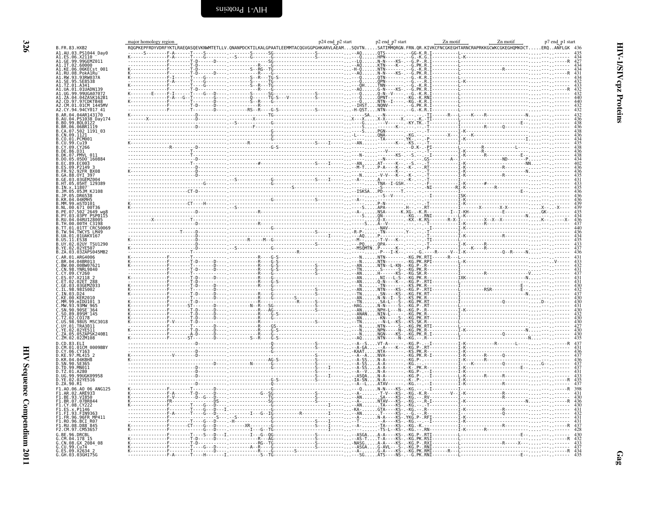<span id="page-13-0"></span>

|                                                                                                                                                                                                         | major homology region                                                                                                                                                                                                                                                                                                                                                                       | p24 end_p2 start | p2 end p7 start | Zn motif                                                                                                                                                                                                                                                              | p7 end p1 start |
|---------------------------------------------------------------------------------------------------------------------------------------------------------------------------------------------------------|---------------------------------------------------------------------------------------------------------------------------------------------------------------------------------------------------------------------------------------------------------------------------------------------------------------------------------------------------------------------------------------------|------------------|-----------------|-----------------------------------------------------------------------------------------------------------------------------------------------------------------------------------------------------------------------------------------------------------------------|-----------------|
| B.FR.83.HXB2                                                                                                                                                                                            | RQGPKEPFRDYVDRFYKTLRAEQASQEVKNWMTETLLV.QNANPDCKTILKALGPAATLEEMMTACQGVGGPGHKARVLAEAMSQVTNSATIMMQRGN.FRN.QR.KIVKCFNCGKEGHTARNCRAPRKKGCWKCGKEGHQMKDCTERQANFLGK 436                                                                                                                                                                                                                             |                  |                 |                                                                                                                                                                                                                                                                       |                 |
| A1.AU.03.PS1044 Day0                                                                                                                                                                                    |                                                                                                                                                                                                                                                                                                                                                                                             |                  |                 |                                                                                                                                                                                                                                                                       |                 |
| A1.ES.06.X2110<br>A1.GE.99.99GEM<br>99.99GEMZ011                                                                                                                                                        |                                                                                                                                                                                                                                                                                                                                                                                             |                  |                 |                                                                                                                                                                                                                                                                       |                 |
| A1.IT.02.60000<br>A1.KE.06.06KECst 001                                                                                                                                                                  |                                                                                                                                                                                                                                                                                                                                                                                             |                  |                 |                                                                                                                                                                                                                                                                       |                 |
| Al.RU.08.PokAlRu                                                                                                                                                                                        |                                                                                                                                                                                                                                                                                                                                                                                             |                  |                 |                                                                                                                                                                                                                                                                       |                 |
| A1.RW.93.93RW037A                                                                                                                                                                                       |                                                                                                                                                                                                                                                                                                                                                                                             |                  |                 |                                                                                                                                                                                                                                                                       |                 |
| A1.TZ.01.A341                                                                                                                                                                                           |                                                                                                                                                                                                                                                                                                                                                                                             |                  |                 |                                                                                                                                                                                                                                                                       |                 |
| A1.UA.O1.O1UADN139                                                                                                                                                                                      |                                                                                                                                                                                                                                                                                                                                                                                             |                  |                 |                                                                                                                                                                                                                                                                       |                 |
| 41 IIG 99 99IIGA07073<br>41.ZA.04.04ZASK162B1                                                                                                                                                           |                                                                                                                                                                                                                                                                                                                                                                                             |                  |                 |                                                                                                                                                                                                                                                                       |                 |
| 42.CD.97.97CDKTB48                                                                                                                                                                                      |                                                                                                                                                                                                                                                                                                                                                                                             |                  |                 |                                                                                                                                                                                                                                                                       |                 |
| 2.CY.94.94CY017 41                                                                                                                                                                                      |                                                                                                                                                                                                                                                                                                                                                                                             |                  |                 |                                                                                                                                                                                                                                                                       |                 |
| B.AR.04.04AR143170                                                                                                                                                                                      |                                                                                                                                                                                                                                                                                                                                                                                             |                  |                 |                                                                                                                                                                                                                                                                       |                 |
| B.AU.04.PS1038 Dav174                                                                                                                                                                                   |                                                                                                                                                                                                                                                                                                                                                                                             |                  |                 |                                                                                                                                                                                                                                                                       |                 |
| .BO.99.BOL0122<br>BR.06.06BR1119                                                                                                                                                                        |                                                                                                                                                                                                                                                                                                                                                                                             |                  |                 |                                                                                                                                                                                                                                                                       |                 |
| .CA.07.502 1191 03                                                                                                                                                                                      |                                                                                                                                                                                                                                                                                                                                                                                             |                  |                 |                                                                                                                                                                                                                                                                       |                 |
|                                                                                                                                                                                                         |                                                                                                                                                                                                                                                                                                                                                                                             |                  |                 |                                                                                                                                                                                                                                                                       |                 |
| .CO.01.PCM001<br>.Cu19                                                                                                                                                                                  |                                                                                                                                                                                                                                                                                                                                                                                             |                  |                 |                                                                                                                                                                                                                                                                       |                 |
| .CY.09.CY266                                                                                                                                                                                            |                                                                                                                                                                                                                                                                                                                                                                                             |                  |                 |                                                                                                                                                                                                                                                                       |                 |
| .DE.86.D31                                                                                                                                                                                              |                                                                                                                                                                                                                                                                                                                                                                                             |                  |                 |                                                                                                                                                                                                                                                                       |                 |
| B.DK.07.PMVL 011<br>05D0 160884                                                                                                                                                                         |                                                                                                                                                                                                                                                                                                                                                                                             |                  |                 |                                                                                                                                                                                                                                                                       |                 |
|                                                                                                                                                                                                         |                                                                                                                                                                                                                                                                                                                                                                                             |                  |                 |                                                                                                                                                                                                                                                                       |                 |
| ES.09.P2149.                                                                                                                                                                                            |                                                                                                                                                                                                                                                                                                                                                                                             |                  |                 |                                                                                                                                                                                                                                                                       |                 |
| B.FR.92.92FR_BX08<br>B.GA.88.OYI 397                                                                                                                                                                    |                                                                                                                                                                                                                                                                                                                                                                                             |                  |                 |                                                                                                                                                                                                                                                                       |                 |
| GE 03 03GEM7004                                                                                                                                                                                         |                                                                                                                                                                                                                                                                                                                                                                                             |                  |                 |                                                                                                                                                                                                                                                                       |                 |
| HT.05.05HT 129389                                                                                                                                                                                       |                                                                                                                                                                                                                                                                                                                                                                                             |                  |                 |                                                                                                                                                                                                                                                                       |                 |
|                                                                                                                                                                                                         |                                                                                                                                                                                                                                                                                                                                                                                             |                  |                 |                                                                                                                                                                                                                                                                       |                 |
|                                                                                                                                                                                                         |                                                                                                                                                                                                                                                                                                                                                                                             |                  |                 |                                                                                                                                                                                                                                                                       |                 |
| 04KMH5<br>.mSTD101                                                                                                                                                                                      |                                                                                                                                                                                                                                                                                                                                                                                             |                  |                 |                                                                                                                                                                                                                                                                       |                 |
| 671 00T36                                                                                                                                                                                               |                                                                                                                                                                                                                                                                                                                                                                                             |                  |                 |                                                                                                                                                                                                                                                                       |                 |
|                                                                                                                                                                                                         |                                                                                                                                                                                                                                                                                                                                                                                             |                  |                 |                                                                                                                                                                                                                                                                       |                 |
| 03PY PSP0115<br>04RUI28005                                                                                                                                                                              |                                                                                                                                                                                                                                                                                                                                                                                             |                  |                 |                                                                                                                                                                                                                                                                       |                 |
| .TH.00.00TH C3198<br>.TT.01.01TT CRC50069                                                                                                                                                               |                                                                                                                                                                                                                                                                                                                                                                                             |                  |                 |                                                                                                                                                                                                                                                                       |                 |
|                                                                                                                                                                                                         |                                                                                                                                                                                                                                                                                                                                                                                             |                  |                 |                                                                                                                                                                                                                                                                       |                 |
| TW.94.TWCYS LM49<br>UA.01.01UAKV167                                                                                                                                                                     |                                                                                                                                                                                                                                                                                                                                                                                             |                  |                 |                                                                                                                                                                                                                                                                       |                 |
|                                                                                                                                                                                                         |                                                                                                                                                                                                                                                                                                                                                                                             |                  |                 |                                                                                                                                                                                                                                                                       |                 |
| .UY.02.02UY TSU1290<br>02YF50                                                                                                                                                                           |                                                                                                                                                                                                                                                                                                                                                                                             |                  |                 |                                                                                                                                                                                                                                                                       |                 |
| B.ZA.03.03ZAPS045MB2                                                                                                                                                                                    |                                                                                                                                                                                                                                                                                                                                                                                             |                  |                 |                                                                                                                                                                                                                                                                       |                 |
| AR.01.ARG4006                                                                                                                                                                                           |                                                                                                                                                                                                                                                                                                                                                                                             |                  |                 |                                                                                                                                                                                                                                                                       |                 |
| 04.04BR013                                                                                                                                                                                              |                                                                                                                                                                                                                                                                                                                                                                                             |                  |                 |                                                                                                                                                                                                                                                                       |                 |
| BW.00.00BW07623<br>CN.98.YNRL9840                                                                                                                                                                       |                                                                                                                                                                                                                                                                                                                                                                                             |                  |                 |                                                                                                                                                                                                                                                                       |                 |
|                                                                                                                                                                                                         |                                                                                                                                                                                                                                                                                                                                                                                             |                  |                 |                                                                                                                                                                                                                                                                       |                 |
| ES.07.X2118 2                                                                                                                                                                                           |                                                                                                                                                                                                                                                                                                                                                                                             |                  |                 |                                                                                                                                                                                                                                                                       |                 |
| 02ET 288                                                                                                                                                                                                |                                                                                                                                                                                                                                                                                                                                                                                             |                  |                 |                                                                                                                                                                                                                                                                       |                 |
| 98IS002                                                                                                                                                                                                 |                                                                                                                                                                                                                                                                                                                                                                                             |                  |                 |                                                                                                                                                                                                                                                                       |                 |
| C.KE.00.KER2010                                                                                                                                                                                         |                                                                                                                                                                                                                                                                                                                                                                                             |                  |                 |                                                                                                                                                                                                                                                                       |                 |
| .MM.99.mIDU101 3                                                                                                                                                                                        |                                                                                                                                                                                                                                                                                                                                                                                             |                  |                 |                                                                                                                                                                                                                                                                       |                 |
| MW 93 93MW 965                                                                                                                                                                                          |                                                                                                                                                                                                                                                                                                                                                                                             |                  |                 |                                                                                                                                                                                                                                                                       |                 |
| $.SN.90.90SE-364$<br>.S0.89.89SM 145                                                                                                                                                                    |                                                                                                                                                                                                                                                                                                                                                                                             |                  |                 |                                                                                                                                                                                                                                                                       |                 |
|                                                                                                                                                                                                         |                                                                                                                                                                                                                                                                                                                                                                                             |                  |                 |                                                                                                                                                                                                                                                                       |                 |
| 98US MSC3018                                                                                                                                                                                            |                                                                                                                                                                                                                                                                                                                                                                                             |                  |                 |                                                                                                                                                                                                                                                                       |                 |
| .UY.01.TRA3011<br>02YE511                                                                                                                                                                               |                                                                                                                                                                                                                                                                                                                                                                                             |                  |                 |                                                                                                                                                                                                                                                                       |                 |
| 05ZAPSK240B1                                                                                                                                                                                            |                                                                                                                                                                                                                                                                                                                                                                                             |                  |                 |                                                                                                                                                                                                                                                                       |                 |
|                                                                                                                                                                                                         |                                                                                                                                                                                                                                                                                                                                                                                             |                  |                 |                                                                                                                                                                                                                                                                       |                 |
| 01CM 0009BBY                                                                                                                                                                                            |                                                                                                                                                                                                                                                                                                                                                                                             |                  |                 |                                                                                                                                                                                                                                                                       |                 |
| D.CY.06.CY163<br>D.KE.97.ML415 2                                                                                                                                                                        |                                                                                                                                                                                                                                                                                                                                                                                             |                  |                 |                                                                                                                                                                                                                                                                       |                 |
|                                                                                                                                                                                                         |                                                                                                                                                                                                                                                                                                                                                                                             |                  |                 | . $v = A - k$ . (2) $kR$ . $kR$ . $kR$ . $kR$ . $kR$ . $kR$ . $kR$ . $kR$ . $kR$ . $kR$ . $kR$ . $kR$ . $kR$ . $kR$ . $kR$ . $kR$ . $kR$ . $kR$ . $kR$ . $kR$ . $kR$ . $kR$ . $kR$ . $kR$ . $kR$ . $kR$ . $kR$ . $kR$ . $kR$ . $kR$ . $kR$ . $kR$ . $kR$ . $kR$ . $k$ |                 |
| ).KR.04.04KBH8<br>SN.90.SE365                                                                                                                                                                           |                                                                                                                                                                                                                                                                                                                                                                                             |                  |                 |                                                                                                                                                                                                                                                                       |                 |
| TD.99.MN011                                                                                                                                                                                             |                                                                                                                                                                                                                                                                                                                                                                                             |                  |                 |                                                                                                                                                                                                                                                                       |                 |
| TZ.01.A280.<br>99.99UGK09958                                                                                                                                                                            |                                                                                                                                                                                                                                                                                                                                                                                             |                  |                 |                                                                                                                                                                                                                                                                       |                 |
| .02YE516                                                                                                                                                                                                |                                                                                                                                                                                                                                                                                                                                                                                             |                  |                 |                                                                                                                                                                                                                                                                       |                 |
|                                                                                                                                                                                                         | $\begin{minipage}{0.99\textwidth} \begin{tabular}{ c c c c c } \hline \textbf{0.1} & \textbf{0.1} & \textbf{0.1} & \textbf{0.1} & \textbf{0.1} & \textbf{0.1} & \textbf{0.1} & \textbf{0.1} & \textbf{0.1} & \textbf{0.1} & \textbf{0.1} & \textbf{0.1} & \textbf{0.1} & \textbf{0.1} & \textbf{0.1} & \textbf{0.1} & \textbf{0.1} & \textbf{0.1} & \textbf{0.1} & \textbf{0.1} & \textbf{$ |                  |                 |                                                                                                                                                                                                                                                                       |                 |
|                                                                                                                                                                                                         |                                                                                                                                                                                                                                                                                                                                                                                             |                  |                 |                                                                                                                                                                                                                                                                       |                 |
| -1 RF 93 VT850                                                                                                                                                                                          |                                                                                                                                                                                                                                                                                                                                                                                             |                  |                 |                                                                                                                                                                                                                                                                       |                 |
| .07BR844                                                                                                                                                                                                |                                                                                                                                                                                                                                                                                                                                                                                             |                  |                 |                                                                                                                                                                                                                                                                       |                 |
| CY 08 CY222                                                                                                                                                                                             |                                                                                                                                                                                                                                                                                                                                                                                             |                  |                 |                                                                                                                                                                                                                                                                       |                 |
|                                                                                                                                                                                                         |                                                                                                                                                                                                                                                                                                                                                                                             |                  |                 |                                                                                                                                                                                                                                                                       |                 |
|                                                                                                                                                                                                         |                                                                                                                                                                                                                                                                                                                                                                                             |                  |                 |                                                                                                                                                                                                                                                                       |                 |
|                                                                                                                                                                                                         |                                                                                                                                                                                                                                                                                                                                                                                             |                  |                 |                                                                                                                                                                                                                                                                       |                 |
|                                                                                                                                                                                                         |                                                                                                                                                                                                                                                                                                                                                                                             |                  |                 |                                                                                                                                                                                                                                                                       |                 |
|                                                                                                                                                                                                         |                                                                                                                                                                                                                                                                                                                                                                                             |                  |                 |                                                                                                                                                                                                                                                                       |                 |
|                                                                                                                                                                                                         |                                                                                                                                                                                                                                                                                                                                                                                             |                  |                 |                                                                                                                                                                                                                                                                       |                 |
|                                                                                                                                                                                                         |                                                                                                                                                                                                                                                                                                                                                                                             |                  |                 |                                                                                                                                                                                                                                                                       |                 |
|                                                                                                                                                                                                         |                                                                                                                                                                                                                                                                                                                                                                                             |                  |                 |                                                                                                                                                                                                                                                                       |                 |
| 1.FI.93.FIN9363<br>1.FR.96.96FR MP411<br>RO 96 BCI R07<br>.RU.08.D88 845<br>2.CM.97.CM5365.<br>G.RE.96.DRCRL<br>CM.04.178.15<br>CN.08.GX 2084 08<br>G.CU.99.Cu74<br>G.ES.09.X2634 2<br>G.GH.03.03GH175G |                                                                                                                                                                                                                                                                                                                                                                                             |                  |                 |                                                                                                                                                                                                                                                                       |                 |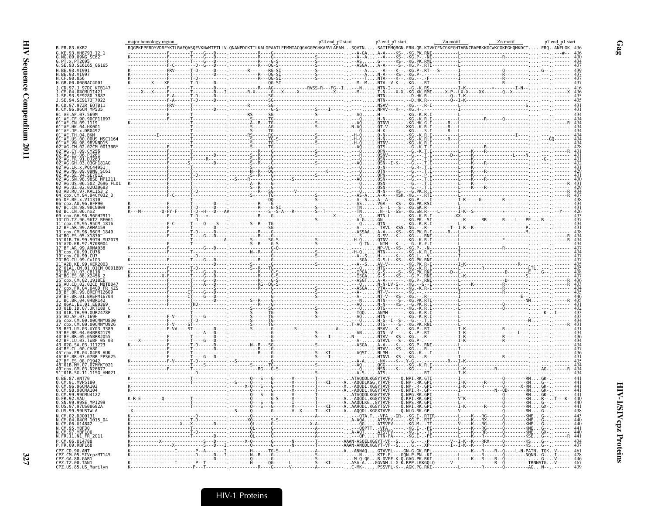|                                                          |                                                                                                                                                                                                                                                                                                                                                                                  |                                   |                                                                                                                                                                                                                                | p7 end_p1 start                                                  |
|----------------------------------------------------------|----------------------------------------------------------------------------------------------------------------------------------------------------------------------------------------------------------------------------------------------------------------------------------------------------------------------------------------------------------------------------------|-----------------------------------|--------------------------------------------------------------------------------------------------------------------------------------------------------------------------------------------------------------------------------|------------------------------------------------------------------|
| B.FR.83.HXB2                                             |                                                                                                                                                                                                                                                                                                                                                                                  |                                   |                                                                                                                                                                                                                                | ERQANFLGK 43                                                     |
| 93.HH8793_12_1<br>09.09NG SC62                           |                                                                                                                                                                                                                                                                                                                                                                                  |                                   |                                                                                                                                                                                                                                |                                                                  |
| $x$ PT2695<br>G.SE.93.SE6165 G6165                       |                                                                                                                                                                                                                                                                                                                                                                                  |                                   |                                                                                                                                                                                                                                |                                                                  |
| H.BE.93.VI991                                            |                                                                                                                                                                                                                                                                                                                                                                                  |                                   |                                                                                                                                                                                                                                |                                                                  |
| H.BE.93.VI997<br>H.CF.90.056                             |                                                                                                                                                                                                                                                                                                                                                                                  |                                   |                                                                                                                                                                                                                                |                                                                  |
| H.GB.00.00GBAC4001                                       |                                                                                                                                                                                                                                                                                                                                                                                  |                                   |                                                                                                                                                                                                                                |                                                                  |
| 97DC_KTB14                                               |                                                                                                                                                                                                                                                                                                                                                                                  |                                   |                                                                                                                                                                                                                                |                                                                  |
|                                                          |                                                                                                                                                                                                                                                                                                                                                                                  |                                   |                                                                                                                                                                                                                                |                                                                  |
| J.SE.94.SE9173 <sup>-</sup> 7022                         |                                                                                                                                                                                                                                                                                                                                                                                  |                                   |                                                                                                                                                                                                                                |                                                                  |
| 97ZR EQTB11<br>.СМ.96.96СМ_МР535                         |                                                                                                                                                                                                                                                                                                                                                                                  |                                   |                                                                                                                                                                                                                                |                                                                  |
| A7 569M                                                  |                                                                                                                                                                                                                                                                                                                                                                                  |                                   | National Contract Contract Contract Contract Contract Contract Contract Contract Contract Contract Contract Contract Contract Contract Contract Contract Contract Contract Contract Contract Contract Contract Contract Contra |                                                                  |
|                                                          |                                                                                                                                                                                                                                                                                                                                                                                  |                                   |                                                                                                                                                                                                                                |                                                                  |
| DR0492                                                   |                                                                                                                                                                                                                                                                                                                                                                                  |                                   |                                                                                                                                                                                                                                |                                                                  |
| . RKM                                                    |                                                                                                                                                                                                                                                                                                                                                                                  |                                   |                                                                                                                                                                                                                                |                                                                  |
| 00.00US MSC1164                                          |                                                                                                                                                                                                                                                                                                                                                                                  |                                   |                                                                                                                                                                                                                                |                                                                  |
| 02CM 0013BBY                                             |                                                                                                                                                                                                                                                                                                                                                                                  |                                   |                                                                                                                                                                                                                                |                                                                  |
|                                                          |                                                                                                                                                                                                                                                                                                                                                                                  |                                   |                                                                                                                                                                                                                                |                                                                  |
|                                                          |                                                                                                                                                                                                                                                                                                                                                                                  |                                   |                                                                                                                                                                                                                                |                                                                  |
| .R.x.POC44951<br>IG.09.09NG SC61<br>IE.94.SE7812         |                                                                                                                                                                                                                                                                                                                                                                                  |                                   |                                                                                                                                                                                                                                |                                                                  |
|                                                          |                                                                                                                                                                                                                                                                                                                                                                                  |                                   |                                                                                                                                                                                                                                |                                                                  |
|                                                          |                                                                                                                                                                                                                                                                                                                                                                                  |                                   |                                                                                                                                                                                                                                |                                                                  |
| RU.97.KAL153 2                                           |                                                                                                                                                                                                                                                                                                                                                                                  |                                   |                                                                                                                                                                                                                                |                                                                  |
| .94.94CY032 3                                            |                                                                                                                                                                                                                                                                                                                                                                                  |                                   |                                                                                                                                                                                                                                |                                                                  |
| x.VI1310                                                 |                                                                                                                                                                                                                                                                                                                                                                                  |                                   |                                                                                                                                                                                                                                |                                                                  |
| 98.98CN009<br>BC.CN.06.nx2                               |                                                                                                                                                                                                                                                                                                                                                                                  |                                   |                                                                                                                                                                                                                                |                                                                  |
| 96.96GH291                                               |                                                                                                                                                                                                                                                                                                                                                                                  |                                   |                                                                                                                                                                                                                                |                                                                  |
| 96.96TZ BF061                                            |                                                                                                                                                                                                                                                                                                                                                                                  |                                   |                                                                                                                                                                                                                                |                                                                  |
| 99.ARMA159<br>CM.96.96CM 1849                            |                                                                                                                                                                                                                                                                                                                                                                                  |                                   |                                                                                                                                                                                                                                |                                                                  |
| .99.99TH MU2079                                          | $\begin{picture}(1,1) \put(0,0) {\put(0,0){\line(1,0){15}} \put(0,0) {\put(0,0){\line(1,0){15}} \put(0,0) {\put(0,0){\line(1,0){15}} \put(0,0) {\put(0,0){\line(1,0){15}} \put(0,0) {\put(0,0){\line(1,0){15}} \put(0,0) {\put(0,0){\line(1,0){15}} \put(0,0) {\put(0,0){\line(1,0){15}} \put(0,0) {\put(0,0){\line(1,0){15}} \put(0,0) {\put(0,0){\line(1,$                     |                                   |                                                                                                                                                                                                                                |                                                                  |
| 97.97KR004                                               |                                                                                                                                                                                                                                                                                                                                                                                  |                                   |                                                                                                                                                                                                                                |                                                                  |
| 99.ARMA038<br>CU.99.CU76                                 |                                                                                                                                                                                                                                                                                                                                                                                  |                                   |                                                                                                                                                                                                                                |                                                                  |
| CU.99.CU7                                                |                                                                                                                                                                                                                                                                                                                                                                                  |                                   |                                                                                                                                                                                                                                |                                                                  |
| CU.99.Cu103<br>99.KER2003                                |                                                                                                                                                                                                                                                                                                                                                                                  |                                   |                                                                                                                                                                                                                                |                                                                  |
| 03.CB118                                                 |                                                                                                                                                                                                                                                                                                                                                                                  |                                   |                                                                                                                                                                                                                                |                                                                  |
| .02.1918EF                                               |                                                                                                                                                                                                                                                                                                                                                                                  |                                   |                                                                                                                                                                                                                                |                                                                  |
| 02.02CD MBTB04                                           |                                                                                                                                                                                                                                                                                                                                                                                  |                                   |                                                                                                                                                                                                                                |                                                                  |
| R.04.04CD FR KZS<br>99.BREPM12609                        |                                                                                                                                                                                                                                                                                                                                                                                  |                                   |                                                                                                                                                                                                                                |                                                                  |
| 01.BREPM16704<br>04.04BR142                              |                                                                                                                                                                                                                                                                                                                                                                                  |                                   |                                                                                                                                                                                                                                |                                                                  |
| 1.EE.01.EE0369                                           |                                                                                                                                                                                                                                                                                                                                                                                  |                                   |                                                                                                                                                                                                                                |                                                                  |
| 99.0UR2478P                                              |                                                                                                                                                                                                                                                                                                                                                                                  |                                   |                                                                                                                                                                                                                                |                                                                  |
|                                                          |                                                                                                                                                                                                                                                                                                                                                                                  |                                   |                                                                                                                                                                                                                                |                                                                  |
|                                                          |                                                                                                                                                                                                                                                                                                                                                                                  |                                   |                                                                                                                                                                                                                                |                                                                  |
| BR.04.04BRRJ179                                          | $-AN$                                                                                                                                                                                                                                                                                                                                                                            |                                   |                                                                                                                                                                                                                                |                                                                  |
| .BR.05.05BRRJ055<br>.LU.03.luBF 05_03<br>G.SA.03.J11223  |                                                                                                                                                                                                                                                                                                                                                                                  |                                   |                                                                                                                                                                                                                                |                                                                  |
|                                                          | -Asga<br>-Asga<br>-AQST                                                                                                                                                                                                                                                                                                                                                          |                                   |                                                                                                                                                                                                                                |                                                                  |
| 04.04FR AUK                                              |                                                                                                                                                                                                                                                                                                                                                                                  |                                   |                                                                                                                                                                                                                                |                                                                  |
| .07.07BR FPS625<br>.08.P1942                             |                                                                                                                                                                                                                                                                                                                                                                                  |                                   |                                                                                                                                                                                                                                |                                                                  |
| MY.07.07MYKT021                                          |                                                                                                                                                                                                                                                                                                                                                                                  |                                   |                                                                                                                                                                                                                                |                                                                  |
| SG.11.11SG HM021                                         |                                                                                                                                                                                                                                                                                                                                                                                  | NŠÑ----K--.-KG.<br>ATS-------.--- |                                                                                                                                                                                                                                |                                                                  |
| 0.BE.87.ANT70<br>MVP5180                                 |                                                                                                                                                                                                                                                                                                                                                                                  |                                   |                                                                                                                                                                                                                                |                                                                  |
| CM.96.96CMA102                                           |                                                                                                                                                                                                                                                                                                                                                                                  |                                   |                                                                                                                                                                                                                                |                                                                  |
| 98.98CMA104<br>.99CMU4122                                |                                                                                                                                                                                                                                                                                                                                                                                  |                                   |                                                                                                                                                                                                                                |                                                                  |
| FR.92.VAU<br>99SE MP1299                                 |                                                                                                                                                                                                                                                                                                                                                                                  |                                   |                                                                                                                                                                                                                                |                                                                  |
| 97US08692A                                               |                                                                                                                                                                                                                                                                                                                                                                                  |                                   |                                                                                                                                                                                                                                |                                                                  |
| .ŬŠ.99.99ŬŠTWLA<br>.CM.02.DJ00131                        | $\begin{array}{cccccccccccccccc} \textbf{0.011} & \textbf{0.02} & \textbf{0.03} & \textbf{0.04} & \textbf{0.05} & \textbf{0.07} & \textbf{0.08} & \textbf{0.07} & \textbf{0.08} & \textbf{0.09} & \textbf{0.09} & \textbf{0.09} & \textbf{0.09} & \textbf{0.09} & \textbf{0.09} & \textbf{0.09} & \textbf{0.09} & \textbf{0.09} & \textbf{0.09} & \textbf{0.09} & \textbf{0.09}$ |                                   |                                                                                                                                                                                                                                |                                                                  |
| .04CM 1015 04                                            |                                                                                                                                                                                                                                                                                                                                                                                  |                                   |                                                                                                                                                                                                                                |                                                                  |
| 06.014842<br>95. YRF30                                   |                                                                                                                                                                                                                                                                                                                                                                                  |                                   |                                                                                                                                                                                                                                |                                                                  |
|                                                          |                                                                                                                                                                                                                                                                                                                                                                                  | .ATSVFV----.-KG<br>TTN-FA----.-KG |                                                                                                                                                                                                                                |                                                                  |
| N1 FR 2011<br>P. CM. 06. 1114788                         |                                                                                                                                                                                                                                                                                                                                                                                  |                                   |                                                                                                                                                                                                                                |                                                                  |
| FR.09.RBF168                                             |                                                                                                                                                                                                                                                                                                                                                                                  |                                   |                                                                                                                                                                                                                                | -K---R--------Q---------KSG---<br>-K---R----R--Q----L-N-PATNTGKV |
| 90.ANT<br>05.SIVcpzMT145                                 |                                                                                                                                                                                                                                                                                                                                                                                  |                                   |                                                                                                                                                                                                                                |                                                                  |
| CPZ.GA.88.GABI<br>CPZ.TZ.00.TAN1<br>CPZ.US.85.US_Marilyn |                                                                                                                                                                                                                                                                                                                                                                                  |                                   |                                                                                                                                                                                                                                |                                                                  |
|                                                          |                                                                                                                                                                                                                                                                                                                                                                                  |                                   |                                                                                                                                                                                                                                |                                                                  |

 $\mathbf{Gag}$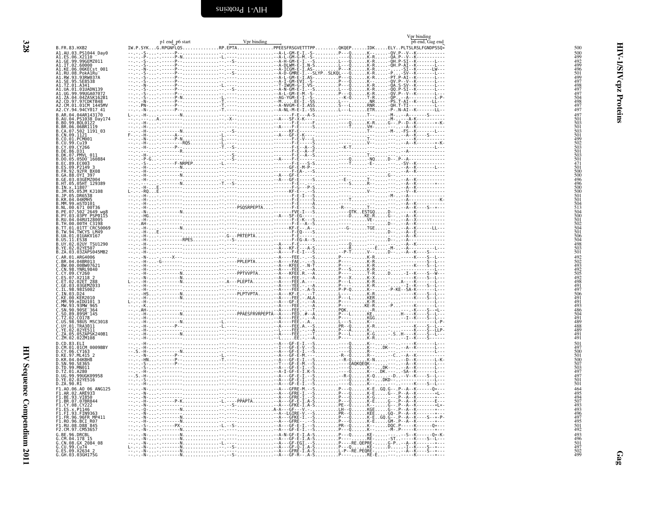<span id="page-15-0"></span>

|                                                                                                                                                                                                             |                 |             |  | Vpr binding<br>p6 end, Gag end        |
|-------------------------------------------------------------------------------------------------------------------------------------------------------------------------------------------------------------|-----------------|-------------|--|---------------------------------------|
| B.FR.83.HXB2                                                                                                                                                                                                | p1 end p6 start | Vpr binding |  |                                       |
| A1.AU.03.PS1044 Day0                                                                                                                                                                                        |                 |             |  |                                       |
| A1.ES.06.X2110 7<br>A1.GE.99.99GEMZ011                                                                                                                                                                      |                 |             |  |                                       |
| A1.IT.02.60000<br>A1.KE.06.06KECst<br>001                                                                                                                                                                   |                 |             |  |                                       |
| A1.RU.08.PokA1Ru-<br>A1.RW.93.93RW037A<br>A1.SE.95.SE8538<br>A1.TZ.01.A341                                                                                                                                  |                 |             |  |                                       |
|                                                                                                                                                                                                             |                 |             |  |                                       |
| A1.UA.01.01UADN139                                                                                                                                                                                          |                 |             |  |                                       |
|                                                                                                                                                                                                             |                 |             |  |                                       |
| .CD.97.97CDKTB48<br>.CM.01.01CM 1445MV                                                                                                                                                                      |                 |             |  |                                       |
| A2.CY.94.94CY017 41<br>$.04.04$ AR143170                                                                                                                                                                    |                 |             |  |                                       |
| B.AU.04.P51038<br>B.B0.99.B0L0122<br>B.B0.99.B0L0122<br>B.CA.06.06BR1119<br>B.CA.07.502 1191_03<br>B.CN.09.1121                                                                                             |                 |             |  |                                       |
|                                                                                                                                                                                                             |                 |             |  |                                       |
|                                                                                                                                                                                                             |                 |             |  |                                       |
|                                                                                                                                                                                                             |                 |             |  |                                       |
| B.CO.01.PCM001<br>B.CU.99.Cu19<br>B.CV.09.Cu19<br>B.DE.86.D31<br>B.DE.86.D31<br>B.DK.07.PMVL_011                                                                                                            |                 |             |  |                                       |
| B.DO.05.05D0 160884                                                                                                                                                                                         |                 |             |  |                                       |
| 89.EC003                                                                                                                                                                                                    |                 |             |  |                                       |
|                                                                                                                                                                                                             |                 |             |  |                                       |
| B.ES.09.P2149 3<br>B.FR.92.92FR BX08<br>B.GA.88.0YI 397<br>B.GE.03.03GEMZ004                                                                                                                                |                 |             |  |                                       |
| B.HT.05.05HT 129389                                                                                                                                                                                         |                 |             |  |                                       |
| B.IN.x.11807<br>B.JM.05.05JM_KJ108                                                                                                                                                                          |                 |             |  |                                       |
| B.JP.05.DR6538<br>B.KR.04.04KMH5<br>B.MM.99.mSTD101                                                                                                                                                         |                 |             |  |                                       |
|                                                                                                                                                                                                             |                 |             |  |                                       |
|                                                                                                                                                                                                             |                 |             |  |                                       |
| B.ML.90.671<br>B.ML.90.671<br>B.PE.07.502 <sup>-</sup> 2649 wg8<br>B.PY.03.03PY PSP0115<br>B.RU.04.04RUI28005<br>B.TT.01.01TT_CRC50069<br>B.TT.01.01TT_CRC50069<br>B.TV.94.TWCY5.HM49<br>B.TW.94.TWCY5.HM49 |                 |             |  |                                       |
|                                                                                                                                                                                                             |                 |             |  |                                       |
| .UA.01.01UAKV167                                                                                                                                                                                            |                 |             |  |                                       |
|                                                                                                                                                                                                             |                 |             |  |                                       |
| B.US.11.ES38<br>B.UY.02.02UY TSU1290<br>B.YE.02.02YE507<br>B.ZA.03.03ZAPS045MB2                                                                                                                             |                 |             |  |                                       |
| AR.01.ARG4006                                                                                                                                                                                               |                 |             |  |                                       |
| C.BR.04.04BR013<br>C.BW.00.00BW07621<br>C.CN.98.YNRL9840<br>C.CY.09.CY260<br>C.ES.07.X2118.2.                                                                                                               |                 |             |  |                                       |
|                                                                                                                                                                                                             |                 |             |  |                                       |
| .ET.02.02ET 288<br>.GE.03.03GEMZ033                                                                                                                                                                         |                 |             |  |                                       |
| 98.98IS002                                                                                                                                                                                                  |                 |             |  |                                       |
| .10.03.024<br>00.KER2010                                                                                                                                                                                    |                 |             |  |                                       |
| .MM.99.mIDU101 3                                                                                                                                                                                            |                 |             |  |                                       |
|                                                                                                                                                                                                             |                 |             |  |                                       |
| C.50.89.895M_145<br>C.TZ.02.C0178<br>C.TZ.02.C0178<br>C.UY.01.TRA3011<br>C.UY.01.TRA3011                                                                                                                    |                 |             |  |                                       |
|                                                                                                                                                                                                             |                 |             |  |                                       |
| .02.02YE511<br>.05.05ZAPSK240B1                                                                                                                                                                             |                 |             |  |                                       |
| C.ZM.02.02ZM108<br>D.CD.83.ELI                                                                                                                                                                              |                 |             |  |                                       |
| D.CM.01.01CM 0009BBY                                                                                                                                                                                        |                 |             |  |                                       |
| D.CY.06.CY163<br>D.KE.97.ML415                                                                                                                                                                              |                 |             |  |                                       |
| D.KR.04.04KBH8<br>D.SN.90.SE365<br>D.TD.99.MN011                                                                                                                                                            |                 |             |  | .K-N - - - - -D- -K- - - - - - - L-K- |
| D.TZ.01.A280                                                                                                                                                                                                |                 |             |  |                                       |
| D.UG.99.99UGK09958<br>D.YE.02.02YE516                                                                                                                                                                       |                 |             |  |                                       |
| D.ZA.90.R1                                                                                                                                                                                                  |                 |             |  |                                       |
| F1.A0.06.A0 06 ANG125                                                                                                                                                                                       |                 |             |  |                                       |
| F1.AR.02.ARE933<br>F1.AR.02.ARE933<br>F1.BR.07.07BR844<br>F1.BR.07.07BR844                                                                                                                                  |                 |             |  |                                       |
| F1.CY.08.CY222<br>F1.ES.x.P1146<br>F1.FI.93.FIN9363                                                                                                                                                         |                 |             |  |                                       |
| F1.FR.96.96FR MP411                                                                                                                                                                                         |                 |             |  |                                       |
| F1.RO.96.BCI R07                                                                                                                                                                                            |                 |             |  |                                       |
| RU.08.D88 <sup>-845</sup><br>F2.CM.97.CM53657                                                                                                                                                               |                 |             |  |                                       |
| G.BE.96.DRCBL                                                                                                                                                                                               |                 |             |  |                                       |
| G.CM.04.178 15<br>G.CN.08.GX_2084_08                                                                                                                                                                        |                 |             |  |                                       |
| G.CU.99.Cu74<br>G.ES.09.X2634 2<br>G.GH.03.03GH175G                                                                                                                                                         |                 |             |  | . - - - - -A- -K- - - -S- - *- - -    |
|                                                                                                                                                                                                             |                 |             |  |                                       |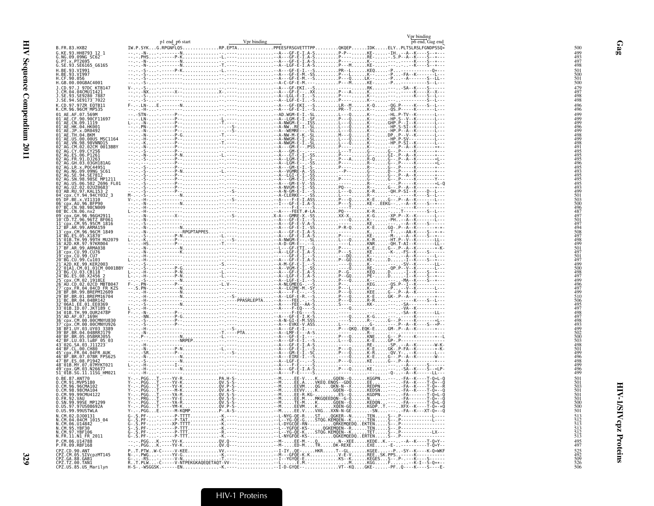|                                                                                                                 | p1 end p6 start | Vpr binding                                                           | Vpr binding<br>p6 end, Gag end |
|-----------------------------------------------------------------------------------------------------------------|-----------------|-----------------------------------------------------------------------|--------------------------------|
| B.FR.83.HXB2                                                                                                    |                 | IW.P.SYKG.RPGNFLQSRP.EPTAPPEESFRSGVETTTPPQKQEPIDKELYPLTSLRSLFGNDPSSQ* |                                |
| G.KE.93.HH8793 12 1                                                                                             |                 |                                                                       |                                |
| G.NG.09.09NG SC62-<br>G.PT.x.PT2695<br>G.SE.93.SE6165_G6165                                                     |                 |                                                                       |                                |
|                                                                                                                 |                 |                                                                       |                                |
| H.BE.93.VI991                                                                                                   |                 |                                                                       |                                |
| H.BE.93.VI997<br>H.CF.90.056<br>H.GB.00.00GBAC4001                                                              |                 |                                                                       |                                |
| J.CD.97.J 97DC KTB147                                                                                           |                 |                                                                       |                                |
| J.CM.04.04CMU11421<br>J.SE.93.SE9280_7887                                                                       |                 |                                                                       |                                |
| J.SE.94.SE9173 <sup>-</sup> 7022                                                                                |                 |                                                                       |                                |
| K.CD.97.97ZR EQTB11<br>K.CM.96.96CM MP535                                                                       |                 |                                                                       |                                |
| 01 AE.AF.07.569M                                                                                                |                 |                                                                       |                                |
| 01 AE.CF.90.90CF11697<br>01 AE.CN.09.1119<br>01 AE.HK.04.HK001                                                  |                 |                                                                       |                                |
|                                                                                                                 |                 |                                                                       |                                |
|                                                                                                                 |                 |                                                                       |                                |
|                                                                                                                 |                 |                                                                       |                                |
| 02 <sup>-</sup> AG.CY.09.CY256                                                                                  |                 |                                                                       |                                |
| 02 AG. ES. 06. P1261<br>02 AG. ER. 91. D1263                                                                    |                 |                                                                       |                                |
| AG.GH.03.03GH181AG<br>02 <sup>-</sup> AG.LR.x.P0C44951                                                          |                 |                                                                       |                                |
|                                                                                                                 |                 |                                                                       |                                |
| 02-AG.NG.09.09NG-SC61<br>02-AG.SE.94.SE7812<br>02-AG.SR.98.98SE_MP1211<br>02-AG.US.06.502_2696_FL01             |                 |                                                                       |                                |
|                                                                                                                 |                 |                                                                       |                                |
| 02-AG.UZ.02.02UZ0683-<br>03-AB.RU.97.KAL153_2<br>04-cpx.CY.94.94CY032_3                                         |                 |                                                                       |                                |
| DF.BE.x.VI1310                                                                                                  |                 |                                                                       |                                |
| 06 cpx. AU. 96. BFP90<br>07 BC. CN. 98. 98CN009<br>08 BC. CN. 06. nx2                                           |                 |                                                                       |                                |
| 09 cpx.GH.96.96GH2911                                                                                           |                 |                                                                       |                                |
| 10 CD. TZ.96.96TZ BF061<br>11 cpx. CM. 95.95CM 1816                                                             |                 |                                                                       |                                |
| 12 <sup>-</sup> BF.AR.99.ARMA159                                                                                |                 |                                                                       |                                |
| 13 - CP. . CM. 96. 96CM<br>14 - BG. ES. 05. X1870<br>15 - 01B. TH. 99. 99TH MU2079<br>16 - A2D. KR. 97. 97KR004 |                 |                                                                       |                                |
|                                                                                                                 |                 |                                                                       |                                |
| 17 BF.AR.99.ARMA038                                                                                             |                 |                                                                       |                                |
| 18 cpx.CU.99.CU76                                                                                               |                 |                                                                       |                                |
| 20 BG.CU.99.Cu103                                                                                               |                 |                                                                       |                                |
| ŽI AŽD.KE.99.KERŽ003<br>22 01A1.CM.01.01CM_0001BBY                                                              |                 |                                                                       |                                |
| 23 BG.CU.03.CB118<br>24 BG.ES.08.X2456<br>cpx.CM.02.1918LE                                                      |                 |                                                                       |                                |
| 26 <sup>-</sup> AU.CD.02.02CD MBTB047                                                                           |                 |                                                                       |                                |
| "cpx.FR.04.04CD FR KZS<br>"BF.BR.99.BREPM12609                                                                  |                 |                                                                       |                                |
| 29 BF.BR.01.BREPM16704<br>31 BC.BR.04.04BR142                                                                   |                 |                                                                       |                                |
| 06A1.EE.01.EE0369                                                                                               |                 |                                                                       |                                |
| 33 <sup>-</sup> 01B.ID.07.JKT189 C<br>34-01B.TH.99.OUR2478P                                                     |                 |                                                                       |                                |
| 35 AD.AF.07.169Н<br>36 cpx.CM.00.00CMNYU830                                                                     |                 |                                                                       |                                |
| cpx.CM.00.00CMNYU926                                                                                            |                 |                                                                       |                                |
| 38-BF1.UY.03.UY03.3389<br>39-BF.BR.04.04BRRJ179                                                                 |                 |                                                                       |                                |
| 40-BF.BR.05.05BRRJ055<br>42-BF.LU.03.luBF 05 03<br>43_02G.SA.03.luBF 05 03                                      |                 |                                                                       |                                |
| 44 BF.CL.00.CH80                                                                                                |                 |                                                                       |                                |
| 45 cpx. FR. 04.04FR AUK<br>46 BF.BR.07.07BR FPS625                                                              |                 |                                                                       |                                |
| 47-BF.ES.08.P1942<br>48-01B.MY.07.07MYKT021                                                                     |                 |                                                                       |                                |
| 49 <sup>-</sup> cpx.GM.03.N26677                                                                                |                 |                                                                       |                                |
| 51 <sup>-</sup> 01B.SG.11.11SG HM021<br>0.BE.87.ANT70                                                           |                 |                                                                       |                                |
| 0.CM.91.MVP5180<br>0.CM.96.96CMA102                                                                             |                 |                                                                       |                                |
| 0.CM.98.98CMA104<br>0.CM.99.99CMU4122                                                                           |                 |                                                                       |                                |
| 0.FR.92.VAU                                                                                                     |                 |                                                                       |                                |
| 0.SN.99.99SE MP1299<br>0.US.97.97US08692A                                                                       |                 |                                                                       |                                |
| 0.US.99.99USTWLA                                                                                                |                 |                                                                       |                                |
| N.CM.02.DJ00131<br>N.CM.04.04CM 1015 04                                                                         |                 |                                                                       |                                |
| N.CM.06.014842                                                                                                  |                 |                                                                       |                                |
| N.CM.95.YBF30<br>N.CM.97.YBF106                                                                                 |                 |                                                                       |                                |
| N.FR.11.N1 FR 2011                                                                                              |                 |                                                                       |                                |
| P.CM.06.U14788<br>P.FR.09.RBF168                                                                                |                 |                                                                       |                                |
| CPZ.CD.90.ANT<br>CPZ.CM.05.SIVcpzMT145<br>CPZ.GA.88.GAB1<br>CPZ.TZ.00.TAN1                                      |                 |                                                                       |                                |
|                                                                                                                 |                 |                                                                       |                                |
| CPZ.US.85.US_Marilyn                                                                                            |                 |                                                                       |                                |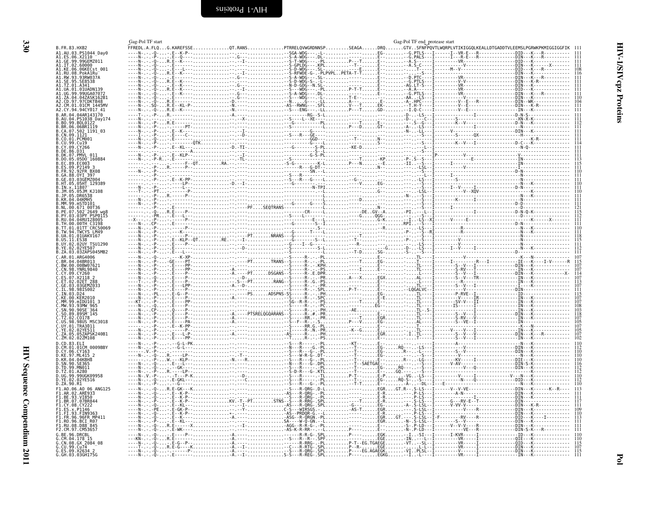<span id="page-17-0"></span>

| B.FR.83.HXB2                                                                                                                                                                                                                                                |  |
|-------------------------------------------------------------------------------------------------------------------------------------------------------------------------------------------------------------------------------------------------------------|--|
|                                                                                                                                                                                                                                                             |  |
|                                                                                                                                                                                                                                                             |  |
|                                                                                                                                                                                                                                                             |  |
|                                                                                                                                                                                                                                                             |  |
| B. FR. 83. HXB2<br>A1. EE. 98. X211044_Day0<br>A1. EE. 98. X211044_Day0<br>A1. CE. 98. X2116H2<br>A1. IT. 02. 6806KERD<br>A1. KU. 08. POSKERD<br>A1. RU. 08. POSKERD<br>A1. RU. 99. 99. SERS<br>A1. IT. SERS 38. SERS<br>A1. U. 09. 99. 99. JOAN 797<br>A1. |  |
|                                                                                                                                                                                                                                                             |  |
|                                                                                                                                                                                                                                                             |  |
|                                                                                                                                                                                                                                                             |  |
|                                                                                                                                                                                                                                                             |  |
|                                                                                                                                                                                                                                                             |  |
|                                                                                                                                                                                                                                                             |  |
|                                                                                                                                                                                                                                                             |  |
|                                                                                                                                                                                                                                                             |  |
|                                                                                                                                                                                                                                                             |  |
|                                                                                                                                                                                                                                                             |  |
|                                                                                                                                                                                                                                                             |  |
|                                                                                                                                                                                                                                                             |  |
|                                                                                                                                                                                                                                                             |  |
|                                                                                                                                                                                                                                                             |  |
|                                                                                                                                                                                                                                                             |  |
|                                                                                                                                                                                                                                                             |  |
|                                                                                                                                                                                                                                                             |  |
|                                                                                                                                                                                                                                                             |  |
|                                                                                                                                                                                                                                                             |  |
|                                                                                                                                                                                                                                                             |  |
|                                                                                                                                                                                                                                                             |  |
|                                                                                                                                                                                                                                                             |  |
|                                                                                                                                                                                                                                                             |  |
|                                                                                                                                                                                                                                                             |  |
|                                                                                                                                                                                                                                                             |  |
|                                                                                                                                                                                                                                                             |  |
|                                                                                                                                                                                                                                                             |  |
|                                                                                                                                                                                                                                                             |  |
|                                                                                                                                                                                                                                                             |  |
|                                                                                                                                                                                                                                                             |  |
|                                                                                                                                                                                                                                                             |  |
|                                                                                                                                                                                                                                                             |  |
|                                                                                                                                                                                                                                                             |  |
|                                                                                                                                                                                                                                                             |  |
|                                                                                                                                                                                                                                                             |  |
|                                                                                                                                                                                                                                                             |  |
|                                                                                                                                                                                                                                                             |  |
|                                                                                                                                                                                                                                                             |  |
|                                                                                                                                                                                                                                                             |  |
|                                                                                                                                                                                                                                                             |  |
|                                                                                                                                                                                                                                                             |  |
|                                                                                                                                                                                                                                                             |  |
|                                                                                                                                                                                                                                                             |  |
|                                                                                                                                                                                                                                                             |  |
|                                                                                                                                                                                                                                                             |  |
|                                                                                                                                                                                                                                                             |  |
|                                                                                                                                                                                                                                                             |  |
|                                                                                                                                                                                                                                                             |  |
|                                                                                                                                                                                                                                                             |  |
|                                                                                                                                                                                                                                                             |  |
|                                                                                                                                                                                                                                                             |  |
|                                                                                                                                                                                                                                                             |  |
|                                                                                                                                                                                                                                                             |  |
|                                                                                                                                                                                                                                                             |  |
|                                                                                                                                                                                                                                                             |  |
|                                                                                                                                                                                                                                                             |  |
|                                                                                                                                                                                                                                                             |  |
|                                                                                                                                                                                                                                                             |  |
|                                                                                                                                                                                                                                                             |  |
|                                                                                                                                                                                                                                                             |  |
|                                                                                                                                                                                                                                                             |  |
|                                                                                                                                                                                                                                                             |  |
|                                                                                                                                                                                                                                                             |  |
|                                                                                                                                                                                                                                                             |  |
|                                                                                                                                                                                                                                                             |  |
|                                                                                                                                                                                                                                                             |  |
|                                                                                                                                                                                                                                                             |  |
|                                                                                                                                                                                                                                                             |  |
|                                                                                                                                                                                                                                                             |  |
|                                                                                                                                                                                                                                                             |  |
|                                                                                                                                                                                                                                                             |  |
|                                                                                                                                                                                                                                                             |  |
|                                                                                                                                                                                                                                                             |  |
|                                                                                                                                                                                                                                                             |  |
|                                                                                                                                                                                                                                                             |  |
|                                                                                                                                                                                                                                                             |  |
|                                                                                                                                                                                                                                                             |  |
|                                                                                                                                                                                                                                                             |  |
|                                                                                                                                                                                                                                                             |  |
|                                                                                                                                                                                                                                                             |  |
|                                                                                                                                                                                                                                                             |  |
|                                                                                                                                                                                                                                                             |  |
|                                                                                                                                                                                                                                                             |  |
|                                                                                                                                                                                                                                                             |  |
|                                                                                                                                                                                                                                                             |  |
|                                                                                                                                                                                                                                                             |  |
|                                                                                                                                                                                                                                                             |  |
|                                                                                                                                                                                                                                                             |  |
|                                                                                                                                                                                                                                                             |  |
|                                                                                                                                                                                                                                                             |  |
|                                                                                                                                                                                                                                                             |  |
|                                                                                                                                                                                                                                                             |  |
|                                                                                                                                                                                                                                                             |  |
|                                                                                                                                                                                                                                                             |  |
|                                                                                                                                                                                                                                                             |  |
|                                                                                                                                                                                                                                                             |  |
|                                                                                                                                                                                                                                                             |  |
|                                                                                                                                                                                                                                                             |  |
|                                                                                                                                                                                                                                                             |  |
|                                                                                                                                                                                                                                                             |  |
|                                                                                                                                                                                                                                                             |  |

<span id="page-17-1"></span>

|                          | Gag-Pol TF start |  |  |  | Gag-Pol TF end_protease start |                                                                                                                          |  |
|--------------------------|------------------|--|--|--|-------------------------------|--------------------------------------------------------------------------------------------------------------------------|--|
|                          |                  |  |  |  |                               | .<br>FFREDL.A.FLQG.KAREFSSEQT.RANSPTRRELQVWGRDNNSPSEAGADRQGTVSFNFPQVTLWQRPLVTIKIGGQLKEALLDTGADDTVLEEMSLPGRWKPKMIGGIGGFIK |  |
| 44 Day0                  |                  |  |  |  |                               |                                                                                                                          |  |
| MZ011                    |                  |  |  |  |                               |                                                                                                                          |  |
| Čst 001                  |                  |  |  |  |                               |                                                                                                                          |  |
| 1Ru <sup>–</sup><br>037A |                  |  |  |  |                               |                                                                                                                          |  |
| 38                       |                  |  |  |  |                               |                                                                                                                          |  |
| DN139                    |                  |  |  |  |                               |                                                                                                                          |  |
| A07072                   |                  |  |  |  |                               |                                                                                                                          |  |
| SK162B1<br>KTB48         |                  |  |  |  |                               |                                                                                                                          |  |
|                          |                  |  |  |  |                               |                                                                                                                          |  |
| 017 41<br>43170          |                  |  |  |  |                               |                                                                                                                          |  |
| 8_Day174                 |                  |  |  |  |                               |                                                                                                                          |  |
| īī9                      |                  |  |  |  |                               |                                                                                                                          |  |
| 191 03                   |                  |  |  |  |                               |                                                                                                                          |  |
|                          |                  |  |  |  |                               |                                                                                                                          |  |
|                          |                  |  |  |  |                               |                                                                                                                          |  |
|                          |                  |  |  |  |                               |                                                                                                                          |  |
| 011                      |                  |  |  |  |                               |                                                                                                                          |  |
| 160884                   |                  |  |  |  |                               |                                                                                                                          |  |
| BX08                     |                  |  |  |  |                               |                                                                                                                          |  |
|                          |                  |  |  |  |                               |                                                                                                                          |  |
| Z004<br>129389           |                  |  |  |  |                               |                                                                                                                          |  |
|                          |                  |  |  |  |                               |                                                                                                                          |  |
| KJ108                    |                  |  |  |  |                               |                                                                                                                          |  |
|                          |                  |  |  |  |                               |                                                                                                                          |  |
| 0T36                     |                  |  |  |  |                               |                                                                                                                          |  |
| 649 wg8<br>PSP0115       |                  |  |  |  |                               |                                                                                                                          |  |
| 28005                    |                  |  |  |  |                               |                                                                                                                          |  |
| C3198<br>CRC50069        |                  |  |  |  |                               |                                                                                                                          |  |
| LM49                     |                  |  |  |  |                               |                                                                                                                          |  |
| V167                     |                  |  |  |  |                               |                                                                                                                          |  |
| TSU1290                  |                  |  |  |  |                               |                                                                                                                          |  |
| 07<br>S045MB2            |                  |  |  |  |                               |                                                                                                                          |  |
| 06                       |                  |  |  |  |                               |                                                                                                                          |  |
| 13<br>7621               |                  |  |  |  |                               |                                                                                                                          |  |
| 840                      |                  |  |  |  |                               |                                                                                                                          |  |
|                          |                  |  |  |  |                               |                                                                                                                          |  |
|                          |                  |  |  |  |                               |                                                                                                                          |  |
| Z033<br>02               |                  |  |  |  |                               |                                                                                                                          |  |
|                          |                  |  |  |  |                               |                                                                                                                          |  |
| 10<br>01 3               |                  |  |  |  |                               |                                                                                                                          |  |
| 364                      |                  |  |  |  |                               |                                                                                                                          |  |
| 145                      |                  |  |  |  |                               |                                                                                                                          |  |
| MSC3018                  |                  |  |  |  |                               |                                                                                                                          |  |
| 11                       |                  |  |  |  |                               |                                                                                                                          |  |
| 11<br>SK240B1            |                  |  |  |  |                               |                                                                                                                          |  |
|                          |                  |  |  |  |                               |                                                                                                                          |  |
| 0009BBY                  |                  |  |  |  |                               |                                                                                                                          |  |
|                          |                  |  |  |  |                               |                                                                                                                          |  |
| $n^2$                    |                  |  |  |  |                               |                                                                                                                          |  |
|                          |                  |  |  |  |                               |                                                                                                                          |  |
|                          |                  |  |  |  |                               |                                                                                                                          |  |
| 09958<br>16              |                  |  |  |  |                               |                                                                                                                          |  |
|                          |                  |  |  |  |                               |                                                                                                                          |  |
| 6 ANG125                 |                  |  |  |  |                               |                                                                                                                          |  |
|                          |                  |  |  |  |                               |                                                                                                                          |  |
| 844                      |                  |  |  |  |                               |                                                                                                                          |  |
|                          |                  |  |  |  |                               |                                                                                                                          |  |
| 363                      |                  |  |  |  |                               |                                                                                                                          |  |
| MP411                    |                  |  |  |  |                               |                                                                                                                          |  |
| 657                      |                  |  |  |  |                               |                                                                                                                          |  |
|                          |                  |  |  |  |                               |                                                                                                                          |  |
|                          |                  |  |  |  |                               |                                                                                                                          |  |
| 0.84                     |                  |  |  |  |                               |                                                                                                                          |  |
| $7\overline{5}G$         |                  |  |  |  |                               |                                                                                                                          |  |
|                          |                  |  |  |  |                               |                                                                                                                          |  |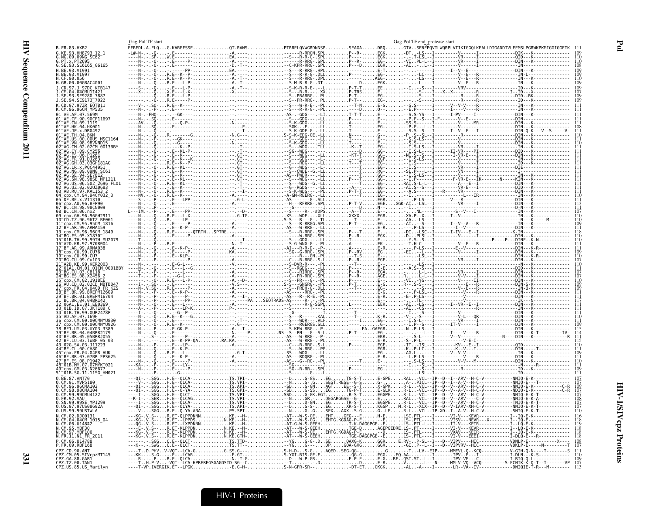|                                                                                       | Gag-Pol TF start       |                                                                                                                                                                                                                                                                                                                                                                               |                                                                                                                                                                                                                                                                                                                                                                                                                                          |       | Gag-Pol TF end protease start |                                                          |  |
|---------------------------------------------------------------------------------------|------------------------|-------------------------------------------------------------------------------------------------------------------------------------------------------------------------------------------------------------------------------------------------------------------------------------------------------------------------------------------------------------------------------|------------------------------------------------------------------------------------------------------------------------------------------------------------------------------------------------------------------------------------------------------------------------------------------------------------------------------------------------------------------------------------------------------------------------------------------|-------|-------------------------------|----------------------------------------------------------|--|
| <b>B.FR.83.HXB2</b>                                                                   | FFREDL.A.FLQG.KAREFSSE |                                                                                                                                                                                                                                                                                                                                                                               | .PTRRELQVWGRDNNSP                                                                                                                                                                                                                                                                                                                                                                                                                        | .DRQ. |                               | GTVSFNFPQVTLWQRPLVTIKIGGQLKEALLDTGADDTVLEEMSLPGRWKPKMIGG |  |
| KE.93.HH8793 12 1<br>NG.09.09NG SC62                                                  |                        |                                                                                                                                                                                                                                                                                                                                                                               |                                                                                                                                                                                                                                                                                                                                                                                                                                          |       |                               |                                                          |  |
| G.SE.93.SE6165_G6165                                                                  |                        |                                                                                                                                                                                                                                                                                                                                                                               |                                                                                                                                                                                                                                                                                                                                                                                                                                          |       |                               |                                                          |  |
| I.BE.93.VI991                                                                         |                        |                                                                                                                                                                                                                                                                                                                                                                               |                                                                                                                                                                                                                                                                                                                                                                                                                                          |       |                               |                                                          |  |
|                                                                                       |                        |                                                                                                                                                                                                                                                                                                                                                                               |                                                                                                                                                                                                                                                                                                                                                                                                                                          |       |                               |                                                          |  |
| H.GB.00.00GBAC4001                                                                    |                        |                                                                                                                                                                                                                                                                                                                                                                               |                                                                                                                                                                                                                                                                                                                                                                                                                                          |       |                               |                                                          |  |
| .97.J 97DC KTB147                                                                     |                        |                                                                                                                                                                                                                                                                                                                                                                               |                                                                                                                                                                                                                                                                                                                                                                                                                                          |       |                               |                                                          |  |
|                                                                                       |                        |                                                                                                                                                                                                                                                                                                                                                                               |                                                                                                                                                                                                                                                                                                                                                                                                                                          |       |                               |                                                          |  |
| 94.SE9173 <sup>-</sup> 7022                                                           |                        |                                                                                                                                                                                                                                                                                                                                                                               |                                                                                                                                                                                                                                                                                                                                                                                                                                          |       |                               |                                                          |  |
| .CD.97.97ZR_EQTB11<br>.CM.96.96CM_MP535                                               |                        |                                                                                                                                                                                                                                                                                                                                                                               |                                                                                                                                                                                                                                                                                                                                                                                                                                          |       |                               |                                                          |  |
|                                                                                       |                        |                                                                                                                                                                                                                                                                                                                                                                               |                                                                                                                                                                                                                                                                                                                                                                                                                                          |       |                               |                                                          |  |
| CN.09.1119<br><b>HK 04 HK001</b>                                                      |                        |                                                                                                                                                                                                                                                                                                                                                                               |                                                                                                                                                                                                                                                                                                                                                                                                                                          |       |                               |                                                          |  |
| AE.JP.x.DR0492                                                                        |                        |                                                                                                                                                                                                                                                                                                                                                                               |                                                                                                                                                                                                                                                                                                                                                                                                                                          |       |                               |                                                          |  |
| 00.00US MSC1164                                                                       |                        |                                                                                                                                                                                                                                                                                                                                                                               |                                                                                                                                                                                                                                                                                                                                                                                                                                          |       |                               |                                                          |  |
| 98.98VNND15<br>02.02CM 0013BBY                                                        |                        |                                                                                                                                                                                                                                                                                                                                                                               | $K$ - GDG - - -                                                                                                                                                                                                                                                                                                                                                                                                                          |       |                               |                                                          |  |
|                                                                                       |                        |                                                                                                                                                                                                                                                                                                                                                                               | $SG - WDG - - - - -$                                                                                                                                                                                                                                                                                                                                                                                                                     |       |                               |                                                          |  |
|                                                                                       |                        |                                                                                                                                                                                                                                                                                                                                                                               |                                                                                                                                                                                                                                                                                                                                                                                                                                          |       |                               |                                                          |  |
| .03GH181AG                                                                            |                        |                                                                                                                                                                                                                                                                                                                                                                               | - Š - - - RDG - - -<br>- G - - - WDG - - -                                                                                                                                                                                                                                                                                                                                                                                               |       |                               |                                                          |  |
|                                                                                       |                        |                                                                                                                                                                                                                                                                                                                                                                               | - CWDE - - G.                                                                                                                                                                                                                                                                                                                                                                                                                            |       |                               |                                                          |  |
|                                                                                       |                        |                                                                                                                                                                                                                                                                                                                                                                               | PWDR-                                                                                                                                                                                                                                                                                                                                                                                                                                    |       |                               |                                                          |  |
| 06.502 2696 FL01<br>02.02UZ0683                                                       |                        |                                                                                                                                                                                                                                                                                                                                                                               |                                                                                                                                                                                                                                                                                                                                                                                                                                          |       |                               |                                                          |  |
| 97.KAL153                                                                             |                        |                                                                                                                                                                                                                                                                                                                                                                               | -Š---WDĞ--G.-LL<br>-G--RGDG---.-LL<br>-S-K-WDG---.-PL                                                                                                                                                                                                                                                                                                                                                                                    |       |                               |                                                          |  |
| 94CY032 3                                                                             |                        |                                                                                                                                                                                                                                                                                                                                                                               |                                                                                                                                                                                                                                                                                                                                                                                                                                          |       |                               |                                                          |  |
| AIL 96 REP90                                                                          |                        |                                                                                                                                                                                                                                                                                                                                                                               |                                                                                                                                                                                                                                                                                                                                                                                                                                          |       |                               |                                                          |  |
| CN.98.98CN009<br>BC.CN.06.nx2                                                         |                        |                                                                                                                                                                                                                                                                                                                                                                               |                                                                                                                                                                                                                                                                                                                                                                                                                                          |       |                               |                                                          |  |
|                                                                                       |                        |                                                                                                                                                                                                                                                                                                                                                                               |                                                                                                                                                                                                                                                                                                                                                                                                                                          |       |                               |                                                          |  |
| CM.95.95CM 1816<br>99.ARMA159                                                         |                        |                                                                                                                                                                                                                                                                                                                                                                               |                                                                                                                                                                                                                                                                                                                                                                                                                                          |       |                               |                                                          |  |
| CM.96.96CM 1849                                                                       |                        |                                                                                                                                                                                                                                                                                                                                                                               |                                                                                                                                                                                                                                                                                                                                                                                                                                          |       |                               |                                                          |  |
| 99TH MU207                                                                            |                        |                                                                                                                                                                                                                                                                                                                                                                               | -W-RRG- - SPL<br>-GDG- - - - - LL<br>-WNG- G- - - PL                                                                                                                                                                                                                                                                                                                                                                                     |       |                               |                                                          |  |
| A2D.KR.97.97KR004<br>99.ARMA038                                                       |                        |                                                                                                                                                                                                                                                                                                                                                                               |                                                                                                                                                                                                                                                                                                                                                                                                                                          |       |                               |                                                          |  |
| CU.99.CU76                                                                            |                        |                                                                                                                                                                                                                                                                                                                                                                               |                                                                                                                                                                                                                                                                                                                                                                                                                                          |       |                               |                                                          |  |
| CU.99.Cu103                                                                           |                        |                                                                                                                                                                                                                                                                                                                                                                               |                                                                                                                                                                                                                                                                                                                                                                                                                                          |       |                               |                                                          |  |
| 01CM 0001BBY                                                                          |                        |                                                                                                                                                                                                                                                                                                                                                                               |                                                                                                                                                                                                                                                                                                                                                                                                                                          |       |                               |                                                          |  |
| 03.CB118                                                                              |                        |                                                                                                                                                                                                                                                                                                                                                                               |                                                                                                                                                                                                                                                                                                                                                                                                                                          |       |                               |                                                          |  |
|                                                                                       |                        |                                                                                                                                                                                                                                                                                                                                                                               |                                                                                                                                                                                                                                                                                                                                                                                                                                          |       |                               |                                                          |  |
| 04.04CD FR KZS                                                                        |                        |                                                                                                                                                                                                                                                                                                                                                                               |                                                                                                                                                                                                                                                                                                                                                                                                                                          |       |                               |                                                          |  |
|                                                                                       |                        |                                                                                                                                                                                                                                                                                                                                                                               |                                                                                                                                                                                                                                                                                                                                                                                                                                          |       |                               |                                                          |  |
|                                                                                       |                        |                                                                                                                                                                                                                                                                                                                                                                               |                                                                                                                                                                                                                                                                                                                                                                                                                                          |       |                               |                                                          |  |
|                                                                                       |                        |                                                                                                                                                                                                                                                                                                                                                                               |                                                                                                                                                                                                                                                                                                                                                                                                                                          |       |                               |                                                          |  |
| 99.OUR2478P                                                                           |                        |                                                                                                                                                                                                                                                                                                                                                                               |                                                                                                                                                                                                                                                                                                                                                                                                                                          |       |                               |                                                          |  |
|                                                                                       |                        |                                                                                                                                                                                                                                                                                                                                                                               |                                                                                                                                                                                                                                                                                                                                                                                                                                          |       |                               |                                                          |  |
|                                                                                       |                        |                                                                                                                                                                                                                                                                                                                                                                               |                                                                                                                                                                                                                                                                                                                                                                                                                                          |       |                               |                                                          |  |
| 04.04BRR1179<br>05.05BRR1055                                                          |                        |                                                                                                                                                                                                                                                                                                                                                                               |                                                                                                                                                                                                                                                                                                                                                                                                                                          |       |                               |                                                          |  |
| .03.luBF 05 03                                                                        |                        |                                                                                                                                                                                                                                                                                                                                                                               |                                                                                                                                                                                                                                                                                                                                                                                                                                          |       |                               |                                                          |  |
|                                                                                       |                        |                                                                                                                                                                                                                                                                                                                                                                               | $A. \begin{minipage}{0.99\textwidth} \begin{minipage}{0.99\textwidth} \begin{tabular}{@{}l@{}} \hline \textbf{1} & \textbf{0} & \textbf{0} & \textbf{0} & \textbf{0} & \textbf{0} & \textbf{0} & \textbf{0} & \textbf{0} & \textbf{0} & \textbf{0} & \textbf{0} & \textbf{0} & \textbf{0} & \textbf{0} & \textbf{0} & \textbf{0} & \textbf{0} & \textbf{0} & \textbf{0} & \textbf{0} & \textbf{0} & \textbf{0} & \textbf{0} & \textbf{0$ |       |                               |                                                          |  |
| 04 04 FR ALIK<br>.07.07BR FPS625                                                      |                        |                                                                                                                                                                                                                                                                                                                                                                               |                                                                                                                                                                                                                                                                                                                                                                                                                                          |       |                               |                                                          |  |
| 08.P1942                                                                              |                        |                                                                                                                                                                                                                                                                                                                                                                               |                                                                                                                                                                                                                                                                                                                                                                                                                                          |       |                               |                                                          |  |
| MY.07.07MYKT021<br>03.N2667                                                           |                        |                                                                                                                                                                                                                                                                                                                                                                               |                                                                                                                                                                                                                                                                                                                                                                                                                                          |       |                               |                                                          |  |
| 51_01B.SG.11.11SG_HM021                                                               |                        |                                                                                                                                                                                                                                                                                                                                                                               |                                                                                                                                                                                                                                                                                                                                                                                                                                          |       |                               |                                                          |  |
| 87.ANT70                                                                              |                        |                                                                                                                                                                                                                                                                                                                                                                               |                                                                                                                                                                                                                                                                                                                                                                                                                                          |       |                               |                                                          |  |
| CM.96.96CMA102<br>CM.98.98CMA104                                                      |                        |                                                                                                                                                                                                                                                                                                                                                                               |                                                                                                                                                                                                                                                                                                                                                                                                                                          |       |                               |                                                          |  |
| 99.99CMU4122                                                                          |                        |                                                                                                                                                                                                                                                                                                                                                                               |                                                                                                                                                                                                                                                                                                                                                                                                                                          |       |                               |                                                          |  |
| 92. VAII<br><br>99SE MP1299                                                           |                        |                                                                                                                                                                                                                                                                                                                                                                               |                                                                                                                                                                                                                                                                                                                                                                                                                                          |       |                               |                                                          |  |
| US.99.99USTWLA                                                                        |                        |                                                                                                                                                                                                                                                                                                                                                                               |                                                                                                                                                                                                                                                                                                                                                                                                                                          |       |                               |                                                          |  |
| 02.DJ00131                                                                            |                        |                                                                                                                                                                                                                                                                                                                                                                               |                                                                                                                                                                                                                                                                                                                                                                                                                                          |       |                               |                                                          |  |
| .04.04CM 1015 04<br>06.014842                                                         |                        |                                                                                                                                                                                                                                                                                                                                                                               |                                                                                                                                                                                                                                                                                                                                                                                                                                          |       |                               |                                                          |  |
|                                                                                       |                        |                                                                                                                                                                                                                                                                                                                                                                               |                                                                                                                                                                                                                                                                                                                                                                                                                                          |       |                               |                                                          |  |
| N.FR.11.N1_FR_2011                                                                    |                        |                                                                                                                                                                                                                                                                                                                                                                               |                                                                                                                                                                                                                                                                                                                                                                                                                                          |       |                               |                                                          |  |
| U14788                                                                                |                        |                                                                                                                                                                                                                                                                                                                                                                               |                                                                                                                                                                                                                                                                                                                                                                                                                                          |       |                               |                                                          |  |
| 09.RBF168<br>CD.90.ANT                                                                |                        |                                                                                                                                                                                                                                                                                                                                                                               |                                                                                                                                                                                                                                                                                                                                                                                                                                          |       |                               |                                                          |  |
| 05.SIVcpzMT145                                                                        |                        | $\begin{tabular}{cccccccc} \textbf{5.01} & \textbf{5.02} & \textbf{6.03} & \textbf{6.04} & \textbf{6.05} & \textbf{6.06} & \textbf{6.06} & \textbf{6.07} & \textbf{6.08} & \textbf{6.09} & \textbf{6.01} & \textbf{6.01} & \textbf{6.01} & \textbf{6.02} & \textbf{6.03} & \textbf{6.04} & \textbf{6.04} & \textbf{6.05} & \textbf{6.06} & \textbf{6.07} & \textbf{6.08} & \$ |                                                                                                                                                                                                                                                                                                                                                                                                                                          |       |                               |                                                          |  |
| <sup>2</sup> Z.GA.88.GAB1<br>CPZ.TZ.00.TAN1<br>CPZ.TZ.00.TAN1<br>CPZ.US.85.US_Marilyn |                        |                                                                                                                                                                                                                                                                                                                                                                               |                                                                                                                                                                                                                                                                                                                                                                                                                                          |       |                               |                                                          |  |
|                                                                                       |                        |                                                                                                                                                                                                                                                                                                                                                                               |                                                                                                                                                                                                                                                                                                                                                                                                                                          |       |                               |                                                          |  |

 $\mathbf{Po}$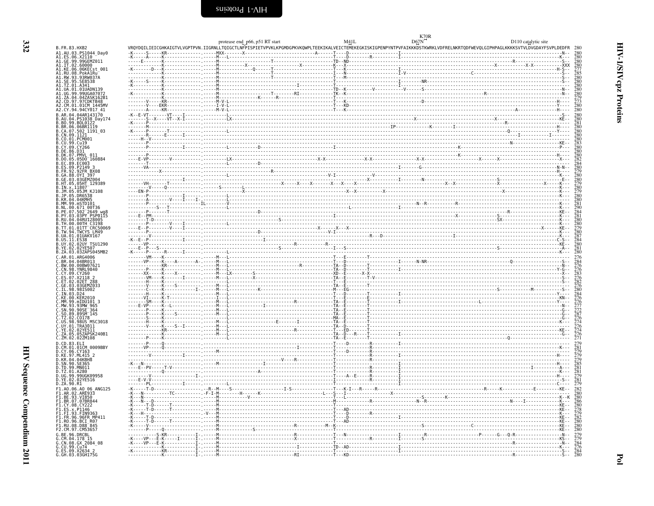| B. FR. 83. HXB2                                                                                                                                        |  | VROYDOILIEICGHKAIGTVLVGPTPVN.IIGRNLLTOIGCTLNFPISPIETVPVKLKPGMDGPKVKOWPLTEEKIKALVEICTEMEKEGKISKIGPENPYNTPVFAIKKKDSTKWRKLVDFRELNKRTODFWEVOLGIPHPAGLKKKKSVTVLDVGDAYFSVPLDEDFR |  |
|--------------------------------------------------------------------------------------------------------------------------------------------------------|--|----------------------------------------------------------------------------------------------------------------------------------------------------------------------------|--|
| A1.AU.03.PS1044 Day0<br>A1.ES.06.X2110                                                                                                                 |  |                                                                                                                                                                            |  |
| A1.GE.99.99GEMZ011                                                                                                                                     |  |                                                                                                                                                                            |  |
| A1.IT.02.60000<br>A1.KE.06.06KECst_001<br>A1.RU.08.PokA1Ru                                                                                             |  |                                                                                                                                                                            |  |
| A1.RW.93.93RW037A                                                                                                                                      |  |                                                                                                                                                                            |  |
| A1.SE.95.SE8538                                                                                                                                        |  |                                                                                                                                                                            |  |
| A1.TZ.01.A341<br>A1.UA.01.01UADN139                                                                                                                    |  |                                                                                                                                                                            |  |
| A1.UG.99.99UGA07072                                                                                                                                    |  |                                                                                                                                                                            |  |
| A1.ZA.04.04ZASK162B1                                                                                                                                   |  |                                                                                                                                                                            |  |
| A2.CD.97.97CDKTB48<br>A2.CM.01.01CM 1445MV                                                                                                             |  |                                                                                                                                                                            |  |
| A2.CY.94.94CY017 41                                                                                                                                    |  |                                                                                                                                                                            |  |
| B.AR.04.04AR143170                                                                                                                                     |  |                                                                                                                                                                            |  |
| B.AU.04.PS1038_Day174<br>B.BO.99.BOL0122                                                                                                               |  |                                                                                                                                                                            |  |
| B.BR.06.06BR1119<br>B.CA.07.502 1191 03                                                                                                                |  |                                                                                                                                                                            |  |
| B.CN.09.1121                                                                                                                                           |  |                                                                                                                                                                            |  |
| B.CO.01.PCM001<br>B.CU.99.Cu19                                                                                                                         |  |                                                                                                                                                                            |  |
| B.CY.09.CY266                                                                                                                                          |  |                                                                                                                                                                            |  |
| B.DE.86.D31<br>B.DK.07.PMVL 011                                                                                                                        |  |                                                                                                                                                                            |  |
| B.DO.05.05DO 160884                                                                                                                                    |  |                                                                                                                                                                            |  |
| B.EC.89.EC003<br>B.ES.09.P2149 3                                                                                                                       |  |                                                                                                                                                                            |  |
|                                                                                                                                                        |  |                                                                                                                                                                            |  |
| B.FR.92.92FR BX08<br>B.GA.88.0YI 397<br>B.GE.03.03GEMZ004<br>B.HT.05.05HT_129389                                                                       |  |                                                                                                                                                                            |  |
|                                                                                                                                                        |  |                                                                                                                                                                            |  |
| B.IN.x.11807<br>B.IN.x.11807<br>B.JM.05.05JM KJ108                                                                                                     |  |                                                                                                                                                                            |  |
| B.JP.05.DR6538                                                                                                                                         |  |                                                                                                                                                                            |  |
| B.KR.04.04KMH5<br>B.MM.99.mSTD101                                                                                                                      |  |                                                                                                                                                                            |  |
| B.NL.00.671_00T36                                                                                                                                      |  |                                                                                                                                                                            |  |
| B.PE.07.502 <sup>-</sup> 2649<br>B.PY.03.03PY PSP0115                                                                                                  |  |                                                                                                                                                                            |  |
| B.RU.04.04RU128005                                                                                                                                     |  |                                                                                                                                                                            |  |
|                                                                                                                                                        |  |                                                                                                                                                                            |  |
|                                                                                                                                                        |  |                                                                                                                                                                            |  |
| B.RU.94.94K012899<br>B.TH.90.00TH_C3198<br>B.TH.91.01TT_CRC50069<br>B.TW.94.TWCYS_LM49<br>B.US.11.E538<br>B.UY.02.02UY_TSU1290<br>B.UY.02.02UY_TSU1290 |  |                                                                                                                                                                            |  |
|                                                                                                                                                        |  |                                                                                                                                                                            |  |
| B.YE.02.02YE507<br>B.ZA.03.03ZAPS045MB2                                                                                                                |  |                                                                                                                                                                            |  |
| C.AR.01.ARG4006                                                                                                                                        |  |                                                                                                                                                                            |  |
| .BR.04.04BR013                                                                                                                                         |  |                                                                                                                                                                            |  |
| C.BW.00.00BW07621<br>C.CN.98.YNRL9840                                                                                                                  |  |                                                                                                                                                                            |  |
| C.CY.09.CY260                                                                                                                                          |  |                                                                                                                                                                            |  |
| Č.ĔŚ.07.X2II8 2<br>C.ET.02.02ET 288<br>C.GE.03.03GEMZ033<br>C.IL.98.98IS002                                                                            |  |                                                                                                                                                                            |  |
|                                                                                                                                                        |  |                                                                                                                                                                            |  |
| C.IN.03.D24                                                                                                                                            |  |                                                                                                                                                                            |  |
| C.KE.00.KER2010                                                                                                                                        |  |                                                                                                                                                                            |  |
| C.MM.99.mIDU101 3<br>C.MW.93.93MW 965                                                                                                                  |  |                                                                                                                                                                            |  |
| $C.SN.90.90SE-364$                                                                                                                                     |  |                                                                                                                                                                            |  |
| C.SO.89.89SM 145<br>C.TZ.02.CO178                                                                                                                      |  |                                                                                                                                                                            |  |
| C.US.98.98US MSC3018                                                                                                                                   |  |                                                                                                                                                                            |  |
| .UY.01.TRA3011<br>.YE.02.02YE511                                                                                                                       |  |                                                                                                                                                                            |  |
| C.ZA.05.05ZAPSK240B1                                                                                                                                   |  |                                                                                                                                                                            |  |
| C.ZM.02.02ZM108                                                                                                                                        |  |                                                                                                                                                                            |  |
| D.CD.83.ELI<br>D.CM.01.01CM 0009BBY<br>D.CY.06.CY163                                                                                                   |  |                                                                                                                                                                            |  |
|                                                                                                                                                        |  |                                                                                                                                                                            |  |
| D.KE.97.ML415 2<br>D.KR.04.04KBH8                                                                                                                      |  |                                                                                                                                                                            |  |
| D.SN.90.SE365                                                                                                                                          |  |                                                                                                                                                                            |  |
| D.TD.99.MN011<br>D.TZ.01.A280                                                                                                                          |  |                                                                                                                                                                            |  |
| D.UG.99.99UGK09958                                                                                                                                     |  |                                                                                                                                                                            |  |
| D.YE.02.02YE516<br>D.ZA.90.R1                                                                                                                          |  |                                                                                                                                                                            |  |
| F1.A0.06.A0 06 ANG125                                                                                                                                  |  |                                                                                                                                                                            |  |
| F1.AR.02.ARE933<br>F1.BE.93.VI850                                                                                                                      |  |                                                                                                                                                                            |  |
| F1.BR.07.07BR844                                                                                                                                       |  |                                                                                                                                                                            |  |
| F1.CY.08.CY222                                                                                                                                         |  |                                                                                                                                                                            |  |
| F1.ES.x.P1146<br>F1.FI.93.FIN9363                                                                                                                      |  |                                                                                                                                                                            |  |
| F1.FR.96.96FR MP411                                                                                                                                    |  |                                                                                                                                                                            |  |
| F1.RO.96.BCI R07<br>F1.RU.08.D88 <sup>-</sup> 845                                                                                                      |  |                                                                                                                                                                            |  |
| F2.CM.97.CM53657                                                                                                                                       |  |                                                                                                                                                                            |  |
| G.BE.96.DRCBL                                                                                                                                          |  |                                                                                                                                                                            |  |
| $G.$ CM $.04.178.15$<br>G.CN.08.GX_2084_08                                                                                                             |  |                                                                                                                                                                            |  |
|                                                                                                                                                        |  |                                                                                                                                                                            |  |
| G.CU.99.Cu74<br>G.ES.09.X2634 2<br>G.GH.03.03GH175G                                                                                                    |  |                                                                                                                                                                            |  |
|                                                                                                                                                        |  |                                                                                                                                                                            |  |

|  |  |  |  |  | エンジン ファン ファン アプリン アプリン 下下 ファン ファン ファン ファン ファン ファンス アプリン ファン ファン ファン コンコン ファン ファン ファンス・ファン |  |  | - - - - - - - - |                                                                                  |  |
|--|--|--|--|--|-------------------------------------------------------------------------------------------|--|--|-----------------|----------------------------------------------------------------------------------|--|
|  |  |  |  |  |                                                                                           |  |  |                 | こまご こまっこう こうこうま こうごまま こうこう 正正 こうまう こま こうこう こうこうこう こうこうこう エー・エー・エス こうこうご エンジェー・エー |  |

<span id="page-19-0"></span>

| protease end_p66, p51 RT start M41L Definition Definition Definition Definition Definition Definition Definiti<br>0110catalyerSPTETVPVKLKPGMDGPKVKQWPLTEEKIKALVEICTEMEKEGKISKIGPENPYNTPVFAIKKKDSTKWRKLVDFRELNKRTQDFWEVQLGIPHPAGL | $D_{0.7}^{K70R}$ |         |        |
|----------------------------------------------------------------------------------------------------------------------------------------------------------------------------------------------------------------------------------|------------------|---------|--------|
|                                                                                                                                                                                                                                  |                  |         |        |
|                                                                                                                                                                                                                                  |                  |         |        |
|                                                                                                                                                                                                                                  |                  | $-2x-1$ | йхх    |
|                                                                                                                                                                                                                                  |                  |         | $-H$   |
|                                                                                                                                                                                                                                  |                  |         |        |
|                                                                                                                                                                                                                                  |                  |         |        |
|                                                                                                                                                                                                                                  |                  |         |        |
|                                                                                                                                                                                                                                  |                  |         |        |
|                                                                                                                                                                                                                                  |                  |         |        |
|                                                                                                                                                                                                                                  |                  |         |        |
|                                                                                                                                                                                                                                  |                  |         |        |
|                                                                                                                                                                                                                                  |                  |         | KE.    |
|                                                                                                                                                                                                                                  |                  |         |        |
|                                                                                                                                                                                                                                  |                  |         |        |
|                                                                                                                                                                                                                                  |                  |         |        |
|                                                                                                                                                                                                                                  |                  |         | KE - - |
|                                                                                                                                                                                                                                  |                  |         |        |
|                                                                                                                                                                                                                                  |                  |         |        |
|                                                                                                                                                                                                                                  |                  |         |        |
|                                                                                                                                                                                                                                  |                  |         |        |
|                                                                                                                                                                                                                                  |                  |         |        |
|                                                                                                                                                                                                                                  |                  |         |        |
|                                                                                                                                                                                                                                  |                  |         |        |
|                                                                                                                                                                                                                                  |                  |         |        |
|                                                                                                                                                                                                                                  |                  |         |        |
|                                                                                                                                                                                                                                  |                  |         |        |
|                                                                                                                                                                                                                                  |                  |         |        |
|                                                                                                                                                                                                                                  |                  |         |        |
|                                                                                                                                                                                                                                  |                  |         |        |
|                                                                                                                                                                                                                                  |                  |         |        |
|                                                                                                                                                                                                                                  |                  |         |        |
|                                                                                                                                                                                                                                  |                  |         |        |
|                                                                                                                                                                                                                                  |                  |         |        |
|                                                                                                                                                                                                                                  |                  |         |        |
|                                                                                                                                                                                                                                  |                  |         |        |
|                                                                                                                                                                                                                                  |                  |         |        |
|                                                                                                                                                                                                                                  |                  |         |        |
|                                                                                                                                                                                                                                  |                  |         |        |
|                                                                                                                                                                                                                                  |                  |         |        |
|                                                                                                                                                                                                                                  |                  |         |        |
|                                                                                                                                                                                                                                  |                  |         |        |
|                                                                                                                                                                                                                                  |                  |         |        |
|                                                                                                                                                                                                                                  |                  |         |        |
|                                                                                                                                                                                                                                  |                  |         |        |
|                                                                                                                                                                                                                                  |                  |         |        |
|                                                                                                                                                                                                                                  |                  |         |        |
|                                                                                                                                                                                                                                  |                  |         |        |
|                                                                                                                                                                                                                                  |                  |         |        |
|                                                                                                                                                                                                                                  |                  |         |        |
|                                                                                                                                                                                                                                  |                  |         |        |
|                                                                                                                                                                                                                                  |                  |         |        |
|                                                                                                                                                                                                                                  |                  |         |        |
|                                                                                                                                                                                                                                  |                  |         |        |
|                                                                                                                                                                                                                                  |                  |         |        |
|                                                                                                                                                                                                                                  |                  |         |        |
|                                                                                                                                                                                                                                  |                  |         | KE     |
|                                                                                                                                                                                                                                  |                  |         | - K    |
|                                                                                                                                                                                                                                  |                  |         |        |
|                                                                                                                                                                                                                                  |                  |         |        |
|                                                                                                                                                                                                                                  |                  |         |        |
|                                                                                                                                                                                                                                  |                  |         |        |
|                                                                                                                                                                                                                                  |                  |         |        |
|                                                                                                                                                                                                                                  |                  |         |        |
|                                                                                                                                                                                                                                  |                  |         |        |
|                                                                                                                                                                                                                                  |                  |         |        |
|                                                                                                                                                                                                                                  |                  |         |        |
|                                                                                                                                                                                                                                  |                  |         |        |

332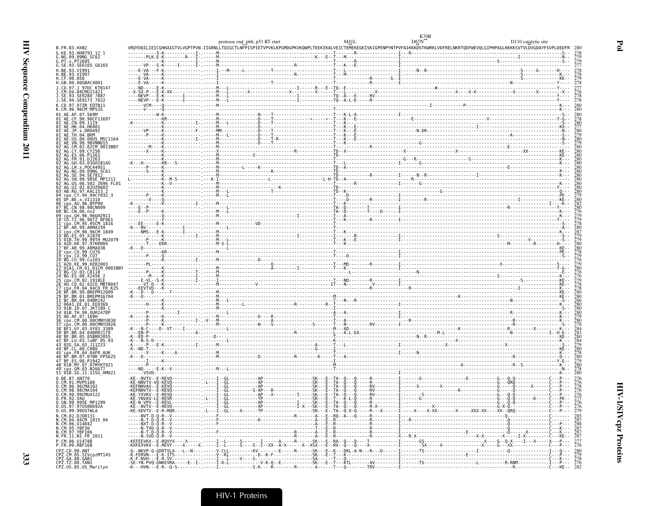| 6. (a. 63 - 102) (a. 64 - 102) (a. 64 - 102) (a. 64 - 102) (a. 64 - 102) (a. 64 - 102) (a. 64 - 102) (a. 64 - 102) (a. 64 - 102) (a. 64 - 102) (a. 64 - 102) (a. 64 - 102) (a. 64 - 102) (a. 64 - 102) (a. 64 - 102) (a. 64 |
|-----------------------------------------------------------------------------------------------------------------------------------------------------------------------------------------------------------------------------|
|                                                                                                                                                                                                                             |
|                                                                                                                                                                                                                             |
|                                                                                                                                                                                                                             |
|                                                                                                                                                                                                                             |
|                                                                                                                                                                                                                             |
|                                                                                                                                                                                                                             |

|                                                                            |  | protease end_p66, p51 RT start |  | D110 catalytic site                                                                                                                                                           |
|----------------------------------------------------------------------------|--|--------------------------------|--|-------------------------------------------------------------------------------------------------------------------------------------------------------------------------------|
| B.FR.83.HXB2<br>G.KE.93.HH8793 12 1                                        |  |                                |  | VRQYDQILIEICGHKAIGTVLVGPTPVN.IIGRNLLTQIGCTLNFPISPIETVPVKLKPGMDGPKVKQWPLTEEKIKALVEICTEMEKEGKISKIGPENPYNTPVFAIKKKDSTKWRKLVDFRELNKRTQDFWEVQLGIPHPAGLKKKKSVTVLDVGDAYFSVPLDEDFR 28 |
| G.NG.09.09NG SC62                                                          |  |                                |  |                                                                                                                                                                               |
| G.SE.93.SE6165 G6165                                                       |  |                                |  |                                                                                                                                                                               |
| H.BE.93.VI991                                                              |  |                                |  |                                                                                                                                                                               |
| H.BE.93.VI997<br>H.CF.90.056                                               |  |                                |  |                                                                                                                                                                               |
| H.GB.00.00GBAC4001                                                         |  |                                |  |                                                                                                                                                                               |
| J.CD.97.J 97DC KTB147                                                      |  |                                |  |                                                                                                                                                                               |
| J.CM.04.04CMUI1421<br>J.SE.93.SE9280_7887                                  |  |                                |  |                                                                                                                                                                               |
| J.SE.94.SE9173 <sup>-</sup> 7022<br>K.CD.97.97ZR EOTB11                    |  |                                |  |                                                                                                                                                                               |
| K.CM.96.96CM MP535                                                         |  |                                |  |                                                                                                                                                                               |
|                                                                            |  |                                |  |                                                                                                                                                                               |
| 01 AE.CF.90.90CF11697<br>01 <sup>-</sup> AE.CN.09.1119                     |  |                                |  |                                                                                                                                                                               |
| $01^-$ AE.HK.04.HK001<br>01 <sup>-</sup> AE.JP.x.DR0492                    |  |                                |  |                                                                                                                                                                               |
| 01 <sup>–</sup> AE.TH.04.BKM                                               |  |                                |  |                                                                                                                                                                               |
| 01 AE.US.00.00US MSC1164<br>01 AE.VN.98.98VNND15                           |  |                                |  |                                                                                                                                                                               |
| 02 AG.CM.02.02CM 0013BBY                                                   |  |                                |  |                                                                                                                                                                               |
| 92 <sup>-</sup> AG.ES.06.P1261                                             |  |                                |  |                                                                                                                                                                               |
|                                                                            |  |                                |  |                                                                                                                                                                               |
| GH.03.03GH181AG                                                            |  |                                |  |                                                                                                                                                                               |
| NG 09 09NG SC61                                                            |  |                                |  |                                                                                                                                                                               |
|                                                                            |  |                                |  |                                                                                                                                                                               |
|                                                                            |  |                                |  |                                                                                                                                                                               |
| 03 <sup>-</sup> AB.RU.97.KAL153 2                                          |  |                                |  |                                                                                                                                                                               |
| cpx.CY.94.94CY032 3"<br>05 DF.BE.x.VI1310                                  |  |                                |  |                                                                                                                                                                               |
| 06 <sup>-</sup> cpx.AU.96.BFP90                                            |  |                                |  |                                                                                                                                                                               |
| 07 BC.CN.98.98CN009<br>08 <sup>-</sup> BC.CN.06.nx2                        |  |                                |  |                                                                                                                                                                               |
|                                                                            |  |                                |  |                                                                                                                                                                               |
| 10 CD TZ 96 96TZ BF061<br>11 cpx.CM.95.95CM 1816                           |  |                                |  |                                                                                                                                                                               |
| BF.AR.99.ARMA159                                                           |  |                                |  |                                                                                                                                                                               |
| 13 <sup>—</sup> срх.СМ.96.96СМ 1849<br>14 BG.ES.05.X1870                   |  |                                |  |                                                                                                                                                                               |
| 15-01B.TH.99.99TH MU2079                                                   |  |                                |  |                                                                                                                                                                               |
| 16 <sup>-</sup> A2D.KR.97.97KR004<br>$17$ $-BF$ . AR. 99. ARMA038          |  |                                |  |                                                                                                                                                                               |
| 18 cpx.CU.99.CU76                                                          |  |                                |  |                                                                                                                                                                               |
| 19 <sup>–</sup> cpx.CU.99.CU7<br>20 RG CIL 99 Cu103                        |  |                                |  |                                                                                                                                                                               |
| 21 <sup>-</sup> A2D.KE.99.KER2003<br>01A1.CM.01.01CM 0001BBY               |  |                                |  |                                                                                                                                                                               |
|                                                                            |  |                                |  |                                                                                                                                                                               |
| cpx.CM.02.1918EE <sup>-</sup>                                              |  |                                |  |                                                                                                                                                                               |
| CD.02.02CD MBTB047                                                         |  |                                |  |                                                                                                                                                                               |
|                                                                            |  |                                |  |                                                                                                                                                                               |
| 29 <sup>-</sup> BF.BR.01.BREPM16704                                        |  |                                |  |                                                                                                                                                                               |
| 31 BC BR 04 04BR142<br>06A1.EE.01.EE0369                                   |  |                                |  |                                                                                                                                                                               |
| 34 <sup>–</sup> 01B.TH.99.0UR2478P                                         |  |                                |  |                                                                                                                                                                               |
| 35 <sup>-</sup> AD.AF.07.169H                                              |  |                                |  |                                                                                                                                                                               |
| cpx.CM.00.00CMNYU83                                                        |  |                                |  |                                                                                                                                                                               |
| ⊺BF1.UY.03.UY03 3389                                                       |  |                                |  |                                                                                                                                                                               |
| 40 <sup>-</sup> BF.BR.05.05BRRJ055                                         |  |                                |  |                                                                                                                                                                               |
| 42 <sup>-</sup> BF.LU.03.luBF 05 03                                        |  |                                |  |                                                                                                                                                                               |
| 02G.SA.03.J11223-<br>14 BF CL 00 CH80                                      |  |                                |  |                                                                                                                                                                               |
| $45^{-}$ cpx.FR.04.04FR AUK                                                |  |                                |  |                                                                                                                                                                               |
| BF.BR.07.07BR FPS625<br>47 BF.ES.08.P1942                                  |  |                                |  |                                                                                                                                                                               |
| 48-01B.MY.07.07MYKT021<br>49-cpx.GM.03.N26677                              |  |                                |  |                                                                                                                                                                               |
| 51 <sup>-</sup> 01B.SG.11.11SG HM021                                       |  |                                |  |                                                                                                                                                                               |
| 0.BE.87.ANT70                                                              |  |                                |  |                                                                                                                                                                               |
| 0.CM.91.MVP5180<br>0.CM.96.96CMA102                                        |  |                                |  |                                                                                                                                                                               |
| 0.CM.98.98CMA104                                                           |  |                                |  |                                                                                                                                                                               |
| 0.CM.99.99CMU4122<br>0.FR.92.VAU<br>0.SN.99.99SE_MP1299                    |  |                                |  |                                                                                                                                                                               |
|                                                                            |  |                                |  |                                                                                                                                                                               |
| 0.05.97.970508692A                                                         |  |                                |  |                                                                                                                                                                               |
| N.CM.02.DJ00131                                                            |  |                                |  |                                                                                                                                                                               |
| N.CM.04.04CM 1015 04                                                       |  |                                |  |                                                                                                                                                                               |
| N.CM.06.014842<br>N.CM.95.YBF30                                            |  |                                |  |                                                                                                                                                                               |
| N.CM.97.YBF106                                                             |  |                                |  |                                                                                                                                                                               |
|                                                                            |  |                                |  |                                                                                                                                                                               |
| N.FR.11.N1 FR 2011<br>P.CM.06.U14788                                       |  |                                |  |                                                                                                                                                                               |
| P.FR.09.RBF168                                                             |  |                                |  |                                                                                                                                                                               |
|                                                                            |  |                                |  |                                                                                                                                                                               |
| CPZ.CD.90.ANT<br>CPZ.CM.05.SIVcpzMT145<br>CPZ.GA.88.GAB1<br>CPZ.TZ.00.TAN1 |  |                                |  |                                                                                                                                                                               |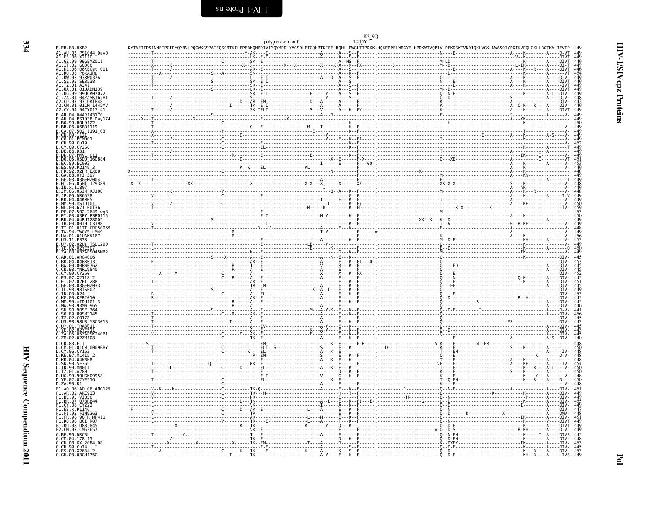<span id="page-21-0"></span>

|                                                                                                                                  | polymerase motif |                                                                                                                                                                            |  |
|----------------------------------------------------------------------------------------------------------------------------------|------------------|----------------------------------------------------------------------------------------------------------------------------------------------------------------------------|--|
| B.FR.83.HXB2                                                                                                                     |                  | KYTAFTIPSINNETPGIRYQYNVLPQGWKGSPAIFQSSMTKILEPFRKQNPDIVIYQYMDDLYVGSDLEIGQHRTKIEELRQHLLRWGLTTPDKK.HQKEPPFLWMGYELHPDKWTVQPIVLPEKDSWTVNDIQKLVGKLNWASQIYPGIKVRQLCKLLRGTKALTEVIP |  |
| A1.AU.03.PS1044_Day0<br>A1.ES.06.X2110<br>A1.GE.99.99GEMZ011                                                                     |                  |                                                                                                                                                                            |  |
| A1.UT.02.59000<br>A1.KE.06.06KECst_001<br>A1.RU.08.PokAIRu<br>A1.RW.93.93RW037A<br>A1.SE.95.SE85388<br>A1.SE.95.SE8538           |                  |                                                                                                                                                                            |  |
|                                                                                                                                  |                  |                                                                                                                                                                            |  |
|                                                                                                                                  |                  |                                                                                                                                                                            |  |
| A1.TZ.01.A341                                                                                                                    |                  |                                                                                                                                                                            |  |
| A1.UA.01.01UADN139<br>A1.UG.99.99UGA07072<br>A1.ZA.04.04ZASK162B1<br>A2.CD.97.97CDKTB48                                          |                  |                                                                                                                                                                            |  |
|                                                                                                                                  |                  |                                                                                                                                                                            |  |
|                                                                                                                                  |                  |                                                                                                                                                                            |  |
| A2.CM.01.01CM<br>1445M\<br>A2.CY.94.94CY017 41                                                                                   |                  |                                                                                                                                                                            |  |
| B.AR.04.04AR143170                                                                                                               |                  |                                                                                                                                                                            |  |
| B.AU.04.PS1038 Day174                                                                                                            |                  |                                                                                                                                                                            |  |
| B.BO.99.BOL0122<br>B.BR.06.06BR1119                                                                                              |                  |                                                                                                                                                                            |  |
| B.CA.07.502 1191 03                                                                                                              |                  |                                                                                                                                                                            |  |
| B.CN.09.1121                                                                                                                     |                  |                                                                                                                                                                            |  |
| B.CU.99.Cu19<br>B.CV.99.Cu19                                                                                                     |                  |                                                                                                                                                                            |  |
| B.DE.86.D31<br>B.DK.07.PMVL_011                                                                                                  |                  |                                                                                                                                                                            |  |
| $.05D0^-160884$                                                                                                                  |                  |                                                                                                                                                                            |  |
| B.EC.89.EC003<br>B.ES.09.P2149                                                                                                   |                  |                                                                                                                                                                            |  |
| B.FR.92.92FR BX08                                                                                                                |                  |                                                                                                                                                                            |  |
| B.GA.88.0YI 397<br>B.GE.03.03GEMZ004                                                                                             |                  |                                                                                                                                                                            |  |
| B.HT.05.05HT 129389                                                                                                              |                  |                                                                                                                                                                            |  |
| B.IN.x.11807<br>В.ЈМ.05.05ЈМ КЈ108                                                                                               |                  |                                                                                                                                                                            |  |
| <b>DR6538</b>                                                                                                                    |                  |                                                                                                                                                                            |  |
| B.KR.04.04KMH5<br>mSTD101                                                                                                        |                  |                                                                                                                                                                            |  |
| 671 00T36                                                                                                                        |                  |                                                                                                                                                                            |  |
| .502 <sup>-</sup> 2649 wg8<br>.03PY PSP0115                                                                                      |                  |                                                                                                                                                                            |  |
| B.RU.04.04RU128005<br>B.TH.00.00TH C3198                                                                                         |                  |                                                                                                                                                                            |  |
|                                                                                                                                  |                  |                                                                                                                                                                            |  |
|                                                                                                                                  |                  |                                                                                                                                                                            |  |
| <b>B. IT. 01.01TT CRC50069</b><br>B. TW. 94. TWCYS LM49<br>B. UA. 01.01TT CRC50069<br>B. US. 11. ES38<br>B. UY. 02. 02UY_TSU1290 |                  |                                                                                                                                                                            |  |
| 02YE507                                                                                                                          |                  |                                                                                                                                                                            |  |
| B.ZA.03.03ZAPS045MB2                                                                                                             |                  |                                                                                                                                                                            |  |
| C.AR.01.ARG4006<br>C.BR.04.04BR013                                                                                               |                  |                                                                                                                                                                            |  |
| C.BW.00.00BW07621<br>C.CN.98.YNRL9840                                                                                            |                  |                                                                                                                                                                            |  |
|                                                                                                                                  |                  |                                                                                                                                                                            |  |
| C.CY.09.CY260<br>C.CY.09.CY260<br>C.ES.07.X2118 2<br>C.ET.02.02ET_288                                                            |                  |                                                                                                                                                                            |  |
| 03GEMZ033                                                                                                                        |                  |                                                                                                                                                                            |  |
| Č.GE.03.03GEMZ0.<br>C.IL.98.98IS002                                                                                              |                  |                                                                                                                                                                            |  |
| D24<br>C.KE.00.KER2010                                                                                                           |                  |                                                                                                                                                                            |  |
| C.MM.99.mIDU101 3                                                                                                                |                  |                                                                                                                                                                            |  |
| C.MW.93.93MW 965                                                                                                                 |                  |                                                                                                                                                                            |  |
| C.MW.93.93MW-963<br>C.SN.90.90SE-364<br>C.SO.89.89SM-145<br>C.TZ.02.C0178                                                        |                  |                                                                                                                                                                            |  |
| C.US.98.98US MSC3018                                                                                                             |                  |                                                                                                                                                                            |  |
| C.UY.01.TRA3011                                                                                                                  |                  |                                                                                                                                                                            |  |
| C.YE.02.02YE511<br>C.ZA.05.05ZAPSK240B1                                                                                          |                  |                                                                                                                                                                            |  |
| C.ZM.02.02ZM108                                                                                                                  |                  |                                                                                                                                                                            |  |
| D.CD.83.ELI<br>01CM<br>0009BBY                                                                                                   |                  |                                                                                                                                                                            |  |
| D.CY.06.CY163<br>D.KE.97.ML415 2                                                                                                 |                  |                                                                                                                                                                            |  |
| D.KR.04.04KBH8                                                                                                                   |                  |                                                                                                                                                                            |  |
| D.TD.99.MN011                                                                                                                    |                  |                                                                                                                                                                            |  |
| D.TZ.01.A280                                                                                                                     |                  |                                                                                                                                                                            |  |
| . 990GK09958<br>. 02YE516                                                                                                        |                  |                                                                                                                                                                            |  |
| D.ZA.90.R1                                                                                                                       |                  |                                                                                                                                                                            |  |
| F1.A0.06.A0<br>06 ANG125                                                                                                         |                  |                                                                                                                                                                            |  |
| 02.ARE933<br>F1.BE.93.VI850<br>F1.BR.07.07BR844                                                                                  |                  |                                                                                                                                                                            |  |
|                                                                                                                                  |                  |                                                                                                                                                                            |  |
|                                                                                                                                  |                  |                                                                                                                                                                            |  |
| FI.CY.08.CY222<br>F1.ES.x.P1146                                                                                                  |                  |                                                                                                                                                                            |  |
| F1.FI.93.FIN9363                                                                                                                 |                  |                                                                                                                                                                            |  |
| F1.FR.96.96FR MP411<br>F1.RO.96.BCI_R07                                                                                          |                  |                                                                                                                                                                            |  |
|                                                                                                                                  |                  |                                                                                                                                                                            |  |
| F1.RU.08.D88-845<br>F2.CM.97.CM53657<br>G.BE.96.DRCBL                                                                            |                  |                                                                                                                                                                            |  |
| G.CM.04.178 15                                                                                                                   |                  |                                                                                                                                                                            |  |
| G.CN.08.GX 2084_08<br>G.CU.99.Cu74<br>G.ES.09.X2634_2<br>G.GH.03.03GH175G                                                        |                  |                                                                                                                                                                            |  |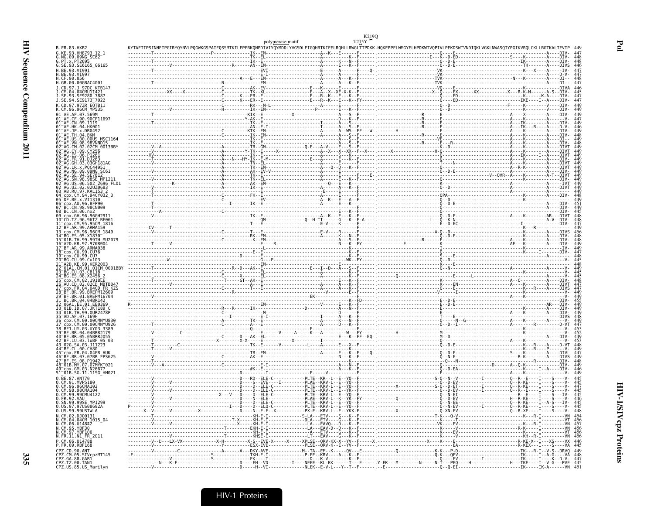|                                                                            | polymerase motif |                                                                                                                                                                                                                                                                                                                     |  |
|----------------------------------------------------------------------------|------------------|---------------------------------------------------------------------------------------------------------------------------------------------------------------------------------------------------------------------------------------------------------------------------------------------------------------------|--|
| B.FR.83.HXB2<br>G.KE.93.HH8793 12 1                                        |                  | KYTAFTIPSINNETPGIRYQYNVLPQGWKGSPAIFQSSMTKILEPFRKQNPDIVIYQYMDDLYVGSDLEIGQHRTKIEELRQHLLRWGLTTPDKK.HQKEPPFLWMGYELHPDKWTVQPIVLPEKDSWTVNDIQKLVGKLNWASQIYPGIKVRQLCKLLRGTKALTEVIP                                                                                                                                          |  |
| G.NG.09.09NG SC62                                                          |                  | $\frac{1}{1}$ $\frac{1}{1}$ $\frac{1}{1}$ $\frac{1}{1}$ $\frac{1}{1}$ $\frac{1}{1}$ $\frac{1}{1}$ $\frac{1}{1}$ $\frac{1}{1}$ $\frac{1}{1}$ $\frac{1}{1}$ $\frac{1}{1}$ $\frac{1}{1}$ $\frac{1}{1}$ $\frac{1}{1}$ $\frac{1}{1}$ $\frac{1}{1}$ $\frac{1}{1}$ $\frac{1}{1}$ $\frac{1}{1}$ $\frac{1}{1}$ $\frac{1}{1}$ |  |
| G.SE.93.SE6165 G6165<br>H.BE.93.VI991                                      |                  |                                                                                                                                                                                                                                                                                                                     |  |
| H.BE.93.VI997<br>H.CF.90.056                                               |                  |                                                                                                                                                                                                                                                                                                                     |  |
| H.GB.00.00GBAC4001                                                         |                  |                                                                                                                                                                                                                                                                                                                     |  |
| J.CD.97.J 97DC KTB147<br>J.CM.04.04CMU11421<br>J.SE.93.SE9280_7887         |                  |                                                                                                                                                                                                                                                                                                                     |  |
| J.SE.94.SE9173 <sup>-</sup> 7022                                           |                  |                                                                                                                                                                                                                                                                                                                     |  |
| K.CD.97.97ZR EOTB11<br>K.CM.96.96CM <sup>-</sup> MP535                     |                  |                                                                                                                                                                                                                                                                                                                     |  |
| 01 <sup>-</sup> AE.CF.90.90CF11697                                         |                  |                                                                                                                                                                                                                                                                                                                     |  |
| 01 <sup>-</sup> AE.CN.09.1119                                              |                  |                                                                                                                                                                                                                                                                                                                     |  |
| 01 <sup>-</sup> AE.HK.04.HK001<br>01 <sup>-</sup> AE.JP.x.DR0492           |                  |                                                                                                                                                                                                                                                                                                                     |  |
| 01 <sup>–</sup> AE.TH.04.BKM<br>01 AE.US.00.00US MSC1164                   |                  |                                                                                                                                                                                                                                                                                                                     |  |
| 01 AE. VN. 98. 98 VNND15<br>02 AG.CM.02.02CM 0013BBY                       |                  |                                                                                                                                                                                                                                                                                                                     |  |
| 02 <sup>-</sup> AG.ES.06.P1261                                             |                  |                                                                                                                                                                                                                                                                                                                     |  |
| $02^-$ AG.FR.91.DJ263<br>GH.03.03GH181AG                                   |                  |                                                                                                                                                                                                                                                                                                                     |  |
| NG.09.09NG SC61                                                            |                  |                                                                                                                                                                                                                                                                                                                     |  |
| SN.98.98SE MP121                                                           |                  |                                                                                                                                                                                                                                                                                                                     |  |
| JS.06.502 2696 FL01<br>UZ.02.02UZ0683                                      |                  |                                                                                                                                                                                                                                                                                                                     |  |
| 03 <sup>-</sup> AB.RU.97.KAL153 2<br>CY.94.94CY032 3                       |                  |                                                                                                                                                                                                                                                                                                                     |  |
| 05 DF.BE.x.VI1310<br>06 cpx.AU.96.BFP90                                    |                  |                                                                                                                                                                                                                                                                                                                     |  |
| A7 BC.CN.98.98CN009<br>08 <sup>-</sup> BC.CN.06.nx2                        |                  |                                                                                                                                                                                                                                                                                                                     |  |
| cpx.GH.96.96GH291 <sup>-</sup><br>10 CD.TZ.96.96TZ BF061                   |                  |                                                                                                                                                                                                                                                                                                                     |  |
| 11 cpx.CM.95.95CM 1816                                                     |                  |                                                                                                                                                                                                                                                                                                                     |  |
| 12 <sup>-</sup> BF.AR.99.ARMA159<br>13 cpx.CM.96.96CM 1849                 |                  |                                                                                                                                                                                                                                                                                                                     |  |
| 14-BG.ES.05.X1870-<br>15-01B.TH.99.99TH MU2079                             |                  |                                                                                                                                                                                                                                                                                                                     |  |
| 16 A2D.KR.97.97KR004<br>17 BF.AR.99.ARMA038                                |                  |                                                                                                                                                                                                                                                                                                                     |  |
| 18 Cpx.CU.99.CU76<br>19 <sup>-</sup> cbx.CU.99.CU7                         |                  |                                                                                                                                                                                                                                                                                                                     |  |
| 20 <sup>–</sup> BG CU 99 Cu103<br>21 A2D.KE.99.KER2003                     |                  |                                                                                                                                                                                                                                                                                                                     |  |
| 22 01A1.CM.01.01CM 0001BBY<br>23 <sup>-</sup> BG.CU.03.CB118               |                  |                                                                                                                                                                                                                                                                                                                     |  |
| 24 BG.ES.08.X2456<br>$\sqrt{\text{cpx}}$ .CM.02.1918 <code>LE</code>       |                  |                                                                                                                                                                                                                                                                                                                     |  |
| 26-AŬ^CD 02.02CD MBTB04.<br>27 cpx.FR.04.04CD FR KZS                       |                  |                                                                                                                                                                                                                                                                                                                     |  |
| 29 <sup>-</sup> BF.BR.01.BREPM16704                                        |                  |                                                                                                                                                                                                                                                                                                                     |  |
| 31 <sup>-</sup> BC.BR.04.04BR142<br>32 <sup>-</sup> 06A1.EE.01.EE0369      |                  |                                                                                                                                                                                                                                                                                                                     |  |
| 33 <sup>-</sup> 01B.ID.07.JKT189 (<br>34 <sup>-</sup> 01B.TH.99.0UR2478P   |                  |                                                                                                                                                                                                                                                                                                                     |  |
| 35 AD.AF.07.169H<br>CM.00.00CMNYU830                                       |                  |                                                                                                                                                                                                                                                                                                                     |  |
| CM.00.00CMNYU926<br>38 <sup>-</sup> BF1.UY.03.UY03 3389                    |                  |                                                                                                                                                                                                                                                                                                                     |  |
| 39 BF.BR.04.04BRRJ179<br>40 <sup>-</sup> BF.BR.05.05BRRJ055                |                  |                                                                                                                                                                                                                                                                                                                     |  |
| 42 <sup>-</sup> BF.LU.03.luBF 05 03<br>43_02G.SA.03.J11223                 |                  |                                                                                                                                                                                                                                                                                                                     |  |
| 44 <sup>-</sup> BF.CL.00.CH80<br>45 <sup>-</sup> cpx.FR.04.04FR AUK        |                  |                                                                                                                                                                                                                                                                                                                     |  |
| BR.07.07BR FPS625<br>47 BF.ES.08.P1942                                     |                  |                                                                                                                                                                                                                                                                                                                     |  |
| 48 <sup>-</sup> 01B.MY.07.07MYKT021                                        |                  |                                                                                                                                                                                                                                                                                                                     |  |
| 49 <sup>-</sup> cpx.GM.03.N26677<br>51 <sup>-</sup> 01B.SG.11.11SG HM021   |                  |                                                                                                                                                                                                                                                                                                                     |  |
| 0.BE.87.ANT70<br>0.CM.91.MVP5180                                           |                  |                                                                                                                                                                                                                                                                                                                     |  |
| O.CM.96.96CMA102<br>0.CM.98.98CMA104                                       |                  |                                                                                                                                                                                                                                                                                                                     |  |
| 0.CM.99.99CMU4122<br>0.FR.92.VAU<br>0.SN.99.99SE_MP1299                    |                  |                                                                                                                                                                                                                                                                                                                     |  |
|                                                                            |                  |                                                                                                                                                                                                                                                                                                                     |  |
| 0.05.97.970508692A<br>0.05.99.990STWLA                                     |                  |                                                                                                                                                                                                                                                                                                                     |  |
| N.CM.02.DJ00131                                                            |                  |                                                                                                                                                                                                                                                                                                                     |  |
| N.CM.04.04CM<br>N.CM.06.U14842<br>N.CM.06.U14842<br>N.CM.97.YBF106         |                  |                                                                                                                                                                                                                                                                                                                     |  |
| N.FR.11.N1 FR 2011                                                         |                  |                                                                                                                                                                                                                                                                                                                     |  |
| P.CM.06.U14788<br>P.FR.09.RBF168                                           |                  |                                                                                                                                                                                                                                                                                                                     |  |
|                                                                            |                  |                                                                                                                                                                                                                                                                                                                     |  |
| CPZ.CD.90.ANT<br>CPZ.CM.05.SIVcpzMT145<br>CPZ.GA.88.GAB1<br>CPZ.TZ.00.TAN1 |                  |                                                                                                                                                                                                                                                                                                                     |  |
| CPZ.US.85.US_Marilyn                                                       |                  |                                                                                                                                                                                                                                                                                                                     |  |

 $\mathbf{Po}$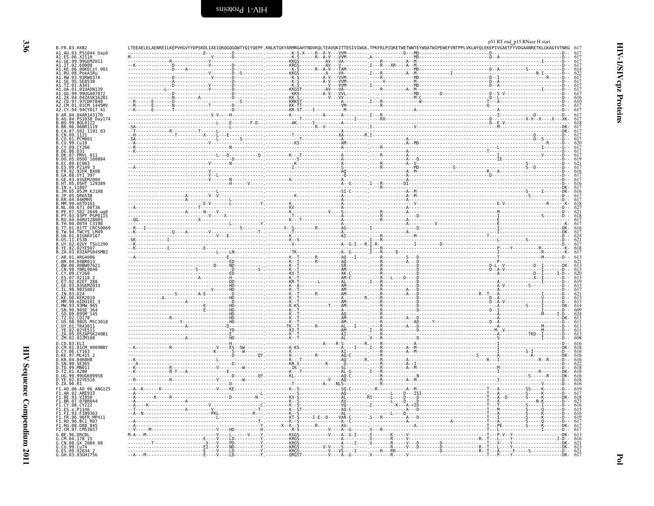| B.FR.83.HXB2                                                                                                                                                                                                                                                 |
|--------------------------------------------------------------------------------------------------------------------------------------------------------------------------------------------------------------------------------------------------------------|
| B. FR. 83. HXB2<br>A1. EE. 98. X211044_Day0<br>A1. EE. 98. X211044_Day0<br>A1. CE. 98. X2116H2<br>A1. IT. 02. 6806KERD<br>A1. KU. 08. POSKERD<br>A1. RU. 08. POSKERD<br>A1. RU. 99. 99. SERS<br>A1. IT. SERS 38. SERS<br>A1. U. 09. 99. 99. JOAN 797<br>A1.  |
|                                                                                                                                                                                                                                                              |
|                                                                                                                                                                                                                                                              |
|                                                                                                                                                                                                                                                              |
|                                                                                                                                                                                                                                                              |
|                                                                                                                                                                                                                                                              |
|                                                                                                                                                                                                                                                              |
|                                                                                                                                                                                                                                                              |
|                                                                                                                                                                                                                                                              |
|                                                                                                                                                                                                                                                              |
|                                                                                                                                                                                                                                                              |
|                                                                                                                                                                                                                                                              |
|                                                                                                                                                                                                                                                              |
|                                                                                                                                                                                                                                                              |
|                                                                                                                                                                                                                                                              |
|                                                                                                                                                                                                                                                              |
|                                                                                                                                                                                                                                                              |
|                                                                                                                                                                                                                                                              |
|                                                                                                                                                                                                                                                              |
|                                                                                                                                                                                                                                                              |
|                                                                                                                                                                                                                                                              |
|                                                                                                                                                                                                                                                              |
|                                                                                                                                                                                                                                                              |
|                                                                                                                                                                                                                                                              |
|                                                                                                                                                                                                                                                              |
|                                                                                                                                                                                                                                                              |
|                                                                                                                                                                                                                                                              |
|                                                                                                                                                                                                                                                              |
|                                                                                                                                                                                                                                                              |
|                                                                                                                                                                                                                                                              |
|                                                                                                                                                                                                                                                              |
|                                                                                                                                                                                                                                                              |
|                                                                                                                                                                                                                                                              |
|                                                                                                                                                                                                                                                              |
|                                                                                                                                                                                                                                                              |
|                                                                                                                                                                                                                                                              |
|                                                                                                                                                                                                                                                              |
|                                                                                                                                                                                                                                                              |
|                                                                                                                                                                                                                                                              |
|                                                                                                                                                                                                                                                              |
|                                                                                                                                                                                                                                                              |
|                                                                                                                                                                                                                                                              |
|                                                                                                                                                                                                                                                              |
|                                                                                                                                                                                                                                                              |
|                                                                                                                                                                                                                                                              |
|                                                                                                                                                                                                                                                              |
|                                                                                                                                                                                                                                                              |
|                                                                                                                                                                                                                                                              |
|                                                                                                                                                                                                                                                              |
|                                                                                                                                                                                                                                                              |
|                                                                                                                                                                                                                                                              |
|                                                                                                                                                                                                                                                              |
|                                                                                                                                                                                                                                                              |
|                                                                                                                                                                                                                                                              |
|                                                                                                                                                                                                                                                              |
|                                                                                                                                                                                                                                                              |
|                                                                                                                                                                                                                                                              |
|                                                                                                                                                                                                                                                              |
|                                                                                                                                                                                                                                                              |
|                                                                                                                                                                                                                                                              |
|                                                                                                                                                                                                                                                              |
|                                                                                                                                                                                                                                                              |
|                                                                                                                                                                                                                                                              |
|                                                                                                                                                                                                                                                              |
|                                                                                                                                                                                                                                                              |
|                                                                                                                                                                                                                                                              |
|                                                                                                                                                                                                                                                              |
|                                                                                                                                                                                                                                                              |
|                                                                                                                                                                                                                                                              |
|                                                                                                                                                                                                                                                              |
|                                                                                                                                                                                                                                                              |
|                                                                                                                                                                                                                                                              |
|                                                                                                                                                                                                                                                              |
|                                                                                                                                                                                                                                                              |
|                                                                                                                                                                                                                                                              |
|                                                                                                                                                                                                                                                              |
|                                                                                                                                                                                                                                                              |
|                                                                                                                                                                                                                                                              |
|                                                                                                                                                                                                                                                              |
|                                                                                                                                                                                                                                                              |
|                                                                                                                                                                                                                                                              |
|                                                                                                                                                                                                                                                              |
|                                                                                                                                                                                                                                                              |
|                                                                                                                                                                                                                                                              |
|                                                                                                                                                                                                                                                              |
|                                                                                                                                                                                                                                                              |
| A2. CV, 94: 946261812<br>A2. CV, 94: 946261412<br>B. AR, 94: 952682612<br>B. AR, 94: 0526812<br>B. AR, 94: 0526812<br>B. AR, 94: 052681219<br>B. CR, 96: 062511219<br>B. CR, 07: 09. CV266<br>B. CV, 99. CV266<br>B. CV, 99. CV266<br>B. D. CV, 99           |
|                                                                                                                                                                                                                                                              |
|                                                                                                                                                                                                                                                              |
|                                                                                                                                                                                                                                                              |
|                                                                                                                                                                                                                                                              |
|                                                                                                                                                                                                                                                              |
|                                                                                                                                                                                                                                                              |
|                                                                                                                                                                                                                                                              |
|                                                                                                                                                                                                                                                              |
|                                                                                                                                                                                                                                                              |
|                                                                                                                                                                                                                                                              |
|                                                                                                                                                                                                                                                              |
| D.ZA.: 00.R1<br>F1.A0.06.A0 06.ANG125<br>F1.AR.02.ARE950<br>F1.BR.07.07BR844<br>F1.BR.07.07BR844<br>F1.E5.3.P1146<br>F1.E5.3.P1146<br>F1.FR.96.96FR MP411<br>F1.R0.96.BRFR MP411<br>F1.R0.06.BRFR85<br>F2.CM.97.05555<br>C.RF 06.DR575557<br>C.RF 06.DR51557 |
|                                                                                                                                                                                                                                                              |
|                                                                                                                                                                                                                                                              |
|                                                                                                                                                                                                                                                              |
| F2.Cm.97.Cm53657<br>G.CM.04.178 15<br>G.CM.04.178 15<br>G.CN.08.GX 2084_08<br>G.CU.99.Cu74<br>C.EH.03.03GH175G                                                                                                                                               |

<span id="page-23-0"></span>

|  | p51 RT end_p15 RNase H start |
|--|------------------------------|
|  |                              |

|                                                                                                                                                                                                                                                                                                                                                                                                                                                                          |                |                                                                                                                                                                                                                                                                                                                                                                   |  | - Microscopy - March 2014<br>- Microscopy - Microscopy - Microscopy - Microscopy - Microscopy - Microscopy - Microscopy - Microscopy<br>- Microscopy - Microscopy - Microscopy - Microscopy - Microscopy - Microscopy - Microscopy<br>- |  |
|--------------------------------------------------------------------------------------------------------------------------------------------------------------------------------------------------------------------------------------------------------------------------------------------------------------------------------------------------------------------------------------------------------------------------------------------------------------------------|----------------|-------------------------------------------------------------------------------------------------------------------------------------------------------------------------------------------------------------------------------------------------------------------------------------------------------------------------------------------------------------------|--|-----------------------------------------------------------------------------------------------------------------------------------------------------------------------------------------------------------------------------------------|--|
|                                                                                                                                                                                                                                                                                                                                                                                                                                                                          |                | $- - - R - - A - V -$                                                                                                                                                                                                                                                                                                                                             |  |                                                                                                                                                                                                                                         |  |
|                                                                                                                                                                                                                                                                                                                                                                                                                                                                          |                |                                                                                                                                                                                                                                                                                                                                                                   |  |                                                                                                                                                                                                                                         |  |
|                                                                                                                                                                                                                                                                                                                                                                                                                                                                          |                |                                                                                                                                                                                                                                                                                                                                                                   |  |                                                                                                                                                                                                                                         |  |
|                                                                                                                                                                                                                                                                                                                                                                                                                                                                          |                |                                                                                                                                                                                                                                                                                                                                                                   |  |                                                                                                                                                                                                                                         |  |
|                                                                                                                                                                                                                                                                                                                                                                                                                                                                          |                | ----------AV--                                                                                                                                                                                                                                                                                                                                                    |  |                                                                                                                                                                                                                                         |  |
|                                                                                                                                                                                                                                                                                                                                                                                                                                                                          |                |                                                                                                                                                                                                                                                                                                                                                                   |  |                                                                                                                                                                                                                                         |  |
|                                                                                                                                                                                                                                                                                                                                                                                                                                                                          |                |                                                                                                                                                                                                                                                                                                                                                                   |  |                                                                                                                                                                                                                                         |  |
|                                                                                                                                                                                                                                                                                                                                                                                                                                                                          |                | .                                                                                                                                                                                                                                                                                                                                                                 |  |                                                                                                                                                                                                                                         |  |
|                                                                                                                                                                                                                                                                                                                                                                                                                                                                          |                |                                                                                                                                                                                                                                                                                                                                                                   |  |                                                                                                                                                                                                                                         |  |
|                                                                                                                                                                                                                                                                                                                                                                                                                                                                          |                |                                                                                                                                                                                                                                                                                                                                                                   |  |                                                                                                                                                                                                                                         |  |
|                                                                                                                                                                                                                                                                                                                                                                                                                                                                          |                |                                                                                                                                                                                                                                                                                                                                                                   |  |                                                                                                                                                                                                                                         |  |
|                                                                                                                                                                                                                                                                                                                                                                                                                                                                          |                |                                                                                                                                                                                                                                                                                                                                                                   |  |                                                                                                                                                                                                                                         |  |
|                                                                                                                                                                                                                                                                                                                                                                                                                                                                          |                |                                                                                                                                                                                                                                                                                                                                                                   |  |                                                                                                                                                                                                                                         |  |
|                                                                                                                                                                                                                                                                                                                                                                                                                                                                          |                |                                                                                                                                                                                                                                                                                                                                                                   |  |                                                                                                                                                                                                                                         |  |
|                                                                                                                                                                                                                                                                                                                                                                                                                                                                          |                |                                                                                                                                                                                                                                                                                                                                                                   |  |                                                                                                                                                                                                                                         |  |
|                                                                                                                                                                                                                                                                                                                                                                                                                                                                          |                |                                                                                                                                                                                                                                                                                                                                                                   |  |                                                                                                                                                                                                                                         |  |
|                                                                                                                                                                                                                                                                                                                                                                                                                                                                          |                |                                                                                                                                                                                                                                                                                                                                                                   |  |                                                                                                                                                                                                                                         |  |
|                                                                                                                                                                                                                                                                                                                                                                                                                                                                          |                |                                                                                                                                                                                                                                                                                                                                                                   |  |                                                                                                                                                                                                                                         |  |
|                                                                                                                                                                                                                                                                                                                                                                                                                                                                          |                |                                                                                                                                                                                                                                                                                                                                                                   |  |                                                                                                                                                                                                                                         |  |
|                                                                                                                                                                                                                                                                                                                                                                                                                                                                          |                |                                                                                                                                                                                                                                                                                                                                                                   |  |                                                                                                                                                                                                                                         |  |
|                                                                                                                                                                                                                                                                                                                                                                                                                                                                          |                |                                                                                                                                                                                                                                                                                                                                                                   |  |                                                                                                                                                                                                                                         |  |
|                                                                                                                                                                                                                                                                                                                                                                                                                                                                          |                |                                                                                                                                                                                                                                                                                                                                                                   |  |                                                                                                                                                                                                                                         |  |
|                                                                                                                                                                                                                                                                                                                                                                                                                                                                          |                |                                                                                                                                                                                                                                                                                                                                                                   |  |                                                                                                                                                                                                                                         |  |
|                                                                                                                                                                                                                                                                                                                                                                                                                                                                          |                |                                                                                                                                                                                                                                                                                                                                                                   |  |                                                                                                                                                                                                                                         |  |
|                                                                                                                                                                                                                                                                                                                                                                                                                                                                          |                | $\begin{picture}(100,100)(0,0) \put(0,0){\vector(1,0){100}} \put(10,0){\vector(1,0){100}} \put(10,0){\vector(1,0){100}} \put(10,0){\vector(1,0){100}} \put(10,0){\vector(1,0){100}} \put(10,0){\vector(1,0){100}} \put(10,0){\vector(1,0){100}} \put(10,0){\vector(1,0){100}} \put(10,0){\vector(1,0){100}} \put(10,0){\vector(1,0){100}} \put(10,0){\vector(1,0$ |  |                                                                                                                                                                                                                                         |  |
|                                                                                                                                                                                                                                                                                                                                                                                                                                                                          |                |                                                                                                                                                                                                                                                                                                                                                                   |  |                                                                                                                                                                                                                                         |  |
|                                                                                                                                                                                                                                                                                                                                                                                                                                                                          |                |                                                                                                                                                                                                                                                                                                                                                                   |  |                                                                                                                                                                                                                                         |  |
|                                                                                                                                                                                                                                                                                                                                                                                                                                                                          |                |                                                                                                                                                                                                                                                                                                                                                                   |  |                                                                                                                                                                                                                                         |  |
|                                                                                                                                                                                                                                                                                                                                                                                                                                                                          |                |                                                                                                                                                                                                                                                                                                                                                                   |  |                                                                                                                                                                                                                                         |  |
|                                                                                                                                                                                                                                                                                                                                                                                                                                                                          |                |                                                                                                                                                                                                                                                                                                                                                                   |  |                                                                                                                                                                                                                                         |  |
|                                                                                                                                                                                                                                                                                                                                                                                                                                                                          |                |                                                                                                                                                                                                                                                                                                                                                                   |  |                                                                                                                                                                                                                                         |  |
| $\begin{minipage}{0.99\textwidth} \begin{tabular}{ c c c } \hline & \multicolumn{3}{ c }{0.99\textwidth} \put(0,0) {\textwidth} \put(0,0) {\textwidth} \put(0,0) {\textwidth} \put(0,0) {\textwidth} \put(0,0) {\textwidth} \put(0,0) {\textwidth} \put(0,0) {\textwidth} \put(0,0) {\textwidth} \put(0,0) {\textwidth} \put(0,0) {\textwidth} \put(0,0) {\textwidth} \put(0,0) {\textwidth} \put(0,0) {\textwidth} \put(0,0) {\textwidth} \put(0,0) {\textwidth} \put($ |                |                                                                                                                                                                                                                                                                                                                                                                   |  |                                                                                                                                                                                                                                         |  |
|                                                                                                                                                                                                                                                                                                                                                                                                                                                                          |                |                                                                                                                                                                                                                                                                                                                                                                   |  |                                                                                                                                                                                                                                         |  |
|                                                                                                                                                                                                                                                                                                                                                                                                                                                                          |                |                                                                                                                                                                                                                                                                                                                                                                   |  |                                                                                                                                                                                                                                         |  |
|                                                                                                                                                                                                                                                                                                                                                                                                                                                                          |                |                                                                                                                                                                                                                                                                                                                                                                   |  |                                                                                                                                                                                                                                         |  |
|                                                                                                                                                                                                                                                                                                                                                                                                                                                                          |                |                                                                                                                                                                                                                                                                                                                                                                   |  |                                                                                                                                                                                                                                         |  |
|                                                                                                                                                                                                                                                                                                                                                                                                                                                                          |                |                                                                                                                                                                                                                                                                                                                                                                   |  |                                                                                                                                                                                                                                         |  |
|                                                                                                                                                                                                                                                                                                                                                                                                                                                                          |                |                                                                                                                                                                                                                                                                                                                                                                   |  |                                                                                                                                                                                                                                         |  |
|                                                                                                                                                                                                                                                                                                                                                                                                                                                                          |                |                                                                                                                                                                                                                                                                                                                                                                   |  |                                                                                                                                                                                                                                         |  |
|                                                                                                                                                                                                                                                                                                                                                                                                                                                                          |                |                                                                                                                                                                                                                                                                                                                                                                   |  |                                                                                                                                                                                                                                         |  |
|                                                                                                                                                                                                                                                                                                                                                                                                                                                                          |                |                                                                                                                                                                                                                                                                                                                                                                   |  |                                                                                                                                                                                                                                         |  |
|                                                                                                                                                                                                                                                                                                                                                                                                                                                                          |                |                                                                                                                                                                                                                                                                                                                                                                   |  |                                                                                                                                                                                                                                         |  |
|                                                                                                                                                                                                                                                                                                                                                                                                                                                                          |                |                                                                                                                                                                                                                                                                                                                                                                   |  |                                                                                                                                                                                                                                         |  |
|                                                                                                                                                                                                                                                                                                                                                                                                                                                                          |                |                                                                                                                                                                                                                                                                                                                                                                   |  |                                                                                                                                                                                                                                         |  |
|                                                                                                                                                                                                                                                                                                                                                                                                                                                                          |                |                                                                                                                                                                                                                                                                                                                                                                   |  |                                                                                                                                                                                                                                         |  |
|                                                                                                                                                                                                                                                                                                                                                                                                                                                                          | . <sup>.</sup> |                                                                                                                                                                                                                                                                                                                                                                   |  |                                                                                                                                                                                                                                         |  |
|                                                                                                                                                                                                                                                                                                                                                                                                                                                                          | .              |                                                                                                                                                                                                                                                                                                                                                                   |  |                                                                                                                                                                                                                                         |  |
|                                                                                                                                                                                                                                                                                                                                                                                                                                                                          |                |                                                                                                                                                                                                                                                                                                                                                                   |  |                                                                                                                                                                                                                                         |  |
|                                                                                                                                                                                                                                                                                                                                                                                                                                                                          |                |                                                                                                                                                                                                                                                                                                                                                                   |  |                                                                                                                                                                                                                                         |  |
|                                                                                                                                                                                                                                                                                                                                                                                                                                                                          |                |                                                                                                                                                                                                                                                                                                                                                                   |  |                                                                                                                                                                                                                                         |  |
|                                                                                                                                                                                                                                                                                                                                                                                                                                                                          |                |                                                                                                                                                                                                                                                                                                                                                                   |  |                                                                                                                                                                                                                                         |  |
|                                                                                                                                                                                                                                                                                                                                                                                                                                                                          |                |                                                                                                                                                                                                                                                                                                                                                                   |  |                                                                                                                                                                                                                                         |  |
|                                                                                                                                                                                                                                                                                                                                                                                                                                                                          |                |                                                                                                                                                                                                                                                                                                                                                                   |  |                                                                                                                                                                                                                                         |  |
|                                                                                                                                                                                                                                                                                                                                                                                                                                                                          |                |                                                                                                                                                                                                                                                                                                                                                                   |  |                                                                                                                                                                                                                                         |  |
|                                                                                                                                                                                                                                                                                                                                                                                                                                                                          |                |                                                                                                                                                                                                                                                                                                                                                                   |  |                                                                                                                                                                                                                                         |  |
|                                                                                                                                                                                                                                                                                                                                                                                                                                                                          |                |                                                                                                                                                                                                                                                                                                                                                                   |  |                                                                                                                                                                                                                                         |  |
|                                                                                                                                                                                                                                                                                                                                                                                                                                                                          |                |                                                                                                                                                                                                                                                                                                                                                                   |  |                                                                                                                                                                                                                                         |  |
|                                                                                                                                                                                                                                                                                                                                                                                                                                                                          |                |                                                                                                                                                                                                                                                                                                                                                                   |  |                                                                                                                                                                                                                                         |  |
|                                                                                                                                                                                                                                                                                                                                                                                                                                                                          |                |                                                                                                                                                                                                                                                                                                                                                                   |  |                                                                                                                                                                                                                                         |  |
|                                                                                                                                                                                                                                                                                                                                                                                                                                                                          |                |                                                                                                                                                                                                                                                                                                                                                                   |  |                                                                                                                                                                                                                                         |  |
|                                                                                                                                                                                                                                                                                                                                                                                                                                                                          |                |                                                                                                                                                                                                                                                                                                                                                                   |  |                                                                                                                                                                                                                                         |  |
|                                                                                                                                                                                                                                                                                                                                                                                                                                                                          |                |                                                                                                                                                                                                                                                                                                                                                                   |  |                                                                                                                                                                                                                                         |  |
|                                                                                                                                                                                                                                                                                                                                                                                                                                                                          |                |                                                                                                                                                                                                                                                                                                                                                                   |  |                                                                                                                                                                                                                                         |  |
|                                                                                                                                                                                                                                                                                                                                                                                                                                                                          |                |                                                                                                                                                                                                                                                                                                                                                                   |  |                                                                                                                                                                                                                                         |  |
|                                                                                                                                                                                                                                                                                                                                                                                                                                                                          |                |                                                                                                                                                                                                                                                                                                                                                                   |  |                                                                                                                                                                                                                                         |  |
|                                                                                                                                                                                                                                                                                                                                                                                                                                                                          |                |                                                                                                                                                                                                                                                                                                                                                                   |  |                                                                                                                                                                                                                                         |  |
|                                                                                                                                                                                                                                                                                                                                                                                                                                                                          |                |                                                                                                                                                                                                                                                                                                                                                                   |  |                                                                                                                                                                                                                                         |  |
|                                                                                                                                                                                                                                                                                                                                                                                                                                                                          |                |                                                                                                                                                                                                                                                                                                                                                                   |  |                                                                                                                                                                                                                                         |  |
|                                                                                                                                                                                                                                                                                                                                                                                                                                                                          |                |                                                                                                                                                                                                                                                                                                                                                                   |  |                                                                                                                                                                                                                                         |  |
|                                                                                                                                                                                                                                                                                                                                                                                                                                                                          |                |                                                                                                                                                                                                                                                                                                                                                                   |  |                                                                                                                                                                                                                                         |  |
|                                                                                                                                                                                                                                                                                                                                                                                                                                                                          |                |                                                                                                                                                                                                                                                                                                                                                                   |  |                                                                                                                                                                                                                                         |  |
|                                                                                                                                                                                                                                                                                                                                                                                                                                                                          |                |                                                                                                                                                                                                                                                                                                                                                                   |  |                                                                                                                                                                                                                                         |  |
|                                                                                                                                                                                                                                                                                                                                                                                                                                                                          |                |                                                                                                                                                                                                                                                                                                                                                                   |  |                                                                                                                                                                                                                                         |  |
|                                                                                                                                                                                                                                                                                                                                                                                                                                                                          |                |                                                                                                                                                                                                                                                                                                                                                                   |  |                                                                                                                                                                                                                                         |  |
|                                                                                                                                                                                                                                                                                                                                                                                                                                                                          |                |                                                                                                                                                                                                                                                                                                                                                                   |  |                                                                                                                                                                                                                                         |  |
|                                                                                                                                                                                                                                                                                                                                                                                                                                                                          |                |                                                                                                                                                                                                                                                                                                                                                                   |  |                                                                                                                                                                                                                                         |  |
|                                                                                                                                                                                                                                                                                                                                                                                                                                                                          |                |                                                                                                                                                                                                                                                                                                                                                                   |  |                                                                                                                                                                                                                                         |  |
|                                                                                                                                                                                                                                                                                                                                                                                                                                                                          |                |                                                                                                                                                                                                                                                                                                                                                                   |  |                                                                                                                                                                                                                                         |  |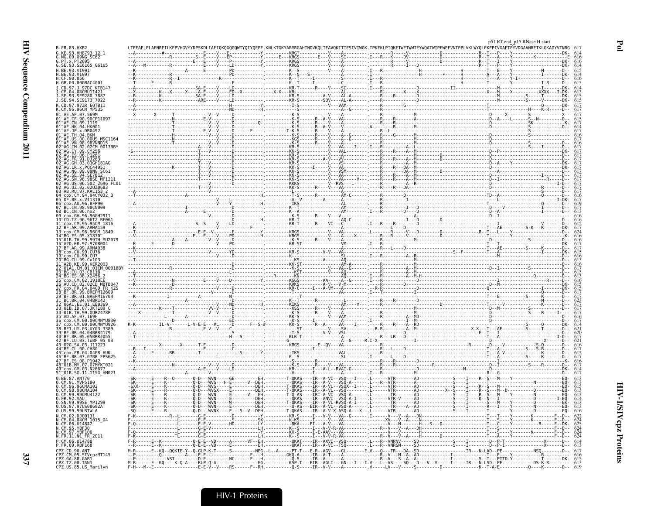337

|                                                                               |                                                                                                                                                                                                                                   |  |                                                                | ΓGKYARMRGAHTNDVKOLTEAVOKITTESIVIWGK.TPKFKLPIOKETWETWWTEYWOATWIPEWEFVNTPPLVKLWYOLEKEPIVGAETFΥVDGAANRETKLGKAGYVTNRG                                                                                                                                                                                                                                                           | p51 RT end_p15 RNase H start |
|-------------------------------------------------------------------------------|-----------------------------------------------------------------------------------------------------------------------------------------------------------------------------------------------------------------------------------|--|----------------------------------------------------------------|-----------------------------------------------------------------------------------------------------------------------------------------------------------------------------------------------------------------------------------------------------------------------------------------------------------------------------------------------------------------------------|------------------------------|
| G. KF. 93. HH8793                                                             |                                                                                                                                                                                                                                   |  |                                                                |                                                                                                                                                                                                                                                                                                                                                                             |                              |
| G.SE.93.SE6165_G6165                                                          |                                                                                                                                                                                                                                   |  |                                                                |                                                                                                                                                                                                                                                                                                                                                                             |                              |
|                                                                               |                                                                                                                                                                                                                                   |  |                                                                |                                                                                                                                                                                                                                                                                                                                                                             |                              |
|                                                                               |                                                                                                                                                                                                                                   |  |                                                                |                                                                                                                                                                                                                                                                                                                                                                             |                              |
| H.GB.00.00GBAC4001<br>J.CD.97.J 97DC KTB14                                    |                                                                                                                                                                                                                                   |  |                                                                |                                                                                                                                                                                                                                                                                                                                                                             |                              |
| .SE.93.SE9280 7887                                                            |                                                                                                                                                                                                                                   |  |                                                                |                                                                                                                                                                                                                                                                                                                                                                             |                              |
| J.SE.94.SE9173 7022                                                           |                                                                                                                                                                                                                                   |  |                                                                |                                                                                                                                                                                                                                                                                                                                                                             |                              |
| K.CD.97.97ZR E0TB11<br>K.CM.96.96CM MP535                                     |                                                                                                                                                                                                                                   |  |                                                                |                                                                                                                                                                                                                                                                                                                                                                             |                              |
| AE.AF.07.569M                                                                 |                                                                                                                                                                                                                                   |  |                                                                |                                                                                                                                                                                                                                                                                                                                                                             |                              |
| 01 AE.CF.90.90CF11697<br>.CN.09.1119                                          |                                                                                                                                                                                                                                   |  |                                                                |                                                                                                                                                                                                                                                                                                                                                                             |                              |
| 01 AE.HK.04.HK001<br>x.DR0492                                                 |                                                                                                                                                                                                                                   |  |                                                                |                                                                                                                                                                                                                                                                                                                                                                             |                              |
| .00.00US MSC1164                                                              |                                                                                                                                                                                                                                   |  |                                                                | $\begin{picture}(180,10) \put(0,0){\vector(1,0){100}} \put(1,0){\vector(1,0){100}} \put(1,0){\vector(1,0){100}} \put(1,0){\vector(1,0){100}} \put(1,0){\vector(1,0){100}} \put(1,0){\vector(1,0){100}} \put(1,0){\vector(1,0){100}} \put(1,0){\vector(1,0){100}} \put(1,0){\vector(1,0){100}} \put(1,0){\vector(1,0){100}} \put(1,0){\vector(1,0){100}} \put(1,0){\vector($ |                              |
| 98.98VNND15                                                                   |                                                                                                                                                                                                                                   |  |                                                                |                                                                                                                                                                                                                                                                                                                                                                             |                              |
| AG.CM.02.02CM 0013BBY                                                         |                                                                                                                                                                                                                                   |  |                                                                |                                                                                                                                                                                                                                                                                                                                                                             |                              |
|                                                                               |                                                                                                                                                                                                                                   |  |                                                                |                                                                                                                                                                                                                                                                                                                                                                             |                              |
|                                                                               |                                                                                                                                                                                                                                   |  |                                                                |                                                                                                                                                                                                                                                                                                                                                                             |                              |
| x POC44951                                                                    |                                                                                                                                                                                                                                   |  |                                                                |                                                                                                                                                                                                                                                                                                                                                                             |                              |
| 98 98SE MP1211                                                                |                                                                                                                                                                                                                                   |  |                                                                |                                                                                                                                                                                                                                                                                                                                                                             |                              |
| 2696 FL01                                                                     |                                                                                                                                                                                                                                   |  |                                                                |                                                                                                                                                                                                                                                                                                                                                                             |                              |
|                                                                               |                                                                                                                                                                                                                                   |  |                                                                |                                                                                                                                                                                                                                                                                                                                                                             |                              |
| x.VI1310                                                                      |                                                                                                                                                                                                                                   |  |                                                                |                                                                                                                                                                                                                                                                                                                                                                             |                              |
| .96. REP96<br>98.98CN009                                                      |                                                                                                                                                                                                                                   |  |                                                                |                                                                                                                                                                                                                                                                                                                                                                             |                              |
|                                                                               |                                                                                                                                                                                                                                   |  |                                                                |                                                                                                                                                                                                                                                                                                                                                                             |                              |
| Z.96.96TZ BF061<br>CM.95.95CM 1816                                            |                                                                                                                                                                                                                                   |  |                                                                |                                                                                                                                                                                                                                                                                                                                                                             |                              |
| BF.AR.99.ARMA159                                                              |                                                                                                                                                                                                                                   |  |                                                                |                                                                                                                                                                                                                                                                                                                                                                             |                              |
| CM.96.96CM 1849                                                               |                                                                                                                                                                                                                                   |  |                                                                |                                                                                                                                                                                                                                                                                                                                                                             |                              |
| .05.X1870<br>-5.09.0976<br>TH.99.99TH MU2079<br>.KR.97.97KR004                |                                                                                                                                                                                                                                   |  |                                                                |                                                                                                                                                                                                                                                                                                                                                                             |                              |
| 17 BF.AR.99.ARMA038                                                           |                                                                                                                                                                                                                                   |  |                                                                |                                                                                                                                                                                                                                                                                                                                                                             |                              |
| .99.0076                                                                      |                                                                                                                                                                                                                                   |  |                                                                |                                                                                                                                                                                                                                                                                                                                                                             |                              |
| 99.Cu103                                                                      |                                                                                                                                                                                                                                   |  |                                                                |                                                                                                                                                                                                                                                                                                                                                                             |                              |
| 99 KFR2003<br>.CM.01.01CM 0001BBY                                             |                                                                                                                                                                                                                                   |  |                                                                |                                                                                                                                                                                                                                                                                                                                                                             |                              |
| 03. CB118                                                                     |                                                                                                                                                                                                                                   |  |                                                                |                                                                                                                                                                                                                                                                                                                                                                             |                              |
| CM.02.1918LE                                                                  |                                                                                                                                                                                                                                   |  |                                                                |                                                                                                                                                                                                                                                                                                                                                                             |                              |
| 02.02CD MBTB047<br>FR.04.04CD FR KZS                                          |                                                                                                                                                                                                                                   |  |                                                                |                                                                                                                                                                                                                                                                                                                                                                             |                              |
|                                                                               |                                                                                                                                                                                                                                   |  |                                                                |                                                                                                                                                                                                                                                                                                                                                                             |                              |
| 04.04BR142<br>06A1.EE.01.EE0369                                               |                                                                                                                                                                                                                                   |  |                                                                |                                                                                                                                                                                                                                                                                                                                                                             |                              |
| 01B.ID.07.JKT189                                                              |                                                                                                                                                                                                                                   |  |                                                                |                                                                                                                                                                                                                                                                                                                                                                             |                              |
| 99.0UR2478P                                                                   |                                                                                                                                                                                                                                   |  |                                                                |                                                                                                                                                                                                                                                                                                                                                                             |                              |
| CM.00.00CMNYU830<br>CM.00.00CMNYU926                                          |                                                                                                                                                                                                                                   |  |                                                                |                                                                                                                                                                                                                                                                                                                                                                             |                              |
| UY.03.UY03 3389                                                               |                                                                                                                                                                                                                                   |  |                                                                |                                                                                                                                                                                                                                                                                                                                                                             |                              |
| 05.05BRR1055                                                                  |                                                                                                                                                                                                                                   |  |                                                                |                                                                                                                                                                                                                                                                                                                                                                             |                              |
| 03.luBF 05 03                                                                 |                                                                                                                                                                                                                                   |  |                                                                |                                                                                                                                                                                                                                                                                                                                                                             |                              |
|                                                                               |                                                                                                                                                                                                                                   |  |                                                                |                                                                                                                                                                                                                                                                                                                                                                             |                              |
| 07.07BR FPS625<br>08.P1942                                                    |                                                                                                                                                                                                                                   |  |                                                                |                                                                                                                                                                                                                                                                                                                                                                             |                              |
| MY.07.07MYKT021                                                               |                                                                                                                                                                                                                                   |  |                                                                |                                                                                                                                                                                                                                                                                                                                                                             |                              |
| GM.03.N26677<br>SG.11.11SG_HM021                                              |                                                                                                                                                                                                                                   |  |                                                                |                                                                                                                                                                                                                                                                                                                                                                             |                              |
|                                                                               |                                                                                                                                                                                                                                   |  |                                                                |                                                                                                                                                                                                                                                                                                                                                                             |                              |
| 0.CM.96.96CMA102<br>.98CMA104                                                 |                                                                                                                                                                                                                                   |  |                                                                |                                                                                                                                                                                                                                                                                                                                                                             |                              |
| 99.99CMU4122                                                                  |                                                                                                                                                                                                                                   |  |                                                                |                                                                                                                                                                                                                                                                                                                                                                             |                              |
| 99SF MP1299                                                                   |                                                                                                                                                                                                                                   |  |                                                                |                                                                                                                                                                                                                                                                                                                                                                             |                              |
| .97US08692A<br>0.US.99.99USTWLA                                               |                                                                                                                                                                                                                                   |  |                                                                |                                                                                                                                                                                                                                                                                                                                                                             |                              |
|                                                                               |                                                                                                                                                                                                                                   |  | - A - - - X - - . L - - - - -<br>- G - - - - - - . I - - - - - |                                                                                                                                                                                                                                                                                                                                                                             |                              |
| N.CM.04.04CM_1015_04                                                          |                                                                                                                                                                                                                                   |  |                                                                |                                                                                                                                                                                                                                                                                                                                                                             |                              |
|                                                                               |                                                                                                                                                                                                                                   |  |                                                                |                                                                                                                                                                                                                                                                                                                                                                             |                              |
| N.FR.11.N1 FR 2011                                                            |                                                                                                                                                                                                                                   |  |                                                                |                                                                                                                                                                                                                                                                                                                                                                             |                              |
|                                                                               |                                                                                                                                                                                                                                   |  |                                                                |                                                                                                                                                                                                                                                                                                                                                                             |                              |
|                                                                               |                                                                                                                                                                                                                                   |  |                                                                |                                                                                                                                                                                                                                                                                                                                                                             |                              |
|                                                                               |                                                                                                                                                                                                                                   |  |                                                                |                                                                                                                                                                                                                                                                                                                                                                             |                              |
| CM.05.SIVcpzMT145<br>CPZ.GA.88.GABI<br>CPZ.TZ.00.TAN1<br>CPZ.US.85.US_Marilyn | .-K.-.-----------Ŏ-Ĕ-Ĕ--VĎ-----Ê--------'---ĔH.-----------ŎKAŤ----ĨŔ--Ă-VĨ--ŤŠŎ--------.[L--R--VNRSM-----SD-----------S-----Î----------Ď-<br>--KQ--QQKIE-Y--Q-GLP-K-T-----S--------NEG.-L--A-----PT-T---E-R--AGV----GL-------E.V- |  |                                                                |                                                                                                                                                                                                                                                                                                                                                                             |                              |

 $\mathbf{Po}$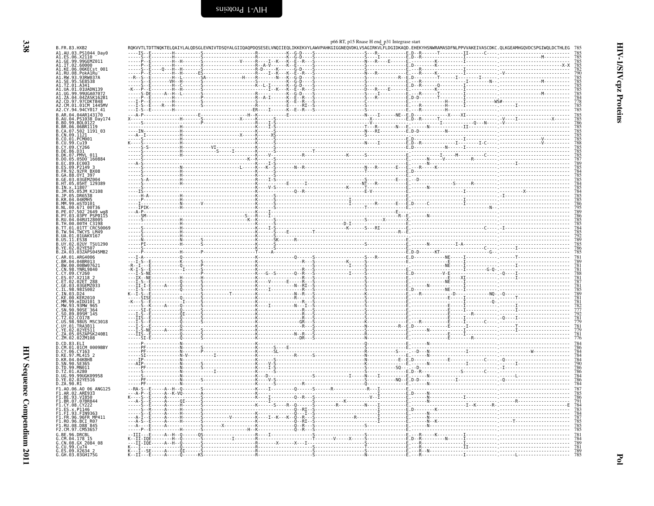<span id="page-25-0"></span>

|                                                                                                                                                                                                                                    |                       |                                                                                                                                                                                                                                                                                                                                                              |  |              | p66 RT, p15 Rnase H end p31 Integrase start |                                                                                                                                                                                                                                                                                                                                                                                                                                                               |                                                                                                                                                                                                                                                                                                                                                                                                                                                          |
|------------------------------------------------------------------------------------------------------------------------------------------------------------------------------------------------------------------------------------|-----------------------|--------------------------------------------------------------------------------------------------------------------------------------------------------------------------------------------------------------------------------------------------------------------------------------------------------------------------------------------------------------|--|--------------|---------------------------------------------|---------------------------------------------------------------------------------------------------------------------------------------------------------------------------------------------------------------------------------------------------------------------------------------------------------------------------------------------------------------------------------------------------------------------------------------------------------------|----------------------------------------------------------------------------------------------------------------------------------------------------------------------------------------------------------------------------------------------------------------------------------------------------------------------------------------------------------------------------------------------------------------------------------------------------------|
| B.FR.83.HXB2<br>A1.AU.03.PS1044 Day0                                                                                                                                                                                               |                       |                                                                                                                                                                                                                                                                                                                                                              |  |              |                                             |                                                                                                                                                                                                                                                                                                                                                                                                                                                               | RQKVVTLTDTTNQKTELQAIYLALQDSGLEVNIVTDSQYALGIIQAQPDQSESELVNQIIEQLIKKEKVYLAWVPAHKGIGGNEQVDKLVSAGIRKVLFLDGIDKAQD.EHEKYHSNWRAMASDFNLPPVVAKEIVASCDKC.QLKGEAMHGQVDCSPGIWQLDCTHLEG                                                                                                                                                                                                                                                                               |
| A1.ES.06.X2110                                                                                                                                                                                                                     |                       | $\begin{picture}(1,0) \put(0,0) {\put(0,0){\line(1,0){15}} \put(0,0) {\put(0,0){\line(1,0){15}} \put(0,0) {\put(0,0){\line(1,0){15}} \put(0,0) {\put(0,0){\line(1,0){15}} \put(0,0) {\put(0,0){\line(1,0){15}} \put(0,0) {\put(0,0){\line(1,0){15}} \put(0,0) {\put(0,0){\line(1,0){15}} \put(0,0) {\put(0,0){\line(1,0){15}} \put(0,0) {\put(0,0){\line(1,$ |  |              |                                             |                                                                                                                                                                                                                                                                                                                                                                                                                                                               |                                                                                                                                                                                                                                                                                                                                                                                                                                                          |
| A1.GE.99.99GEMZ0<br>A1.IT.02.60000                                                                                                                                                                                                 |                       |                                                                                                                                                                                                                                                                                                                                                              |  |              |                                             |                                                                                                                                                                                                                                                                                                                                                                                                                                                               | 785<br>785<br>782<br>785<br>785<br>785<br>785<br>785<br>785<br>785<br>785<br>785                                                                                                                                                                                                                                                                                                                                                                         |
| Al.KE.06.06KECst_001<br>Al.RU.08.PokA1Ru<br>Al.RW.93.93RW037A                                                                                                                                                                      |                       |                                                                                                                                                                                                                                                                                                                                                              |  |              |                                             |                                                                                                                                                                                                                                                                                                                                                                                                                                                               |                                                                                                                                                                                                                                                                                                                                                                                                                                                          |
|                                                                                                                                                                                                                                    |                       |                                                                                                                                                                                                                                                                                                                                                              |  |              |                                             |                                                                                                                                                                                                                                                                                                                                                                                                                                                               |                                                                                                                                                                                                                                                                                                                                                                                                                                                          |
| A1.SE.95.SE8538<br>A1.TZ.01.A341                                                                                                                                                                                                   |                       |                                                                                                                                                                                                                                                                                                                                                              |  |              |                                             |                                                                                                                                                                                                                                                                                                                                                                                                                                                               |                                                                                                                                                                                                                                                                                                                                                                                                                                                          |
| A1.UA.01.01UADN139                                                                                                                                                                                                                 |                       |                                                                                                                                                                                                                                                                                                                                                              |  |              |                                             |                                                                                                                                                                                                                                                                                                                                                                                                                                                               |                                                                                                                                                                                                                                                                                                                                                                                                                                                          |
| UG.99.99UGA07072                                                                                                                                                                                                                   |                       |                                                                                                                                                                                                                                                                                                                                                              |  |              |                                             |                                                                                                                                                                                                                                                                                                                                                                                                                                                               |                                                                                                                                                                                                                                                                                                                                                                                                                                                          |
| A2.CD.97.97CDKTB48                                                                                                                                                                                                                 |                       |                                                                                                                                                                                                                                                                                                                                                              |  |              |                                             |                                                                                                                                                                                                                                                                                                                                                                                                                                                               |                                                                                                                                                                                                                                                                                                                                                                                                                                                          |
| CM.01.01CM 1445MV<br>A2.CY.94.94CY017_41                                                                                                                                                                                           |                       |                                                                                                                                                                                                                                                                                                                                                              |  |              |                                             |                                                                                                                                                                                                                                                                                                                                                                                                                                                               |                                                                                                                                                                                                                                                                                                                                                                                                                                                          |
| B.AR.04.04AR143170                                                                                                                                                                                                                 |                       |                                                                                                                                                                                                                                                                                                                                                              |  |              |                                             |                                                                                                                                                                                                                                                                                                                                                                                                                                                               |                                                                                                                                                                                                                                                                                                                                                                                                                                                          |
| B.AU.04.PS1038 Day174<br>B.BO.99.BOL0122                                                                                                                                                                                           |                       |                                                                                                                                                                                                                                                                                                                                                              |  |              |                                             |                                                                                                                                                                                                                                                                                                                                                                                                                                                               | $\begin{minipage}{0.03\textwidth} \begin{tabular}{ c c c c c } \hline \textbf{0.03\textwidth} & \textbf{0.04\textwidth} & \textbf{0.05\textwidth} & \textbf{0.06\textwidth} & \textbf{0.07\textwidth} & \textbf{0.07\textwidth} & \textbf{0.07\textwidth} & \textbf{0.07\textwidth} & \textbf{0.07\textwidth} & \textbf{0.07\textwidth} & \textbf{0.07\textwidth} & \textbf{0.07\textwidth} & \textbf{0.07\textwidth} & \textbf{0.07\textwidth} & \text$ |
| B.BR.06.06BR1119                                                                                                                                                                                                                   |                       |                                                                                                                                                                                                                                                                                                                                                              |  |              |                                             |                                                                                                                                                                                                                                                                                                                                                                                                                                                               |                                                                                                                                                                                                                                                                                                                                                                                                                                                          |
| B.CA.07.502 1191 03                                                                                                                                                                                                                |                       |                                                                                                                                                                                                                                                                                                                                                              |  |              |                                             |                                                                                                                                                                                                                                                                                                                                                                                                                                                               |                                                                                                                                                                                                                                                                                                                                                                                                                                                          |
| B.CN.09.1121<br>B.CO.01.PCM001                                                                                                                                                                                                     |                       |                                                                                                                                                                                                                                                                                                                                                              |  |              |                                             |                                                                                                                                                                                                                                                                                                                                                                                                                                                               |                                                                                                                                                                                                                                                                                                                                                                                                                                                          |
| B.CU.99.Cu19<br>B.CY.09.CY266                                                                                                                                                                                                      |                       |                                                                                                                                                                                                                                                                                                                                                              |  |              |                                             |                                                                                                                                                                                                                                                                                                                                                                                                                                                               |                                                                                                                                                                                                                                                                                                                                                                                                                                                          |
| B.DE.86.D31<br>B.DK.07.PMVL                                                                                                                                                                                                        |                       |                                                                                                                                                                                                                                                                                                                                                              |  |              |                                             |                                                                                                                                                                                                                                                                                                                                                                                                                                                               |                                                                                                                                                                                                                                                                                                                                                                                                                                                          |
| B.DO.05.05D0 160884                                                                                                                                                                                                                |                       |                                                                                                                                                                                                                                                                                                                                                              |  |              |                                             |                                                                                                                                                                                                                                                                                                                                                                                                                                                               |                                                                                                                                                                                                                                                                                                                                                                                                                                                          |
|                                                                                                                                                                                                                                    |                       |                                                                                                                                                                                                                                                                                                                                                              |  |              |                                             |                                                                                                                                                                                                                                                                                                                                                                                                                                                               |                                                                                                                                                                                                                                                                                                                                                                                                                                                          |
|                                                                                                                                                                                                                                    |                       |                                                                                                                                                                                                                                                                                                                                                              |  |              |                                             |                                                                                                                                                                                                                                                                                                                                                                                                                                                               |                                                                                                                                                                                                                                                                                                                                                                                                                                                          |
|                                                                                                                                                                                                                                    |                       |                                                                                                                                                                                                                                                                                                                                                              |  |              |                                             |                                                                                                                                                                                                                                                                                                                                                                                                                                                               |                                                                                                                                                                                                                                                                                                                                                                                                                                                          |
|                                                                                                                                                                                                                                    |                       |                                                                                                                                                                                                                                                                                                                                                              |  |              |                                             |                                                                                                                                                                                                                                                                                                                                                                                                                                                               |                                                                                                                                                                                                                                                                                                                                                                                                                                                          |
| B.D0.89.9500 160884<br>B.EC.89.EC003<br>B.ES.09.P2149 3<br>B.FR.92.92FR BX08<br>B.GA.88.0YI 397<br>B.GE.03.03GEMZ004<br>B.HT.05.05AFT 129389<br>B.TN.x.11807<br>B.JM.05.05AFT 129389<br>B.JM.05.05AFT 129389<br>B.JM.05.05AFT 1208 |                       |                                                                                                                                                                                                                                                                                                                                                              |  |              |                                             |                                                                                                                                                                                                                                                                                                                                                                                                                                                               |                                                                                                                                                                                                                                                                                                                                                                                                                                                          |
| B.JP.05.DR6538                                                                                                                                                                                                                     |                       |                                                                                                                                                                                                                                                                                                                                                              |  |              |                                             |                                                                                                                                                                                                                                                                                                                                                                                                                                                               |                                                                                                                                                                                                                                                                                                                                                                                                                                                          |
| B.KR.04.04KMH5<br>B.MM.99.mSTD101                                                                                                                                                                                                  |                       |                                                                                                                                                                                                                                                                                                                                                              |  |              |                                             |                                                                                                                                                                                                                                                                                                                                                                                                                                                               |                                                                                                                                                                                                                                                                                                                                                                                                                                                          |
| B.NL.00.671_00T36<br>B.PE.07.502 <sup>-</sup> 2649_wg8<br>B.PY.03.03PY_PSP0115<br>B.RU.04.04RUI28005                                                                                                                               |                       |                                                                                                                                                                                                                                                                                                                                                              |  |              |                                             |                                                                                                                                                                                                                                                                                                                                                                                                                                                               |                                                                                                                                                                                                                                                                                                                                                                                                                                                          |
|                                                                                                                                                                                                                                    |                       |                                                                                                                                                                                                                                                                                                                                                              |  |              |                                             |                                                                                                                                                                                                                                                                                                                                                                                                                                                               |                                                                                                                                                                                                                                                                                                                                                                                                                                                          |
| B.TH.00.00TH C3198                                                                                                                                                                                                                 |                       |                                                                                                                                                                                                                                                                                                                                                              |  |              |                                             |                                                                                                                                                                                                                                                                                                                                                                                                                                                               |                                                                                                                                                                                                                                                                                                                                                                                                                                                          |
| B.TT.01.01TT_CRC50069<br>B.TW.94.TWCYS LM49<br>B.UA.01.01UAKV167                                                                                                                                                                   |                       |                                                                                                                                                                                                                                                                                                                                                              |  |              |                                             |                                                                                                                                                                                                                                                                                                                                                                                                                                                               |                                                                                                                                                                                                                                                                                                                                                                                                                                                          |
|                                                                                                                                                                                                                                    |                       |                                                                                                                                                                                                                                                                                                                                                              |  |              |                                             |                                                                                                                                                                                                                                                                                                                                                                                                                                                               |                                                                                                                                                                                                                                                                                                                                                                                                                                                          |
| US.11.ES38                                                                                                                                                                                                                         |                       |                                                                                                                                                                                                                                                                                                                                                              |  |              |                                             |                                                                                                                                                                                                                                                                                                                                                                                                                                                               |                                                                                                                                                                                                                                                                                                                                                                                                                                                          |
| B.UY.02.02UY_TSU1290<br>B.YE.02.02YE507                                                                                                                                                                                            |                       |                                                                                                                                                                                                                                                                                                                                                              |  |              |                                             |                                                                                                                                                                                                                                                                                                                                                                                                                                                               | 785<br>792<br>789<br>785<br>786<br>786                                                                                                                                                                                                                                                                                                                                                                                                                   |
| B.ZA.03.03ZAPS045MB2                                                                                                                                                                                                               |                       |                                                                                                                                                                                                                                                                                                                                                              |  |              |                                             |                                                                                                                                                                                                                                                                                                                                                                                                                                                               |                                                                                                                                                                                                                                                                                                                                                                                                                                                          |
| C.AR.01.ARG4006<br>C.BR.04.04BR013                                                                                                                                                                                                 |                       |                                                                                                                                                                                                                                                                                                                                                              |  |              |                                             |                                                                                                                                                                                                                                                                                                                                                                                                                                                               | 781<br>789                                                                                                                                                                                                                                                                                                                                                                                                                                               |
| C.BW.00.00BW07621<br>C.CN.98.YNRL9840<br>C.CY.09.CY260<br>C.ES.07.X2118 2<br>C.ET.02.02EET.288                                                                                                                                     |                       |                                                                                                                                                                                                                                                                                                                                                              |  |              |                                             |                                                                                                                                                                                                                                                                                                                                                                                                                                                               |                                                                                                                                                                                                                                                                                                                                                                                                                                                          |
|                                                                                                                                                                                                                                    |                       |                                                                                                                                                                                                                                                                                                                                                              |  |              |                                             |                                                                                                                                                                                                                                                                                                                                                                                                                                                               | 781<br>781<br>788<br>787<br>787<br>785<br>789<br>789                                                                                                                                                                                                                                                                                                                                                                                                     |
|                                                                                                                                                                                                                                    |                       |                                                                                                                                                                                                                                                                                                                                                              |  |              |                                             |                                                                                                                                                                                                                                                                                                                                                                                                                                                               |                                                                                                                                                                                                                                                                                                                                                                                                                                                          |
| .02ET 288<br>.03GEMZ033<br>.GE.03.03GEMZ0<br>.IL.98.98IS002                                                                                                                                                                        |                       |                                                                                                                                                                                                                                                                                                                                                              |  |              |                                             |                                                                                                                                                                                                                                                                                                                                                                                                                                                               |                                                                                                                                                                                                                                                                                                                                                                                                                                                          |
| C.IN.03.D24                                                                                                                                                                                                                        |                       |                                                                                                                                                                                                                                                                                                                                                              |  |              |                                             |                                                                                                                                                                                                                                                                                                                                                                                                                                                               |                                                                                                                                                                                                                                                                                                                                                                                                                                                          |
| C.KE.00.KER2010                                                                                                                                                                                                                    |                       |                                                                                                                                                                                                                                                                                                                                                              |  |              |                                             | $\begin{minipage}{0.03\textwidth} \begin{tabular}{ l l } \hline \multicolumn{1}{ l l } \hline \multicolumn{1}{ l } \hline \multicolumn{1}{ l } \hline \multicolumn{1}{ l } \hline \multicolumn{1}{ l } \hline \multicolumn{1}{ l } \hline \multicolumn{1}{ l } \hline \multicolumn{1}{ l } \hline \multicolumn{1}{ l } \hline \multicolumn{1}{ l } \hline \multicolumn{1}{ l } \hline \multicolumn{1}{ l } \hline \multicolumn{1}{ l } \hline \multicolumn{1$ |                                                                                                                                                                                                                                                                                                                                                                                                                                                          |
| C.MM.99.mIDU101 3<br>C.MW.93.93MW 965                                                                                                                                                                                              |                       |                                                                                                                                                                                                                                                                                                                                                              |  |              |                                             |                                                                                                                                                                                                                                                                                                                                                                                                                                                               |                                                                                                                                                                                                                                                                                                                                                                                                                                                          |
| C.SN.90.90SE 364                                                                                                                                                                                                                   |                       |                                                                                                                                                                                                                                                                                                                                                              |  |              |                                             |                                                                                                                                                                                                                                                                                                                                                                                                                                                               |                                                                                                                                                                                                                                                                                                                                                                                                                                                          |
| C.SO.89.89SM_145<br>C.TZ.02.C0178                                                                                                                                                                                                  |                       |                                                                                                                                                                                                                                                                                                                                                              |  |              |                                             |                                                                                                                                                                                                                                                                                                                                                                                                                                                               |                                                                                                                                                                                                                                                                                                                                                                                                                                                          |
| Č.US.98.98US MSC3018<br>C.UY.01.TRA3011                                                                                                                                                                                            |                       |                                                                                                                                                                                                                                                                                                                                                              |  |              |                                             |                                                                                                                                                                                                                                                                                                                                                                                                                                                               |                                                                                                                                                                                                                                                                                                                                                                                                                                                          |
| C.YE.02.02YE511                                                                                                                                                                                                                    |                       |                                                                                                                                                                                                                                                                                                                                                              |  |              |                                             |                                                                                                                                                                                                                                                                                                                                                                                                                                                               |                                                                                                                                                                                                                                                                                                                                                                                                                                                          |
| C.ZA.05.05ZAPSK240B1<br>C.ZM.02.02ZM108                                                                                                                                                                                            |                       |                                                                                                                                                                                                                                                                                                                                                              |  | $\mathbf{M}$ |                                             |                                                                                                                                                                                                                                                                                                                                                                                                                                                               | 782<br>777792<br>779217781<br>77817781<br>7781                                                                                                                                                                                                                                                                                                                                                                                                           |
| D.CD.83.ELI                                                                                                                                                                                                                        |                       |                                                                                                                                                                                                                                                                                                                                                              |  | . 0          |                                             |                                                                                                                                                                                                                                                                                                                                                                                                                                                               |                                                                                                                                                                                                                                                                                                                                                                                                                                                          |
| D.CM.01.01CM_0009BBY                                                                                                                                                                                                               |                       |                                                                                                                                                                                                                                                                                                                                                              |  |              |                                             |                                                                                                                                                                                                                                                                                                                                                                                                                                                               | 784<br>786<br>784<br>784<br>786<br>786<br>786<br>784<br>784                                                                                                                                                                                                                                                                                                                                                                                              |
| D.CY.06.CY163<br>D.KE.97.ML415 2<br>D.KR.04.04KBH8                                                                                                                                                                                 |                       |                                                                                                                                                                                                                                                                                                                                                              |  |              |                                             |                                                                                                                                                                                                                                                                                                                                                                                                                                                               |                                                                                                                                                                                                                                                                                                                                                                                                                                                          |
| D.SN.90.SE365                                                                                                                                                                                                                      |                       |                                                                                                                                                                                                                                                                                                                                                              |  |              |                                             |                                                                                                                                                                                                                                                                                                                                                                                                                                                               |                                                                                                                                                                                                                                                                                                                                                                                                                                                          |
| D.TD.99.MN011                                                                                                                                                                                                                      |                       |                                                                                                                                                                                                                                                                                                                                                              |  |              |                                             |                                                                                                                                                                                                                                                                                                                                                                                                                                                               |                                                                                                                                                                                                                                                                                                                                                                                                                                                          |
| D.TZ.01.A280<br>D.UG.99.99UGK09958                                                                                                                                                                                                 |                       |                                                                                                                                                                                                                                                                                                                                                              |  |              |                                             |                                                                                                                                                                                                                                                                                                                                                                                                                                                               |                                                                                                                                                                                                                                                                                                                                                                                                                                                          |
| D.YE.02.02YE516                                                                                                                                                                                                                    |                       |                                                                                                                                                                                                                                                                                                                                                              |  |              |                                             |                                                                                                                                                                                                                                                                                                                                                                                                                                                               |                                                                                                                                                                                                                                                                                                                                                                                                                                                          |
| D.ZA.90.R1                                                                                                                                                                                                                         |                       |                                                                                                                                                                                                                                                                                                                                                              |  |              |                                             | $\begin{picture}(180,10) \put(0,0){\vector(1,0){100}} \put(0,0){\vector(1,0){100}} \put(0,0){\vector(1,0){100}} \put(0,0){\vector(1,0){100}} \put(0,0){\vector(1,0){100}} \put(0,0){\vector(1,0){100}} \put(0,0){\vector(1,0){100}} \put(0,0){\vector(1,0){100}} \put(0,0){\vector(1,0){100}} \put(0,0){\vector(1,0){100}} \put(0,0){\vector(1,0){100}} \put(0,0){\vector($                                                                                   |                                                                                                                                                                                                                                                                                                                                                                                                                                                          |
| F1.A0.06.A0 06 ANG125<br>F1.AR.02.ARE933                                                                                                                                                                                           |                       |                                                                                                                                                                                                                                                                                                                                                              |  |              |                                             |                                                                                                                                                                                                                                                                                                                                                                                                                                                               | 787<br>785<br>786<br>791<br>783<br>783<br>785<br>785<br>785<br>785                                                                                                                                                                                                                                                                                                                                                                                       |
| F1.BE.93.VI850<br>F1.BR.07.07BR844                                                                                                                                                                                                 |                       | ----------<br>---------------------K----                                                                                                                                                                                                                                                                                                                     |  |              |                                             |                                                                                                                                                                                                                                                                                                                                                                                                                                                               |                                                                                                                                                                                                                                                                                                                                                                                                                                                          |
| .CY.08.CY222                                                                                                                                                                                                                       |                       |                                                                                                                                                                                                                                                                                                                                                              |  |              |                                             |                                                                                                                                                                                                                                                                                                                                                                                                                                                               |                                                                                                                                                                                                                                                                                                                                                                                                                                                          |
| .93.FIN9363                                                                                                                                                                                                                        |                       |                                                                                                                                                                                                                                                                                                                                                              |  |              |                                             |                                                                                                                                                                                                                                                                                                                                                                                                                                                               |                                                                                                                                                                                                                                                                                                                                                                                                                                                          |
| F1.FR.96.96FR MP411                                                                                                                                                                                                                |                       |                                                                                                                                                                                                                                                                                                                                                              |  |              |                                             |                                                                                                                                                                                                                                                                                                                                                                                                                                                               |                                                                                                                                                                                                                                                                                                                                                                                                                                                          |
| F1.R0.96.BCI R07<br>.RU.08.D88 <sup>–</sup> 845                                                                                                                                                                                    |                       |                                                                                                                                                                                                                                                                                                                                                              |  |              |                                             |                                                                                                                                                                                                                                                                                                                                                                                                                                                               |                                                                                                                                                                                                                                                                                                                                                                                                                                                          |
| F2.CM.97.CM53657                                                                                                                                                                                                                   |                       |                                                                                                                                                                                                                                                                                                                                                              |  |              |                                             |                                                                                                                                                                                                                                                                                                                                                                                                                                                               |                                                                                                                                                                                                                                                                                                                                                                                                                                                          |
| G.BE.96.DRCBL<br>$04.178$ 1                                                                                                                                                                                                        |                       |                                                                                                                                                                                                                                                                                                                                                              |  | . V - X -    | .                                           |                                                                                                                                                                                                                                                                                                                                                                                                                                                               |                                                                                                                                                                                                                                                                                                                                                                                                                                                          |
| 08.GX 2084 08                                                                                                                                                                                                                      | - - - - A - - H - - N |                                                                                                                                                                                                                                                                                                                                                              |  |              |                                             |                                                                                                                                                                                                                                                                                                                                                                                                                                                               | 784<br>789<br>781                                                                                                                                                                                                                                                                                                                                                                                                                                        |
| G.CU.99.Cu74<br>G.ES.09.X2634 2<br>G.GH.03.03GH175G                                                                                                                                                                                | . A OT .              |                                                                                                                                                                                                                                                                                                                                                              |  |              |                                             |                                                                                                                                                                                                                                                                                                                                                                                                                                                               |                                                                                                                                                                                                                                                                                                                                                                                                                                                          |
|                                                                                                                                                                                                                                    |                       |                                                                                                                                                                                                                                                                                                                                                              |  |              |                                             |                                                                                                                                                                                                                                                                                                                                                                                                                                                               | 789<br>785                                                                                                                                                                                                                                                                                                                                                                                                                                               |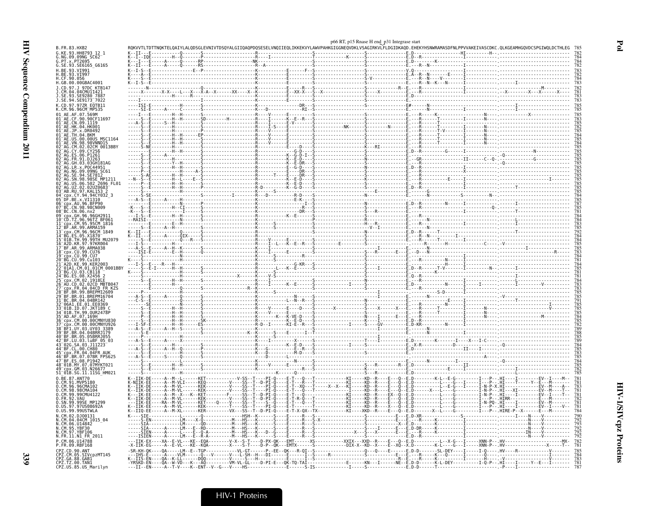|                                                                                                                      |  |  |  | p66 RT, p15 Rnase H end_p31 Integrase start |  |                                                                                                                                                                            |                                                                                                                                                                                                                                  |
|----------------------------------------------------------------------------------------------------------------------|--|--|--|---------------------------------------------|--|----------------------------------------------------------------------------------------------------------------------------------------------------------------------------|----------------------------------------------------------------------------------------------------------------------------------------------------------------------------------------------------------------------------------|
| B.FR.83.HXB2<br>G.KE.93.HH8793 12 1                                                                                  |  |  |  |                                             |  | RQKVVTLTDTTNQKTELQAIYLALQDSGLEVNIVTDSQYALGIIQAQPDQSESELVNQIIEQLIKKEKVYLAWVPAHKGIGGNEQVDKLVSAGIRKVLFLDGIDKAQD.EHEKYHSNWRAMASDFNLPPVVAKEIVASCDKC.QLKGEAMHGQVDCSPGIWQLDCTHLEG |                                                                                                                                                                                                                                  |
| G.NG.09.09NG SC62<br>G.PT.x.PT2695                                                                                   |  |  |  |                                             |  |                                                                                                                                                                            |                                                                                                                                                                                                                                  |
| G.SE.93.SE6165_G6165<br>H.BE.93.VI991                                                                                |  |  |  |                                             |  |                                                                                                                                                                            |                                                                                                                                                                                                                                  |
| H.BE.93.VI997<br>H.CF.90.056<br>H.GB.00.00GBAC4001                                                                   |  |  |  |                                             |  |                                                                                                                                                                            |                                                                                                                                                                                                                                  |
| J.CD.97.J 97DC KTB147                                                                                                |  |  |  |                                             |  |                                                                                                                                                                            |                                                                                                                                                                                                                                  |
| J.CM.04.04CMU11421<br>.SE.93.SE9280 7887<br>J.SE.94.SE9173 <sup>-</sup> 7022                                         |  |  |  |                                             |  |                                                                                                                                                                            |                                                                                                                                                                                                                                  |
| K.CD.97.97ZR EQTB11                                                                                                  |  |  |  |                                             |  |                                                                                                                                                                            |                                                                                                                                                                                                                                  |
| K.CM.96.96CM <sup>-</sup> MP535<br>01 AE.AF.07.569M                                                                  |  |  |  |                                             |  |                                                                                                                                                                            |                                                                                                                                                                                                                                  |
| CE.90.90CE11697<br>01 AE.CN.09.1119                                                                                  |  |  |  |                                             |  |                                                                                                                                                                            |                                                                                                                                                                                                                                  |
| 01 <sup>-</sup> AE.HK.04.HK001<br>01 <sup>-</sup> AE.JP.x.DR0492                                                     |  |  |  |                                             |  |                                                                                                                                                                            |                                                                                                                                                                                                                                  |
| 01 <sup>-</sup> AE.TH.04.BKM<br>01 AE.US.00.00US MSC116<br>01 <sup>-</sup> AE.VN.98.98VNND15                         |  |  |  |                                             |  |                                                                                                                                                                            |                                                                                                                                                                                                                                  |
| 02 AG.CM.02.02CM 0013BBY<br>02 <sup>-</sup> AG.CY.09.CY256                                                           |  |  |  |                                             |  |                                                                                                                                                                            |                                                                                                                                                                                                                                  |
| 02 AG FR 91 D1263                                                                                                    |  |  |  |                                             |  |                                                                                                                                                                            |                                                                                                                                                                                                                                  |
| 02 <sup>-</sup> AG.GH.03.03GH181AG<br>02 AG. LR. x. P0C44951                                                         |  |  |  |                                             |  |                                                                                                                                                                            |                                                                                                                                                                                                                                  |
| NG.09.09NG SC61<br>AG.SE.94.SE7812                                                                                   |  |  |  |                                             |  |                                                                                                                                                                            |                                                                                                                                                                                                                                  |
| AG.SN.98.98SE MP121<br>02 <sup>-</sup> AG.US.06.502 2696 FL01                                                        |  |  |  |                                             |  |                                                                                                                                                                            |                                                                                                                                                                                                                                  |
| UZ.02.02UZ0683<br>03 AB RU 97 KAL153<br>04 cpx.CY.94.94CY032 3                                                       |  |  |  |                                             |  |                                                                                                                                                                            |                                                                                                                                                                                                                                  |
| 05 DF.BE.x.VI1310<br>06 cpx.AU.96.BFP90                                                                              |  |  |  |                                             |  |                                                                                                                                                                            |                                                                                                                                                                                                                                  |
| 07 BC.CN.98.98CN009<br>08 BC.CN.06.nx2                                                                               |  |  |  |                                             |  |                                                                                                                                                                            |                                                                                                                                                                                                                                  |
| px.GH.96.96GH291<br>10 CD.TZ.96.96TZ BF061                                                                           |  |  |  |                                             |  |                                                                                                                                                                            |                                                                                                                                                                                                                                  |
| 11 cpx.CM.95.95CM 1816<br>12 BF.AR.99.ARMA159                                                                        |  |  |  |                                             |  |                                                                                                                                                                            |                                                                                                                                                                                                                                  |
| 13 cpx.CM.96.96CM 1849<br>14 BG.ES.05.X1870                                                                          |  |  |  |                                             |  |                                                                                                                                                                            |                                                                                                                                                                                                                                  |
| 15 <sup>-</sup> 01B.TH.99.99TH MU2079<br>16 A2D.KR.97.97KR004                                                        |  |  |  |                                             |  |                                                                                                                                                                            |                                                                                                                                                                                                                                  |
| 17 BF.AR.99.ARMA038<br>18 <sup>-</sup> cpx.CU.99.CU76<br>19 cpx.CU.99.CU7                                            |  |  |  |                                             |  |                                                                                                                                                                            |                                                                                                                                                                                                                                  |
| 20 BG.CU.99.Cu103<br>21 <sup>-</sup> A2D.KE.99.KER2003                                                               |  |  |  |                                             |  |                                                                                                                                                                            |                                                                                                                                                                                                                                  |
| 01A1.CM.01.01CM 0001BB)<br>23 BG.CU.03.CB118                                                                         |  |  |  |                                             |  |                                                                                                                                                                            |                                                                                                                                                                                                                                  |
| 24 <sup>-</sup> BG.ES.08.X2456<br>cpx.CM.02.1918LE <sup>.</sup>                                                      |  |  |  |                                             |  |                                                                                                                                                                            |                                                                                                                                                                                                                                  |
| 26 <sup>-</sup> AU.CD.02.02CD MBTB04<br>27 CDX.FR.04.04CD FR KZS                                                     |  |  |  |                                             |  |                                                                                                                                                                            |                                                                                                                                                                                                                                  |
| BF.BR.99.BREPM12609"<br>29 <sup>-</sup> BF.BR.01.BREPM16704<br>31 BC.BR.04.04BR142                                   |  |  |  |                                             |  |                                                                                                                                                                            |                                                                                                                                                                                                                                  |
| 32 <sup>-</sup> 06A1.EE.01.EE0369<br>33 <sup>-</sup> 01B.ID.07.JKT189                                                |  |  |  |                                             |  |                                                                                                                                                                            |                                                                                                                                                                                                                                  |
| 34 <sup>-</sup> 01B.TH.99.0UR2478P<br>35 <sup>-</sup> AD.AF.07.169H                                                  |  |  |  |                                             |  |                                                                                                                                                                            |                                                                                                                                                                                                                                  |
| 36 cpx.CM.00.00CMNYU830<br>CM.00.00CMNYU926                                                                          |  |  |  |                                             |  |                                                                                                                                                                            |                                                                                                                                                                                                                                  |
| 38 <sup>-</sup> BF1.UY.03.UY03 3389<br>39 BF.BR.04.04BRRJ179                                                         |  |  |  |                                             |  |                                                                                                                                                                            |                                                                                                                                                                                                                                  |
| 40 BF.BR.05.05BRRJ055<br>42 <sup>-</sup> BF.LU.03.luBF 05 03                                                         |  |  |  |                                             |  |                                                                                                                                                                            |                                                                                                                                                                                                                                  |
| 43 <sup>-</sup> 02G.SA.03.J11223 <sup>-</sup><br>44 <sup>-</sup> BF.CL.00.CH80<br>45 <sup>-</sup> cpx.FR.04.04FR AUM |  |  |  |                                             |  |                                                                                                                                                                            |                                                                                                                                                                                                                                  |
| BF.BR.07.07BR FPS625"<br>47 BF.ES.08.P1942                                                                           |  |  |  |                                             |  |                                                                                                                                                                            |                                                                                                                                                                                                                                  |
| 48 <sup>-</sup> 01B.MY.07.07MYKT021<br>cpx.GM.03.N26677                                                              |  |  |  |                                             |  |                                                                                                                                                                            |                                                                                                                                                                                                                                  |
| 51_01B.SG.11.11SG HM021<br>0.BE.87.ANT70                                                                             |  |  |  |                                             |  |                                                                                                                                                                            |                                                                                                                                                                                                                                  |
| O.CM.91.MVP5180<br>0.CM.96.96CMA102                                                                                  |  |  |  |                                             |  |                                                                                                                                                                            |                                                                                                                                                                                                                                  |
| 0.CM.98.98CMA104<br>0.CM.99.99CMU4122                                                                                |  |  |  |                                             |  |                                                                                                                                                                            |                                                                                                                                                                                                                                  |
| 0.FR.92.VAU<br>0.SN.99.99SE_MP1299                                                                                   |  |  |  |                                             |  |                                                                                                                                                                            |                                                                                                                                                                                                                                  |
| 0.US.97.97US08692A<br>0.US.99.99USTWLA                                                                               |  |  |  |                                             |  |                                                                                                                                                                            |                                                                                                                                                                                                                                  |
| N.CM.02.D.100131<br>N.CM.04.04CM 1015 04                                                                             |  |  |  |                                             |  |                                                                                                                                                                            |                                                                                                                                                                                                                                  |
| N.CM.06.U14842<br>N.CM.95.YBF30                                                                                      |  |  |  |                                             |  |                                                                                                                                                                            |                                                                                                                                                                                                                                  |
| N.CM.97.YBF106<br>N.FR.11.N1 FR 2011                                                                                 |  |  |  |                                             |  |                                                                                                                                                                            |                                                                                                                                                                                                                                  |
| P.CM.06.U14788<br>P.FR.09.RBF168                                                                                     |  |  |  |                                             |  |                                                                                                                                                                            | -X-IIK-EG-----A--E-VL---KE--KQA--------X----S-T----D-P--QK---EMTX------S-----------DIX-X--KD--X---F--XD--X.D------------K-L----G---I------XHN-P--.HV--------------------X-----T--- 781                                           |
| CPZ.CD.90.ANT<br>CPZ.CM.05.SIVcpzMT145                                                                               |  |  |  |                                             |  |                                                                                                                                                                            | - A PARK POWER PRODUCED A POWER CONTROL CONTROL CONTROL CONTROL CONTROL CONTROL CONTROL CONTROL CONTROL CONTROL<br>- THE CONTROL CONTROL CONTROL CONTROL CONTROL CONTROL CONTROL CONTROL CONTROL CONTROL CONTROL CONTROL CONTROL |
| CPZ.GA.88.GAB1<br>CPZ.TZ.00.TAN1                                                                                     |  |  |  |                                             |  |                                                                                                                                                                            |                                                                                                                                                                                                                                  |
| CPZ.US.85.US_Marilyn                                                                                                 |  |  |  |                                             |  |                                                                                                                                                                            |                                                                                                                                                                                                                                  |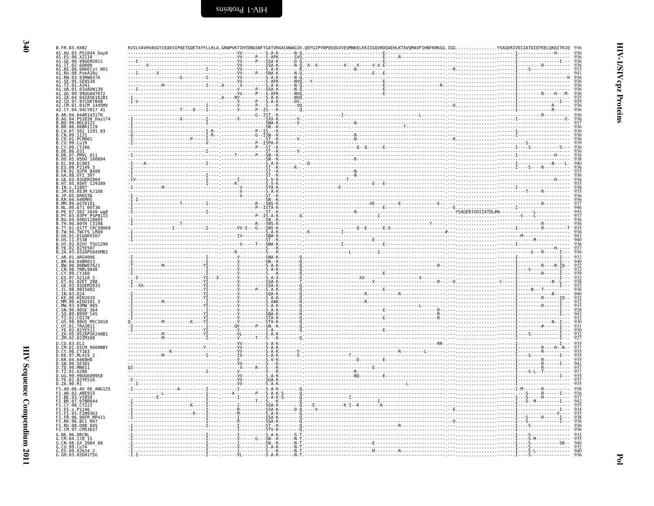KVILVAVHVASGYIEAEVIPAETGQETAYFLLKLA.GRWPVKTIHTDNGSNFTGATVRAACWWAGIK.QEFGIPYNPQSQGVVESMNKELKKIIGQVRDQAEHLKTAVQMAVFIHNFKRKGG.IGG..............YSAGERIVDIIATDIQTKELQKQITKIQ 936

| A1.AU.03.PS1044_Day0<br>A1.ES.06.X2110                                                                                                                                                                                                   |  |                               |  |  |
|------------------------------------------------------------------------------------------------------------------------------------------------------------------------------------------------------------------------------------------|--|-------------------------------|--|--|
| A1.GE.99.99GEMZ011                                                                                                                                                                                                                       |  |                               |  |  |
| A1.IT.02.60000                                                                                                                                                                                                                           |  |                               |  |  |
| A1.KE.06.06KECst 001                                                                                                                                                                                                                     |  |                               |  |  |
| A1.RU.08.PokA1Ru                                                                                                                                                                                                                         |  |                               |  |  |
| A1.RW.93.93RW037A                                                                                                                                                                                                                        |  |                               |  |  |
| SE.95.SE8538                                                                                                                                                                                                                             |  |                               |  |  |
| A1.TZ.01.A341                                                                                                                                                                                                                            |  |                               |  |  |
| A1.UA.01.01UADN139                                                                                                                                                                                                                       |  |                               |  |  |
| A1.UG.99.99UGA0707                                                                                                                                                                                                                       |  |                               |  |  |
| A1.ZA.04.04ZASK162B1                                                                                                                                                                                                                     |  |                               |  |  |
| A2.CD.97.97CDKTB48                                                                                                                                                                                                                       |  |                               |  |  |
| A2.CM.01.01CM 1445MV                                                                                                                                                                                                                     |  |                               |  |  |
| A2.CY.94.94CY017_41                                                                                                                                                                                                                      |  |                               |  |  |
|                                                                                                                                                                                                                                          |  |                               |  |  |
|                                                                                                                                                                                                                                          |  |                               |  |  |
|                                                                                                                                                                                                                                          |  |                               |  |  |
| ALC. (1.94.94CM)<br>B.AR. 94.94AR143170<br>B.AR. 94.951938<br>Day. 174.<br>B.BR. 96.06BR1119<br>B.CR. 96.06BR1119<br>B.CR. 99.1121<br>B.CO. 99.1121<br>B.CO. 99.1121<br>B.CO. 99.1226<br>B.CO. 99.2019<br>B.CO. 99.2019<br>B.CO. 99.2019 |  |                               |  |  |
|                                                                                                                                                                                                                                          |  |                               |  |  |
|                                                                                                                                                                                                                                          |  |                               |  |  |
|                                                                                                                                                                                                                                          |  |                               |  |  |
|                                                                                                                                                                                                                                          |  |                               |  |  |
| B.DE.86.D31                                                                                                                                                                                                                              |  |                               |  |  |
| B.DK.07.PMVL 011                                                                                                                                                                                                                         |  |                               |  |  |
|                                                                                                                                                                                                                                          |  |                               |  |  |
|                                                                                                                                                                                                                                          |  |                               |  |  |
| B.DO.05.05D0 <sup>-</sup> 160884<br>B.EC.89.EC003<br>B.ES.09.P2149_3                                                                                                                                                                     |  |                               |  |  |
| B. FR. 92. 92 FR BX08                                                                                                                                                                                                                    |  |                               |  |  |
| B.GA.88.0YI 397                                                                                                                                                                                                                          |  |                               |  |  |
| B.GE.03.03GEMZ004                                                                                                                                                                                                                        |  |                               |  |  |
| B.HT.05.05HT 129389                                                                                                                                                                                                                      |  |                               |  |  |
| IN.x.11807                                                                                                                                                                                                                               |  |                               |  |  |
| JM.05.05JM KJ108                                                                                                                                                                                                                         |  |                               |  |  |
| JP.05.DR6538                                                                                                                                                                                                                             |  |                               |  |  |
| KR.04.04KMH5                                                                                                                                                                                                                             |  |                               |  |  |
| .MM.99.mSTD101                                                                                                                                                                                                                           |  |                               |  |  |
| NL.00.671 00T36                                                                                                                                                                                                                          |  |                               |  |  |
| B.PE.07.502 <sup>-2649</sup> wg8                                                                                                                                                                                                         |  |                               |  |  |
| PY.03.03PY PSP0115                                                                                                                                                                                                                       |  |                               |  |  |
| B.RU.04.04RU128005                                                                                                                                                                                                                       |  |                               |  |  |
|                                                                                                                                                                                                                                          |  |                               |  |  |
|                                                                                                                                                                                                                                          |  |                               |  |  |
|                                                                                                                                                                                                                                          |  |                               |  |  |
|                                                                                                                                                                                                                                          |  |                               |  |  |
|                                                                                                                                                                                                                                          |  |                               |  |  |
|                                                                                                                                                                                                                                          |  |                               |  |  |
|                                                                                                                                                                                                                                          |  |                               |  |  |
| B.RU. 94. 040HKU2899<br>B.TH. 00.00TH C3198<br>B.TW. 94. TWCYS LM49<br>B.U. 1. 94. TWCYS LM49<br>B.US. 11. ES38<br>B.US. 11. ES38<br>B.VE. 02. 02VE507<br>B.VE. 02. 02VE507<br>B. 25. 24. 03. 032XE507<br>C. 40. 03. 032XE507            |  |                               |  |  |
| C.AR.01.ARG4006                                                                                                                                                                                                                          |  |                               |  |  |
|                                                                                                                                                                                                                                          |  |                               |  |  |
| C.BR.04.04BR013                                                                                                                                                                                                                          |  |                               |  |  |
| C.BW.00.00BW07621                                                                                                                                                                                                                        |  |                               |  |  |
| C.CN.98.YNRL9840                                                                                                                                                                                                                         |  |                               |  |  |
| C.CY.09.CY260                                                                                                                                                                                                                            |  |                               |  |  |
| ES.07.X2118 2                                                                                                                                                                                                                            |  |                               |  |  |
|                                                                                                                                                                                                                                          |  |                               |  |  |
| Č.ET.02.02ET 288<br>C.GE.03.03GEMZ033                                                                                                                                                                                                    |  |                               |  |  |
| IL.98.98IS002                                                                                                                                                                                                                            |  |                               |  |  |
| C.IN.03.D24                                                                                                                                                                                                                              |  |                               |  |  |
| C.KE.00.KER2010                                                                                                                                                                                                                          |  | - - - - - - - - - S - A - K   |  |  |
| C.MM.99.mIDU101 3                                                                                                                                                                                                                        |  |                               |  |  |
|                                                                                                                                                                                                                                          |  | . - Š - A - K                 |  |  |
|                                                                                                                                                                                                                                          |  | . - SNA-K                     |  |  |
|                                                                                                                                                                                                                                          |  |                               |  |  |
| C.SO.89.89SM 145<br>C.TZ.02.CO178<br>C.US.98.98US MSC3018                                                                                                                                                                                |  |                               |  |  |
| C.UY.01.TRA3011                                                                                                                                                                                                                          |  |                               |  |  |
|                                                                                                                                                                                                                                          |  |                               |  |  |
| C.YE.02.02YE511<br>C.ZA.05.05ZAPSK240B1                                                                                                                                                                                                  |  |                               |  |  |
| C.ZM.02.02ZM108                                                                                                                                                                                                                          |  |                               |  |  |
|                                                                                                                                                                                                                                          |  |                               |  |  |
|                                                                                                                                                                                                                                          |  |                               |  |  |
|                                                                                                                                                                                                                                          |  |                               |  |  |
|                                                                                                                                                                                                                                          |  |                               |  |  |
|                                                                                                                                                                                                                                          |  |                               |  |  |
|                                                                                                                                                                                                                                          |  |                               |  |  |
|                                                                                                                                                                                                                                          |  |                               |  |  |
| C.CO. 83. ELT<br>D.CO. 83. ELT<br>D.CM .01. 01.CM 0009BBY<br>D.CK .04. 04.04KBH8<br>D.KR .04. 04.68HB8<br>D. SN .00. 5F365<br>R. TD .09. 170.00011<br>D.TZ.01.A280                                                                       |  |                               |  |  |
| D.UG.99.99UGK09958                                                                                                                                                                                                                       |  |                               |  |  |
| D.YE.02.02YE516                                                                                                                                                                                                                          |  |                               |  |  |
| D.ZA.90.R1                                                                                                                                                                                                                               |  |                               |  |  |
| F1.A0.06.A0 06 ANG125                                                                                                                                                                                                                    |  |                               |  |  |
|                                                                                                                                                                                                                                          |  |                               |  |  |
| F1.AR.02.ARE933<br>F1.BE.93.VI850                                                                                                                                                                                                        |  |                               |  |  |
| F1.BR.07.07BR844                                                                                                                                                                                                                         |  |                               |  |  |
| F1.CY.08.CY222                                                                                                                                                                                                                           |  |                               |  |  |
| F1.ES.x.P1146                                                                                                                                                                                                                            |  |                               |  |  |
| F1.FI.93.FIN9363                                                                                                                                                                                                                         |  |                               |  |  |
| F1.FR.96.96FR MP411                                                                                                                                                                                                                      |  |                               |  |  |
| FI.RO.96.BCI R07                                                                                                                                                                                                                         |  |                               |  |  |
| .RU.08.D88 <sup>-845</sup>                                                                                                                                                                                                               |  |                               |  |  |
| F2.CM.97.CM53657                                                                                                                                                                                                                         |  |                               |  |  |
| G.BE.96.DRCBL                                                                                                                                                                                                                            |  | . S - A - K                   |  |  |
|                                                                                                                                                                                                                                          |  | . G ŠN - - K                  |  |  |
| .CM.04.178 15<br>.CM.08.GX_2084_08                                                                                                                                                                                                       |  |                               |  |  |
|                                                                                                                                                                                                                                          |  | $- - - - - - - - - - - - - -$ |  |  |
| G.CU.99.Cu74<br>G.ES.09.X2634 2<br>G.GH.03.03GH175G                                                                                                                                                                                      |  |                               |  |  |

HIV-1/SIV cpz Proteins

**B. FR. 83. HXR2**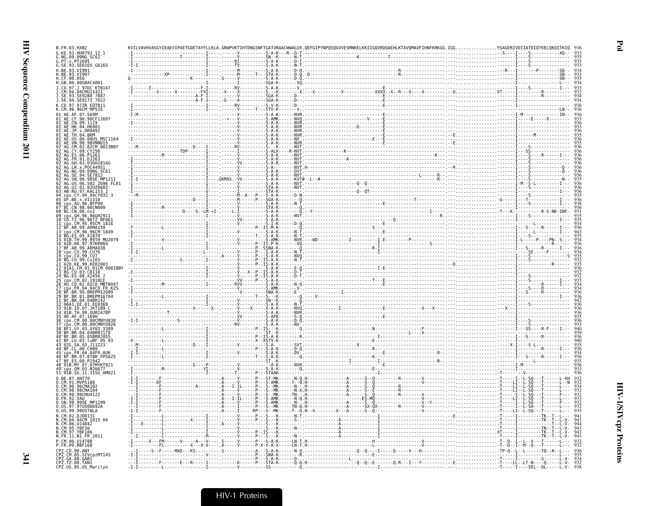| G. KF. 93. HH8793                                                            |  |                                        |  |                                                                                                                                                                                                                                                                                                                                                                                             |  |                                                     |  |
|------------------------------------------------------------------------------|--|----------------------------------------|--|---------------------------------------------------------------------------------------------------------------------------------------------------------------------------------------------------------------------------------------------------------------------------------------------------------------------------------------------------------------------------------------------|--|-----------------------------------------------------|--|
| NG.09.09NG SC62<br>PT.x.PT2695<br>G.SE.93.SE6165 G6165                       |  |                                        |  |                                                                                                                                                                                                                                                                                                                                                                                             |  |                                                     |  |
| 93.VT991                                                                     |  |                                        |  |                                                                                                                                                                                                                                                                                                                                                                                             |  | $-50 - -$                                           |  |
| H.BE.93.VI9<br>H.CF.90.056                                                   |  |                                        |  |                                                                                                                                                                                                                                                                                                                                                                                             |  |                                                     |  |
| H.GB.00.00GBAC4001                                                           |  |                                        |  |                                                                                                                                                                                                                                                                                                                                                                                             |  |                                                     |  |
| J.CD.97.J 97DC KTB147<br>CM.04.04CMU11421                                    |  |                                        |  |                                                                                                                                                                                                                                                                                                                                                                                             |  |                                                     |  |
| 93 SE9280 788<br>J.SE.94.SE9173 <sup>-</sup> 7022                            |  |                                        |  |                                                                                                                                                                                                                                                                                                                                                                                             |  |                                                     |  |
| CD.97.97ZR E0TB11                                                            |  |                                        |  |                                                                                                                                                                                                                                                                                                                                                                                             |  |                                                     |  |
| .07.569M                                                                     |  |                                        |  |                                                                                                                                                                                                                                                                                                                                                                                             |  |                                                     |  |
| CF.90.90CF11697                                                              |  |                                        |  |                                                                                                                                                                                                                                                                                                                                                                                             |  |                                                     |  |
| .CN.09.1119<br>01 AE.HK.04.HK001                                             |  |                                        |  |                                                                                                                                                                                                                                                                                                                                                                                             |  |                                                     |  |
| x.DR0492<br>04.BKM<br>AE.TH.                                                 |  |                                        |  |                                                                                                                                                                                                                                                                                                                                                                                             |  |                                                     |  |
| 00.00US MSC1164.                                                             |  |                                        |  |                                                                                                                                                                                                                                                                                                                                                                                             |  |                                                     |  |
| .VN.98.98VNND15<br>.CM.02.02CM_0013BBY                                       |  |                                        |  |                                                                                                                                                                                                                                                                                                                                                                                             |  |                                                     |  |
|                                                                              |  |                                        |  |                                                                                                                                                                                                                                                                                                                                                                                             |  |                                                     |  |
| .03.03GH181AG                                                                |  |                                        |  |                                                                                                                                                                                                                                                                                                                                                                                             |  |                                                     |  |
| R.x.POC44951                                                                 |  |                                        |  |                                                                                                                                                                                                                                                                                                                                                                                             |  |                                                     |  |
| AG.NG.09.09NG SC61<br>AG.SE.94.SE7812                                        |  |                                        |  |                                                                                                                                                                                                                                                                                                                                                                                             |  |                                                     |  |
| .98.98SE MP1211<br>.06.502_2696_FL01                                         |  |                                        |  |                                                                                                                                                                                                                                                                                                                                                                                             |  |                                                     |  |
| UZ.02.02UZ0683<br>AB RU 97 KAL153 2                                          |  |                                        |  |                                                                                                                                                                                                                                                                                                                                                                                             |  |                                                     |  |
| CY.94.94CY032 3<br>x.VI1310                                                  |  |                                        |  |                                                                                                                                                                                                                                                                                                                                                                                             |  |                                                     |  |
| 96.BFP90<br>98.98CN009                                                       |  |                                        |  |                                                                                                                                                                                                                                                                                                                                                                                             |  |                                                     |  |
| BC.CN.06.nx2                                                                 |  |                                        |  |                                                                                                                                                                                                                                                                                                                                                                                             |  |                                                     |  |
| GH 96 96GH291<br>-ČĎ.TŽ.96.96TZ BF061<br>-cpx.CM.95.95CM_1816                |  |                                        |  |                                                                                                                                                                                                                                                                                                                                                                                             |  |                                                     |  |
| BF.AR.99.ARMA159                                                             |  |                                        |  |                                                                                                                                                                                                                                                                                                                                                                                             |  |                                                     |  |
| x.CM.96.96CM 1849<br>ES.05.X1870                                             |  |                                        |  |                                                                                                                                                                                                                                                                                                                                                                                             |  |                                                     |  |
| -01B.TH.99.99TH MU2079<br>-01B.TH.99.99TH MU2079                             |  |                                        |  |                                                                                                                                                                                                                                                                                                                                                                                             |  |                                                     |  |
| 17 BF.AR.99.ARMA038<br>17 BF.AR.99.ARMA038<br>18 cpx.CU.99.CU76              |  |                                        |  |                                                                                                                                                                                                                                                                                                                                                                                             |  |                                                     |  |
|                                                                              |  |                                        |  |                                                                                                                                                                                                                                                                                                                                                                                             |  |                                                     |  |
| 99.KER2003                                                                   |  |                                        |  |                                                                                                                                                                                                                                                                                                                                                                                             |  |                                                     |  |
| CM.01.01CM_0001BBY<br>BG.CU.03.CB118                                         |  |                                        |  |                                                                                                                                                                                                                                                                                                                                                                                             |  |                                                     |  |
| 4 BG.ES.08.X2456                                                             |  |                                        |  |                                                                                                                                                                                                                                                                                                                                                                                             |  |                                                     |  |
| AU.CD.02.02CD MBTB047                                                        |  |                                        |  |                                                                                                                                                                                                                                                                                                                                                                                             |  |                                                     |  |
| FR.04.04CD FR KZS<br><b>RR. 99. RRFPM12609</b>                               |  |                                        |  |                                                                                                                                                                                                                                                                                                                                                                                             |  |                                                     |  |
| 01.BREPM16704<br>04 04BR147                                                  |  |                                        |  |                                                                                                                                                                                                                                                                                                                                                                                             |  |                                                     |  |
| ID.07.JKT189                                                                 |  |                                        |  |                                                                                                                                                                                                                                                                                                                                                                                             |  |                                                     |  |
| TH.99.OUR2478P                                                               |  |                                        |  |                                                                                                                                                                                                                                                                                                                                                                                             |  |                                                     |  |
| .07.169H                                                                     |  |                                        |  |                                                                                                                                                                                                                                                                                                                                                                                             |  |                                                     |  |
| .00.00CMNYU926                                                               |  |                                        |  |                                                                                                                                                                                                                                                                                                                                                                                             |  |                                                     |  |
| 04.04BRRJ179                                                                 |  |                                        |  |                                                                                                                                                                                                                                                                                                                                                                                             |  |                                                     |  |
| .BR.05.05BRRJ055<br>.LU.03.luBF 05_03<br>G.SA.03.J11223                      |  |                                        |  |                                                                                                                                                                                                                                                                                                                                                                                             |  |                                                     |  |
| .00.CH80                                                                     |  |                                        |  |                                                                                                                                                                                                                                                                                                                                                                                             |  |                                                     |  |
| BF.BR.07.07BR FPS625"                                                        |  |                                        |  |                                                                                                                                                                                                                                                                                                                                                                                             |  |                                                     |  |
| ES.08.P1942.<br>48 <sup>-</sup> 01B.MY.07.07MYKT021                          |  |                                        |  |                                                                                                                                                                                                                                                                                                                                                                                             |  |                                                     |  |
| .GM.03.N26677<br>51_01B.SG.11.11SG_HM021                                     |  | - - STAAK -                            |  |                                                                                                                                                                                                                                                                                                                                                                                             |  |                                                     |  |
| 0.BE.87.ANT70                                                                |  | $-V - - - - - P - - - ST - MK - - - -$ |  |                                                                                                                                                                                                                                                                                                                                                                                             |  |                                                     |  |
| 0.CM.91.MVP5180<br>0.CM.96.96CMA102<br>0.CM.98.98CMA104<br>0.CM.99.99CMU4122 |  |                                        |  |                                                                                                                                                                                                                                                                                                                                                                                             |  |                                                     |  |
|                                                                              |  |                                        |  |                                                                                                                                                                                                                                                                                                                                                                                             |  |                                                     |  |
| 0.FR.92<br>. VAU<br>E MP1299<br>SN.99                                        |  |                                        |  |                                                                                                                                                                                                                                                                                                                                                                                             |  |                                                     |  |
| 97US08692A                                                                   |  |                                        |  |                                                                                                                                                                                                                                                                                                                                                                                             |  |                                                     |  |
| 0.US.99.99USTWLA<br>N.CM.02.DJ00131                                          |  |                                        |  | $\begin{minipage}{0.99\textwidth} \begin{tabular}{ c c c c c } \hline \textbf{0.1} & \textbf{0.1} & \textbf{0.1} & \textbf{0.1} & \textbf{0.1} & \textbf{0.1} & \textbf{0.1} & \textbf{0.1} & \textbf{0.1} & \textbf{0.1} & \textbf{0.1} & \textbf{0.1} & \textbf{0.1} & \textbf{0.1} & \textbf{0.1} & \textbf{0.1} & \textbf{0.1} & \textbf{0.1} & \textbf{0.1} & \textbf{0.1} & \textbf{$ |  |                                                     |  |
| N.CM.04.04CM 1015 04<br>06.014842                                            |  |                                        |  |                                                                                                                                                                                                                                                                                                                                                                                             |  |                                                     |  |
| CM.95.YBF30                                                                  |  |                                        |  |                                                                                                                                                                                                                                                                                                                                                                                             |  |                                                     |  |
| N.FR.11.N1_FR_2011                                                           |  |                                        |  |                                                                                                                                                                                                                                                                                                                                                                                             |  |                                                     |  |
| P.CM.06.U14788<br>P.FR.09.RBF168                                             |  |                                        |  |                                                                                                                                                                                                                                                                                                                                                                                             |  |                                                     |  |
| PZ.CD.90.ANT                                                                 |  |                                        |  |                                                                                                                                                                                                                                                                                                                                                                                             |  |                                                     |  |
| CPZ.CM.05.SIVcpzMT145                                                        |  |                                        |  |                                                                                                                                                                                                                                                                                                                                                                                             |  |                                                     |  |
| CPZ.GA.88.GABI<br>CPZ.TZ.00.TAN1<br>CPZ.US.85.US_Marilyn                     |  |                                        |  |                                                                                                                                                                                                                                                                                                                                                                                             |  | . -T- - - - - I - - - - SEL - -DL - - - - - L - V - |  |
|                                                                              |  |                                        |  |                                                                                                                                                                                                                                                                                                                                                                                             |  |                                                     |  |

 $\mathbf{Po}$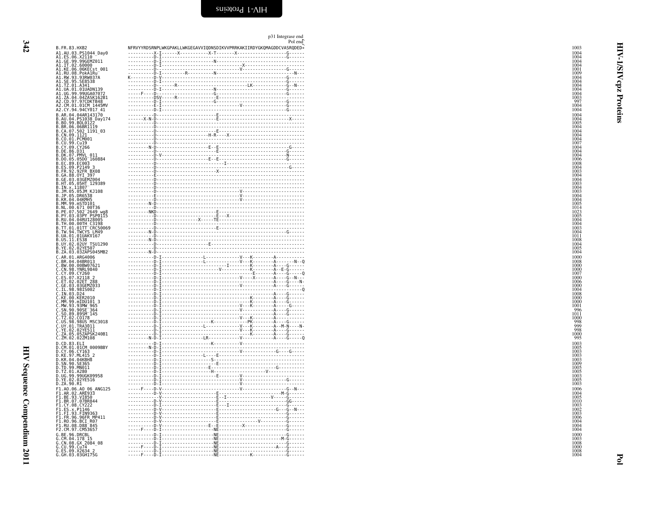NFRVYYRDSRNPLWKGPAKLLWKGEGAVVIQDNSDIKVVPRRKAKIIRDYGKQMAGDDCVASRQDED\*

<span id="page-29-0"></span>p31 Integrase end Pol end

| A1. AU. 03. PS10044 Day<br>A1. ES. 06. X2110 Day<br>A1. ES. 06. X2110 Day<br>A1. IT. 02. 600002011<br>A1. IT. 02. 600000<br>A1. RU. 08. PORKEC ST<br>A1. RU. 08. PORKEC<br>A1. RU. 08. PORKEN<br>A1. TSL 09. 99.000080707<br>A1. ISL 09. 99.000080707<br>A1                                                                                                                                                                         |  |
|-------------------------------------------------------------------------------------------------------------------------------------------------------------------------------------------------------------------------------------------------------------------------------------------------------------------------------------------------------------------------------------------------------------------------------------|--|
|                                                                                                                                                                                                                                                                                                                                                                                                                                     |  |
|                                                                                                                                                                                                                                                                                                                                                                                                                                     |  |
|                                                                                                                                                                                                                                                                                                                                                                                                                                     |  |
|                                                                                                                                                                                                                                                                                                                                                                                                                                     |  |
|                                                                                                                                                                                                                                                                                                                                                                                                                                     |  |
|                                                                                                                                                                                                                                                                                                                                                                                                                                     |  |
|                                                                                                                                                                                                                                                                                                                                                                                                                                     |  |
|                                                                                                                                                                                                                                                                                                                                                                                                                                     |  |
|                                                                                                                                                                                                                                                                                                                                                                                                                                     |  |
|                                                                                                                                                                                                                                                                                                                                                                                                                                     |  |
|                                                                                                                                                                                                                                                                                                                                                                                                                                     |  |
|                                                                                                                                                                                                                                                                                                                                                                                                                                     |  |
|                                                                                                                                                                                                                                                                                                                                                                                                                                     |  |
|                                                                                                                                                                                                                                                                                                                                                                                                                                     |  |
|                                                                                                                                                                                                                                                                                                                                                                                                                                     |  |
|                                                                                                                                                                                                                                                                                                                                                                                                                                     |  |
|                                                                                                                                                                                                                                                                                                                                                                                                                                     |  |
|                                                                                                                                                                                                                                                                                                                                                                                                                                     |  |
|                                                                                                                                                                                                                                                                                                                                                                                                                                     |  |
|                                                                                                                                                                                                                                                                                                                                                                                                                                     |  |
|                                                                                                                                                                                                                                                                                                                                                                                                                                     |  |
|                                                                                                                                                                                                                                                                                                                                                                                                                                     |  |
|                                                                                                                                                                                                                                                                                                                                                                                                                                     |  |
|                                                                                                                                                                                                                                                                                                                                                                                                                                     |  |
|                                                                                                                                                                                                                                                                                                                                                                                                                                     |  |
|                                                                                                                                                                                                                                                                                                                                                                                                                                     |  |
|                                                                                                                                                                                                                                                                                                                                                                                                                                     |  |
|                                                                                                                                                                                                                                                                                                                                                                                                                                     |  |
|                                                                                                                                                                                                                                                                                                                                                                                                                                     |  |
|                                                                                                                                                                                                                                                                                                                                                                                                                                     |  |
|                                                                                                                                                                                                                                                                                                                                                                                                                                     |  |
|                                                                                                                                                                                                                                                                                                                                                                                                                                     |  |
|                                                                                                                                                                                                                                                                                                                                                                                                                                     |  |
|                                                                                                                                                                                                                                                                                                                                                                                                                                     |  |
|                                                                                                                                                                                                                                                                                                                                                                                                                                     |  |
|                                                                                                                                                                                                                                                                                                                                                                                                                                     |  |
|                                                                                                                                                                                                                                                                                                                                                                                                                                     |  |
|                                                                                                                                                                                                                                                                                                                                                                                                                                     |  |
|                                                                                                                                                                                                                                                                                                                                                                                                                                     |  |
|                                                                                                                                                                                                                                                                                                                                                                                                                                     |  |
|                                                                                                                                                                                                                                                                                                                                                                                                                                     |  |
|                                                                                                                                                                                                                                                                                                                                                                                                                                     |  |
|                                                                                                                                                                                                                                                                                                                                                                                                                                     |  |
|                                                                                                                                                                                                                                                                                                                                                                                                                                     |  |
|                                                                                                                                                                                                                                                                                                                                                                                                                                     |  |
|                                                                                                                                                                                                                                                                                                                                                                                                                                     |  |
|                                                                                                                                                                                                                                                                                                                                                                                                                                     |  |
|                                                                                                                                                                                                                                                                                                                                                                                                                                     |  |
| $\begin{smallmatrix} \textbf{A2} & \textbf{C} & \textbf{0} & \textbf{0} & \textbf{0} & \textbf{0} & \textbf{0} & \textbf{0} \\ \textbf{A2} & \textbf{C} & \textbf{V} & \textbf{0} & \textbf{1} & \textbf{0} & \textbf{1} & \textbf{0} & \textbf{0} \\ \textbf{A3} & \textbf{C} & \textbf{V} & \textbf{0} & \textbf{1} & \textbf{0} & \textbf{0} & \textbf{0} & \textbf{0} \\ \textbf{B} & \textbf{B} & \textbf{A} & \textbf{0} & \$ |  |
|                                                                                                                                                                                                                                                                                                                                                                                                                                     |  |
|                                                                                                                                                                                                                                                                                                                                                                                                                                     |  |
|                                                                                                                                                                                                                                                                                                                                                                                                                                     |  |
|                                                                                                                                                                                                                                                                                                                                                                                                                                     |  |
|                                                                                                                                                                                                                                                                                                                                                                                                                                     |  |
|                                                                                                                                                                                                                                                                                                                                                                                                                                     |  |
|                                                                                                                                                                                                                                                                                                                                                                                                                                     |  |
|                                                                                                                                                                                                                                                                                                                                                                                                                                     |  |
|                                                                                                                                                                                                                                                                                                                                                                                                                                     |  |
|                                                                                                                                                                                                                                                                                                                                                                                                                                     |  |
|                                                                                                                                                                                                                                                                                                                                                                                                                                     |  |
|                                                                                                                                                                                                                                                                                                                                                                                                                                     |  |
|                                                                                                                                                                                                                                                                                                                                                                                                                                     |  |
|                                                                                                                                                                                                                                                                                                                                                                                                                                     |  |
|                                                                                                                                                                                                                                                                                                                                                                                                                                     |  |
|                                                                                                                                                                                                                                                                                                                                                                                                                                     |  |
|                                                                                                                                                                                                                                                                                                                                                                                                                                     |  |
|                                                                                                                                                                                                                                                                                                                                                                                                                                     |  |
|                                                                                                                                                                                                                                                                                                                                                                                                                                     |  |
|                                                                                                                                                                                                                                                                                                                                                                                                                                     |  |
|                                                                                                                                                                                                                                                                                                                                                                                                                                     |  |
|                                                                                                                                                                                                                                                                                                                                                                                                                                     |  |
|                                                                                                                                                                                                                                                                                                                                                                                                                                     |  |
|                                                                                                                                                                                                                                                                                                                                                                                                                                     |  |
|                                                                                                                                                                                                                                                                                                                                                                                                                                     |  |
|                                                                                                                                                                                                                                                                                                                                                                                                                                     |  |
|                                                                                                                                                                                                                                                                                                                                                                                                                                     |  |
|                                                                                                                                                                                                                                                                                                                                                                                                                                     |  |
| C. ZM. 02. 02.2M108<br>D. CM. 03. LELT<br>D. CY. 06. CY163<br>D. CY. 06. CY163<br>D. CY. 06. CY163<br>D. SN. 04. 04.6H8<br>D. TD. 99. MN081<br>D. TD. 99. MN081<br>D. LE. 02. 02VE516<br>D. VE. 02. 02VE516<br>D. VE. 02. 02VE516<br>D. VE. 02. 02VE                                                                                                                                                                                |  |
|                                                                                                                                                                                                                                                                                                                                                                                                                                     |  |
|                                                                                                                                                                                                                                                                                                                                                                                                                                     |  |
|                                                                                                                                                                                                                                                                                                                                                                                                                                     |  |
|                                                                                                                                                                                                                                                                                                                                                                                                                                     |  |
|                                                                                                                                                                                                                                                                                                                                                                                                                                     |  |
|                                                                                                                                                                                                                                                                                                                                                                                                                                     |  |
|                                                                                                                                                                                                                                                                                                                                                                                                                                     |  |
|                                                                                                                                                                                                                                                                                                                                                                                                                                     |  |
|                                                                                                                                                                                                                                                                                                                                                                                                                                     |  |
|                                                                                                                                                                                                                                                                                                                                                                                                                                     |  |
| D.ZA.: 00.6.10<br>F1.A0.06.A0.06.A0.0125<br>F1.AR.02.ARE933<br>F1.BR.07.07BR844<br>F1.BR.07.07BR844<br>F1.EV.00.07BR844<br>F1.ES.x.P1146<br>F1.FR.96.96FR MP411<br>F1.R0.96.BR6781<br>F1.FR.96.96FR MP411<br>F1.R0.96.BR678557<br>F2.CM.97.0153657<br>F2.CM.97.015                                                                                                                                                                  |  |
|                                                                                                                                                                                                                                                                                                                                                                                                                                     |  |
|                                                                                                                                                                                                                                                                                                                                                                                                                                     |  |
|                                                                                                                                                                                                                                                                                                                                                                                                                                     |  |
| F2.CH1.97.CH2<br>G.CM.04.178 15<br>G.CM.04.178 15<br>G.CM.08.GX 2084 08<br>G.CD.99.Cu74<br>G.ES.09.X2634 2<br>G.GH.03.03GH175G                                                                                                                                                                                                                                                                                                      |  |

 $\mathbf{F}$ ol

1003

 $B.FR.83.HXB2$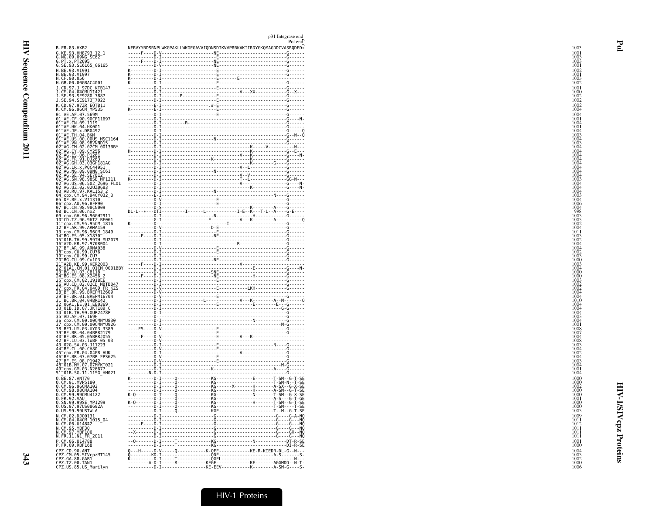|                                                                                                                                                                                                                                                                         |  | p31 Integrase end<br>Pol end                                         |
|-------------------------------------------------------------------------------------------------------------------------------------------------------------------------------------------------------------------------------------------------------------------------|--|----------------------------------------------------------------------|
| B.FR.83.HXB2                                                                                                                                                                                                                                                            |  | NFRVYYRDSRNPLWKGPAKLLWKGEGAVVIQDNSDIKVVPRRKAKIIRDYGKQMAGDDCVASRQDED* |
|                                                                                                                                                                                                                                                                         |  |                                                                      |
| G.KE.93.HH8793 12_1<br>G.NG.09.09NG SC62 <sup>_1</sup><br>G.PT.x.PT2695<br>G.SE.93.SE6165_G6165                                                                                                                                                                         |  |                                                                      |
|                                                                                                                                                                                                                                                                         |  |                                                                      |
| H.BE.93.VI991<br>H.BE.93.VI997<br>H.CF.90.056                                                                                                                                                                                                                           |  |                                                                      |
|                                                                                                                                                                                                                                                                         |  |                                                                      |
| H.GB.00.00GBAC4001                                                                                                                                                                                                                                                      |  |                                                                      |
| J.CD.97.J 97DC KTB147<br>J.CM.04.04CMU11421                                                                                                                                                                                                                             |  |                                                                      |
| 3. SE. 93. SE9280_7887<br>J. SE. 94. SE9173_7022                                                                                                                                                                                                                        |  |                                                                      |
|                                                                                                                                                                                                                                                                         |  |                                                                      |
| K.CD.97.97ZR EQTB11<br>K.CM.96.96CM_MP535                                                                                                                                                                                                                               |  |                                                                      |
| K. (M. 06. 96CM-MP535<br>01 - AE. 6 F. 07. 569M<br>01 - AE. CR. 09. 90(CF11697<br>01 - AE. CR. 09. 1119<br>01 - AE. CR. 09. 1119<br>01 - AE. H. 04. 1108<br>01 - AE. TH. 04. 800<br>01 - AE. US. 00. 00015<br>05. 07. 06. 00015<br>02 - AG. CR. 02. 02. 0               |  |                                                                      |
|                                                                                                                                                                                                                                                                         |  |                                                                      |
|                                                                                                                                                                                                                                                                         |  |                                                                      |
|                                                                                                                                                                                                                                                                         |  |                                                                      |
|                                                                                                                                                                                                                                                                         |  |                                                                      |
|                                                                                                                                                                                                                                                                         |  |                                                                      |
|                                                                                                                                                                                                                                                                         |  |                                                                      |
|                                                                                                                                                                                                                                                                         |  |                                                                      |
|                                                                                                                                                                                                                                                                         |  |                                                                      |
| 02                                                                                                                                                                                                                                                                      |  |                                                                      |
| AG. NG. 99. 99NG<br>TAG. SR. 94. SE7812<br>AG. SN. 98. 98SE MP1211<br>TAG. US. 06. 502. 2696. FL01<br>YAG. UZ. 02. 02. 02.020683<br>AB. RU. 97. KAL 153.<br>TRY. CY. 94. 94. YAGO82<br>TRY. CY. 94. 94. YAGO82<br>02                                                    |  |                                                                      |
| 02                                                                                                                                                                                                                                                                      |  |                                                                      |
| 02<br>03                                                                                                                                                                                                                                                                |  |                                                                      |
| 04                                                                                                                                                                                                                                                                      |  |                                                                      |
| 05<br>06                                                                                                                                                                                                                                                                |  |                                                                      |
| 07<br>08                                                                                                                                                                                                                                                                |  |                                                                      |
| CDX.CY. 94.94.04022-3<br>CDX.AU.96.BFP90<br>EC.CN.98.98CN009<br>BC.CN.98.98CN009<br>EC.CN.96.nx2<br>CDX.CH.96.96GH2911<br>CDX.CH.96.9672 BF061<br>CDX.CM.95.95CM<br>BE.AR.99.ARMA159<br>CPX.CM.95.95CM<br>CPX.CM.99.ARMA159<br>09                                       |  |                                                                      |
| 10<br>11                                                                                                                                                                                                                                                                |  |                                                                      |
| 12                                                                                                                                                                                                                                                                      |  |                                                                      |
|                                                                                                                                                                                                                                                                         |  |                                                                      |
| 15                                                                                                                                                                                                                                                                      |  |                                                                      |
| 16<br>AZU.RK.97.97.8888<br>  EF.AR.99.ARMA038<br>  cpx.cu.99.cu76<br>  BG.cu.99.cu76<br>  AZD.KE.99.KER2003<br>  AZD.KE.99.KER2003<br>  BIA1.CM.91.01.00008BBY<br>17                                                                                                    |  |                                                                      |
| 18<br>19                                                                                                                                                                                                                                                                |  |                                                                      |
|                                                                                                                                                                                                                                                                         |  |                                                                      |
| 21                                                                                                                                                                                                                                                                      |  |                                                                      |
| <b>"GALLICA" GLI COLORE 2018</b><br>TBG. EL 083. X2456<br>CLI 083. CB118<br>CD. C. 083. CB118<br>TC. CLI 083. CB118<br>TC. CLI 083. CB118<br>CD. CR. 083. ABCPH12609<br>CP. ER. 09. BREPM126704<br>TBE. BR. 04. 048R142<br>TC. DR. 04. 048R142<br>CD. CR. 04. 049<br>23 |  |                                                                      |
|                                                                                                                                                                                                                                                                         |  |                                                                      |
| 26                                                                                                                                                                                                                                                                      |  |                                                                      |
|                                                                                                                                                                                                                                                                         |  |                                                                      |
|                                                                                                                                                                                                                                                                         |  |                                                                      |
| 31<br>32                                                                                                                                                                                                                                                                |  |                                                                      |
|                                                                                                                                                                                                                                                                         |  |                                                                      |
|                                                                                                                                                                                                                                                                         |  |                                                                      |
| 36                                                                                                                                                                                                                                                                      |  |                                                                      |
|                                                                                                                                                                                                                                                                         |  |                                                                      |
| 39<br>40                                                                                                                                                                                                                                                                |  |                                                                      |
| BF.BR.05.05BRRJ055<br>BF.LU.03.luBF 05_03<br>02G.SA.03.J11223<br>43                                                                                                                                                                                                     |  |                                                                      |
| 43 026.58.03.3.311223<br>44 BF.CL.00.CH80<br>45 cpx.FR.04.04FR AUK<br>45 BF.BR.07.07BR FPS625<br>47 BF.ES.08.P1942<br>48 01B.MY.07.07MYKT021<br>49 cpx.GM.03.N26677<br>51 01B.SG.11.11SG_HM021                                                                          |  |                                                                      |
|                                                                                                                                                                                                                                                                         |  |                                                                      |
|                                                                                                                                                                                                                                                                         |  |                                                                      |
|                                                                                                                                                                                                                                                                         |  |                                                                      |
|                                                                                                                                                                                                                                                                         |  |                                                                      |
| 0.BE.87.ANT70<br>0.CM.91.MVP5180<br>0.CM.96.96CMA102                                                                                                                                                                                                                    |  |                                                                      |
|                                                                                                                                                                                                                                                                         |  |                                                                      |
| 0.CM.98.98CMA104<br>0.CM.99.99CMU4122                                                                                                                                                                                                                                   |  |                                                                      |
| 0.FR.92.VAU<br>0.SN.99.99SE MP1299                                                                                                                                                                                                                                      |  |                                                                      |
| 0.US.97.97US08692A                                                                                                                                                                                                                                                      |  |                                                                      |
| 0.US.99.99USTWLA                                                                                                                                                                                                                                                        |  |                                                                      |
| N.CM.02.DJ00131                                                                                                                                                                                                                                                         |  |                                                                      |
| N.CM.04.04CM_1015_04<br>N.CM.06.U14842                                                                                                                                                                                                                                  |  |                                                                      |
| N.CM.95.YBF30<br>N.CM.97.YBF106                                                                                                                                                                                                                                         |  |                                                                      |
| N.FR.11.N1_FR_2011                                                                                                                                                                                                                                                      |  |                                                                      |
| P.CM.06.U14788<br>P.FR.09.RBF168                                                                                                                                                                                                                                        |  |                                                                      |
|                                                                                                                                                                                                                                                                         |  |                                                                      |
| CPZ.CD.90.ANT<br>CPZ.CM.05.SIVcpzMT145<br>CPZ.GA.88.GAB1<br>CPZ.TZ.00.TAN1<br>CPZ.US.85.US_Marilyn                                                                                                                                                                      |  |                                                                      |
|                                                                                                                                                                                                                                                                         |  |                                                                      |
|                                                                                                                                                                                                                                                                         |  |                                                                      |

1003

 $1001$ 

 $\frac{1001}{1003}$ 

1001  $\frac{1002}{1001}$ 

 $\frac{1003}{1002}$  $\begin{array}{c} 1001 \\ 1000 \\ 1002 \\ 1002 \end{array}$ 

 $\frac{1002}{1004}$ 

 $\frac{1004}{1001}$ 

 $\begin{array}{c} 1001 \\ 1004 \\ 1001 \\ 1004 \\ 1003 \end{array}$ 

 $\begin{array}{c} 1003 \\ 1004 \\ 1003 \\ 1004 \\ 1004 \\ 1004 \\ 1004 \end{array}$ 

 $\begin{array}{c} 1004 \\ 1004 \\ 1004 \\ 1004 \\ 1004 \\ 1003 \end{array}$ 

 $\frac{1004}{1004}$ 

1004<br>1004<br>1003<br>1004<br>1006<br>1004<br>998<br>1003<br>1003<br>1003

 $\begin{array}{c} 1002 \\ 1004 \\ 1011 \\ 1003 \\ 1002 \\ 1004 \\ 1004 \\ 1002 \\ 1003 \\ 1000 \end{array}$ 

1003<br>1004<br>1000<br>1000<br>1003<br>1002<br>1004<br>1004<br>1004

1004<br>1004<br>1004<br>1003<br>1004<br>1008<br>1007<br>1008<br>1004<br>1004<br>1004<br>1004<br>1004

 $\begin{array}{c} 1004 \\ 1001 \\ 1004 \end{array}$ 

1000

 $\frac{1000}{1002}$ 

 $\frac{1000}{1000}$ 

 $\frac{1001}{1000}$ 

 $\frac{1000}{1003}$ 

 $\frac{1009}{1011}$ 

 $\frac{1012}{1011}$ 

 $\frac{1011}{1011}$ 

1001

1000

1004

 $\frac{1003}{1002}$ 

 $\frac{1000}{1006}$ 

 $343$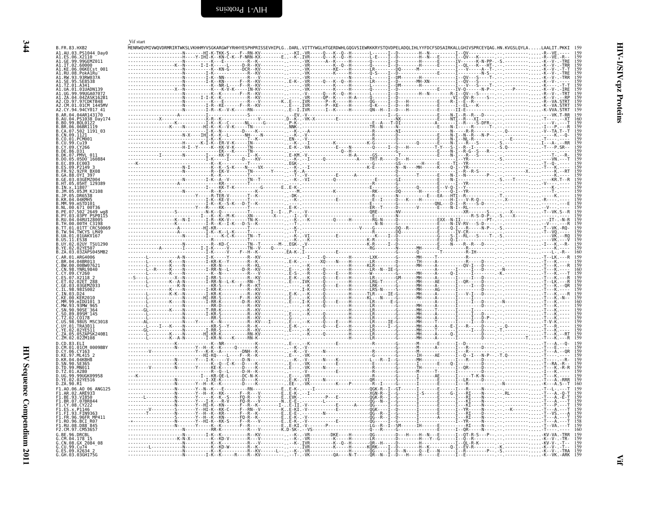<span id="page-31-1"></span><span id="page-31-0"></span>

| B.FR.83.HXB2                              | Vif start |                          |  | YERRWQVMIVWQVDRMRIRTWKSLVKHHMYVSGKARGWFYRHHYESPHPRISSEVHIPLGDARL.VITTYWGLHTGERDWHLGQGVSIEWRKKRYSTQVDPELADQLIHLYYFDCFSDSAIRKALLGHIVSPRCEYQAG.HN.KVGSLQYLA                                                                                 |  |
|-------------------------------------------|-----------|--------------------------|--|------------------------------------------------------------------------------------------------------------------------------------------------------------------------------------------------------------------------------------------|--|
| 41.AU.03.PS1044 Day0                      |           |                          |  |                                                                                                                                                                                                                                          |  |
|                                           |           |                          |  |                                                                                                                                                                                                                                          |  |
| \1.IT.02.60000                            |           |                          |  |                                                                                                                                                                                                                                          |  |
| \1.KE.06.06KECst 001<br>.1.RU.08.PokA1Ru  |           |                          |  |                                                                                                                                                                                                                                          |  |
|                                           |           |                          |  |                                                                                                                                                                                                                                          |  |
|                                           | NKN       |                          |  |                                                                                                                                                                                                                                          |  |
|                                           |           |                          |  |                                                                                                                                                                                                                                          |  |
|                                           |           |                          |  |                                                                                                                                                                                                                                          |  |
|                                           |           |                          |  |                                                                                                                                                                                                                                          |  |
| 2.CY.94.94CY017 41                        |           |                          |  |                                                                                                                                                                                                                                          |  |
| AR.04.04AR143170                          |           |                          |  |                                                                                                                                                                                                                                          |  |
| AU.04.PS1038 Dav174<br>BO.99.BOL0122      |           |                          |  |                                                                                                                                                                                                                                          |  |
| BR.06.06BR1119                            |           |                          |  |                                                                                                                                                                                                                                          |  |
| .CA.07.502<br>.CN.09.1121<br>.502 1191 03 |           |                          |  |                                                                                                                                                                                                                                          |  |
| <b>PCMO01</b>                             |           |                          |  |                                                                                                                                                                                                                                          |  |
| . Cu 19<br>CY <sub>266</sub>              |           |                          |  |                                                                                                                                                                                                                                          |  |
|                                           |           |                          |  |                                                                                                                                                                                                                                          |  |
| 05D0 160884                               |           |                          |  |                                                                                                                                                                                                                                          |  |
|                                           |           |                          |  |                                                                                                                                                                                                                                          |  |
|                                           |           |                          |  |                                                                                                                                                                                                                                          |  |
| 92FR BX08<br>GA.88.0YI 397                |           |                          |  |                                                                                                                                                                                                                                          |  |
| 03GEMZ004                                 |           |                          |  |                                                                                                                                                                                                                                          |  |
| 5HT 129389                                |           |                          |  |                                                                                                                                                                                                                                          |  |
| 05JM KJ108                                |           |                          |  |                                                                                                                                                                                                                                          |  |
|                                           |           |                          |  |                                                                                                                                                                                                                                          |  |
|                                           |           |                          |  |                                                                                                                                                                                                                                          |  |
| 671 00T36<br><sup>-</sup> 2649 wq         |           |                          |  |                                                                                                                                                                                                                                          |  |
| PY.03.03PY PSP0115                        |           |                          |  |                                                                                                                                                                                                                                          |  |
| .04RU128005                               |           |                          |  |                                                                                                                                                                                                                                          |  |
| 01TT CRC50069                             |           |                          |  |                                                                                                                                                                                                                                          |  |
| TWCYS LM49<br>JA.01.01UAKV167             |           |                          |  |                                                                                                                                                                                                                                          |  |
|                                           |           |                          |  |                                                                                                                                                                                                                                          |  |
|                                           |           |                          |  |                                                                                                                                                                                                                                          |  |
|                                           |           |                          |  |                                                                                                                                                                                                                                          |  |
| AD 61<br><b>ARG4006</b>                   |           |                          |  |                                                                                                                                                                                                                                          |  |
| <b>04BR013</b><br>BW 00 00BW07621         |           |                          |  |                                                                                                                                                                                                                                          |  |
| CN.98.YNRL9840                            |           |                          |  |                                                                                                                                                                                                                                          |  |
|                                           |           |                          |  |                                                                                                                                                                                                                                          |  |
|                                           |           |                          |  |                                                                                                                                                                                                                                          |  |
|                                           |           |                          |  |                                                                                                                                                                                                                                          |  |
|                                           |           |                          |  |                                                                                                                                                                                                                                          |  |
| MM.99.mIDU101 3                           |           |                          |  |                                                                                                                                                                                                                                          |  |
| 93MW 965.                                 |           |                          |  |                                                                                                                                                                                                                                          |  |
| SN 90<br>.90SE <sup>-364</sup>            |           |                          |  |                                                                                                                                                                                                                                          |  |
| 89SM 145<br>C0178                         |           |                          |  |                                                                                                                                                                                                                                          |  |
| 98US MSC3018                              |           |                          |  |                                                                                                                                                                                                                                          |  |
| UY.01.TRA3011                             |           |                          |  |                                                                                                                                                                                                                                          |  |
|                                           |           |                          |  |                                                                                                                                                                                                                                          |  |
| ZM.02.02ZM108<br>CD.83.ELI                |           | $KR-N---K---RN-K------N$ |  |                                                                                                                                                                                                                                          |  |
| .01CM 0009BBY                             |           |                          |  | $\begin{minipage}[0.000,0.000,0.000,0.000,0.000,0.000,0.000,0.000,0.000,0.000,0.000,0.000,0.000,0.000,0.000,0.000,0.000,0.000,0.000,0.000,0.000,0.000,0.000,0.000,0.000,0.000,0.000,0.000,0.000,0.000,0.000,0.000,0.000,0.000,0.000,0.0$ |  |
| CY 06 CY163                               |           |                          |  |                                                                                                                                                                                                                                          |  |
| .04KBH8                                   |           |                          |  |                                                                                                                                                                                                                                          |  |
|                                           |           |                          |  |                                                                                                                                                                                                                                          |  |
|                                           |           |                          |  |                                                                                                                                                                                                                                          |  |
| 99UGK09958                                |           |                          |  |                                                                                                                                                                                                                                          |  |
| YE.02.02YE516                             |           |                          |  |                                                                                                                                                                                                                                          |  |
|                                           | . N Y N K |                          |  |                                                                                                                                                                                                                                          |  |
|                                           |           |                          |  |                                                                                                                                                                                                                                          |  |
|                                           |           |                          |  |                                                                                                                                                                                                                                          |  |
|                                           |           |                          |  |                                                                                                                                                                                                                                          |  |
|                                           |           |                          |  |                                                                                                                                                                                                                                          |  |
|                                           |           |                          |  |                                                                                                                                                                                                                                          |  |
|                                           |           |                          |  |                                                                                                                                                                                                                                          |  |
|                                           |           |                          |  |                                                                                                                                                                                                                                          |  |
| RF 96 DRCRI                               |           |                          |  |                                                                                                                                                                                                                                          |  |
| 178 15<br>CN.08.GX 2084 08                |           |                          |  |                                                                                                                                                                                                                                          |  |
|                                           |           |                          |  |                                                                                                                                                                                                                                          |  |
|                                           |           |                          |  | Q--E---N-                                                                                                                                                                                                                                |  |
|                                           |           |                          |  |                                                                                                                                                                                                                                          |  |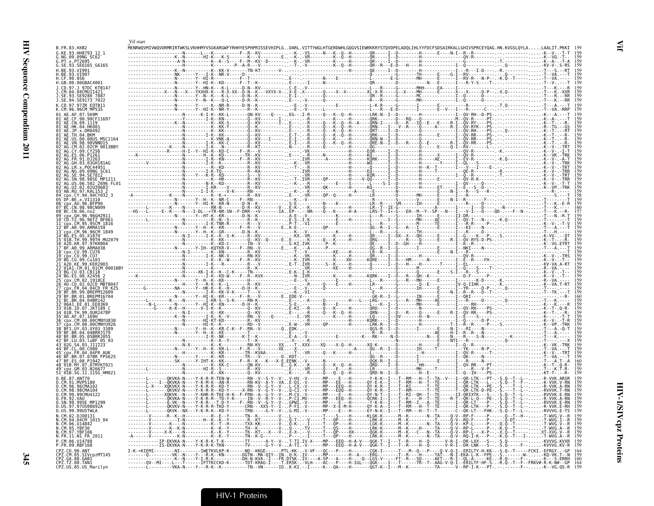| <b>B.FR.83.HXB2</b>                                                                    | Vif start |  |  |  |  | MENRWOVMIVWOVDRMRIRTWKSLVKHHMYVSGKARGWFYRHHYESPHPRISSEVHIPLGDARL.VITTYWGLHTGERDWHLGQGVSIEWRKKRYSTQVDPELADQLIHLYYFDCFSDSAIRKALLGHIVSPRCEYQAG.HN.KVGSLQYLALAALIT.PKKI 15                                                                                                                                                                                                                              |  |
|----------------------------------------------------------------------------------------|-----------|--|--|--|--|-----------------------------------------------------------------------------------------------------------------------------------------------------------------------------------------------------------------------------------------------------------------------------------------------------------------------------------------------------------------------------------------------------|--|
| G.KE.93.HH8793 12 1<br>G.NG.09.09NG SC62                                               |           |  |  |  |  |                                                                                                                                                                                                                                                                                                                                                                                                     |  |
| G.PT.x.PT2695<br>G.SE.93.SE6165_G6165                                                  |           |  |  |  |  |                                                                                                                                                                                                                                                                                                                                                                                                     |  |
| H.BE.93.VI991<br>H.BE.93.VI997<br>H.CF.90.056                                          |           |  |  |  |  |                                                                                                                                                                                                                                                                                                                                                                                                     |  |
| H.GB.00.00GBAC4001<br>.1.CD.97.J 97DC KTB147                                           |           |  |  |  |  |                                                                                                                                                                                                                                                                                                                                                                                                     |  |
| J.CM.04.04CMU11421<br>SE.93.SE9280 7887                                                |           |  |  |  |  |                                                                                                                                                                                                                                                                                                                                                                                                     |  |
| J.SE.94.SE9173 7022<br>K.CD.97.97ZR EQTB11                                             |           |  |  |  |  |                                                                                                                                                                                                                                                                                                                                                                                                     |  |
| K.CM.96.96CM MP535<br>01 AE.AF.07.569M                                                 |           |  |  |  |  |                                                                                                                                                                                                                                                                                                                                                                                                     |  |
| 01 AE.CF.90.90CF11697<br>01 AE.CN.09.1119                                              |           |  |  |  |  |                                                                                                                                                                                                                                                                                                                                                                                                     |  |
| $01^-$ AE.HK.04.HK001<br>$01^{\circ}$ AE.JP.x.DR0492<br>$01^-$ AE.TH. $04$ .BKM        |           |  |  |  |  |                                                                                                                                                                                                                                                                                                                                                                                                     |  |
| 01 AE.US.00.00US MSC1164<br>-AE.VN.98.98VNND15                                         |           |  |  |  |  |                                                                                                                                                                                                                                                                                                                                                                                                     |  |
| 02 AG.CM.02.02CM 0013BBY<br>02 AG CY 09 CY256                                          |           |  |  |  |  |                                                                                                                                                                                                                                                                                                                                                                                                     |  |
| ES.06.P1261<br>02 AG. FR. 91. D.1263<br>02 AG.GH.03.03GH181AG                          |           |  |  |  |  |                                                                                                                                                                                                                                                                                                                                                                                                     |  |
| 02 AG.LR.x.P0C44951<br>02 AG.NG.09.09NG SC61                                           |           |  |  |  |  |                                                                                                                                                                                                                                                                                                                                                                                                     |  |
| AG. SE. 94. SE7812<br>02 AG.SN.98.98SE MP1213                                          |           |  |  |  |  |                                                                                                                                                                                                                                                                                                                                                                                                     |  |
| 02 AG.US.06.502 2696 FL01<br>02 AG.UZ.02.02UZ0683<br>03 AB.RU.97.KAL153 2              |           |  |  |  |  |                                                                                                                                                                                                                                                                                                                                                                                                     |  |
| 04 Cpx.CY.94.94CY032 3<br>05 DF. BE. x. VI1310                                         |           |  |  |  |  |                                                                                                                                                                                                                                                                                                                                                                                                     |  |
| 06 Cpx. AU. 96. BFP90<br>CN.98.98CN009.                                                |           |  |  |  |  |                                                                                                                                                                                                                                                                                                                                                                                                     |  |
| 08 BC.CN.06.nx2<br>cpx.GH.96.96GH2911                                                  |           |  |  |  |  |                                                                                                                                                                                                                                                                                                                                                                                                     |  |
| :D.TZ.96.96TZ BF061<br>CDX.CM.95.95CM 1816<br>BF.AR.99.ARMA159"                        |           |  |  |  |  |                                                                                                                                                                                                                                                                                                                                                                                                     |  |
| ⊤cpx.CM.96.96CM 1849<br>14 BG ES 05.X1870                                              |           |  |  |  |  |                                                                                                                                                                                                                                                                                                                                                                                                     |  |
| 01B.TH.99.99TH MU2079<br>16 A2D.KR.97.97KR004                                          |           |  |  |  |  |                                                                                                                                                                                                                                                                                                                                                                                                     |  |
| 17 BF.AR.99.ARMA038<br>18 <sup>-</sup> cpx.CU.99.CU76                                  |           |  |  |  |  |                                                                                                                                                                                                                                                                                                                                                                                                     |  |
| 19 cpx.CU.99.CU7<br>20 BG.CU.99.Cu103<br>21 <sup>-</sup> A2D.KE.99.KER2003             |           |  |  |  |  |                                                                                                                                                                                                                                                                                                                                                                                                     |  |
| 1A1.CM.01.01CM 0001BBY                                                                 |           |  |  |  |  |                                                                                                                                                                                                                                                                                                                                                                                                     |  |
| 23 BG.CU.03.CB118<br>24 BG.ES.08.X2456 2<br>х.CM.02.1918EE                             |           |  |  |  |  |                                                                                                                                                                                                                                                                                                                                                                                                     |  |
| 26 <sup>-</sup> AU.CD.02.02CD MBTB047<br>27 cpx.FR.04.04CD FR KZS<br>.BR.99.BREPM12609 |           |  |  |  |  |                                                                                                                                                                                                                                                                                                                                                                                                     |  |
| 29 BF.BR.01.BREPM16704<br>31 BC BR 04 04BR142                                          |           |  |  |  |  |                                                                                                                                                                                                                                                                                                                                                                                                     |  |
| 32 <sup>-</sup> 06A1.EE.01.EE0369<br>33 <sup>-</sup> 01B.ID.07.JKT189 C                |           |  |  |  |  |                                                                                                                                                                                                                                                                                                                                                                                                     |  |
| 34 01B. TH. 99. 0UR2478P<br>35 AD AF 07 169H<br>36 cpx.CM.00.00CMNYU830                |           |  |  |  |  |                                                                                                                                                                                                                                                                                                                                                                                                     |  |
| 37 cpx.CM.00.00CMNYU926<br>F1.UY.03.UY03 3389                                          |           |  |  |  |  |                                                                                                                                                                                                                                                                                                                                                                                                     |  |
| 39 BF.BR.04.04BRRJ179<br>40 BF.BR.05.05BRRJ055                                         |           |  |  |  |  |                                                                                                                                                                                                                                                                                                                                                                                                     |  |
| 42 BF.LU.03.luBF 05 03<br>43 02G. SA. 03. J11223                                       |           |  |  |  |  |                                                                                                                                                                                                                                                                                                                                                                                                     |  |
| 44 BF CL 00 CH80<br>45 CDX. FR. 04.04 FR AUK<br>.BR.07.07BR FPS625                     |           |  |  |  |  |                                                                                                                                                                                                                                                                                                                                                                                                     |  |
| 47 BF.ES.08.P1942<br>48 01B.MY.07.07MYKT021                                            |           |  |  |  |  |                                                                                                                                                                                                                                                                                                                                                                                                     |  |
| .GM.03.N26677<br>51_01B.SG.11.11SG HM021                                               |           |  |  |  |  |                                                                                                                                                                                                                                                                                                                                                                                                     |  |
| 0.BE.87.ANT70<br>91.MVP5180                                                            |           |  |  |  |  |                                                                                                                                                                                                                                                                                                                                                                                                     |  |
| 0.CM.96.96CMA102<br>0.CM.98.98CMA104<br>0.CM.99.99CMU4122                              |           |  |  |  |  | -------L------XQKVK--N----Y-KHR-R-TKE-H-K--F-FRN--A--G-Y--V-M-CV.-V------MP----E--H-----QY-N-T--I---T--RI--QH--T--TE------II-QRIXTK---S--.-S.Q--T--L---RVVVK.E-RN                                                                                                                                                                                                                                   |  |
| 0. FR. 92. VAU<br>0.SN.99.99SE MP1299                                                  |           |  |  |  |  |                                                                                                                                                                                                                                                                                                                                                                                                     |  |
| 0.US.97.97US08692A<br>0. US.99.99USTWLA                                                |           |  |  |  |  | -0KVKV-N----Y-K-R-R-TKD-Y------CRN---XXS-Y--I-P-FI.-V------MP--X-E-M-H------0Y-K-A--I---T--RM---H--T--TE------I--OR-LTK---P-- -S.O--T--L---R-VVK.E-RH<br>-------L-------QKVK--NX---Y-K-R-K--KD-Y------TRN-----G-Y--V-G-MI.-V------MP----E---H------ÈY-N-K--I---T--RM---H--T--T-------C--QK-LT---FHK-.-S.Q--T--L---RVVVG.E-TS 159                                                                    |  |
| N.CM.02.DJ00131<br>N.CM.04.04CM_1015_04                                                |           |  |  |  |  | $\frac{1}{\frac{1}{2}}\left\{\begin{array}{l} \text{R}=\frac{1}{2}+\frac{1}{2}+\frac{1}{2}+\frac{1}{2}+\frac{1}{2}+\frac{1}{2}+\frac{1}{2}+\frac{1}{2}+\frac{1}{2}+\frac{1}{2}+\frac{1}{2}+\frac{1}{2}+\frac{1}{2}+\frac{1}{2}+\frac{1}{2}+\frac{1}{2}+\frac{1}{2}+\frac{1}{2}+\frac{1}{2}+\frac{1}{2}+\frac{1}{2}+\frac{1}{2}+\frac{1}{2}+\frac{1}{2}+\frac{1}{2}+\frac{1}{2}+\frac{1}{2}+\frac{1$ |  |
| N.CM.06.U14842<br>N.CM.95.YBF30<br>N.CM.97.YBF106                                      |           |  |  |  |  |                                                                                                                                                                                                                                                                                                                                                                                                     |  |
| N.FR.11.N1 FR 2011                                                                     |           |  |  |  |  |                                                                                                                                                                                                                                                                                                                                                                                                     |  |
| P.CM.06.U14788<br>P.FR.09.RBF168                                                       |           |  |  |  |  | ------------IP-EKVKA-N----Y-K-R-K-T-K---------TT------A-Y--V- .T-TI.IV-X----MP---EEQ--H-A-V---QGK-T--I---T-R---H-Q-----H-Q------V-R-I--DR-LXX---S--.-S.Q-----------KVVVG.KVXR<br>-------------IS-EKVKA-N----Y-K-R-K-TKN-----                                                                                                                                                                        |  |
| CPZ.CD.90.ANT<br>CPZ.CM.05.SIVcpzMT145<br>CPZ.GA.88.GAB1                               |           |  |  |  |  |                                                                                                                                                                                                                                                                                                                                                                                                     |  |
| CPZ.TZ.00.TANI<br>CPZ.US.85.US_Marilyn                                                 |           |  |  |  |  |                                                                                                                                                                                                                                                                                                                                                                                                     |  |

 $\mathop{\mathrm{H}}\nolimits$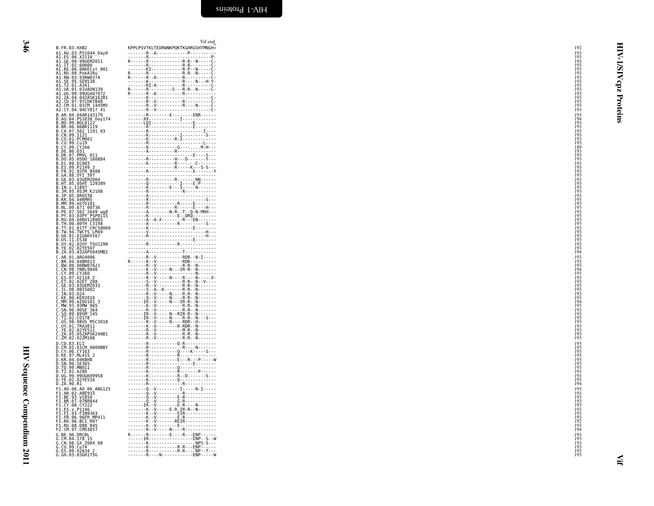HIV Sequence Compendium 2011 HIV Sequence Compendium 2011

| B. FR. 83. HXB<br>10. 10. 2010<br>A1. AU. 63. PS1044 - Day<br>A1. AU. 63. PS1044 - Day<br>A1. GE. 96. X21104 - Day<br>A1. GE. 99. 996690<br>A1. TE. 09. 996690<br>A1. KE. 06. 06KEEst 601<br>A1. KE. 06. 06KEEst 601<br>A1. RW. 93. 93RW037A<br>A1. TE. 09.    |  |
|----------------------------------------------------------------------------------------------------------------------------------------------------------------------------------------------------------------------------------------------------------------|--|
|                                                                                                                                                                                                                                                                |  |
|                                                                                                                                                                                                                                                                |  |
|                                                                                                                                                                                                                                                                |  |
|                                                                                                                                                                                                                                                                |  |
|                                                                                                                                                                                                                                                                |  |
|                                                                                                                                                                                                                                                                |  |
|                                                                                                                                                                                                                                                                |  |
|                                                                                                                                                                                                                                                                |  |
|                                                                                                                                                                                                                                                                |  |
|                                                                                                                                                                                                                                                                |  |
|                                                                                                                                                                                                                                                                |  |
|                                                                                                                                                                                                                                                                |  |
|                                                                                                                                                                                                                                                                |  |
|                                                                                                                                                                                                                                                                |  |
|                                                                                                                                                                                                                                                                |  |
|                                                                                                                                                                                                                                                                |  |
|                                                                                                                                                                                                                                                                |  |
|                                                                                                                                                                                                                                                                |  |
|                                                                                                                                                                                                                                                                |  |
|                                                                                                                                                                                                                                                                |  |
|                                                                                                                                                                                                                                                                |  |
|                                                                                                                                                                                                                                                                |  |
|                                                                                                                                                                                                                                                                |  |
|                                                                                                                                                                                                                                                                |  |
|                                                                                                                                                                                                                                                                |  |
|                                                                                                                                                                                                                                                                |  |
|                                                                                                                                                                                                                                                                |  |
|                                                                                                                                                                                                                                                                |  |
|                                                                                                                                                                                                                                                                |  |
|                                                                                                                                                                                                                                                                |  |
|                                                                                                                                                                                                                                                                |  |
|                                                                                                                                                                                                                                                                |  |
|                                                                                                                                                                                                                                                                |  |
|                                                                                                                                                                                                                                                                |  |
|                                                                                                                                                                                                                                                                |  |
|                                                                                                                                                                                                                                                                |  |
|                                                                                                                                                                                                                                                                |  |
|                                                                                                                                                                                                                                                                |  |
|                                                                                                                                                                                                                                                                |  |
|                                                                                                                                                                                                                                                                |  |
|                                                                                                                                                                                                                                                                |  |
|                                                                                                                                                                                                                                                                |  |
|                                                                                                                                                                                                                                                                |  |
|                                                                                                                                                                                                                                                                |  |
|                                                                                                                                                                                                                                                                |  |
|                                                                                                                                                                                                                                                                |  |
|                                                                                                                                                                                                                                                                |  |
|                                                                                                                                                                                                                                                                |  |
|                                                                                                                                                                                                                                                                |  |
|                                                                                                                                                                                                                                                                |  |
|                                                                                                                                                                                                                                                                |  |
|                                                                                                                                                                                                                                                                |  |
|                                                                                                                                                                                                                                                                |  |
|                                                                                                                                                                                                                                                                |  |
|                                                                                                                                                                                                                                                                |  |
|                                                                                                                                                                                                                                                                |  |
|                                                                                                                                                                                                                                                                |  |
| D. ZA. 90. R1<br>F1. AR. 02. ARE933<br>F1. AR. 02. ARE933<br>F1. BR. 03. V1898<br>F1. BR. 07. (V189844<br>F1. CF. 07. (V189844<br>F1. CF. 3. P1149363<br>F1. FR. 96. BREFR MP411<br>F1. R0. 96. BCT_R0<br>F1. R0. 96. BCT_R07<br>F1. R0. 96. BCT_R07<br>C. RF. |  |
|                                                                                                                                                                                                                                                                |  |
|                                                                                                                                                                                                                                                                |  |
| F2.CM.97.CM53657<br>G.CM.04.178_15<br>G.CM.04.178_15<br>G.CM.08.GX_2084_08<br>G.CU.99.Cu74<br>C.ES.09.X2634_2<br>G.EH.03.03GH175G                                                                                                                              |  |

<span id="page-33-0"></span>

| B.FR.83.HXB2<br>KPPLPSVTKLTEDRWNKPQKTKGHRGSHTMNGH*<br>192<br>A1.AU.03.PS1044_Day0<br>A1.ES.06.X2110 -<br>A1.GE.99.99GEMZ011<br>193<br>≺<br>193<br>193<br><b>AIS/I</b><br>A1.IT.02.60000<br>193<br>$\frac{193}{193}$<br>A1.1F.02.600000<br>A1.KE.06.06KECst_001<br>A1.RU.08.PokA1Ru<br>A1.RW.93.9E8538<br>A1.TZ.01.A341<br>A1.UA.01.A341<br>A1.UA.01.03.00UA0N139<br>193<br>cpz<br>193<br>193<br>193<br>A1.UG.99.99UGA07072<br>A1.UG.99.99UGA07072<br>A2.CD.97.97CDKTB48<br>A2.CM.01.01CM_1445MV<br>$\begin{tabular}{ c c } \hline \multicolumn{3}{ c }{\hline \multicolumn{3}{ c }{\hline \multicolumn{3}{ c }{\hline \multicolumn{3}{ c }{\hline \multicolumn{3}{ c }{\hline \multicolumn{3}{ c }{\hline \multicolumn{3}{ c }{\hline \multicolumn{3}{ c }{\hline \multicolumn{3}{ c }{\hline \multicolumn{3}{ c }{\hline \multicolumn{3}{ c }{\hline \multicolumn{3}{ c }{\hline \multicolumn{3}{ c }{\hline \multicolumn{3}{ c }{\hline \multicolumn{3}{ c$<br>Proteins<br>$\frac{193}{193}$<br>193<br>A2.CY.94.94CY017 41<br>193<br>B.AR.04.044R143170<br>B.AR.04.04AR143170<br>B.AU.04.PS1038 Day174<br>B.BR.06.06BR1119<br>B.CA.07.502 1191_03<br>B.CA.07.502 1191_03<br>B.CM.09.1121<br>193<br>194<br>$\frac{193}{193}$<br>193<br>193<br>B.CO.01.PCM001<br>193<br>193<br>189<br>193<br>B.CU.99.Cu19<br>B.CY.09.CY266<br>B.DE.86.D31<br>B.DK.07.PMVL_011<br>193<br>193<br>B.DO.05.05DO_160884<br>B.EC.89.EC003<br>B.EC.89.EC003<br>B.ES.09.P2149_3<br>B.FR.92.92FR_BX08<br>193<br>193<br>193<br>193<br>193<br>193<br>.GA.88.OYI_397<br>в.GE.03.03GEMZ004<br>B.GE.03.03GEMZ004<br>B.HT.05.05HT_129389<br>B.JM.05.05JM_KJ108<br>193<br>193<br>.JP.05.DR6538<br>$\begin{array}{cccccccccccc} \mathbf{0} & \mathbf{0} & \mathbf{0} & \mathbf{0} & \mathbf{0} & \mathbf{0} & \mathbf{0} & \mathbf{0} & \mathbf{0} & \mathbf{0} & \mathbf{0} & \mathbf{0} & \mathbf{0} & \mathbf{0} & \mathbf{0} & \mathbf{0} & \mathbf{0} & \mathbf{0} & \mathbf{0} & \mathbf{0} & \mathbf{0} & \mathbf{0} & \mathbf{0} & \mathbf{0} & \mathbf{0} & \mathbf{0} & \mathbf{0} & \mathbf{0} & \mathbf{0} & \mathbf{0} & \$<br>193<br>$\frac{193}{193}$<br>193<br>B.KR.04.04KMH5<br>B.MM.99.mSTD101<br>B.NL.00.671_00T36<br>B.PE.07.502_2649_wg8<br>193<br>PY.03.03PY PSP0115<br>193<br>.RU.04.04RU128005<br>$\frac{193}{193}$<br>.TH.00.00TH C3198<br>$\frac{193}{193}$<br>B.TT.01.01TT CRC50069<br>B.TW.94.TWCYS LM49<br>193<br>B.UÄ.Ō1.OlUAKVI67<br>B.US.11.ES38<br>193<br>B.UY.02.02UY TSU1290<br>B.YE.02.02YE507<br>193<br>$\frac{193}{194}$<br>B.ZA.03.03ZAPS045MB2<br>C.AR.01.ARG4006<br>193<br>193<br>.BR.04.04BR013<br>C.BW.00.00BW07621<br>193<br>C.CN.98.YNRL9840<br>194<br>C.CY.09.CY260<br>C.CY.09.CY260<br>C.ES.07.X2118 2<br>C.ET.02.02ET 288<br>C.GE.03.03GEMZ033<br>C.IL.98.9815002<br>$\frac{193}{193}$<br>193<br>193<br>C.IN.03.D24<br>$\frac{193}{193}$<br>.KE.00.KER2010<br>.MM.99.mIDU101 3<br>$\frac{194}{193}$<br>C.MW.93.93MW-965<br>C.SN.90.90SE-364<br>C.SN.90.90SE-364<br>C.SO.89.89SM-145<br>C.TZ.02.CO178<br>193<br>193<br>C.US.98.98US MSC3018<br>193<br>C.UY.01.TRA3011<br>193<br>193<br>193<br>193<br>Č.YE.02.02YE511<br>C.YE.02.02YE511<br>C.ZM.02.02ZM108<br>D.CD.83.ELI<br>193<br>Ď.ČM.01.01CM 0009BBY<br>D.CY.06.CY163<br>193<br>193<br>$\frac{193}{193}$<br>D.KE.97.ML415 2<br>D.KR.04.04KBH8<br>D.SN.90.SE365<br>193<br>D.TD.99.MN011<br>193<br>193<br>D.TZ.01.A280<br>D.UG.99.99UGK09958<br>$\frac{193}{193}$<br>D.YE.02.02YE516<br>194<br>D.ZA.90.R1<br>193<br>F1.A0.06.A0 06 ANG125<br>F1.AR.02.ARE933<br>F1.BE.93.VI850<br>193<br>--------Q--V--------E-R-------------<br>193<br>F1.BR.07.07BR844<br>$\frac{193}{193}$<br>193<br>F1.CY.08.CY222<br>F1.ES.x.P1146<br>F1.FI.93.FIN9363<br>193<br>-------K--V--------E-R------------<br>F1.FR.96.96FR_MP411<br>F1.FR.96.96FR_MP411<br>F1.R0.96.BCI_R07<br>F1.RU.08.D88 <sup>-</sup> 845<br>F2.CM.97.CM53657<br>193<br>-------K--V-------RĒIR------------<br>192<br>-------K--V--------E---------------<br>193<br>-------R--V-----N----R-------------<br>194<br>R - - - - - <u>- R</u> - - - - - - - - E - - - - R - - - ENP - - - - - -<br>G.BE.96.DRCBL<br>193<br>193<br>193<br>G.CM.04.178 15<br>G.CN.08.GX 2084_08<br>G.CU.99.Cu74<br>K  - R-R-  ENP<br>$\frac{193}{193}$<br>G.ES.09.X2634 2<br>-------R------------R-R----WP--T---<br>-------R----N------------ENP-----W<br>G.GH.03.03GH175G |  |  | Vif end |  |
|----------------------------------------------------------------------------------------------------------------------------------------------------------------------------------------------------------------------------------------------------------------------------------------------------------------------------------------------------------------------------------------------------------------------------------------------------------------------------------------------------------------------------------------------------------------------------------------------------------------------------------------------------------------------------------------------------------------------------------------------------------------------------------------------------------------------------------------------------------------------------------------------------------------------------------------------------------------------------------------------------------------------------------------------------------------------------------------------------------------------------------------------------------------------------------------------------------------------------------------------------------------------------------------------------------------------------------------------------------------------------------------------------------------------------------------------------------------------------------------------------------------------------------------------------------------------------------------------------------------------------------------------------------------------------------------------------------------------------------------------------------------------------------------------------------------------------------------------------------------------------------------------------------------------------------------------------------------------------------------------------------------------------------------------------------------------------------------------------------------------------------------------------------------------------------------------------------------------------------------------------------------------------------------------------------------------------------------------------------------------------------------------------------------------------------------------------------------------------------------------------------------------------------------------------------------------------------------------------------------------------------------------------------------------------------------------------------------------------------------------------------------------------------------------------------------------------------------------------------------------------------------------------------------------------------------------------------------------------------------------------------------------------------------------------------------------------------------------------------------------------------------------------------------------------------------------------------------------------------------------------------------------------------------------------------------------------------------------------------------------------------------------------------------------------------------------------------------------------------------------------------------------------------------------------------------------------------------------------------------------------------------------------------------------------------------------------------------------------------------------------------------------------------------------------------------------------------------------------------------------------------------------------------------------------------------------------------------------------------------------------------------------------------------------------------------------------------------------------------------------------------------------------------------------------------------------------------------------------------------------------------------------------------------------------------------------------------------------------------------------|--|--|---------|--|
|                                                                                                                                                                                                                                                                                                                                                                                                                                                                                                                                                                                                                                                                                                                                                                                                                                                                                                                                                                                                                                                                                                                                                                                                                                                                                                                                                                                                                                                                                                                                                                                                                                                                                                                                                                                                                                                                                                                                                                                                                                                                                                                                                                                                                                                                                                                                                                                                                                                                                                                                                                                                                                                                                                                                                                                                                                                                                                                                                                                                                                                                                                                                                                                                                                                                                                                                                                                                                                                                                                                                                                                                                                                                                                                                                                                                                                                                                                                                                                                                                                                                                                                                                                                                                                                                                                                                                                      |  |  |         |  |
|                                                                                                                                                                                                                                                                                                                                                                                                                                                                                                                                                                                                                                                                                                                                                                                                                                                                                                                                                                                                                                                                                                                                                                                                                                                                                                                                                                                                                                                                                                                                                                                                                                                                                                                                                                                                                                                                                                                                                                                                                                                                                                                                                                                                                                                                                                                                                                                                                                                                                                                                                                                                                                                                                                                                                                                                                                                                                                                                                                                                                                                                                                                                                                                                                                                                                                                                                                                                                                                                                                                                                                                                                                                                                                                                                                                                                                                                                                                                                                                                                                                                                                                                                                                                                                                                                                                                                                      |  |  |         |  |
|                                                                                                                                                                                                                                                                                                                                                                                                                                                                                                                                                                                                                                                                                                                                                                                                                                                                                                                                                                                                                                                                                                                                                                                                                                                                                                                                                                                                                                                                                                                                                                                                                                                                                                                                                                                                                                                                                                                                                                                                                                                                                                                                                                                                                                                                                                                                                                                                                                                                                                                                                                                                                                                                                                                                                                                                                                                                                                                                                                                                                                                                                                                                                                                                                                                                                                                                                                                                                                                                                                                                                                                                                                                                                                                                                                                                                                                                                                                                                                                                                                                                                                                                                                                                                                                                                                                                                                      |  |  |         |  |
|                                                                                                                                                                                                                                                                                                                                                                                                                                                                                                                                                                                                                                                                                                                                                                                                                                                                                                                                                                                                                                                                                                                                                                                                                                                                                                                                                                                                                                                                                                                                                                                                                                                                                                                                                                                                                                                                                                                                                                                                                                                                                                                                                                                                                                                                                                                                                                                                                                                                                                                                                                                                                                                                                                                                                                                                                                                                                                                                                                                                                                                                                                                                                                                                                                                                                                                                                                                                                                                                                                                                                                                                                                                                                                                                                                                                                                                                                                                                                                                                                                                                                                                                                                                                                                                                                                                                                                      |  |  |         |  |
|                                                                                                                                                                                                                                                                                                                                                                                                                                                                                                                                                                                                                                                                                                                                                                                                                                                                                                                                                                                                                                                                                                                                                                                                                                                                                                                                                                                                                                                                                                                                                                                                                                                                                                                                                                                                                                                                                                                                                                                                                                                                                                                                                                                                                                                                                                                                                                                                                                                                                                                                                                                                                                                                                                                                                                                                                                                                                                                                                                                                                                                                                                                                                                                                                                                                                                                                                                                                                                                                                                                                                                                                                                                                                                                                                                                                                                                                                                                                                                                                                                                                                                                                                                                                                                                                                                                                                                      |  |  |         |  |
|                                                                                                                                                                                                                                                                                                                                                                                                                                                                                                                                                                                                                                                                                                                                                                                                                                                                                                                                                                                                                                                                                                                                                                                                                                                                                                                                                                                                                                                                                                                                                                                                                                                                                                                                                                                                                                                                                                                                                                                                                                                                                                                                                                                                                                                                                                                                                                                                                                                                                                                                                                                                                                                                                                                                                                                                                                                                                                                                                                                                                                                                                                                                                                                                                                                                                                                                                                                                                                                                                                                                                                                                                                                                                                                                                                                                                                                                                                                                                                                                                                                                                                                                                                                                                                                                                                                                                                      |  |  |         |  |
|                                                                                                                                                                                                                                                                                                                                                                                                                                                                                                                                                                                                                                                                                                                                                                                                                                                                                                                                                                                                                                                                                                                                                                                                                                                                                                                                                                                                                                                                                                                                                                                                                                                                                                                                                                                                                                                                                                                                                                                                                                                                                                                                                                                                                                                                                                                                                                                                                                                                                                                                                                                                                                                                                                                                                                                                                                                                                                                                                                                                                                                                                                                                                                                                                                                                                                                                                                                                                                                                                                                                                                                                                                                                                                                                                                                                                                                                                                                                                                                                                                                                                                                                                                                                                                                                                                                                                                      |  |  |         |  |
|                                                                                                                                                                                                                                                                                                                                                                                                                                                                                                                                                                                                                                                                                                                                                                                                                                                                                                                                                                                                                                                                                                                                                                                                                                                                                                                                                                                                                                                                                                                                                                                                                                                                                                                                                                                                                                                                                                                                                                                                                                                                                                                                                                                                                                                                                                                                                                                                                                                                                                                                                                                                                                                                                                                                                                                                                                                                                                                                                                                                                                                                                                                                                                                                                                                                                                                                                                                                                                                                                                                                                                                                                                                                                                                                                                                                                                                                                                                                                                                                                                                                                                                                                                                                                                                                                                                                                                      |  |  |         |  |
|                                                                                                                                                                                                                                                                                                                                                                                                                                                                                                                                                                                                                                                                                                                                                                                                                                                                                                                                                                                                                                                                                                                                                                                                                                                                                                                                                                                                                                                                                                                                                                                                                                                                                                                                                                                                                                                                                                                                                                                                                                                                                                                                                                                                                                                                                                                                                                                                                                                                                                                                                                                                                                                                                                                                                                                                                                                                                                                                                                                                                                                                                                                                                                                                                                                                                                                                                                                                                                                                                                                                                                                                                                                                                                                                                                                                                                                                                                                                                                                                                                                                                                                                                                                                                                                                                                                                                                      |  |  |         |  |
|                                                                                                                                                                                                                                                                                                                                                                                                                                                                                                                                                                                                                                                                                                                                                                                                                                                                                                                                                                                                                                                                                                                                                                                                                                                                                                                                                                                                                                                                                                                                                                                                                                                                                                                                                                                                                                                                                                                                                                                                                                                                                                                                                                                                                                                                                                                                                                                                                                                                                                                                                                                                                                                                                                                                                                                                                                                                                                                                                                                                                                                                                                                                                                                                                                                                                                                                                                                                                                                                                                                                                                                                                                                                                                                                                                                                                                                                                                                                                                                                                                                                                                                                                                                                                                                                                                                                                                      |  |  |         |  |
|                                                                                                                                                                                                                                                                                                                                                                                                                                                                                                                                                                                                                                                                                                                                                                                                                                                                                                                                                                                                                                                                                                                                                                                                                                                                                                                                                                                                                                                                                                                                                                                                                                                                                                                                                                                                                                                                                                                                                                                                                                                                                                                                                                                                                                                                                                                                                                                                                                                                                                                                                                                                                                                                                                                                                                                                                                                                                                                                                                                                                                                                                                                                                                                                                                                                                                                                                                                                                                                                                                                                                                                                                                                                                                                                                                                                                                                                                                                                                                                                                                                                                                                                                                                                                                                                                                                                                                      |  |  |         |  |
|                                                                                                                                                                                                                                                                                                                                                                                                                                                                                                                                                                                                                                                                                                                                                                                                                                                                                                                                                                                                                                                                                                                                                                                                                                                                                                                                                                                                                                                                                                                                                                                                                                                                                                                                                                                                                                                                                                                                                                                                                                                                                                                                                                                                                                                                                                                                                                                                                                                                                                                                                                                                                                                                                                                                                                                                                                                                                                                                                                                                                                                                                                                                                                                                                                                                                                                                                                                                                                                                                                                                                                                                                                                                                                                                                                                                                                                                                                                                                                                                                                                                                                                                                                                                                                                                                                                                                                      |  |  |         |  |
|                                                                                                                                                                                                                                                                                                                                                                                                                                                                                                                                                                                                                                                                                                                                                                                                                                                                                                                                                                                                                                                                                                                                                                                                                                                                                                                                                                                                                                                                                                                                                                                                                                                                                                                                                                                                                                                                                                                                                                                                                                                                                                                                                                                                                                                                                                                                                                                                                                                                                                                                                                                                                                                                                                                                                                                                                                                                                                                                                                                                                                                                                                                                                                                                                                                                                                                                                                                                                                                                                                                                                                                                                                                                                                                                                                                                                                                                                                                                                                                                                                                                                                                                                                                                                                                                                                                                                                      |  |  |         |  |
|                                                                                                                                                                                                                                                                                                                                                                                                                                                                                                                                                                                                                                                                                                                                                                                                                                                                                                                                                                                                                                                                                                                                                                                                                                                                                                                                                                                                                                                                                                                                                                                                                                                                                                                                                                                                                                                                                                                                                                                                                                                                                                                                                                                                                                                                                                                                                                                                                                                                                                                                                                                                                                                                                                                                                                                                                                                                                                                                                                                                                                                                                                                                                                                                                                                                                                                                                                                                                                                                                                                                                                                                                                                                                                                                                                                                                                                                                                                                                                                                                                                                                                                                                                                                                                                                                                                                                                      |  |  |         |  |
|                                                                                                                                                                                                                                                                                                                                                                                                                                                                                                                                                                                                                                                                                                                                                                                                                                                                                                                                                                                                                                                                                                                                                                                                                                                                                                                                                                                                                                                                                                                                                                                                                                                                                                                                                                                                                                                                                                                                                                                                                                                                                                                                                                                                                                                                                                                                                                                                                                                                                                                                                                                                                                                                                                                                                                                                                                                                                                                                                                                                                                                                                                                                                                                                                                                                                                                                                                                                                                                                                                                                                                                                                                                                                                                                                                                                                                                                                                                                                                                                                                                                                                                                                                                                                                                                                                                                                                      |  |  |         |  |
|                                                                                                                                                                                                                                                                                                                                                                                                                                                                                                                                                                                                                                                                                                                                                                                                                                                                                                                                                                                                                                                                                                                                                                                                                                                                                                                                                                                                                                                                                                                                                                                                                                                                                                                                                                                                                                                                                                                                                                                                                                                                                                                                                                                                                                                                                                                                                                                                                                                                                                                                                                                                                                                                                                                                                                                                                                                                                                                                                                                                                                                                                                                                                                                                                                                                                                                                                                                                                                                                                                                                                                                                                                                                                                                                                                                                                                                                                                                                                                                                                                                                                                                                                                                                                                                                                                                                                                      |  |  |         |  |
|                                                                                                                                                                                                                                                                                                                                                                                                                                                                                                                                                                                                                                                                                                                                                                                                                                                                                                                                                                                                                                                                                                                                                                                                                                                                                                                                                                                                                                                                                                                                                                                                                                                                                                                                                                                                                                                                                                                                                                                                                                                                                                                                                                                                                                                                                                                                                                                                                                                                                                                                                                                                                                                                                                                                                                                                                                                                                                                                                                                                                                                                                                                                                                                                                                                                                                                                                                                                                                                                                                                                                                                                                                                                                                                                                                                                                                                                                                                                                                                                                                                                                                                                                                                                                                                                                                                                                                      |  |  |         |  |
|                                                                                                                                                                                                                                                                                                                                                                                                                                                                                                                                                                                                                                                                                                                                                                                                                                                                                                                                                                                                                                                                                                                                                                                                                                                                                                                                                                                                                                                                                                                                                                                                                                                                                                                                                                                                                                                                                                                                                                                                                                                                                                                                                                                                                                                                                                                                                                                                                                                                                                                                                                                                                                                                                                                                                                                                                                                                                                                                                                                                                                                                                                                                                                                                                                                                                                                                                                                                                                                                                                                                                                                                                                                                                                                                                                                                                                                                                                                                                                                                                                                                                                                                                                                                                                                                                                                                                                      |  |  |         |  |
|                                                                                                                                                                                                                                                                                                                                                                                                                                                                                                                                                                                                                                                                                                                                                                                                                                                                                                                                                                                                                                                                                                                                                                                                                                                                                                                                                                                                                                                                                                                                                                                                                                                                                                                                                                                                                                                                                                                                                                                                                                                                                                                                                                                                                                                                                                                                                                                                                                                                                                                                                                                                                                                                                                                                                                                                                                                                                                                                                                                                                                                                                                                                                                                                                                                                                                                                                                                                                                                                                                                                                                                                                                                                                                                                                                                                                                                                                                                                                                                                                                                                                                                                                                                                                                                                                                                                                                      |  |  |         |  |
|                                                                                                                                                                                                                                                                                                                                                                                                                                                                                                                                                                                                                                                                                                                                                                                                                                                                                                                                                                                                                                                                                                                                                                                                                                                                                                                                                                                                                                                                                                                                                                                                                                                                                                                                                                                                                                                                                                                                                                                                                                                                                                                                                                                                                                                                                                                                                                                                                                                                                                                                                                                                                                                                                                                                                                                                                                                                                                                                                                                                                                                                                                                                                                                                                                                                                                                                                                                                                                                                                                                                                                                                                                                                                                                                                                                                                                                                                                                                                                                                                                                                                                                                                                                                                                                                                                                                                                      |  |  |         |  |
|                                                                                                                                                                                                                                                                                                                                                                                                                                                                                                                                                                                                                                                                                                                                                                                                                                                                                                                                                                                                                                                                                                                                                                                                                                                                                                                                                                                                                                                                                                                                                                                                                                                                                                                                                                                                                                                                                                                                                                                                                                                                                                                                                                                                                                                                                                                                                                                                                                                                                                                                                                                                                                                                                                                                                                                                                                                                                                                                                                                                                                                                                                                                                                                                                                                                                                                                                                                                                                                                                                                                                                                                                                                                                                                                                                                                                                                                                                                                                                                                                                                                                                                                                                                                                                                                                                                                                                      |  |  |         |  |
|                                                                                                                                                                                                                                                                                                                                                                                                                                                                                                                                                                                                                                                                                                                                                                                                                                                                                                                                                                                                                                                                                                                                                                                                                                                                                                                                                                                                                                                                                                                                                                                                                                                                                                                                                                                                                                                                                                                                                                                                                                                                                                                                                                                                                                                                                                                                                                                                                                                                                                                                                                                                                                                                                                                                                                                                                                                                                                                                                                                                                                                                                                                                                                                                                                                                                                                                                                                                                                                                                                                                                                                                                                                                                                                                                                                                                                                                                                                                                                                                                                                                                                                                                                                                                                                                                                                                                                      |  |  |         |  |
|                                                                                                                                                                                                                                                                                                                                                                                                                                                                                                                                                                                                                                                                                                                                                                                                                                                                                                                                                                                                                                                                                                                                                                                                                                                                                                                                                                                                                                                                                                                                                                                                                                                                                                                                                                                                                                                                                                                                                                                                                                                                                                                                                                                                                                                                                                                                                                                                                                                                                                                                                                                                                                                                                                                                                                                                                                                                                                                                                                                                                                                                                                                                                                                                                                                                                                                                                                                                                                                                                                                                                                                                                                                                                                                                                                                                                                                                                                                                                                                                                                                                                                                                                                                                                                                                                                                                                                      |  |  |         |  |
|                                                                                                                                                                                                                                                                                                                                                                                                                                                                                                                                                                                                                                                                                                                                                                                                                                                                                                                                                                                                                                                                                                                                                                                                                                                                                                                                                                                                                                                                                                                                                                                                                                                                                                                                                                                                                                                                                                                                                                                                                                                                                                                                                                                                                                                                                                                                                                                                                                                                                                                                                                                                                                                                                                                                                                                                                                                                                                                                                                                                                                                                                                                                                                                                                                                                                                                                                                                                                                                                                                                                                                                                                                                                                                                                                                                                                                                                                                                                                                                                                                                                                                                                                                                                                                                                                                                                                                      |  |  |         |  |
|                                                                                                                                                                                                                                                                                                                                                                                                                                                                                                                                                                                                                                                                                                                                                                                                                                                                                                                                                                                                                                                                                                                                                                                                                                                                                                                                                                                                                                                                                                                                                                                                                                                                                                                                                                                                                                                                                                                                                                                                                                                                                                                                                                                                                                                                                                                                                                                                                                                                                                                                                                                                                                                                                                                                                                                                                                                                                                                                                                                                                                                                                                                                                                                                                                                                                                                                                                                                                                                                                                                                                                                                                                                                                                                                                                                                                                                                                                                                                                                                                                                                                                                                                                                                                                                                                                                                                                      |  |  |         |  |
|                                                                                                                                                                                                                                                                                                                                                                                                                                                                                                                                                                                                                                                                                                                                                                                                                                                                                                                                                                                                                                                                                                                                                                                                                                                                                                                                                                                                                                                                                                                                                                                                                                                                                                                                                                                                                                                                                                                                                                                                                                                                                                                                                                                                                                                                                                                                                                                                                                                                                                                                                                                                                                                                                                                                                                                                                                                                                                                                                                                                                                                                                                                                                                                                                                                                                                                                                                                                                                                                                                                                                                                                                                                                                                                                                                                                                                                                                                                                                                                                                                                                                                                                                                                                                                                                                                                                                                      |  |  |         |  |
|                                                                                                                                                                                                                                                                                                                                                                                                                                                                                                                                                                                                                                                                                                                                                                                                                                                                                                                                                                                                                                                                                                                                                                                                                                                                                                                                                                                                                                                                                                                                                                                                                                                                                                                                                                                                                                                                                                                                                                                                                                                                                                                                                                                                                                                                                                                                                                                                                                                                                                                                                                                                                                                                                                                                                                                                                                                                                                                                                                                                                                                                                                                                                                                                                                                                                                                                                                                                                                                                                                                                                                                                                                                                                                                                                                                                                                                                                                                                                                                                                                                                                                                                                                                                                                                                                                                                                                      |  |  |         |  |
|                                                                                                                                                                                                                                                                                                                                                                                                                                                                                                                                                                                                                                                                                                                                                                                                                                                                                                                                                                                                                                                                                                                                                                                                                                                                                                                                                                                                                                                                                                                                                                                                                                                                                                                                                                                                                                                                                                                                                                                                                                                                                                                                                                                                                                                                                                                                                                                                                                                                                                                                                                                                                                                                                                                                                                                                                                                                                                                                                                                                                                                                                                                                                                                                                                                                                                                                                                                                                                                                                                                                                                                                                                                                                                                                                                                                                                                                                                                                                                                                                                                                                                                                                                                                                                                                                                                                                                      |  |  |         |  |
|                                                                                                                                                                                                                                                                                                                                                                                                                                                                                                                                                                                                                                                                                                                                                                                                                                                                                                                                                                                                                                                                                                                                                                                                                                                                                                                                                                                                                                                                                                                                                                                                                                                                                                                                                                                                                                                                                                                                                                                                                                                                                                                                                                                                                                                                                                                                                                                                                                                                                                                                                                                                                                                                                                                                                                                                                                                                                                                                                                                                                                                                                                                                                                                                                                                                                                                                                                                                                                                                                                                                                                                                                                                                                                                                                                                                                                                                                                                                                                                                                                                                                                                                                                                                                                                                                                                                                                      |  |  |         |  |
|                                                                                                                                                                                                                                                                                                                                                                                                                                                                                                                                                                                                                                                                                                                                                                                                                                                                                                                                                                                                                                                                                                                                                                                                                                                                                                                                                                                                                                                                                                                                                                                                                                                                                                                                                                                                                                                                                                                                                                                                                                                                                                                                                                                                                                                                                                                                                                                                                                                                                                                                                                                                                                                                                                                                                                                                                                                                                                                                                                                                                                                                                                                                                                                                                                                                                                                                                                                                                                                                                                                                                                                                                                                                                                                                                                                                                                                                                                                                                                                                                                                                                                                                                                                                                                                                                                                                                                      |  |  |         |  |
|                                                                                                                                                                                                                                                                                                                                                                                                                                                                                                                                                                                                                                                                                                                                                                                                                                                                                                                                                                                                                                                                                                                                                                                                                                                                                                                                                                                                                                                                                                                                                                                                                                                                                                                                                                                                                                                                                                                                                                                                                                                                                                                                                                                                                                                                                                                                                                                                                                                                                                                                                                                                                                                                                                                                                                                                                                                                                                                                                                                                                                                                                                                                                                                                                                                                                                                                                                                                                                                                                                                                                                                                                                                                                                                                                                                                                                                                                                                                                                                                                                                                                                                                                                                                                                                                                                                                                                      |  |  |         |  |
|                                                                                                                                                                                                                                                                                                                                                                                                                                                                                                                                                                                                                                                                                                                                                                                                                                                                                                                                                                                                                                                                                                                                                                                                                                                                                                                                                                                                                                                                                                                                                                                                                                                                                                                                                                                                                                                                                                                                                                                                                                                                                                                                                                                                                                                                                                                                                                                                                                                                                                                                                                                                                                                                                                                                                                                                                                                                                                                                                                                                                                                                                                                                                                                                                                                                                                                                                                                                                                                                                                                                                                                                                                                                                                                                                                                                                                                                                                                                                                                                                                                                                                                                                                                                                                                                                                                                                                      |  |  |         |  |
|                                                                                                                                                                                                                                                                                                                                                                                                                                                                                                                                                                                                                                                                                                                                                                                                                                                                                                                                                                                                                                                                                                                                                                                                                                                                                                                                                                                                                                                                                                                                                                                                                                                                                                                                                                                                                                                                                                                                                                                                                                                                                                                                                                                                                                                                                                                                                                                                                                                                                                                                                                                                                                                                                                                                                                                                                                                                                                                                                                                                                                                                                                                                                                                                                                                                                                                                                                                                                                                                                                                                                                                                                                                                                                                                                                                                                                                                                                                                                                                                                                                                                                                                                                                                                                                                                                                                                                      |  |  |         |  |
|                                                                                                                                                                                                                                                                                                                                                                                                                                                                                                                                                                                                                                                                                                                                                                                                                                                                                                                                                                                                                                                                                                                                                                                                                                                                                                                                                                                                                                                                                                                                                                                                                                                                                                                                                                                                                                                                                                                                                                                                                                                                                                                                                                                                                                                                                                                                                                                                                                                                                                                                                                                                                                                                                                                                                                                                                                                                                                                                                                                                                                                                                                                                                                                                                                                                                                                                                                                                                                                                                                                                                                                                                                                                                                                                                                                                                                                                                                                                                                                                                                                                                                                                                                                                                                                                                                                                                                      |  |  |         |  |
|                                                                                                                                                                                                                                                                                                                                                                                                                                                                                                                                                                                                                                                                                                                                                                                                                                                                                                                                                                                                                                                                                                                                                                                                                                                                                                                                                                                                                                                                                                                                                                                                                                                                                                                                                                                                                                                                                                                                                                                                                                                                                                                                                                                                                                                                                                                                                                                                                                                                                                                                                                                                                                                                                                                                                                                                                                                                                                                                                                                                                                                                                                                                                                                                                                                                                                                                                                                                                                                                                                                                                                                                                                                                                                                                                                                                                                                                                                                                                                                                                                                                                                                                                                                                                                                                                                                                                                      |  |  |         |  |
|                                                                                                                                                                                                                                                                                                                                                                                                                                                                                                                                                                                                                                                                                                                                                                                                                                                                                                                                                                                                                                                                                                                                                                                                                                                                                                                                                                                                                                                                                                                                                                                                                                                                                                                                                                                                                                                                                                                                                                                                                                                                                                                                                                                                                                                                                                                                                                                                                                                                                                                                                                                                                                                                                                                                                                                                                                                                                                                                                                                                                                                                                                                                                                                                                                                                                                                                                                                                                                                                                                                                                                                                                                                                                                                                                                                                                                                                                                                                                                                                                                                                                                                                                                                                                                                                                                                                                                      |  |  |         |  |
|                                                                                                                                                                                                                                                                                                                                                                                                                                                                                                                                                                                                                                                                                                                                                                                                                                                                                                                                                                                                                                                                                                                                                                                                                                                                                                                                                                                                                                                                                                                                                                                                                                                                                                                                                                                                                                                                                                                                                                                                                                                                                                                                                                                                                                                                                                                                                                                                                                                                                                                                                                                                                                                                                                                                                                                                                                                                                                                                                                                                                                                                                                                                                                                                                                                                                                                                                                                                                                                                                                                                                                                                                                                                                                                                                                                                                                                                                                                                                                                                                                                                                                                                                                                                                                                                                                                                                                      |  |  |         |  |
|                                                                                                                                                                                                                                                                                                                                                                                                                                                                                                                                                                                                                                                                                                                                                                                                                                                                                                                                                                                                                                                                                                                                                                                                                                                                                                                                                                                                                                                                                                                                                                                                                                                                                                                                                                                                                                                                                                                                                                                                                                                                                                                                                                                                                                                                                                                                                                                                                                                                                                                                                                                                                                                                                                                                                                                                                                                                                                                                                                                                                                                                                                                                                                                                                                                                                                                                                                                                                                                                                                                                                                                                                                                                                                                                                                                                                                                                                                                                                                                                                                                                                                                                                                                                                                                                                                                                                                      |  |  |         |  |
|                                                                                                                                                                                                                                                                                                                                                                                                                                                                                                                                                                                                                                                                                                                                                                                                                                                                                                                                                                                                                                                                                                                                                                                                                                                                                                                                                                                                                                                                                                                                                                                                                                                                                                                                                                                                                                                                                                                                                                                                                                                                                                                                                                                                                                                                                                                                                                                                                                                                                                                                                                                                                                                                                                                                                                                                                                                                                                                                                                                                                                                                                                                                                                                                                                                                                                                                                                                                                                                                                                                                                                                                                                                                                                                                                                                                                                                                                                                                                                                                                                                                                                                                                                                                                                                                                                                                                                      |  |  |         |  |
|                                                                                                                                                                                                                                                                                                                                                                                                                                                                                                                                                                                                                                                                                                                                                                                                                                                                                                                                                                                                                                                                                                                                                                                                                                                                                                                                                                                                                                                                                                                                                                                                                                                                                                                                                                                                                                                                                                                                                                                                                                                                                                                                                                                                                                                                                                                                                                                                                                                                                                                                                                                                                                                                                                                                                                                                                                                                                                                                                                                                                                                                                                                                                                                                                                                                                                                                                                                                                                                                                                                                                                                                                                                                                                                                                                                                                                                                                                                                                                                                                                                                                                                                                                                                                                                                                                                                                                      |  |  |         |  |
|                                                                                                                                                                                                                                                                                                                                                                                                                                                                                                                                                                                                                                                                                                                                                                                                                                                                                                                                                                                                                                                                                                                                                                                                                                                                                                                                                                                                                                                                                                                                                                                                                                                                                                                                                                                                                                                                                                                                                                                                                                                                                                                                                                                                                                                                                                                                                                                                                                                                                                                                                                                                                                                                                                                                                                                                                                                                                                                                                                                                                                                                                                                                                                                                                                                                                                                                                                                                                                                                                                                                                                                                                                                                                                                                                                                                                                                                                                                                                                                                                                                                                                                                                                                                                                                                                                                                                                      |  |  |         |  |
|                                                                                                                                                                                                                                                                                                                                                                                                                                                                                                                                                                                                                                                                                                                                                                                                                                                                                                                                                                                                                                                                                                                                                                                                                                                                                                                                                                                                                                                                                                                                                                                                                                                                                                                                                                                                                                                                                                                                                                                                                                                                                                                                                                                                                                                                                                                                                                                                                                                                                                                                                                                                                                                                                                                                                                                                                                                                                                                                                                                                                                                                                                                                                                                                                                                                                                                                                                                                                                                                                                                                                                                                                                                                                                                                                                                                                                                                                                                                                                                                                                                                                                                                                                                                                                                                                                                                                                      |  |  |         |  |
|                                                                                                                                                                                                                                                                                                                                                                                                                                                                                                                                                                                                                                                                                                                                                                                                                                                                                                                                                                                                                                                                                                                                                                                                                                                                                                                                                                                                                                                                                                                                                                                                                                                                                                                                                                                                                                                                                                                                                                                                                                                                                                                                                                                                                                                                                                                                                                                                                                                                                                                                                                                                                                                                                                                                                                                                                                                                                                                                                                                                                                                                                                                                                                                                                                                                                                                                                                                                                                                                                                                                                                                                                                                                                                                                                                                                                                                                                                                                                                                                                                                                                                                                                                                                                                                                                                                                                                      |  |  |         |  |
|                                                                                                                                                                                                                                                                                                                                                                                                                                                                                                                                                                                                                                                                                                                                                                                                                                                                                                                                                                                                                                                                                                                                                                                                                                                                                                                                                                                                                                                                                                                                                                                                                                                                                                                                                                                                                                                                                                                                                                                                                                                                                                                                                                                                                                                                                                                                                                                                                                                                                                                                                                                                                                                                                                                                                                                                                                                                                                                                                                                                                                                                                                                                                                                                                                                                                                                                                                                                                                                                                                                                                                                                                                                                                                                                                                                                                                                                                                                                                                                                                                                                                                                                                                                                                                                                                                                                                                      |  |  |         |  |
|                                                                                                                                                                                                                                                                                                                                                                                                                                                                                                                                                                                                                                                                                                                                                                                                                                                                                                                                                                                                                                                                                                                                                                                                                                                                                                                                                                                                                                                                                                                                                                                                                                                                                                                                                                                                                                                                                                                                                                                                                                                                                                                                                                                                                                                                                                                                                                                                                                                                                                                                                                                                                                                                                                                                                                                                                                                                                                                                                                                                                                                                                                                                                                                                                                                                                                                                                                                                                                                                                                                                                                                                                                                                                                                                                                                                                                                                                                                                                                                                                                                                                                                                                                                                                                                                                                                                                                      |  |  |         |  |
|                                                                                                                                                                                                                                                                                                                                                                                                                                                                                                                                                                                                                                                                                                                                                                                                                                                                                                                                                                                                                                                                                                                                                                                                                                                                                                                                                                                                                                                                                                                                                                                                                                                                                                                                                                                                                                                                                                                                                                                                                                                                                                                                                                                                                                                                                                                                                                                                                                                                                                                                                                                                                                                                                                                                                                                                                                                                                                                                                                                                                                                                                                                                                                                                                                                                                                                                                                                                                                                                                                                                                                                                                                                                                                                                                                                                                                                                                                                                                                                                                                                                                                                                                                                                                                                                                                                                                                      |  |  |         |  |
|                                                                                                                                                                                                                                                                                                                                                                                                                                                                                                                                                                                                                                                                                                                                                                                                                                                                                                                                                                                                                                                                                                                                                                                                                                                                                                                                                                                                                                                                                                                                                                                                                                                                                                                                                                                                                                                                                                                                                                                                                                                                                                                                                                                                                                                                                                                                                                                                                                                                                                                                                                                                                                                                                                                                                                                                                                                                                                                                                                                                                                                                                                                                                                                                                                                                                                                                                                                                                                                                                                                                                                                                                                                                                                                                                                                                                                                                                                                                                                                                                                                                                                                                                                                                                                                                                                                                                                      |  |  |         |  |
|                                                                                                                                                                                                                                                                                                                                                                                                                                                                                                                                                                                                                                                                                                                                                                                                                                                                                                                                                                                                                                                                                                                                                                                                                                                                                                                                                                                                                                                                                                                                                                                                                                                                                                                                                                                                                                                                                                                                                                                                                                                                                                                                                                                                                                                                                                                                                                                                                                                                                                                                                                                                                                                                                                                                                                                                                                                                                                                                                                                                                                                                                                                                                                                                                                                                                                                                                                                                                                                                                                                                                                                                                                                                                                                                                                                                                                                                                                                                                                                                                                                                                                                                                                                                                                                                                                                                                                      |  |  |         |  |
|                                                                                                                                                                                                                                                                                                                                                                                                                                                                                                                                                                                                                                                                                                                                                                                                                                                                                                                                                                                                                                                                                                                                                                                                                                                                                                                                                                                                                                                                                                                                                                                                                                                                                                                                                                                                                                                                                                                                                                                                                                                                                                                                                                                                                                                                                                                                                                                                                                                                                                                                                                                                                                                                                                                                                                                                                                                                                                                                                                                                                                                                                                                                                                                                                                                                                                                                                                                                                                                                                                                                                                                                                                                                                                                                                                                                                                                                                                                                                                                                                                                                                                                                                                                                                                                                                                                                                                      |  |  |         |  |
|                                                                                                                                                                                                                                                                                                                                                                                                                                                                                                                                                                                                                                                                                                                                                                                                                                                                                                                                                                                                                                                                                                                                                                                                                                                                                                                                                                                                                                                                                                                                                                                                                                                                                                                                                                                                                                                                                                                                                                                                                                                                                                                                                                                                                                                                                                                                                                                                                                                                                                                                                                                                                                                                                                                                                                                                                                                                                                                                                                                                                                                                                                                                                                                                                                                                                                                                                                                                                                                                                                                                                                                                                                                                                                                                                                                                                                                                                                                                                                                                                                                                                                                                                                                                                                                                                                                                                                      |  |  |         |  |
|                                                                                                                                                                                                                                                                                                                                                                                                                                                                                                                                                                                                                                                                                                                                                                                                                                                                                                                                                                                                                                                                                                                                                                                                                                                                                                                                                                                                                                                                                                                                                                                                                                                                                                                                                                                                                                                                                                                                                                                                                                                                                                                                                                                                                                                                                                                                                                                                                                                                                                                                                                                                                                                                                                                                                                                                                                                                                                                                                                                                                                                                                                                                                                                                                                                                                                                                                                                                                                                                                                                                                                                                                                                                                                                                                                                                                                                                                                                                                                                                                                                                                                                                                                                                                                                                                                                                                                      |  |  |         |  |
|                                                                                                                                                                                                                                                                                                                                                                                                                                                                                                                                                                                                                                                                                                                                                                                                                                                                                                                                                                                                                                                                                                                                                                                                                                                                                                                                                                                                                                                                                                                                                                                                                                                                                                                                                                                                                                                                                                                                                                                                                                                                                                                                                                                                                                                                                                                                                                                                                                                                                                                                                                                                                                                                                                                                                                                                                                                                                                                                                                                                                                                                                                                                                                                                                                                                                                                                                                                                                                                                                                                                                                                                                                                                                                                                                                                                                                                                                                                                                                                                                                                                                                                                                                                                                                                                                                                                                                      |  |  |         |  |
|                                                                                                                                                                                                                                                                                                                                                                                                                                                                                                                                                                                                                                                                                                                                                                                                                                                                                                                                                                                                                                                                                                                                                                                                                                                                                                                                                                                                                                                                                                                                                                                                                                                                                                                                                                                                                                                                                                                                                                                                                                                                                                                                                                                                                                                                                                                                                                                                                                                                                                                                                                                                                                                                                                                                                                                                                                                                                                                                                                                                                                                                                                                                                                                                                                                                                                                                                                                                                                                                                                                                                                                                                                                                                                                                                                                                                                                                                                                                                                                                                                                                                                                                                                                                                                                                                                                                                                      |  |  |         |  |
|                                                                                                                                                                                                                                                                                                                                                                                                                                                                                                                                                                                                                                                                                                                                                                                                                                                                                                                                                                                                                                                                                                                                                                                                                                                                                                                                                                                                                                                                                                                                                                                                                                                                                                                                                                                                                                                                                                                                                                                                                                                                                                                                                                                                                                                                                                                                                                                                                                                                                                                                                                                                                                                                                                                                                                                                                                                                                                                                                                                                                                                                                                                                                                                                                                                                                                                                                                                                                                                                                                                                                                                                                                                                                                                                                                                                                                                                                                                                                                                                                                                                                                                                                                                                                                                                                                                                                                      |  |  |         |  |
|                                                                                                                                                                                                                                                                                                                                                                                                                                                                                                                                                                                                                                                                                                                                                                                                                                                                                                                                                                                                                                                                                                                                                                                                                                                                                                                                                                                                                                                                                                                                                                                                                                                                                                                                                                                                                                                                                                                                                                                                                                                                                                                                                                                                                                                                                                                                                                                                                                                                                                                                                                                                                                                                                                                                                                                                                                                                                                                                                                                                                                                                                                                                                                                                                                                                                                                                                                                                                                                                                                                                                                                                                                                                                                                                                                                                                                                                                                                                                                                                                                                                                                                                                                                                                                                                                                                                                                      |  |  |         |  |
|                                                                                                                                                                                                                                                                                                                                                                                                                                                                                                                                                                                                                                                                                                                                                                                                                                                                                                                                                                                                                                                                                                                                                                                                                                                                                                                                                                                                                                                                                                                                                                                                                                                                                                                                                                                                                                                                                                                                                                                                                                                                                                                                                                                                                                                                                                                                                                                                                                                                                                                                                                                                                                                                                                                                                                                                                                                                                                                                                                                                                                                                                                                                                                                                                                                                                                                                                                                                                                                                                                                                                                                                                                                                                                                                                                                                                                                                                                                                                                                                                                                                                                                                                                                                                                                                                                                                                                      |  |  |         |  |
|                                                                                                                                                                                                                                                                                                                                                                                                                                                                                                                                                                                                                                                                                                                                                                                                                                                                                                                                                                                                                                                                                                                                                                                                                                                                                                                                                                                                                                                                                                                                                                                                                                                                                                                                                                                                                                                                                                                                                                                                                                                                                                                                                                                                                                                                                                                                                                                                                                                                                                                                                                                                                                                                                                                                                                                                                                                                                                                                                                                                                                                                                                                                                                                                                                                                                                                                                                                                                                                                                                                                                                                                                                                                                                                                                                                                                                                                                                                                                                                                                                                                                                                                                                                                                                                                                                                                                                      |  |  |         |  |
|                                                                                                                                                                                                                                                                                                                                                                                                                                                                                                                                                                                                                                                                                                                                                                                                                                                                                                                                                                                                                                                                                                                                                                                                                                                                                                                                                                                                                                                                                                                                                                                                                                                                                                                                                                                                                                                                                                                                                                                                                                                                                                                                                                                                                                                                                                                                                                                                                                                                                                                                                                                                                                                                                                                                                                                                                                                                                                                                                                                                                                                                                                                                                                                                                                                                                                                                                                                                                                                                                                                                                                                                                                                                                                                                                                                                                                                                                                                                                                                                                                                                                                                                                                                                                                                                                                                                                                      |  |  |         |  |
|                                                                                                                                                                                                                                                                                                                                                                                                                                                                                                                                                                                                                                                                                                                                                                                                                                                                                                                                                                                                                                                                                                                                                                                                                                                                                                                                                                                                                                                                                                                                                                                                                                                                                                                                                                                                                                                                                                                                                                                                                                                                                                                                                                                                                                                                                                                                                                                                                                                                                                                                                                                                                                                                                                                                                                                                                                                                                                                                                                                                                                                                                                                                                                                                                                                                                                                                                                                                                                                                                                                                                                                                                                                                                                                                                                                                                                                                                                                                                                                                                                                                                                                                                                                                                                                                                                                                                                      |  |  |         |  |
|                                                                                                                                                                                                                                                                                                                                                                                                                                                                                                                                                                                                                                                                                                                                                                                                                                                                                                                                                                                                                                                                                                                                                                                                                                                                                                                                                                                                                                                                                                                                                                                                                                                                                                                                                                                                                                                                                                                                                                                                                                                                                                                                                                                                                                                                                                                                                                                                                                                                                                                                                                                                                                                                                                                                                                                                                                                                                                                                                                                                                                                                                                                                                                                                                                                                                                                                                                                                                                                                                                                                                                                                                                                                                                                                                                                                                                                                                                                                                                                                                                                                                                                                                                                                                                                                                                                                                                      |  |  |         |  |
|                                                                                                                                                                                                                                                                                                                                                                                                                                                                                                                                                                                                                                                                                                                                                                                                                                                                                                                                                                                                                                                                                                                                                                                                                                                                                                                                                                                                                                                                                                                                                                                                                                                                                                                                                                                                                                                                                                                                                                                                                                                                                                                                                                                                                                                                                                                                                                                                                                                                                                                                                                                                                                                                                                                                                                                                                                                                                                                                                                                                                                                                                                                                                                                                                                                                                                                                                                                                                                                                                                                                                                                                                                                                                                                                                                                                                                                                                                                                                                                                                                                                                                                                                                                                                                                                                                                                                                      |  |  |         |  |
|                                                                                                                                                                                                                                                                                                                                                                                                                                                                                                                                                                                                                                                                                                                                                                                                                                                                                                                                                                                                                                                                                                                                                                                                                                                                                                                                                                                                                                                                                                                                                                                                                                                                                                                                                                                                                                                                                                                                                                                                                                                                                                                                                                                                                                                                                                                                                                                                                                                                                                                                                                                                                                                                                                                                                                                                                                                                                                                                                                                                                                                                                                                                                                                                                                                                                                                                                                                                                                                                                                                                                                                                                                                                                                                                                                                                                                                                                                                                                                                                                                                                                                                                                                                                                                                                                                                                                                      |  |  |         |  |
|                                                                                                                                                                                                                                                                                                                                                                                                                                                                                                                                                                                                                                                                                                                                                                                                                                                                                                                                                                                                                                                                                                                                                                                                                                                                                                                                                                                                                                                                                                                                                                                                                                                                                                                                                                                                                                                                                                                                                                                                                                                                                                                                                                                                                                                                                                                                                                                                                                                                                                                                                                                                                                                                                                                                                                                                                                                                                                                                                                                                                                                                                                                                                                                                                                                                                                                                                                                                                                                                                                                                                                                                                                                                                                                                                                                                                                                                                                                                                                                                                                                                                                                                                                                                                                                                                                                                                                      |  |  |         |  |
|                                                                                                                                                                                                                                                                                                                                                                                                                                                                                                                                                                                                                                                                                                                                                                                                                                                                                                                                                                                                                                                                                                                                                                                                                                                                                                                                                                                                                                                                                                                                                                                                                                                                                                                                                                                                                                                                                                                                                                                                                                                                                                                                                                                                                                                                                                                                                                                                                                                                                                                                                                                                                                                                                                                                                                                                                                                                                                                                                                                                                                                                                                                                                                                                                                                                                                                                                                                                                                                                                                                                                                                                                                                                                                                                                                                                                                                                                                                                                                                                                                                                                                                                                                                                                                                                                                                                                                      |  |  |         |  |
|                                                                                                                                                                                                                                                                                                                                                                                                                                                                                                                                                                                                                                                                                                                                                                                                                                                                                                                                                                                                                                                                                                                                                                                                                                                                                                                                                                                                                                                                                                                                                                                                                                                                                                                                                                                                                                                                                                                                                                                                                                                                                                                                                                                                                                                                                                                                                                                                                                                                                                                                                                                                                                                                                                                                                                                                                                                                                                                                                                                                                                                                                                                                                                                                                                                                                                                                                                                                                                                                                                                                                                                                                                                                                                                                                                                                                                                                                                                                                                                                                                                                                                                                                                                                                                                                                                                                                                      |  |  |         |  |
|                                                                                                                                                                                                                                                                                                                                                                                                                                                                                                                                                                                                                                                                                                                                                                                                                                                                                                                                                                                                                                                                                                                                                                                                                                                                                                                                                                                                                                                                                                                                                                                                                                                                                                                                                                                                                                                                                                                                                                                                                                                                                                                                                                                                                                                                                                                                                                                                                                                                                                                                                                                                                                                                                                                                                                                                                                                                                                                                                                                                                                                                                                                                                                                                                                                                                                                                                                                                                                                                                                                                                                                                                                                                                                                                                                                                                                                                                                                                                                                                                                                                                                                                                                                                                                                                                                                                                                      |  |  |         |  |
|                                                                                                                                                                                                                                                                                                                                                                                                                                                                                                                                                                                                                                                                                                                                                                                                                                                                                                                                                                                                                                                                                                                                                                                                                                                                                                                                                                                                                                                                                                                                                                                                                                                                                                                                                                                                                                                                                                                                                                                                                                                                                                                                                                                                                                                                                                                                                                                                                                                                                                                                                                                                                                                                                                                                                                                                                                                                                                                                                                                                                                                                                                                                                                                                                                                                                                                                                                                                                                                                                                                                                                                                                                                                                                                                                                                                                                                                                                                                                                                                                                                                                                                                                                                                                                                                                                                                                                      |  |  |         |  |
|                                                                                                                                                                                                                                                                                                                                                                                                                                                                                                                                                                                                                                                                                                                                                                                                                                                                                                                                                                                                                                                                                                                                                                                                                                                                                                                                                                                                                                                                                                                                                                                                                                                                                                                                                                                                                                                                                                                                                                                                                                                                                                                                                                                                                                                                                                                                                                                                                                                                                                                                                                                                                                                                                                                                                                                                                                                                                                                                                                                                                                                                                                                                                                                                                                                                                                                                                                                                                                                                                                                                                                                                                                                                                                                                                                                                                                                                                                                                                                                                                                                                                                                                                                                                                                                                                                                                                                      |  |  |         |  |
|                                                                                                                                                                                                                                                                                                                                                                                                                                                                                                                                                                                                                                                                                                                                                                                                                                                                                                                                                                                                                                                                                                                                                                                                                                                                                                                                                                                                                                                                                                                                                                                                                                                                                                                                                                                                                                                                                                                                                                                                                                                                                                                                                                                                                                                                                                                                                                                                                                                                                                                                                                                                                                                                                                                                                                                                                                                                                                                                                                                                                                                                                                                                                                                                                                                                                                                                                                                                                                                                                                                                                                                                                                                                                                                                                                                                                                                                                                                                                                                                                                                                                                                                                                                                                                                                                                                                                                      |  |  |         |  |
|                                                                                                                                                                                                                                                                                                                                                                                                                                                                                                                                                                                                                                                                                                                                                                                                                                                                                                                                                                                                                                                                                                                                                                                                                                                                                                                                                                                                                                                                                                                                                                                                                                                                                                                                                                                                                                                                                                                                                                                                                                                                                                                                                                                                                                                                                                                                                                                                                                                                                                                                                                                                                                                                                                                                                                                                                                                                                                                                                                                                                                                                                                                                                                                                                                                                                                                                                                                                                                                                                                                                                                                                                                                                                                                                                                                                                                                                                                                                                                                                                                                                                                                                                                                                                                                                                                                                                                      |  |  |         |  |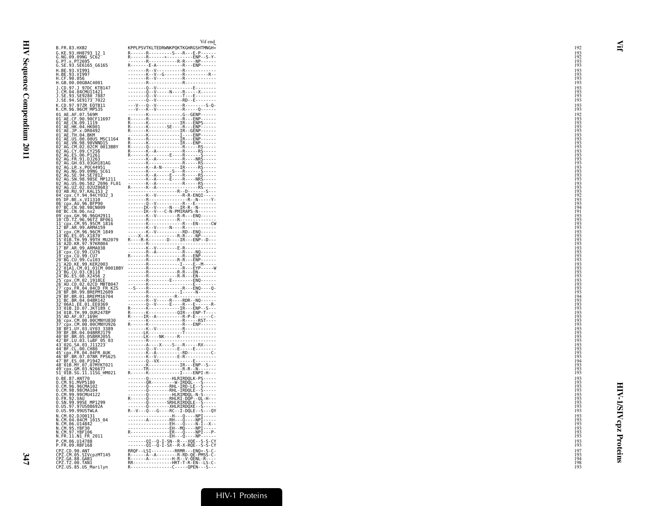| B. FR. 83. HXB2                                                                                                | $\mathbf{v}$ in $\mathbf{v}$<br>KPPLPSVTKLTEDRWNKPQKTKGHRGSHTMNGH*                                                                                                                                                                           | 192                                    |
|----------------------------------------------------------------------------------------------------------------|----------------------------------------------------------------------------------------------------------------------------------------------------------------------------------------------------------------------------------------------|----------------------------------------|
| G.KE.93.HH8793 12 1<br>G.NG.09.09NG_SC62                                                                       |                                                                                                                                                                                                                                              | $\frac{193}{192}$<br>$\frac{192}{193}$ |
| G.PT.x.PT2695<br>G.SE.93.SE6165_G6165<br>H.BE.93.VI991                                                         |                                                                                                                                                                                                                                              | 193                                    |
| H.BE.93.VI997<br>H.CF.90.056<br>H.GB.00.00GBAC4001                                                             |                                                                                                                                                                                                                                              | 193<br>193<br>193<br>193               |
| J.CD.97.J 97DC KTB147                                                                                          |                                                                                                                                                                                                                                              | 193                                    |
| J.CM.04.04CMU11421<br>J.SE.93.SE9280_7887<br>J.SE.94.SE9173_7022                                               |                                                                                                                                                                                                                                              | $\frac{193}{193}$                      |
| K.CD.97.97ZR EQTB11<br>K.CM.96.96CM MP535                                                                      |                                                                                                                                                                                                                                              | 193<br>193                             |
| 01 AE.AF.07.569M                                                                                               |                                                                                                                                                                                                                                              | $\frac{192}{193}$<br>$\frac{193}{193}$ |
| 01-AE.CF.90.900F11697<br>01-AE.CF.90.90CF11697<br>01-AE.CN.09.1119<br>01-AE.JP.x.DR0492<br>01-AE.TH.04.BKM     |                                                                                                                                                                                                                                              | 193                                    |
| 01 AE.US.00.00US MSC1164                                                                                       |                                                                                                                                                                                                                                              | 193                                    |
| 01-AE.VN.98.98VNND15<br>02-AG.CM.02.02CM 0013BBY<br>02-AG.CY.09.CY256                                          |                                                                                                                                                                                                                                              | 193<br>193<br>193<br>193               |
| 02 AG. ES. 06. P1261<br>02 AG. FR. 91. DJ263                                                                   |                                                                                                                                                                                                                                              | 193                                    |
| 02 AG. GH. 03.03GH181AG                                                                                        |                                                                                                                                                                                                                                              | $\frac{193}{193}$<br>$\frac{193}{193}$ |
|                                                                                                                |                                                                                                                                                                                                                                              | 193<br>193                             |
|                                                                                                                |                                                                                                                                                                                                                                              |                                        |
|                                                                                                                |                                                                                                                                                                                                                                              | 193<br>193<br>193<br>193<br>193<br>193 |
|                                                                                                                |                                                                                                                                                                                                                                              | 194                                    |
| 08 BC.CN.06.nx2                                                                                                |                                                                                                                                                                                                                                              | $\frac{191}{193}$<br>193               |
| 09 CDX GH. 96. 96GH2911<br>10 CD. TZ. 96. 96TZ BF061<br>11 Cpx. CM. 95. 95CM 1816<br>12 BF. AR. 99. ARMA159    |                                                                                                                                                                                                                                              | 193                                    |
|                                                                                                                |                                                                                                                                                                                                                                              | 193<br>193<br>193<br>193               |
|                                                                                                                |                                                                                                                                                                                                                                              | 193<br>193                             |
|                                                                                                                |                                                                                                                                                                                                                                              | 193<br>193<br>193<br>193               |
|                                                                                                                |                                                                                                                                                                                                                                              | 193                                    |
|                                                                                                                |                                                                                                                                                                                                                                              | 193<br>193                             |
|                                                                                                                |                                                                                                                                                                                                                                              | $\frac{193}{193}$                      |
|                                                                                                                |                                                                                                                                                                                                                                              | 193<br>$\frac{194}{193}$               |
|                                                                                                                |                                                                                                                                                                                                                                              | $\frac{193}{193}$                      |
|                                                                                                                | 88 BC. CM. 06. New York 2012<br>19 BC. N. 06. New York 2012<br>112 CBK AR, 093. ARMATS 16<br>112 CBK AR, 093. ARMATS 16<br>112 CBK AR, 093. ARMATS 16<br>112 CBK AR, 093. ARMATS 16<br>14 BC. ES. 05. X1870<br>16 - 2012 (N. 07. 07. 07. 07. | 193<br>193                             |
|                                                                                                                |                                                                                                                                                                                                                                              | 193<br>$\frac{193}{193}$               |
|                                                                                                                |                                                                                                                                                                                                                                              | 165<br>193                             |
|                                                                                                                |                                                                                                                                                                                                                                              | 193<br>193<br>193<br>193               |
|                                                                                                                |                                                                                                                                                                                                                                              | 193                                    |
|                                                                                                                |                                                                                                                                                                                                                                              | 194<br>$\frac{193}{193}$               |
|                                                                                                                |                                                                                                                                                                                                                                              | 193<br>193                             |
|                                                                                                                |                                                                                                                                                                                                                                              | $\frac{193}{193}$                      |
| 0.CM.98.98CMA104<br>0.CM.99.99CMU4122<br>0.FR.92.VAU                                                           | 0RHL-IRDQLE--S-----                                                                                                                                                                                                                          | 193<br>$\frac{193}{193}$               |
| 0.FR.36.09SE MP1299<br>0.US.97.97US08692A                                                                      |                                                                                                                                                                                                                                              | 193                                    |
| 0. US.99.99USTWLA<br>N.CM.02.DJ00131                                                                           |                                                                                                                                                                                                                                              | 193<br>$\frac{193}{193}$               |
| N.CM.04.04CM 1015_04<br>N.CM.06.U14842<br>N.CM.95.YBF30<br>N.CM.97.YBF106                                      |                                                                                                                                                                                                                                              |                                        |
| N.FR.11.N1 FR 2011                                                                                             | . EH - - - Q - - - - NP - - - - - -                                                                                                                                                                                                          | $\frac{193}{193}$<br>193               |
| P.CM.06.U14788<br>P.FR.09.RBF168                                                                               |                                                                                                                                                                                                                                              | $\frac{193}{193}$                      |
|                                                                                                                | RRQF--LSI---------RRMR---ENQ*-S-C-                                                                                                                                                                                                           | 197<br>193                             |
| . PPZ.CD.90.ANT<br>CPZ.CD.90.ANT<br>CPZ.GA.88.GABI<br>CPZ.GA.88.GABI<br>CPZ.TZ.00.TAN1<br>CPZ.US.85.US_Marilyn | R----------------C-----QPEN---S---                                                                                                                                                                                                           | 194<br>198<br>193                      |

| nr121<br>696_FL01<br>683 <sup>—</sup><br>3 2<br>032_3 | KPPLPSVTKLTEDRWNKPQKTKGHRGSHTMNGH*<br>$R = \begin{bmatrix} R_1 + 0 & R_1 + 0 & R_2 + 0 & R_3 + 0 & R_4 + 0 & R_5 + 0 & R_6 + 0 & R_7 + 0 & R_8 + 0 & R_9 + 0 & R_1 + 0 & R_1 + 0 & R_1 + 0 & R_1 + 0 & R_1 + 0 & R_1 + 0 & R_1 + 0 & R_1 + 0 & R_1 + 0 & R_1 + 0 & R_1 + 0 & R_1 + 0 & R_1 + 0 & R_1 + 0 & R_1 + 0 & R_1 + 0 & R_1 + 0 & R_1 + 0 & R_1 + 0 & R_1 + 0 & R_$ |  |
|-------------------------------------------------------|----------------------------------------------------------------------------------------------------------------------------------------------------------------------------------------------------------------------------------------------------------------------------------------------------------------------------------------------------------------------------|--|
|                                                       |                                                                                                                                                                                                                                                                                                                                                                            |  |
|                                                       |                                                                                                                                                                                                                                                                                                                                                                            |  |
|                                                       |                                                                                                                                                                                                                                                                                                                                                                            |  |
|                                                       |                                                                                                                                                                                                                                                                                                                                                                            |  |
|                                                       |                                                                                                                                                                                                                                                                                                                                                                            |  |
|                                                       |                                                                                                                                                                                                                                                                                                                                                                            |  |
|                                                       |                                                                                                                                                                                                                                                                                                                                                                            |  |
|                                                       |                                                                                                                                                                                                                                                                                                                                                                            |  |
|                                                       |                                                                                                                                                                                                                                                                                                                                                                            |  |
|                                                       |                                                                                                                                                                                                                                                                                                                                                                            |  |
|                                                       |                                                                                                                                                                                                                                                                                                                                                                            |  |
|                                                       |                                                                                                                                                                                                                                                                                                                                                                            |  |
|                                                       |                                                                                                                                                                                                                                                                                                                                                                            |  |
|                                                       |                                                                                                                                                                                                                                                                                                                                                                            |  |
|                                                       |                                                                                                                                                                                                                                                                                                                                                                            |  |
|                                                       |                                                                                                                                                                                                                                                                                                                                                                            |  |
|                                                       |                                                                                                                                                                                                                                                                                                                                                                            |  |
|                                                       |                                                                                                                                                                                                                                                                                                                                                                            |  |
|                                                       |                                                                                                                                                                                                                                                                                                                                                                            |  |
|                                                       |                                                                                                                                                                                                                                                                                                                                                                            |  |
|                                                       |                                                                                                                                                                                                                                                                                                                                                                            |  |
|                                                       |                                                                                                                                                                                                                                                                                                                                                                            |  |
|                                                       |                                                                                                                                                                                                                                                                                                                                                                            |  |
|                                                       |                                                                                                                                                                                                                                                                                                                                                                            |  |
|                                                       |                                                                                                                                                                                                                                                                                                                                                                            |  |
|                                                       |                                                                                                                                                                                                                                                                                                                                                                            |  |
|                                                       |                                                                                                                                                                                                                                                                                                                                                                            |  |
|                                                       |                                                                                                                                                                                                                                                                                                                                                                            |  |
|                                                       |                                                                                                                                                                                                                                                                                                                                                                            |  |
|                                                       |                                                                                                                                                                                                                                                                                                                                                                            |  |
|                                                       |                                                                                                                                                                                                                                                                                                                                                                            |  |
|                                                       |                                                                                                                                                                                                                                                                                                                                                                            |  |
|                                                       |                                                                                                                                                                                                                                                                                                                                                                            |  |
|                                                       |                                                                                                                                                                                                                                                                                                                                                                            |  |
|                                                       |                                                                                                                                                                                                                                                                                                                                                                            |  |
|                                                       |                                                                                                                                                                                                                                                                                                                                                                            |  |
|                                                       |                                                                                                                                                                                                                                                                                                                                                                            |  |
|                                                       |                                                                                                                                                                                                                                                                                                                                                                            |  |
|                                                       |                                                                                                                                                                                                                                                                                                                                                                            |  |
|                                                       |                                                                                                                                                                                                                                                                                                                                                                            |  |
|                                                       |                                                                                                                                                                                                                                                                                                                                                                            |  |
|                                                       |                                                                                                                                                                                                                                                                                                                                                                            |  |
|                                                       |                                                                                                                                                                                                                                                                                                                                                                            |  |
|                                                       |                                                                                                                                                                                                                                                                                                                                                                            |  |
|                                                       |                                                                                                                                                                                                                                                                                                                                                                            |  |
|                                                       |                                                                                                                                                                                                                                                                                                                                                                            |  |
|                                                       |                                                                                                                                                                                                                                                                                                                                                                            |  |
|                                                       |                                                                                                                                                                                                                                                                                                                                                                            |  |
|                                                       |                                                                                                                                                                                                                                                                                                                                                                            |  |
|                                                       |                                                                                                                                                                                                                                                                                                                                                                            |  |
|                                                       |                                                                                                                                                                                                                                                                                                                                                                            |  |
| 003<br>M_0001BBY                                      |                                                                                                                                                                                                                                                                                                                                                                            |  |
|                                                       |                                                                                                                                                                                                                                                                                                                                                                            |  |
|                                                       |                                                                                                                                                                                                                                                                                                                                                                            |  |
|                                                       |                                                                                                                                                                                                                                                                                                                                                                            |  |
|                                                       |                                                                                                                                                                                                                                                                                                                                                                            |  |
|                                                       |                                                                                                                                                                                                                                                                                                                                                                            |  |
|                                                       |                                                                                                                                                                                                                                                                                                                                                                            |  |
|                                                       |                                                                                                                                                                                                                                                                                                                                                                            |  |
|                                                       |                                                                                                                                                                                                                                                                                                                                                                            |  |
|                                                       |                                                                                                                                                                                                                                                                                                                                                                            |  |
|                                                       |                                                                                                                                                                                                                                                                                                                                                                            |  |
|                                                       |                                                                                                                                                                                                                                                                                                                                                                            |  |
|                                                       |                                                                                                                                                                                                                                                                                                                                                                            |  |
|                                                       |                                                                                                                                                                                                                                                                                                                                                                            |  |
|                                                       |                                                                                                                                                                                                                                                                                                                                                                            |  |
|                                                       |                                                                                                                                                                                                                                                                                                                                                                            |  |
|                                                       |                                                                                                                                                                                                                                                                                                                                                                            |  |
|                                                       |                                                                                                                                                                                                                                                                                                                                                                            |  |
|                                                       |                                                                                                                                                                                                                                                                                                                                                                            |  |
|                                                       |                                                                                                                                                                                                                                                                                                                                                                            |  |
|                                                       |                                                                                                                                                                                                                                                                                                                                                                            |  |
|                                                       |                                                                                                                                                                                                                                                                                                                                                                            |  |
|                                                       |                                                                                                                                                                                                                                                                                                                                                                            |  |
|                                                       |                                                                                                                                                                                                                                                                                                                                                                            |  |
|                                                       |                                                                                                                                                                                                                                                                                                                                                                            |  |
|                                                       |                                                                                                                                                                                                                                                                                                                                                                            |  |
|                                                       |                                                                                                                                                                                                                                                                                                                                                                            |  |
|                                                       |                                                                                                                                                                                                                                                                                                                                                                            |  |
|                                                       |                                                                                                                                                                                                                                                                                                                                                                            |  |
|                                                       |                                                                                                                                                                                                                                                                                                                                                                            |  |
|                                                       |                                                                                                                                                                                                                                                                                                                                                                            |  |
|                                                       |                                                                                                                                                                                                                                                                                                                                                                            |  |
|                                                       |                                                                                                                                                                                                                                                                                                                                                                            |  |
|                                                       |                                                                                                                                                                                                                                                                                                                                                                            |  |
|                                                       |                                                                                                                                                                                                                                                                                                                                                                            |  |
|                                                       |                                                                                                                                                                                                                                                                                                                                                                            |  |
|                                                       |                                                                                                                                                                                                                                                                                                                                                                            |  |
|                                                       |                                                                                                                                                                                                                                                                                                                                                                            |  |
|                                                       |                                                                                                                                                                                                                                                                                                                                                                            |  |
|                                                       |                                                                                                                                                                                                                                                                                                                                                                            |  |
|                                                       |                                                                                                                                                                                                                                                                                                                                                                            |  |
|                                                       | -------01--0-1-SN--R---XOE--S-S-CY<br>--------Q1--Q-1-SX--R--X-RQE--S-S-CY<br>RRQF--LSI---------RRMR---ENQ*-S-C                                                                                                                                                                                                                                                            |  |
|                                                       |                                                                                                                                                                                                                                                                                                                                                                            |  |
|                                                       |                                                                                                                                                                                                                                                                                                                                                                            |  |
|                                                       |                                                                                                                                                                                                                                                                                                                                                                            |  |
|                                                       |                                                                                                                                                                                                                                                                                                                                                                            |  |
|                                                       |                                                                                                                                                                                                                                                                                                                                                                            |  |
|                                                       |                                                                                                                                                                                                                                                                                                                                                                            |  |

Vif end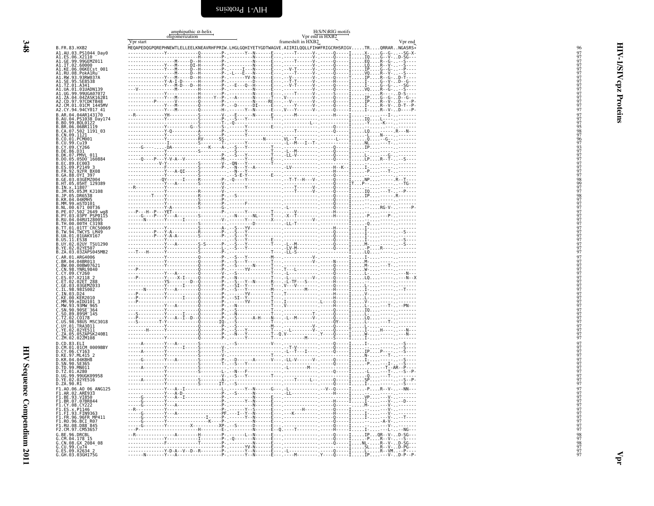<span id="page-35-0"></span>

|                                                                                                                                                                                                                                                                                      | amphipathic $\alpha$ -helix  | $H(S/N)RIG$ motifs<br>Vpr end in $HXB2$                                                                             |         |
|--------------------------------------------------------------------------------------------------------------------------------------------------------------------------------------------------------------------------------------------------------------------------------------|------------------------------|---------------------------------------------------------------------------------------------------------------------|---------|
|                                                                                                                                                                                                                                                                                      | oligomerization<br>Vpr start | frameshift in HXB2                                                                                                  | Vpr end |
| 3. FR. 83. HXB2                                                                                                                                                                                                                                                                      |                              | $\check{\tt MeO}$ APEDQGPQREPHNEWTLELLEELKNEAVRHFPRIW.LHGLGQHIYETYGDTWAGVE.AIIRILQQLLFIH#FRIGCRHSRIGVTRQRRARNGASRS* |         |
| 41.AU.03.PS1044 Day0<br>11.AU.03.PS1044-Day0<br>11.ES.06.X2110-Day0<br>11.IT.02.60000011<br>11.IT.02.60000<br>11.RU.08.PoMP101<br>11.RU.08.PoMARu<br>11.RU.08.PoMARu<br>11.IT.25.03.23RW0370<br>11.U.09.9000A07072<br>11.U.09.9000A07072<br>11.U.09.9000A07072<br>11.U.09.9000A07072 |                              |                                                                                                                     |         |
|                                                                                                                                                                                                                                                                                      |                              |                                                                                                                     |         |
|                                                                                                                                                                                                                                                                                      |                              |                                                                                                                     |         |
|                                                                                                                                                                                                                                                                                      |                              |                                                                                                                     |         |
|                                                                                                                                                                                                                                                                                      |                              |                                                                                                                     |         |
|                                                                                                                                                                                                                                                                                      |                              |                                                                                                                     |         |
|                                                                                                                                                                                                                                                                                      |                              |                                                                                                                     |         |
| 2.CD.97.97CDKTB48<br>2.CM.01.01CM_1445MV                                                                                                                                                                                                                                             |                              |                                                                                                                     |         |
| .CY.94.94CY017_41                                                                                                                                                                                                                                                                    |                              |                                                                                                                     |         |
| AR.04.04AR143170<br>.AU.04.PS1038_Day174<br>.BO.99.BOL0122                                                                                                                                                                                                                           |                              |                                                                                                                     |         |
|                                                                                                                                                                                                                                                                                      |                              |                                                                                                                     |         |
| .BR.06.06BR1119<br>.CA.07.502 1191_03<br>.CN.09.1121                                                                                                                                                                                                                                 |                              |                                                                                                                     |         |
| .CN.09.1121<br>.CO.01.PCM001<br>.CV.09.Cv19<br>.CY.09.Cv266<br>.DK.07.PMVL_011<br>.DO.05.05D0_160884<br>.EC.88.EC003                                                                                                                                                                 |                              |                                                                                                                     |         |
|                                                                                                                                                                                                                                                                                      |                              |                                                                                                                     |         |
|                                                                                                                                                                                                                                                                                      |                              |                                                                                                                     |         |
|                                                                                                                                                                                                                                                                                      |                              |                                                                                                                     |         |
|                                                                                                                                                                                                                                                                                      |                              |                                                                                                                     |         |
| .ES.09.P2009<br>.FR.92.92FR BX08<br>.GA.88.0YI 397<br>.GE.03.03GEMZ004<br>.HT.05.05HT 129389<br>.HT.05.05HT 129389                                                                                                                                                                   |                              |                                                                                                                     |         |
|                                                                                                                                                                                                                                                                                      |                              |                                                                                                                     |         |
| IN.x.11807<br>JM.05.05JM_KJ108                                                                                                                                                                                                                                                       |                              |                                                                                                                     |         |
|                                                                                                                                                                                                                                                                                      |                              |                                                                                                                     |         |
| JP.05.DR6538<br>MM.99.mSTD101                                                                                                                                                                                                                                                        |                              |                                                                                                                     |         |
|                                                                                                                                                                                                                                                                                      |                              |                                                                                                                     |         |
|                                                                                                                                                                                                                                                                                      |                              |                                                                                                                     |         |
|                                                                                                                                                                                                                                                                                      |                              |                                                                                                                     |         |
|                                                                                                                                                                                                                                                                                      |                              |                                                                                                                     |         |
| . MM.99. mS1D101<br>. NL.00.671_00T36<br>.PE.07.502_2649_wg8<br>.RU.03.03PY_PSP0115<br>.RU.04.04RU128005<br>.TH.00.00TH_C3198<br>.TT.01.01TT_CRC50069<br>.TW.94.TWCYS_LM49<br>.US.11_FS38                                                                                            |                              |                                                                                                                     |         |
| .US.11.ES38<br>.UY.02.02UY TSU1290<br>.YE.02.02YE507                                                                                                                                                                                                                                 |                              |                                                                                                                     |         |
| ZA.03.03ZAPS045MB2                                                                                                                                                                                                                                                                   |                              |                                                                                                                     |         |
| .ZA.03.03ZAP5045h<br>.BR.04.048R013<br>.BR.04.048R013<br>.BW.00.00BW07621<br>.CY.09.YNRL9840<br>.CY.09.CY260<br>.ES.07.X2118<br>.EE.03.03GEM2033<br>.TN.03.03GEM2033<br>.TN.03.03GEM2033<br>.TN.03.03GEM2033                                                                         |                              |                                                                                                                     |         |
|                                                                                                                                                                                                                                                                                      |                              |                                                                                                                     |         |
|                                                                                                                                                                                                                                                                                      |                              |                                                                                                                     |         |
|                                                                                                                                                                                                                                                                                      |                              |                                                                                                                     |         |
|                                                                                                                                                                                                                                                                                      |                              |                                                                                                                     |         |
| IN.03.D24                                                                                                                                                                                                                                                                            |                              |                                                                                                                     |         |
| KE.00.KER2010                                                                                                                                                                                                                                                                        |                              |                                                                                                                     |         |
| . MM .99 . MLNU101<br>.MW .93 .93MW 965<br>.SN .90 .90SE <sup>-</sup> 364<br>.SO .89 .89SM <sup>-</sup> 145<br>.TZ .02 .C0178<br>.TZ .02 .C0178                                                                                                                                      |                              |                                                                                                                     |         |
|                                                                                                                                                                                                                                                                                      |                              |                                                                                                                     |         |
|                                                                                                                                                                                                                                                                                      |                              |                                                                                                                     |         |
| : US. 98. 98US MSC3018<br>.UY.01.TRA3011<br>.VY.01.TRA3011<br>.YE.02.02YE511<br>.ZA.05.05ZAPSK240B1                                                                                                                                                                                  |                              |                                                                                                                     |         |
|                                                                                                                                                                                                                                                                                      |                              |                                                                                                                     |         |
| ZM.02.02ZM108                                                                                                                                                                                                                                                                        |                              |                                                                                                                     |         |
| .20.83.ELI<br>.CD.83.ELI<br>.CM.01.01CM 0009BBY<br>.CY.06.CY163<br>.KE.97.ML415_2                                                                                                                                                                                                    |                              |                                                                                                                     |         |
|                                                                                                                                                                                                                                                                                      |                              |                                                                                                                     |         |
| KR.04.04KBH8                                                                                                                                                                                                                                                                         |                              |                                                                                                                     |         |
| : SN : 90 : SE365<br>. TD : 99 : MN011<br>. TD : 99 : MN011<br>. UG : 99 : 99UGK09958                                                                                                                                                                                                |                              |                                                                                                                     |         |
|                                                                                                                                                                                                                                                                                      |                              |                                                                                                                     |         |
| .YE.02.02YE516<br>.ZA.90.R1                                                                                                                                                                                                                                                          |                              |                                                                                                                     |         |
| ! ZA .99. кт<br>:1.A0.06.A0 06 ANG125<br>:1.AR.02.ARE933<br>:1.BE.93.VI850<br>:1.BR.07.07BR844<br>:1.ES.x.P1146<br>:1.ES.x.P1146<br>:1.ES.x.P1146<br>.7.EJ.92.EIN9363                                                                                                                |                              |                                                                                                                     |         |
|                                                                                                                                                                                                                                                                                      |                              |                                                                                                                     |         |
|                                                                                                                                                                                                                                                                                      |                              |                                                                                                                     |         |
|                                                                                                                                                                                                                                                                                      |                              |                                                                                                                     |         |
|                                                                                                                                                                                                                                                                                      |                              |                                                                                                                     |         |
| 1.FR.96.96FR MP411<br>1.RO.96.BCI R07<br>1.RU.08.D88 845                                                                                                                                                                                                                             |                              |                                                                                                                     |         |
| 2.CM.97.CM53657                                                                                                                                                                                                                                                                      |                              |                                                                                                                     |         |
|                                                                                                                                                                                                                                                                                      |                              |                                                                                                                     |         |
|                                                                                                                                                                                                                                                                                      |                              |                                                                                                                     |         |
| 2. CH. 97. CH55657<br>. CM. 04. 178 15<br>. CM. 04. 178 15<br>. CN. 08. GX 2084_08<br>. CU. 99. Cu74<br>. ES. 09. X236H175G                                                                                                                                                          |                              |                                                                                                                     |         |
|                                                                                                                                                                                                                                                                                      |                              |                                                                                                                     |         |

<span id="page-35-1"></span>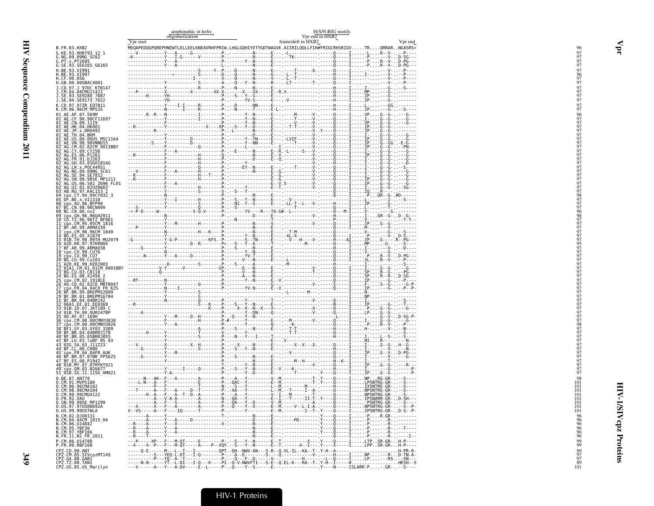|                                                                                                                                                                                                                                                      |           | amphipathic $\alpha$ -helix<br>oligomerization |  | H(S/N)RIG motifs<br>Vpr end in HXB2 |                                                                                                                                                                                                                         |
|------------------------------------------------------------------------------------------------------------------------------------------------------------------------------------------------------------------------------------------------------|-----------|------------------------------------------------|--|-------------------------------------|-------------------------------------------------------------------------------------------------------------------------------------------------------------------------------------------------------------------------|
|                                                                                                                                                                                                                                                      | Vpr start |                                                |  | frameshift in HXB2                  | Vpr end                                                                                                                                                                                                                 |
| B.FR.83.HXB2                                                                                                                                                                                                                                         |           |                                                |  |                                     | MEQAPEDQGPQREPHNEWTLELLEELKNEAVRHFPRIW.LHGLGQHIYETYGDTWAGVE.AIIRILQQLLFIH#FRIGCRHSRIGVTRQRRARNGASRS*                                                                                                                    |
| G.KE.93.HH8793 12_1<br>G.NG.09.09NG SC62 <sup>-1</sup><br>G.PT.x.PT2695                                                                                                                                                                              |           |                                                |  |                                     |                                                                                                                                                                                                                         |
| G.SE.93.SE6165_G6165                                                                                                                                                                                                                                 |           |                                                |  |                                     |                                                                                                                                                                                                                         |
| H.BE.93.VI991<br>H.BE.93.VI997<br>H.CF.90.056                                                                                                                                                                                                        |           |                                                |  |                                     |                                                                                                                                                                                                                         |
|                                                                                                                                                                                                                                                      |           |                                                |  |                                     |                                                                                                                                                                                                                         |
| H.GB.00.00GBAC4001<br>J.CD.97.J 97DC KTB147                                                                                                                                                                                                          |           |                                                |  |                                     |                                                                                                                                                                                                                         |
| J.CM.04.04CMUI1421<br>J.SE.93.SE9280_7887                                                                                                                                                                                                            |           |                                                |  |                                     |                                                                                                                                                                                                                         |
| J.SE.94.SE9173 <sup>-</sup> 7022                                                                                                                                                                                                                     |           |                                                |  |                                     |                                                                                                                                                                                                                         |
| K.CD.97.97ZR EQTB11<br>K.CM.96.96CM_MP535                                                                                                                                                                                                            |           |                                                |  |                                     |                                                                                                                                                                                                                         |
|                                                                                                                                                                                                                                                      |           |                                                |  |                                     |                                                                                                                                                                                                                         |
|                                                                                                                                                                                                                                                      |           |                                                |  |                                     |                                                                                                                                                                                                                         |
|                                                                                                                                                                                                                                                      |           |                                                |  |                                     |                                                                                                                                                                                                                         |
|                                                                                                                                                                                                                                                      |           |                                                |  |                                     |                                                                                                                                                                                                                         |
|                                                                                                                                                                                                                                                      |           |                                                |  |                                     |                                                                                                                                                                                                                         |
| 02 AG.CY.09.CY256<br>02 AG.ES.06.P1261                                                                                                                                                                                                               |           |                                                |  |                                     |                                                                                                                                                                                                                         |
| 02 AG. FR. 91. DJ263                                                                                                                                                                                                                                 |           |                                                |  |                                     |                                                                                                                                                                                                                         |
| 02 <sup>-</sup> AG.GH.03.03GH181AG<br>02 AG.LR.x.POC44951                                                                                                                                                                                            |           |                                                |  |                                     |                                                                                                                                                                                                                         |
| 02 AG.NG.09.09NG SC61<br>02 AG.SE.94.SE7812                                                                                                                                                                                                          |           |                                                |  |                                     |                                                                                                                                                                                                                         |
|                                                                                                                                                                                                                                                      |           |                                                |  |                                     |                                                                                                                                                                                                                         |
|                                                                                                                                                                                                                                                      |           |                                                |  |                                     |                                                                                                                                                                                                                         |
| 92 AG. SR. 94. SEP 32<br>82 AG. SR. 98. 985E MP1211<br>92 AG. UZ. 02. 02. 220966 FL01<br>92 AG. UZ. 02. 02. 02. 0266<br>94 CR. CY. 94. 94(Y032<br>95 DF. BE. x. VII310<br>96 DF. E. V. 96. 8FP90<br>97 BC. CN. 98. 980009<br>97 BC. CN. 98. 98       |           |                                                |  |                                     |                                                                                                                                                                                                                         |
|                                                                                                                                                                                                                                                      |           |                                                |  |                                     |                                                                                                                                                                                                                         |
|                                                                                                                                                                                                                                                      |           |                                                |  |                                     |                                                                                                                                                                                                                         |
| 08 BC.CN.06.nx2                                                                                                                                                                                                                                      |           |                                                |  |                                     |                                                                                                                                                                                                                         |
|                                                                                                                                                                                                                                                      |           |                                                |  |                                     |                                                                                                                                                                                                                         |
|                                                                                                                                                                                                                                                      |           |                                                |  |                                     |                                                                                                                                                                                                                         |
| 08 BC.CH. 06.102<br>107 CD.T. (1996)<br>11 Cov. CH. 96.966H2911<br>11 Cov. CH. 95.956M<br>13 CP. CH. 95.956M<br>13 CP. CH. 95.956M<br>13 CP. CH. 96.966M<br>14 B6.55.957M<br>14 B6.55.957M<br>15 OB. TH. 99.97M<br>15 CP. ACU. 99.07M<br>17 BEAR 40. |           |                                                |  |                                     |                                                                                                                                                                                                                         |
|                                                                                                                                                                                                                                                      |           |                                                |  |                                     |                                                                                                                                                                                                                         |
|                                                                                                                                                                                                                                                      |           |                                                |  |                                     |                                                                                                                                                                                                                         |
|                                                                                                                                                                                                                                                      |           |                                                |  |                                     |                                                                                                                                                                                                                         |
| 20-BG.CU.99.Cu103<br>21-A2D.KE.99.KER2003<br>22-01A1.CM.01.01CM_0001BBY                                                                                                                                                                              |           |                                                |  |                                     |                                                                                                                                                                                                                         |
| 23 BG.CU.03.CB118<br>24 BG.ES.08.X2456                                                                                                                                                                                                               |           |                                                |  |                                     |                                                                                                                                                                                                                         |
|                                                                                                                                                                                                                                                      |           |                                                |  |                                     |                                                                                                                                                                                                                         |
| 25-CD: CM. 02.1918LE<br>26-AU.CD. 02.02CD_MBTB047<br>27-CDX. FR. 04.04CD_FR_KZS                                                                                                                                                                      |           |                                                |  |                                     |                                                                                                                                                                                                                         |
| 28-BF.BR.99.BREPM12609<br>29-BF.BR.01.BREPM16704<br>31-BC.BR.04.04BR142<br>32-06A1.EE.01.EE0369                                                                                                                                                      |           |                                                |  |                                     |                                                                                                                                                                                                                         |
|                                                                                                                                                                                                                                                      |           |                                                |  |                                     |                                                                                                                                                                                                                         |
|                                                                                                                                                                                                                                                      |           |                                                |  |                                     |                                                                                                                                                                                                                         |
| 33-01B.1D.07.JKT189<br>34-01B.TH.99.0UR2478P<br>35-AD.AF.07.169H<br>36-cpx.CM.00.00CMNYU830                                                                                                                                                          |           |                                                |  |                                     |                                                                                                                                                                                                                         |
| cpx.CM.00.00CMNYU926                                                                                                                                                                                                                                 |           |                                                |  |                                     |                                                                                                                                                                                                                         |
| 38 BF1.UY.03.UY03 3389<br>39 BF.BR.04.04BRRJ179                                                                                                                                                                                                      |           |                                                |  |                                     |                                                                                                                                                                                                                         |
| 40 BF.BR.05.05BRRJ055<br>42 BF.LU.03.luBF_05_03                                                                                                                                                                                                      |           |                                                |  |                                     |                                                                                                                                                                                                                         |
| 43-026. SA. 03. J11223                                                                                                                                                                                                                               |           |                                                |  |                                     |                                                                                                                                                                                                                         |
| 45 CDX FR. 04.04FR AUK<br>46 BF. BR. 07.07BR FPS625<br>47 BF. ES. 08. P1942                                                                                                                                                                          |           |                                                |  |                                     |                                                                                                                                                                                                                         |
|                                                                                                                                                                                                                                                      |           |                                                |  |                                     |                                                                                                                                                                                                                         |
| 47-BP:E3:00:F1942<br>48-01B.MY.07.07MYKT021<br>49-cpx.GM.03.N26677<br>51_01B.SG.11.11SG_HM021                                                                                                                                                        |           |                                                |  |                                     |                                                                                                                                                                                                                         |
|                                                                                                                                                                                                                                                      |           |                                                |  |                                     |                                                                                                                                                                                                                         |
| 0.BE.87.ANT70<br>0.CM.91.MVP5180                                                                                                                                                                                                                     |           |                                                |  |                                     |                                                                                                                                                                                                                         |
| 0.CM.96.96CMA102                                                                                                                                                                                                                                     |           |                                                |  |                                     |                                                                                                                                                                                                                         |
| 0. CM. 98. 98CMA104<br>0. CM. 99. 99CMU4122<br>0. FR. 92. VAU                                                                                                                                                                                        |           |                                                |  |                                     |                                                                                                                                                                                                                         |
| 0.SN.99.99SE MP1299<br>0. US. 97. 97US08692A                                                                                                                                                                                                         |           |                                                |  |                                     |                                                                                                                                                                                                                         |
| 0.US.99.99USTWLA                                                                                                                                                                                                                                     |           |                                                |  |                                     | ---X------X---F---A--------A---------P-1-Q-----Y--X------E--MI-----V--L-I-A-1------Q-----IINPSNTRG-GR-11--S--P-<br>V--VS-----A---F----IQ------T--------P-1------Y---------E--M.--------I--T-.Y----Q-----IIPSNTRG-GR-1.D |
| N.CM.02.DJ00131<br>N.CM.04.04CM 1015 04                                                                                                                                                                                                              |           |                                                |  |                                     |                                                                                                                                                                                                                         |
| N.CM.06.014842<br>N.CM.95.YBF30                                                                                                                                                                                                                      |           |                                                |  |                                     |                                                                                                                                                                                                                         |
| N.CM.97.YBF106                                                                                                                                                                                                                                       |           |                                                |  |                                     |                                                                                                                                                                                                                         |
| N.FR.11.N1 FR 2011                                                                                                                                                                                                                                   |           |                                                |  |                                     | ---P-----XP---F---M-QT-----E--------P---S---Y--N------E--T.----------X--- Y----Q-----ILTPSR-GR-H-P----<br>--X----X--P---F---M-QT-----A----P--XQY.--S---Y--N------E--T.------X--I--- Y----X----ILPPSR-GR-H-P----         |
| P.CM.06.U14788<br>P.FR.09.RBF168                                                                                                                                                                                                                     |           |                                                |  |                                     |                                                                                                                                                                                                                         |
| CPZ.CD.90.ANT<br>CPZ.CM.05.SIVcpzMT145                                                                                                                                                                                                               |           |                                                |  |                                     |                                                                                                                                                                                                                         |
| CPZ.GA.88.GAB1<br>CPZ.TZ.00.TAN1                                                                                                                                                                                                                     |           |                                                |  |                                     |                                                                                                                                                                                                                         |
| CPZ.US.85.US Marilyn                                                                                                                                                                                                                                 |           |                                                |  |                                     |                                                                                                                                                                                                                         |

**Vpr**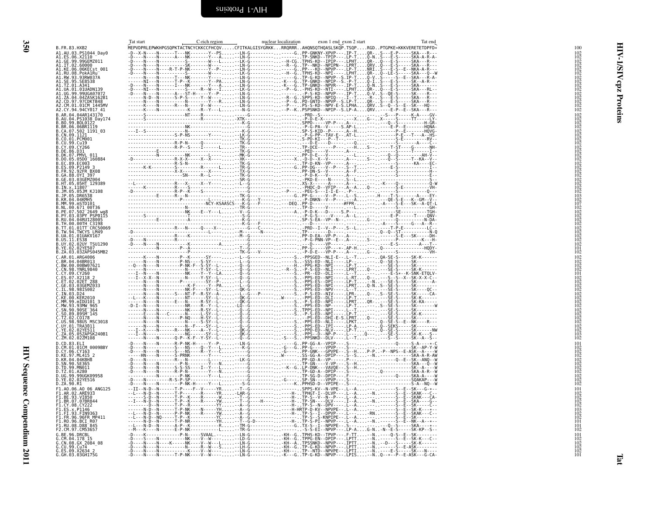<span id="page-37-1"></span><span id="page-37-0"></span>

|                                                                                                                                                                | Tat start | C-rich region | nuclear localization | exon 1 end exon 2 start | Tat end                                                                                                 |  |
|----------------------------------------------------------------------------------------------------------------------------------------------------------------|-----------|---------------|----------------------|-------------------------|---------------------------------------------------------------------------------------------------------|--|
| B.FR.83.HXB2                                                                                                                                                   |           |               |                      |                         | MEPVDPRLEPWKHPGSQPKTACTNCYCKKCCFHCQVCFITKALGISYGRKKRRQRRRAHQNSQTHQASLSKQP.TSQPRGDPTGPKE*KKKVERETETDPFD* |  |
| A1.AU.03.PS1044_Day0<br>A1.ES.06.X2110 <sup>—</sup><br>A1.GE.99.99GEMZ011                                                                                      |           |               |                      |                         |                                                                                                         |  |
| A1.IT.02.60000                                                                                                                                                 |           |               |                      |                         |                                                                                                         |  |
|                                                                                                                                                                |           |               |                      |                         |                                                                                                         |  |
| A1.RW.93.93RW037A<br>A1.SE.95.SE8538<br>A1.TZ.01.A341                                                                                                          |           |               |                      |                         |                                                                                                         |  |
|                                                                                                                                                                |           |               |                      |                         |                                                                                                         |  |
| A1.UA.01.01UADN139                                                                                                                                             |           |               |                      |                         |                                                                                                         |  |
| A1.UG.99.99UGA07072                                                                                                                                            |           |               |                      |                         |                                                                                                         |  |
| AI.ZA.04.04ZASK162B1<br>A2.CD.97.97CDKTB48<br>A2.CM.01.01CM 1445MV                                                                                             |           |               |                      |                         |                                                                                                         |  |
| A2.CY.94.94CY017 41                                                                                                                                            |           |               |                      |                         |                                                                                                         |  |
| B.AR.04.04AR143170                                                                                                                                             |           |               |                      |                         |                                                                                                         |  |
| B.AU.04.P51038_Day174<br>B.B0.99.B0L0122<br>B.B0.99.B0L0122<br>B.CA.07.502_1191_03<br>B.CA.09.1121<br>B.CN.09.1121                                             |           |               |                      |                         |                                                                                                         |  |
|                                                                                                                                                                |           |               |                      |                         |                                                                                                         |  |
|                                                                                                                                                                |           |               |                      |                         |                                                                                                         |  |
|                                                                                                                                                                |           |               |                      |                         |                                                                                                         |  |
| B.CO.01.PCM001<br>B.CU.99.Cu19<br>B.CY.09.CY266                                                                                                                |           |               |                      |                         |                                                                                                         |  |
| B.DE.86.D31                                                                                                                                                    |           |               |                      |                         |                                                                                                         |  |
| <b>B.DK.07.PMVL 011</b>                                                                                                                                        |           |               |                      |                         |                                                                                                         |  |
|                                                                                                                                                                |           |               |                      |                         |                                                                                                         |  |
|                                                                                                                                                                |           |               |                      |                         |                                                                                                         |  |
|                                                                                                                                                                |           |               |                      |                         |                                                                                                         |  |
| B.DR.07.PMVL_011<br>B.DO.05.05D0_160884<br>B.ES.09.PC03<br>B.FR.92.92FR_BX08<br>B.GE.03.03CFN_397<br>B.GE.03.03GEM2004<br>B.H.05.03GEM2004<br>B.H.05.03GEM2004 |           |               |                      |                         |                                                                                                         |  |
| B.IN.x.11807                                                                                                                                                   |           |               |                      |                         |                                                                                                         |  |
| B.JM.05.05JM KJ108<br>B.JP.05.DR6538<br>B.KR.04.04KMH5                                                                                                         |           |               |                      |                         |                                                                                                         |  |
|                                                                                                                                                                |           |               |                      |                         |                                                                                                         |  |
| .MM.99.mSTD101<br>.NL.00.671 00T36                                                                                                                             |           |               |                      |                         |                                                                                                         |  |
| B.PE.07.502 <sup>-</sup> 2649`wg8<br>B.PY.03.03PY PSP0115<br>B.RU.04.04RU128005                                                                                |           |               |                      |                         |                                                                                                         |  |
|                                                                                                                                                                |           |               |                      |                         |                                                                                                         |  |
| B.TH.00.00TH C3198                                                                                                                                             |           |               |                      |                         |                                                                                                         |  |
| B.TT.01.01TT CRC50069<br>B.TW.94.TWCYS LM49                                                                                                                    |           |               |                      |                         |                                                                                                         |  |
| B.UA.01.01UAKV167                                                                                                                                              |           |               |                      |                         |                                                                                                         |  |
| B.US.11.ES38<br>B.UY.02.02UY_TSU1290                                                                                                                           |           |               |                      |                         |                                                                                                         |  |
| B.YE.02.02YE507<br>B.ZA.03.03ZAPS045MB2                                                                                                                        |           |               |                      |                         |                                                                                                         |  |
|                                                                                                                                                                |           |               |                      |                         |                                                                                                         |  |
| C.AR.01.ARG4006<br>C.BR.04.04BR013<br>C.BW.00.00BW07621                                                                                                        |           |               |                      |                         |                                                                                                         |  |
| C.CN.98.YNRL9840                                                                                                                                               |           |               |                      |                         |                                                                                                         |  |
| C.CY.09.CY260                                                                                                                                                  |           |               |                      |                         |                                                                                                         |  |
|                                                                                                                                                                |           |               |                      |                         |                                                                                                         |  |
| C.ES.07.X2118 2<br>C.ET.02.02ET 288<br>C.GE.03.03GEMZ033<br>C.IL.98.98IS002                                                                                    |           |               |                      |                         |                                                                                                         |  |
| C.IN.03.D24                                                                                                                                                    |           |               |                      |                         |                                                                                                         |  |
| C.KE.00.KER2010                                                                                                                                                |           |               |                      |                         |                                                                                                         |  |
| C.MM.99.mIDU101 3<br>C.MW.93.93MW 965<br>C.SN.90.90SE 364                                                                                                      |           |               |                      |                         |                                                                                                         |  |
| $C.50.89.89$ SM $-145$                                                                                                                                         |           |               |                      |                         |                                                                                                         |  |
| C.TZ.02.C0178                                                                                                                                                  |           |               |                      |                         |                                                                                                         |  |
| C.US.98.98US MSC3018                                                                                                                                           |           |               |                      |                         |                                                                                                         |  |
| C.UY.01.TRA3011<br>C.VE.02.02YE511<br>C.ZA.05.05ZAPSK240B1                                                                                                     |           |               |                      |                         |                                                                                                         |  |
| C.ZM.02.02ZM108                                                                                                                                                |           |               |                      |                         |                                                                                                         |  |
| D.CD.83.ELI                                                                                                                                                    |           |               |                      |                         |                                                                                                         |  |
| D.CM.01.01CM 0009BBY<br>D.CY.06.CY163<br>D.KE.97.ML415_2                                                                                                       |           |               |                      |                         |                                                                                                         |  |
|                                                                                                                                                                |           |               |                      |                         |                                                                                                         |  |
| D.KR.04.04KBH8<br>SN.90.SE365                                                                                                                                  |           |               |                      |                         |                                                                                                         |  |
| D.TD.99.MN011                                                                                                                                                  |           |               |                      |                         |                                                                                                         |  |
| D.TZ.01.A280<br>D.UG.99.99UGK09958<br>D.YE.02.02YE516                                                                                                          |           |               |                      |                         |                                                                                                         |  |
|                                                                                                                                                                |           |               |                      |                         |                                                                                                         |  |
| D.ZA.90.R1                                                                                                                                                     |           |               |                      |                         |                                                                                                         |  |
| F1.A0.06.A0 06 ANG125<br>F1.AR.02.ARE933<br>F1.BE.93.VI850                                                                                                     |           |               |                      |                         |                                                                                                         |  |
| F1.BR.07.07BR844                                                                                                                                               |           |               |                      |                         |                                                                                                         |  |
| F1.CY.08.CY222                                                                                                                                                 |           |               |                      |                         |                                                                                                         |  |
| FI.ĒŠ.X.PI146<br>F1.FI.93.FIN9363                                                                                                                              |           |               |                      |                         |                                                                                                         |  |
|                                                                                                                                                                |           |               |                      |                         |                                                                                                         |  |
|                                                                                                                                                                |           |               |                      |                         |                                                                                                         |  |
| F1.FR.96.96FR MP411<br>F1.FR.96.96FR MP411<br>F1.RO.96.BCI R07<br>F1.RU.08.D88 <sup>-</sup> 845<br>F2.CM.97.CM53657                                            |           |               |                      |                         |                                                                                                         |  |
| G.BE.96.DRCBL                                                                                                                                                  |           |               |                      |                         |                                                                                                         |  |
| G.CM.04.178 15<br>G.CN.08.GX 2084_08<br>G.CU.99.Cu74                                                                                                           |           |               |                      |                         |                                                                                                         |  |
|                                                                                                                                                                |           |               |                      |                         |                                                                                                         |  |
| G.ES.09.X2634 2                                                                                                                                                |           |               |                      |                         |                                                                                                         |  |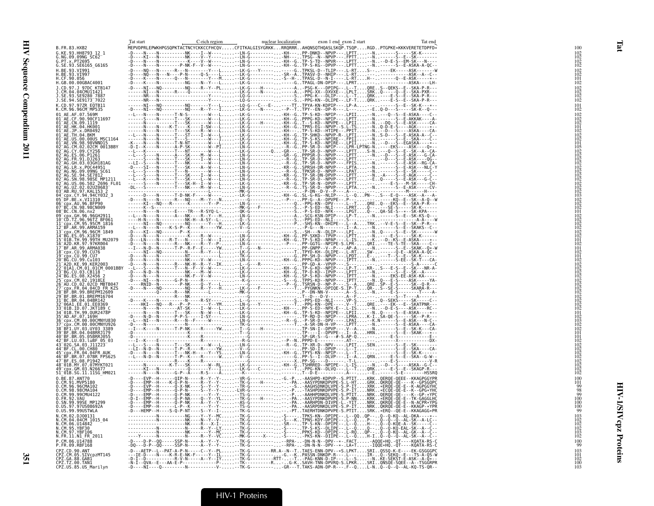|                                                                                                                                                                                                                                                         | Tat start | C-rich region | nuclear localization | exon 1 end exon 2 start                                                                                 | Tat end |  |
|---------------------------------------------------------------------------------------------------------------------------------------------------------------------------------------------------------------------------------------------------------|-----------|---------------|----------------------|---------------------------------------------------------------------------------------------------------|---------|--|
| B.FR.83.HXB2                                                                                                                                                                                                                                            |           |               |                      | MEPVDPRLEPWKHPGSQPKTACTNCYCKKCCFHCQVCFITKALGISYGRKKRRQRRRAHQNSQTHQASLSKQP.TSQPRGDPTGPKE*KKKVERETETDPFD* |         |  |
| G.KE.93.HH8793 12 1<br>G.NG.09.09NG_SC62                                                                                                                                                                                                                |           |               |                      |                                                                                                         |         |  |
|                                                                                                                                                                                                                                                         |           |               |                      |                                                                                                         |         |  |
| G.SE.93.SE6165 G6165<br>H.BE.93.VI991                                                                                                                                                                                                                   |           |               |                      |                                                                                                         |         |  |
| H.BE.93.VĪ997<br>H.CF.90.056                                                                                                                                                                                                                            |           |               |                      |                                                                                                         |         |  |
|                                                                                                                                                                                                                                                         |           |               |                      |                                                                                                         |         |  |
| H.GB.00.00GBAC4001<br>J.CD.97.J 97DC KTB147                                                                                                                                                                                                             |           |               |                      |                                                                                                         |         |  |
| J.CM.04.04CMU11421                                                                                                                                                                                                                                      |           |               |                      |                                                                                                         |         |  |
| .SE.93.SE9280                                                                                                                                                                                                                                           |           |               |                      |                                                                                                         |         |  |
| J.SE.94.SE9173 <sup>-</sup> 7022                                                                                                                                                                                                                        |           |               |                      |                                                                                                         |         |  |
| K.CD.97.97ZR EQTB11<br>K.CM.96.96CM_MP535                                                                                                                                                                                                               |           |               |                      |                                                                                                         |         |  |
| 01 AE.AF.07.569M                                                                                                                                                                                                                                        |           |               |                      |                                                                                                         |         |  |
| 01 AE.CF.90.90CF11697                                                                                                                                                                                                                                   |           |               |                      |                                                                                                         |         |  |
| 01 AE.CN.09.1119<br>01 AE.HK.04.HK001                                                                                                                                                                                                                   |           |               |                      |                                                                                                         |         |  |
| 01 AE.JP.x.DR0492                                                                                                                                                                                                                                       |           |               |                      |                                                                                                         |         |  |
| $01^-$ AE.TH.04.BKM<br>01 AE.US.00.00US MSC1164                                                                                                                                                                                                         |           |               |                      |                                                                                                         |         |  |
| 01 <sup>-</sup> AE.VN.98.98VNND15<br>02 <sup>-</sup> AG.CM.02.02CM 0013BBY                                                                                                                                                                              |           |               |                      |                                                                                                         |         |  |
| 02 AG.CY.09.CY256                                                                                                                                                                                                                                       |           |               |                      |                                                                                                         |         |  |
| 02 AG.ES.06.P1261<br>02 AG.FR.91.DJ263                                                                                                                                                                                                                  |           |               |                      |                                                                                                         |         |  |
|                                                                                                                                                                                                                                                         |           |               |                      |                                                                                                         |         |  |
| 02 AG.GH.03.03GH181AG<br>02 AG.LR.x.POC44951                                                                                                                                                                                                            |           |               |                      |                                                                                                         |         |  |
| 02 AG.NG.09.09NG SC61                                                                                                                                                                                                                                   |           |               |                      |                                                                                                         |         |  |
|                                                                                                                                                                                                                                                         |           |               |                      |                                                                                                         |         |  |
| 02-AG.:NE.94.SE7812<br>02-AG.SE.94.SE7812<br>02-AG.SN.98.98SE_MP1211<br>02-AG.UZ.02.02UZ0683-                                                                                                                                                           |           |               |                      |                                                                                                         |         |  |
| 03 AB.RU.97.KAL153                                                                                                                                                                                                                                      |           |               |                      |                                                                                                         |         |  |
|                                                                                                                                                                                                                                                         |           |               |                      |                                                                                                         |         |  |
| 04–CDX.CY.94.94CY032_3<br>05–DF.BE.x.VI1310<br>05–DF.BE.x.VI1310<br>06–CDX.AU.96.BFP90<br>07–BC.CN.98.98CN009                                                                                                                                           |           |               |                      |                                                                                                         |         |  |
|                                                                                                                                                                                                                                                         |           |               |                      |                                                                                                         |         |  |
| 08-BC.CN.06.nx2<br>08-BC.CN.06.nx2<br>09-cpx.GH.96.96GH2911<br>11-cpx.CM.95.95CM-1816<br>12-BF.AR.99.ARMA159.40<br>12-BF.AR.99.ARMA159.40                                                                                                               |           |               |                      |                                                                                                         |         |  |
|                                                                                                                                                                                                                                                         |           |               |                      |                                                                                                         |         |  |
|                                                                                                                                                                                                                                                         |           |               |                      |                                                                                                         |         |  |
|                                                                                                                                                                                                                                                         |           |               |                      |                                                                                                         |         |  |
|                                                                                                                                                                                                                                                         |           |               |                      |                                                                                                         |         |  |
|                                                                                                                                                                                                                                                         |           |               |                      |                                                                                                         |         |  |
| 7 BF.AR.99.ARMA038                                                                                                                                                                                                                                      |           |               |                      |                                                                                                         |         |  |
|                                                                                                                                                                                                                                                         |           |               |                      |                                                                                                         |         |  |
|                                                                                                                                                                                                                                                         |           |               |                      |                                                                                                         |         |  |
| 17 – Br. AR. 39. ARMA058<br>18 – Cpx. CU. 99. CU76<br>19 – Cpx. CU. 99. CU7<br>21 – A2D. KE. 99. KER2003<br>21 – A2D. KE. 99. KER2003<br>22 – 01A1. CM. 01. 01CM_0001BBY                                                                                |           |               |                      |                                                                                                         |         |  |
| /2 01A1.CM-01.01CM<br>13 BG.CU.03.CB118 -<br>14 BG.ES.08.X2456 2<br>5 Cpx.CM.02.1918EE<br>6 - ALCO.02.02.02 MBTB047<br>77 Cpx.FR.04.04CD FR KZS<br>8 - BF.03.BREMM16704<br>00 - BE.03.BREMM16704                                                        |           |               |                      |                                                                                                         |         |  |
|                                                                                                                                                                                                                                                         |           |               |                      |                                                                                                         |         |  |
|                                                                                                                                                                                                                                                         |           |               |                      |                                                                                                         |         |  |
|                                                                                                                                                                                                                                                         |           |               |                      |                                                                                                         |         |  |
|                                                                                                                                                                                                                                                         |           |               |                      |                                                                                                         |         |  |
|                                                                                                                                                                                                                                                         |           |               |                      |                                                                                                         |         |  |
| 28 BF.BR.99.BREPM12609<br>29 BF.BR.91.BREPM16794<br>32 06A1.EE.01.EE0369<br>33 06A1.EE.01.EE0369<br>33 01B.ID.07.JKT189 C<br>35 AD.AF.07.169H<br>35 CDX.CM.00.00CMWVU826<br>35 CDX.CM.00.00CMWVU826<br>37 CDX.CM.00.00CMWV926<br>37 EE.IUY.03.UY03.3389 |           |               |                      |                                                                                                         |         |  |
|                                                                                                                                                                                                                                                         |           |               |                      |                                                                                                         |         |  |
|                                                                                                                                                                                                                                                         |           |               |                      |                                                                                                         |         |  |
|                                                                                                                                                                                                                                                         |           |               |                      |                                                                                                         |         |  |
|                                                                                                                                                                                                                                                         |           |               |                      |                                                                                                         |         |  |
| 89 BF.BR.04.04BRRJ179                                                                                                                                                                                                                                   |           |               |                      |                                                                                                         |         |  |
| 33-BF.BR.05.05BRRJ055<br>42 BF.LU.03.luBF 05 03<br>43 02G.SA.03.ll1223                                                                                                                                                                                  |           |               |                      |                                                                                                         |         |  |
| 44 BF.CL.00.CH80                                                                                                                                                                                                                                        |           |               |                      |                                                                                                         |         |  |
|                                                                                                                                                                                                                                                         |           |               |                      |                                                                                                         |         |  |
| 45-cpx.FR.04.04FR_AUK<br>46-BF.BR.07.07BR_FPS625<br>47-BF.ES.08.P1942                                                                                                                                                                                   |           |               |                      |                                                                                                         |         |  |
| 48 01B.MY.07.07MYKT021                                                                                                                                                                                                                                  |           |               |                      |                                                                                                         |         |  |
| 49-cpx.GM.03.N26677<br>49-cpx.GM.03.N26677<br>51-01B.SG.11.11SG HM021                                                                                                                                                                                   |           |               |                      |                                                                                                         |         |  |
|                                                                                                                                                                                                                                                         |           |               |                      |                                                                                                         |         |  |
| 0.BE.87.ANT70<br>0.CM.91.MVP5180<br>0.CM.96.96CMA102                                                                                                                                                                                                    |           |               |                      |                                                                                                         |         |  |
|                                                                                                                                                                                                                                                         |           |               |                      |                                                                                                         |         |  |
| 0.CM.98.98CMA104                                                                                                                                                                                                                                        |           |               |                      |                                                                                                         |         |  |
| 0.CM.99.99CML19<br>0.CM.99.99CMU4122<br>0.FR.92.VAU<br>0.US.97.97US08692A                                                                                                                                                                               |           |               |                      |                                                                                                         |         |  |
|                                                                                                                                                                                                                                                         |           |               |                      |                                                                                                         |         |  |
| 0.US.99.99USTWLA                                                                                                                                                                                                                                        |           |               |                      |                                                                                                         |         |  |
|                                                                                                                                                                                                                                                         |           |               |                      |                                                                                                         |         |  |
| N.CM.02.DJ00131<br>N.CM.04.04CM 1015_04<br>N.CM.06.U14842                                                                                                                                                                                               |           |               |                      |                                                                                                         |         |  |
| cm.95.YBF30<br> .CM.97.YBF106                                                                                                                                                                                                                           |           |               |                      |                                                                                                         |         |  |
| N.FR.11.N1 FR 2011                                                                                                                                                                                                                                      |           |               |                      |                                                                                                         |         |  |
| P.CM.06.U14788                                                                                                                                                                                                                                          |           |               |                      |                                                                                                         |         |  |
| P.FR.09.RBF168                                                                                                                                                                                                                                          |           |               |                      |                                                                                                         |         |  |
|                                                                                                                                                                                                                                                         |           |               |                      |                                                                                                         |         |  |
| CPZ.CD.90.ANT<br>CPZ.CD.90.ANT<br>CPZ.CM.05.SIVcpzMT145<br>CPZ.GA.88.GAB1<br>CPZ.TZ.00.TAN1<br>CPZ.US.85.US_Marilyn                                                                                                                                     |           |               |                      |                                                                                                         |         |  |
|                                                                                                                                                                                                                                                         |           |               |                      |                                                                                                         |         |  |
|                                                                                                                                                                                                                                                         |           |               |                      |                                                                                                         |         |  |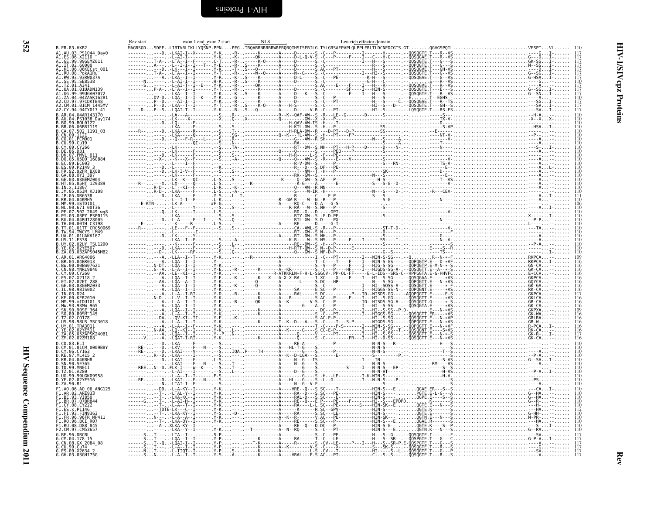| I |
|---|
|   |

<span id="page-39-0"></span>

| B. FR. 83. HXB 2012<br>14. AL 16. 83. HXB 2012<br>14. AL 16. 83. HXB 2014<br>40. AL 16. 606, X2114<br>40. CE 16. 606, X2114<br>41. TC 06. 606, X2114<br>41. TC 06. 606, X215<br>41. TC 06. 606, X215<br>41. TC 06. 606, X215<br>41. TC 01. A341<br>41. TC 01 |  |
|--------------------------------------------------------------------------------------------------------------------------------------------------------------------------------------------------------------------------------------------------------------|--|
|                                                                                                                                                                                                                                                              |  |
|                                                                                                                                                                                                                                                              |  |
|                                                                                                                                                                                                                                                              |  |
|                                                                                                                                                                                                                                                              |  |
|                                                                                                                                                                                                                                                              |  |
|                                                                                                                                                                                                                                                              |  |
|                                                                                                                                                                                                                                                              |  |
|                                                                                                                                                                                                                                                              |  |

<span id="page-39-1"></span>

|                        | Rev start | exon 1 end exon 2 start | <b>NLS</b>                                                                                        | Leu-rich effector domain |  |  |
|------------------------|-----------|-------------------------|---------------------------------------------------------------------------------------------------|--------------------------|--|--|
|                        |           |                         | MAGRSGDSDEELIRTVRLIKLLYQSNP.PPNPEGTRQARRNRRRRWRERQRQIHSISERILG.TYLGRSAEPVPLQLPPLERLTLDCNEDCGTS.GT |                          |  |  |
| 44 Day0                |           |                         |                                                                                                   |                          |  |  |
| 1Z011                  |           |                         |                                                                                                   |                          |  |  |
| .<br>Sst 001           |           |                         |                                                                                                   |                          |  |  |
|                        |           |                         |                                                                                                   |                          |  |  |
|                        |           |                         |                                                                                                   |                          |  |  |
|                        |           |                         |                                                                                                   |                          |  |  |
| )N139<br>\07072        |           |                         |                                                                                                   |                          |  |  |
| -X762B1<br><ТB48       |           |                         |                                                                                                   |                          |  |  |
|                        |           |                         |                                                                                                   |                          |  |  |
| 917 41                 |           |                         |                                                                                                   |                          |  |  |
| 13170<br>Day174        |           |                         |                                                                                                   |                          |  |  |
|                        |           |                         |                                                                                                   |                          |  |  |
| ii9<br>191_03          |           |                         |                                                                                                   |                          |  |  |
|                        |           |                         |                                                                                                   |                          |  |  |
|                        |           |                         |                                                                                                   |                          |  |  |
|                        |           |                         |                                                                                                   |                          |  |  |
| 911                    |           |                         |                                                                                                   |                          |  |  |
| 160884                 |           |                         |                                                                                                   |                          |  |  |
|                        |           |                         |                                                                                                   |                          |  |  |
| 3X08                   |           |                         |                                                                                                   |                          |  |  |
| 97<br>Z004             |           |                         |                                                                                                   |                          |  |  |
| 129389                 |           |                         |                                                                                                   |                          |  |  |
| G108                   |           |                         |                                                                                                   |                          |  |  |
|                        |           |                         |                                                                                                   |                          |  |  |
|                        |           |                         |                                                                                                   |                          |  |  |
| ЭТ36                   |           |                         |                                                                                                   |                          |  |  |
| ;<br>349 wg<br>>SP011! |           |                         |                                                                                                   |                          |  |  |
|                        |           |                         |                                                                                                   |                          |  |  |
|                        |           |                         |                                                                                                   |                          |  |  |
| LM49<br>7167           |           |                         |                                                                                                   |                          |  |  |
|                        |           |                         |                                                                                                   |                          |  |  |
| <b>FSU1290</b>         |           |                         |                                                                                                   |                          |  |  |
| э7<br>5045MB2          |           |                         |                                                                                                   |                          |  |  |
|                        |           |                         |                                                                                                   |                          |  |  |
| 7621                   |           |                         |                                                                                                   |                          |  |  |
|                        |           |                         |                                                                                                   |                          |  |  |
|                        |           |                         |                                                                                                   |                          |  |  |
|                        |           |                         |                                                                                                   |                          |  |  |
|                        |           |                         |                                                                                                   |                          |  |  |
|                        |           |                         |                                                                                                   |                          |  |  |
|                        |           |                         |                                                                                                   |                          |  |  |
|                        |           |                         |                                                                                                   |                          |  |  |
|                        |           |                         |                                                                                                   |                          |  |  |
| <b>ISC3018</b>         |           |                         |                                                                                                   |                          |  |  |
|                        |           |                         |                                                                                                   |                          |  |  |
| SK240B1                |           |                         |                                                                                                   |                          |  |  |
|                        |           |                         |                                                                                                   |                          |  |  |
| 0009BBY                |           |                         |                                                                                                   |                          |  |  |
|                        |           |                         |                                                                                                   |                          |  |  |
|                        |           |                         |                                                                                                   |                          |  |  |
|                        |           |                         |                                                                                                   |                          |  |  |
|                        |           |                         |                                                                                                   |                          |  |  |
| 99958                  |           |                         |                                                                                                   |                          |  |  |
|                        |           |                         |                                                                                                   |                          |  |  |
| <b>ANG125</b>          |           |                         |                                                                                                   |                          |  |  |
|                        |           |                         |                                                                                                   |                          |  |  |
|                        |           |                         |                                                                                                   |                          |  |  |
|                        |           |                         |                                                                                                   |                          |  |  |
|                        |           |                         |                                                                                                   |                          |  |  |
|                        |           |                         |                                                                                                   |                          |  |  |
|                        |           |                         |                                                                                                   |                          |  |  |
|                        |           |                         |                                                                                                   |                          |  |  |
|                        |           |                         |                                                                                                   |                          |  |  |
|                        |           |                         |                                                                                                   |                          |  |  |
|                        |           |                         |                                                                                                   |                          |  |  |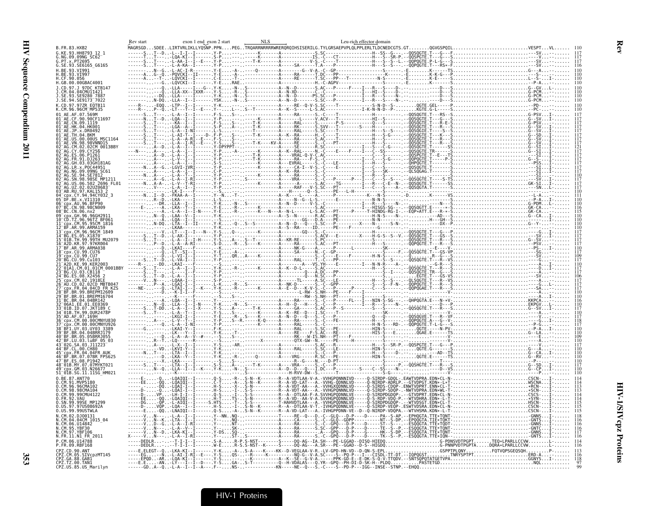| B.FR.83.HXB2                                                                  | Rev start | <b>NLS</b><br>exon 1 end exon 2 start | Leu-rich effector domain                                                                                                                                                                                                                                                                                                                             |  |
|-------------------------------------------------------------------------------|-----------|---------------------------------------|------------------------------------------------------------------------------------------------------------------------------------------------------------------------------------------------------------------------------------------------------------------------------------------------------------------------------------------------------|--|
| G.KE.93.HH8793 12 1                                                           |           |                                       |                                                                                                                                                                                                                                                                                                                                                      |  |
| G.NG.09.09NG_SC62                                                             |           |                                       |                                                                                                                                                                                                                                                                                                                                                      |  |
| G.PT.x.PT2695<br>G.SE.93.SE6165_G6165                                         |           |                                       |                                                                                                                                                                                                                                                                                                                                                      |  |
| H.BE.93.VI991<br>1.BE.93.VI997                                                |           |                                       |                                                                                                                                                                                                                                                                                                                                                      |  |
| H.CF.90.056                                                                   |           |                                       |                                                                                                                                                                                                                                                                                                                                                      |  |
| H.GB.00.00GBAC4001<br>J.CD.97.J 97DC KTB147                                   |           |                                       |                                                                                                                                                                                                                                                                                                                                                      |  |
| J.ČM.04.04CMU11421<br>J.SE.93.SE9280_7887                                     |           |                                       |                                                                                                                                                                                                                                                                                                                                                      |  |
| J.SE.94.SE9173 7022                                                           |           |                                       |                                                                                                                                                                                                                                                                                                                                                      |  |
| K.CD.97.97ZR EQTB11                                                           |           |                                       |                                                                                                                                                                                                                                                                                                                                                      |  |
| K.CM.96.96CM MP535                                                            |           |                                       |                                                                                                                                                                                                                                                                                                                                                      |  |
| 01 AE.AF.07.569M<br>01 AE.CF.90.90CF11697<br>01 AE.CN.09.1119                 |           |                                       |                                                                                                                                                                                                                                                                                                                                                      |  |
|                                                                               |           |                                       |                                                                                                                                                                                                                                                                                                                                                      |  |
| 01 AE.HK.04.HK001<br>01 AE.JP.x.DR0492                                        |           |                                       |                                                                                                                                                                                                                                                                                                                                                      |  |
| 01 <sup>-</sup> AE.TH.04.BKM                                                  |           |                                       |                                                                                                                                                                                                                                                                                                                                                      |  |
| 01 AE US 00 00US MSC1164<br>01 <sup>-</sup> AE.VN.98.98VNND15                 |           |                                       |                                                                                                                                                                                                                                                                                                                                                      |  |
| 02 <sup>-</sup> AG.CM.02.02CM 0013BBY<br>02 AG.CY.09.CY256                    |           |                                       |                                                                                                                                                                                                                                                                                                                                                      |  |
| 02 AG.ES.06.P1261                                                             |           |                                       |                                                                                                                                                                                                                                                                                                                                                      |  |
| 02 <sup>-</sup> AG.FR.91.DJ263<br>? <sup>-</sup> AG.GH.03.03GH181AG           |           |                                       |                                                                                                                                                                                                                                                                                                                                                      |  |
| 02 AG.LR.x.POC44951                                                           |           |                                       |                                                                                                                                                                                                                                                                                                                                                      |  |
| 02 AG.NG.09.09NG SC61<br>SE.94.SE7812                                         |           |                                       |                                                                                                                                                                                                                                                                                                                                                      |  |
| )2 <sup>-</sup> AG.SN.98.98SE MP1211                                          |           |                                       |                                                                                                                                                                                                                                                                                                                                                      |  |
| )2 AG.US.06.502 2696 FL01<br>)2 AG.UZ.02.02UZ0683                             |           |                                       |                                                                                                                                                                                                                                                                                                                                                      |  |
| 03 <sup>-</sup> AB.RU.97.KAL153 2                                             |           |                                       |                                                                                                                                                                                                                                                                                                                                                      |  |
| 04 cpx.CY.94.94CY032_3<br>05 DF.BE.x.VI1310                                   |           |                                       |                                                                                                                                                                                                                                                                                                                                                      |  |
| 06 <sup>-</sup> cpx.AU.96.BFP90<br>07 <sup>-</sup> BC.CN.98.98CN009           |           |                                       |                                                                                                                                                                                                                                                                                                                                                      |  |
| 98 <sup>-</sup> BC.CN.06.nx2                                                  |           |                                       |                                                                                                                                                                                                                                                                                                                                                      |  |
| 09 cpx.GH.96.96GH2911<br>10 CD.TZ.96.96TZ_BF061                               |           |                                       |                                                                                                                                                                                                                                                                                                                                                      |  |
| 1 <sup>−</sup> cpx.CM.95.95CM 1816                                            |           |                                       |                                                                                                                                                                                                                                                                                                                                                      |  |
| BF.AR.99.ARMA159<br>3 cpx.CM.96.96CM 1849                                     |           |                                       |                                                                                                                                                                                                                                                                                                                                                      |  |
| BG.ES.05.X1870                                                                |           |                                       |                                                                                                                                                                                                                                                                                                                                                      |  |
| 5 01B. TH. 99.99TH MU2079<br>L6 <sup>-</sup> A2D.KR.97.97KR004                |           |                                       |                                                                                                                                                                                                                                                                                                                                                      |  |
| 17 BF.AR.99.ARMA038<br>18 cpx.CU.99.CU76                                      |           |                                       |                                                                                                                                                                                                                                                                                                                                                      |  |
| $^-$ cpx.CU.99.CU7                                                            |           |                                       |                                                                                                                                                                                                                                                                                                                                                      |  |
| 0 BG.CU.99.Cu103<br>21 <sup>-</sup> ĂŽD.KE.99.KER2003                         |           |                                       |                                                                                                                                                                                                                                                                                                                                                      |  |
| 2 <sup>-</sup> 01A1.CM.01.01CM 0001BBY                                        |           |                                       |                                                                                                                                                                                                                                                                                                                                                      |  |
| 4 BG.ES.08.X2456 2                                                            |           |                                       |                                                                                                                                                                                                                                                                                                                                                      |  |
| 25-cpx.CM.02.1918LE<br>25-cpx.CM.02.1918LE<br>26-AU.CD.02.02CD_MBTB047        |           |                                       |                                                                                                                                                                                                                                                                                                                                                      |  |
| cpx.FR.04.04CD FR KZS                                                         |           |                                       |                                                                                                                                                                                                                                                                                                                                                      |  |
| 28 <sup>-</sup> BF.BR.99.BREPM12609                                           |           |                                       |                                                                                                                                                                                                                                                                                                                                                      |  |
| 9 BF.BR.01.BREPM16704<br>31 BC.BR.04.04BR142                                  |           |                                       |                                                                                                                                                                                                                                                                                                                                                      |  |
| 06A1.EE.01.EE0369<br>33-01B.ID.07.JKT189 C                                    |           |                                       |                                                                                                                                                                                                                                                                                                                                                      |  |
| 34 <sup>-</sup> 01B.TH.99.0UR2478P                                            |           |                                       |                                                                                                                                                                                                                                                                                                                                                      |  |
| 5 AD.AF.07.169H<br>6 <sup>-</sup> cpx.CM.00.00CMNYU830                        |           |                                       |                                                                                                                                                                                                                                                                                                                                                      |  |
| cpx.CM.00.00CMNYU926"                                                         |           |                                       |                                                                                                                                                                                                                                                                                                                                                      |  |
| 8 <sup>-</sup> BF1.UY.03.UY03 3389<br>39 BF.BR.04.04BRRJ179                   |           |                                       |                                                                                                                                                                                                                                                                                                                                                      |  |
| 0 BF.BR.05.05BRRJ055                                                          |           |                                       |                                                                                                                                                                                                                                                                                                                                                      |  |
| 2 <sup>-</sup> BF.LU.03.luBF 05 03<br>43-026.SA.03.J11223<br>44-BF.CL.00.CH80 |           |                                       |                                                                                                                                                                                                                                                                                                                                                      |  |
| 45 <sup>-</sup> cpx.FR.04.04FR AUK                                            |           |                                       |                                                                                                                                                                                                                                                                                                                                                      |  |
| 16-BF.BR.07.07BR FPS625<br>17-BF.ES.08.P1942                                  |           |                                       |                                                                                                                                                                                                                                                                                                                                                      |  |
| 48 <sup>-</sup> 01B.MY.07.07MYKT021                                           |           |                                       |                                                                                                                                                                                                                                                                                                                                                      |  |
| 19 <sup>-</sup> срх.GM.03.N26677                                              |           |                                       |                                                                                                                                                                                                                                                                                                                                                      |  |
| 51 01B.SG.11.11SG HM021<br>0.BE.87.ANT70                                      |           |                                       |                                                                                                                                                                                                                                                                                                                                                      |  |
| .CM.91.MVP5180                                                                |           |                                       |                                                                                                                                                                                                                                                                                                                                                      |  |
| CM.96.96CMA102<br>0.CM.98.98CMA104                                            |           |                                       |                                                                                                                                                                                                                                                                                                                                                      |  |
| .CM.99.99CMU4122                                                              |           |                                       |                                                                                                                                                                                                                                                                                                                                                      |  |
| FR.92.VAU<br>0.SN.99.99SE MP1299                                              |           |                                       |                                                                                                                                                                                                                                                                                                                                                      |  |
| 0.US.97.97US08692A                                                            |           |                                       |                                                                                                                                                                                                                                                                                                                                                      |  |
| 0.US.99.99USTWLA<br>N.CM.02.DJ00131                                           |           |                                       |                                                                                                                                                                                                                                                                                                                                                      |  |
| N.CM.04.04CM 1015 04                                                          |           |                                       | $\frac{1}{2}$<br>$\frac{1}{2}$<br>$\frac{1}{2}$<br>$\frac{1}{2}$<br>$\frac{1}{2}$<br>$\frac{1}{2}$<br>$\frac{1}{2}$<br>$\frac{1}{2}$<br>$\frac{1}{2}$<br>$\frac{1}{2}$<br>$\frac{1}{2}$<br>$\frac{1}{2}$<br>$\frac{1}{2}$<br>$\frac{1}{2}$<br>$\frac{1}{2}$<br>$\frac{1}{2}$<br>$\frac{1}{2}$<br>$\frac{1}{2}$<br>$\frac{1}{2}$<br>$\frac{1}{2}$<br> |  |
| N.CM.06.U14842<br>N.CM.95.YBF30                                               |           |                                       |                                                                                                                                                                                                                                                                                                                                                      |  |
| N.CM.97.YBF106                                                                |           |                                       |                                                                                                                                                                                                                                                                                                                                                      |  |
| N.FR.11.N1_FR_2011                                                            |           |                                       |                                                                                                                                                                                                                                                                                                                                                      |  |
| P.CM.06.U14788<br>P.FR.09.RBF168                                              |           |                                       |                                                                                                                                                                                                                                                                                                                                                      |  |
| CPZ.CD.90.ANT                                                                 |           |                                       |                                                                                                                                                                                                                                                                                                                                                      |  |
| CPZ.CM.05.SIVcpzMT145<br>CPZ.GA.88.GAB1<br>CPZ.TZ.00.TAN1                     |           |                                       |                                                                                                                                                                                                                                                                                                                                                      |  |
|                                                                               |           |                                       |                                                                                                                                                                                                                                                                                                                                                      |  |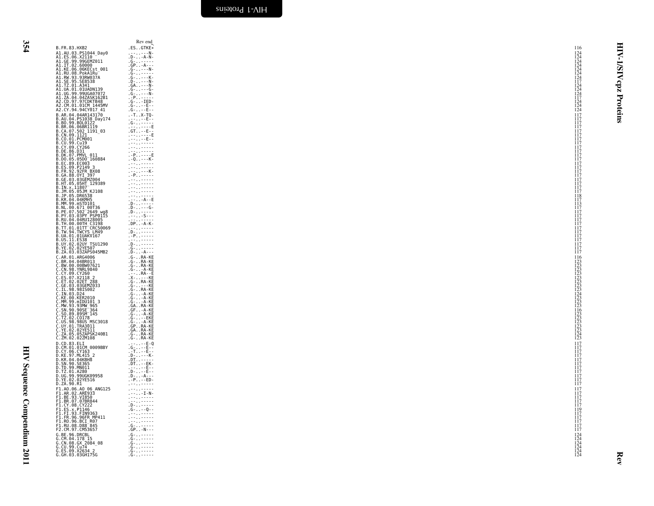HIV Sequence Compendium 2011 HIV Sequence Compendium 2011

<span id="page-41-0"></span>

| B.FR.83.HXB2                                                                                                                                                                                                                                           | Rev end<br>$.ES. . GTKE*$                                                                                                                                                                                                                                                                                                                                                                                                                                                                                                                                                                                                                                                                                                    | 116                                                                          | 目                       |
|--------------------------------------------------------------------------------------------------------------------------------------------------------------------------------------------------------------------------------------------------------|------------------------------------------------------------------------------------------------------------------------------------------------------------------------------------------------------------------------------------------------------------------------------------------------------------------------------------------------------------------------------------------------------------------------------------------------------------------------------------------------------------------------------------------------------------------------------------------------------------------------------------------------------------------------------------------------------------------------------|------------------------------------------------------------------------------|-------------------------|
| A1.AU.03.PS1044_Day0<br>A1.ES.06.X2110 -<br>A1.GE.99.99GEMZ011                                                                                                                                                                                         | . <u>.</u> N-                                                                                                                                                                                                                                                                                                                                                                                                                                                                                                                                                                                                                                                                                                                | $^{124}_{124}$                                                               | ₹                       |
| A1.IT.02.60000                                                                                                                                                                                                                                         | $. 0 - . - A - N -$<br>$-6 - - - - - - -$<br>$.GP. -A--$                                                                                                                                                                                                                                                                                                                                                                                                                                                                                                                                                                                                                                                                     | $\begin{array}{c} 124 \\ 124 \\ 124 \\ 124 \\ 124 \\ 124 \\ 117 \end{array}$ |                         |
| A1.KE.06.06KECst 001                                                                                                                                                                                                                                   | $-G - . - - - N -$                                                                                                                                                                                                                                                                                                                                                                                                                                                                                                                                                                                                                                                                                                           |                                                                              | $\overline{\mathbf{S}}$ |
| A1.RU.08.PokA1Ru<br>A1.RW.93.93RW037A<br>A1.SE.95.SE8538<br>A1.TZ.01.A341                                                                                                                                                                              | $.6 - - - - -$                                                                                                                                                                                                                                                                                                                                                                                                                                                                                                                                                                                                                                                                                                               |                                                                              | ā                       |
|                                                                                                                                                                                                                                                        |                                                                                                                                                                                                                                                                                                                                                                                                                                                                                                                                                                                                                                                                                                                              | $\frac{124}{124}$                                                            | cpz                     |
| A1.UA.01.01UADN139<br>A1.UG.99.99UGA07072                                                                                                                                                                                                              | .G- - - - G-<br>$-G - 1 - 1 - 1$<br>$. -P. . - - - -$                                                                                                                                                                                                                                                                                                                                                                                                                                                                                                                                                                                                                                                                        |                                                                              |                         |
| A1.ZA.04.04ZASK162B1<br>A2.CD.97.97CDKTB48<br>A2.CM.01.01CM_1445MV                                                                                                                                                                                     | .G--IED-<br>.G---E--                                                                                                                                                                                                                                                                                                                                                                                                                                                                                                                                                                                                                                                                                                         | $\frac{1\bar{1}\bar{7}}{124}$<br>124                                         |                         |
| A2.CY.94.94CY017 41                                                                                                                                                                                                                                    | $.6 - - E - -$                                                                                                                                                                                                                                                                                                                                                                                                                                                                                                                                                                                                                                                                                                               | 124                                                                          | Proteins                |
| B.AR.04.04AR143170<br>B.AU.04.PS1038_Day174                                                                                                                                                                                                            | $.-T. .X-TQ-$<br>. <sub>T</sub> errito - Expe                                                                                                                                                                                                                                                                                                                                                                                                                                                                                                                                                                                                                                                                                | $\frac{117}{117}$                                                            |                         |
| B.BO.99.BOL0122<br>B.BR.06.06BR1119<br>B.CA.07.502_1191_03                                                                                                                                                                                             | . G- - - - - <u>-</u><br>$\frac{1}{1}$ GT $\ldots$ - E - $\frac{1}{2}$                                                                                                                                                                                                                                                                                                                                                                                                                                                                                                                                                                                                                                                       | $\frac{117}{117}$                                                            |                         |
| B.CN.09.1121                                                                                                                                                                                                                                           | ussu org-E                                                                                                                                                                                                                                                                                                                                                                                                                                                                                                                                                                                                                                                                                                                   | 117<br>ĬÎ7                                                                   |                         |
| B.CO.01.PCM001                                                                                                                                                                                                                                         | $1 - 1 - 1 - 1 = 0$<br>$\mathcal{L} = \{ \mathcal{L}_1, \mathcal{L}_2, \mathcal{L}_3, \mathcal{L}_4, \mathcal{L}_5 \}$                                                                                                                                                                                                                                                                                                                                                                                                                                                                                                                                                                                                       | 117                                                                          |                         |
| B.CU.99.Cu19<br>B.CV.99.Cu19<br>B.CY.09.CY266<br>B.DE.86.D31<br>B.DK.07.PMVL_011                                                                                                                                                                       | $\mathcal{L}=\mathcal{L}$ , $\mathcal{L}=\mathcal{L}=\mathcal{L}=\mathcal{L}$<br>$\begin{array}{l} \begin{array}{c} \bullet \\ \bullet \end{array} \begin{array}{c} \bullet \\ \bullet \end{array} \begin{array}{c} \bullet \\ \bullet \end{array} \begin{array}{c} \bullet \\ \bullet \end{array} \begin{array}{c} \bullet \\ \bullet \end{array} \begin{array}{c} \bullet \\ \bullet \end{array} \begin{array}{c} \bullet \\ \bullet \end{array} \begin{array}{c} \bullet \\ \bullet \end{array} \begin{array}{c} \bullet \\ \bullet \end{array} \begin{array}{c} \bullet \\ \bullet \end{array} \begin{array}{c} \bullet \\ \bullet \end{array} \begin{array}{c} \bullet \\ \bullet \end{array} \begin{array}{c} \bullet$ | $\frac{117}{117}$<br>$\frac{117}{117}$                                       |                         |
| B.DO.05.05DO 160884<br>B.EC.89.EC003                                                                                                                                                                                                                   | $-Q - - -K -$                                                                                                                                                                                                                                                                                                                                                                                                                                                                                                                                                                                                                                                                                                                | 117<br>117                                                                   |                         |
| B.ES.09.P2149 3<br>B.FR.92.92FR_BX08                                                                                                                                                                                                                   |                                                                                                                                                                                                                                                                                                                                                                                                                                                                                                                                                                                                                                                                                                                              | 117<br>117                                                                   |                         |
|                                                                                                                                                                                                                                                        | $-2 - 1 - 1 - 1$<br>$. -P.$                                                                                                                                                                                                                                                                                                                                                                                                                                                                                                                                                                                                                                                                                                  | 117                                                                          |                         |
|                                                                                                                                                                                                                                                        | $\label{eq:2.1} \begin{array}{ll} \mathbf{1} & \mathbf{1} & \mathbf{1} & \mathbf{1} & \mathbf{1} & \mathbf{1} & \mathbf{1} & \mathbf{1} & \mathbf{1} & \mathbf{1} & \mathbf{1} & \mathbf{1} & \mathbf{1} & \mathbf{1} & \mathbf{1} & \mathbf{1} & \mathbf{1} & \mathbf{1} & \mathbf{1} & \mathbf{1} & \mathbf{1} & \mathbf{1} & \mathbf{1} & \mathbf{1} & \mathbf{1} & \mathbf{1} & \mathbf{1} & \mathbf{1} & \mathbf{1} & \$<br>$1 - 1 - 1 - 1 - 1 - 1$                                                                                                                                                                                                                                                                     | $\frac{117}{117}$<br>117                                                     |                         |
|                                                                                                                                                                                                                                                        | $\mathcal{L}=\mathcal{L}$ , where $\mathcal{L}=\mathcal{L}$<br>$1 - 1 - 1 - 1 - 1 - 1$                                                                                                                                                                                                                                                                                                                                                                                                                                                                                                                                                                                                                                       | ĬÎ7<br>118                                                                   |                         |
|                                                                                                                                                                                                                                                        | . <u>.</u> - A - - E                                                                                                                                                                                                                                                                                                                                                                                                                                                                                                                                                                                                                                                                                                         | 117                                                                          |                         |
| B.FR. 92.92FR BX08<br>B.GA.88.0YI 397<br>B.HT.05.05HT 129389<br>B.IN.8.155.05HT 129389<br>B.JN.05.05JM KJ108<br>B.JP.05.0625M<br>B.RR.04.04KMH5<br>B.ML.00.671 00T36<br>B.ML.00.671 00T36<br>B.PK.04.04XMH5<br>B.PK.04.04XMH5                          | $D - 1 = 6$<br>.D-- <u>-</u> ---                                                                                                                                                                                                                                                                                                                                                                                                                                                                                                                                                                                                                                                                                             | i i 3<br>1 1 7<br>117                                                        |                         |
| B.PY.03.03PY PSP0115<br>B.RU.04.04RUI28005                                                                                                                                                                                                             | $. - - . - -$                                                                                                                                                                                                                                                                                                                                                                                                                                                                                                                                                                                                                                                                                                                | 117                                                                          |                         |
| B.TH.00.00TH C3198                                                                                                                                                                                                                                     | $DP. - A-K$                                                                                                                                                                                                                                                                                                                                                                                                                                                                                                                                                                                                                                                                                                                  | i i 7<br>1 1 7                                                               |                         |
| B. 11.01.0111 CRC50069<br>B. TW. 94. TWCYS LM49<br>B. UA. 01.01UAKV167<br>B. US. 11. ES38<br>B. UY. 02. 02UY_TSU1290                                                                                                                                   | $D_1$<br>$-P. - - - - -$                                                                                                                                                                                                                                                                                                                                                                                                                                                                                                                                                                                                                                                                                                     | $\frac{117}{117}$<br>ii7                                                     |                         |
|                                                                                                                                                                                                                                                        | $\overline{p}$                                                                                                                                                                                                                                                                                                                                                                                                                                                                                                                                                                                                                                                                                                               | 117<br>117                                                                   |                         |
| B.YE.02.02YE507<br>B.ZA.03.03ZAPS045MB2                                                                                                                                                                                                                | $. 6 - - - - - -$<br>.D--A---                                                                                                                                                                                                                                                                                                                                                                                                                                                                                                                                                                                                                                                                                                | 117<br>117                                                                   |                         |
| C.AR.01.ARG4006<br>C.BR.04.04BR013<br>C.BW.00.00BW07621                                                                                                                                                                                                | $G - R$ A-KE<br>$G - RA - KE$                                                                                                                                                                                                                                                                                                                                                                                                                                                                                                                                                                                                                                                                                                |                                                                              |                         |
|                                                                                                                                                                                                                                                        | $.G - . RA - KE$<br>$-G - 1 - A - KE$                                                                                                                                                                                                                                                                                                                                                                                                                                                                                                                                                                                                                                                                                        | 116<br>123<br>123<br>123<br>123<br>123<br>123<br>123<br>124<br>124<br>123    |                         |
| C. CN. 98. YNRL9840<br>C. CY. 09. CY260<br>C. CY. 09. CY260<br>C. ES. 07. X2118 28<br>C. GE. 02. 025ET 288<br>C. GE. 03. 035EM2033<br>C. IL. 98. 9815002                                                                                               | . 0 - - A - - E<br>. X - - - - - KE<br>. G - RA - KE<br>. G - - - - KE<br>. G - RA - KE                                                                                                                                                                                                                                                                                                                                                                                                                                                                                                                                                                                                                                      |                                                                              |                         |
|                                                                                                                                                                                                                                                        |                                                                                                                                                                                                                                                                                                                                                                                                                                                                                                                                                                                                                                                                                                                              |                                                                              |                         |
|                                                                                                                                                                                                                                                        | $.6 - . - A - KE$                                                                                                                                                                                                                                                                                                                                                                                                                                                                                                                                                                                                                                                                                                            |                                                                              |                         |
| C.IN.03.D24<br>C.KE.00.KER2010                                                                                                                                                                                                                         | $.G - . - A - KE$<br>$.G - . - A - KE$                                                                                                                                                                                                                                                                                                                                                                                                                                                                                                                                                                                                                                                                                       |                                                                              |                         |
| C. KE. 00. KERZ0101<br>C. MM. 99. mIDU101 3<br>C. SN. 90. 99587-145<br>C. SN. 90. 99587-145<br>C. SN. 90. 99587-145<br>C. TZ. 02. CO178<br>C. V. 01. TRA3011<br>C. Y. 01. PRA3011<br>C. ZM. 02. 02741108<br>C. ZM. 02. 02741108<br>C. ZM. 02. 02741108 | .GA. .RA-KE<br>.GF. . - A-KE                                                                                                                                                                                                                                                                                                                                                                                                                                                                                                                                                                                                                                                                                                 | $\begin{array}{c} 123 \\ 123 \\ 123 \\ 116 \\ 123 \\ 123 \\ \end{array}$     |                         |
|                                                                                                                                                                                                                                                        | - G- - A - KE<br>- G- - - EKE                                                                                                                                                                                                                                                                                                                                                                                                                                                                                                                                                                                                                                                                                                |                                                                              |                         |
|                                                                                                                                                                                                                                                        | G- - A-KE<br>GP RA-KE                                                                                                                                                                                                                                                                                                                                                                                                                                                                                                                                                                                                                                                                                                        | 123<br>123<br>123<br>123<br>124<br>123                                       |                         |
|                                                                                                                                                                                                                                                        | .GARA-KE<br>.G-RA-KE                                                                                                                                                                                                                                                                                                                                                                                                                                                                                                                                                                                                                                                                                                         |                                                                              |                         |
| D.CD.83.ELI                                                                                                                                                                                                                                            | .G-RA-KE<br>$. - - . - - E - Q$                                                                                                                                                                                                                                                                                                                                                                                                                                                                                                                                                                                                                                                                                              | 117                                                                          |                         |
| D.CM.01.01CM 0009BBY<br>D.CY.06.CY163                                                                                                                                                                                                                  | $\begin{array}{c} G - 1 - 1 = 0 \\ -1 - 1 = 0 \\ -1 = 0 \end{array}$                                                                                                                                                                                                                                                                                                                                                                                                                                                                                                                                                                                                                                                         | i i 7<br>1 1 7                                                               |                         |
|                                                                                                                                                                                                                                                        | $.0 - . - . - K - .0$                                                                                                                                                                                                                                                                                                                                                                                                                                                                                                                                                                                                                                                                                                        | $^{117}_{117}$                                                               |                         |
| D.KE.97.ML415_2<br>D.KR.04.04KBH8<br>D.SN.90.SE365<br>D.TD.99.MN011                                                                                                                                                                                    | $.DT. . - EK -$<br>verwysigen.                                                                                                                                                                                                                                                                                                                                                                                                                                                                                                                                                                                                                                                                                               | iiż<br>117                                                                   |                         |
| D.TZ.01.A280<br>D.UG.99.99UGK09958                                                                                                                                                                                                                     | $. D - - - E - -$<br>$. D - . - - A - - -$                                                                                                                                                                                                                                                                                                                                                                                                                                                                                                                                                                                                                                                                                   | $\frac{117}{117}$                                                            |                         |
| D.YE.02.02YE516<br>D.ZA.90.R1                                                                                                                                                                                                                          | $.-P. - -ED-$<br>$\label{eq:2.1} \begin{array}{ll} \mathbf{1} & \mathbf{1} & \mathbf{1} & \mathbf{1} & \mathbf{1} & \mathbf{1} & \mathbf{1} & \mathbf{1} & \mathbf{1} & \mathbf{1} & \mathbf{1} & \mathbf{1} & \mathbf{1} & \mathbf{1} & \mathbf{1} & \mathbf{1} & \mathbf{1} & \mathbf{1} & \mathbf{1} & \mathbf{1} & \mathbf{1} & \mathbf{1} & \mathbf{1} & \mathbf{1} & \mathbf{1} & \mathbf{1} & \mathbf{1} & \mathbf{1} & \mathbf{1} & \$                                                                                                                                                                                                                                                                               | 117<br>117                                                                   |                         |
| F1.A0.06.A0 06 ANG125                                                                                                                                                                                                                                  | $1 + 1 + 1 + 1 + 1 + 1$<br>$\ldots$ - I - N -                                                                                                                                                                                                                                                                                                                                                                                                                                                                                                                                                                                                                                                                                | 117                                                                          |                         |
| F1.AR.02.ARE933                                                                                                                                                                                                                                        | $\label{eq:2.1} \begin{array}{lllllllllll} \bullet & \bullet & \bullet & \bullet & \bullet & \bullet & \bullet & \bullet & \bullet \end{array}$<br>. En 2000 en 1990.                                                                                                                                                                                                                                                                                                                                                                                                                                                                                                                                                        | $\frac{117}{117}$                                                            |                         |
| F1.BR.07.07BR844<br>F1.CY.08.CY222<br>F1.ES.x.P1146<br>F1.FI.93.FIN9363                                                                                                                                                                                | .D--- <u>-</u> --<br>$-G - . - - Q - -$                                                                                                                                                                                                                                                                                                                                                                                                                                                                                                                                                                                                                                                                                      | $\frac{117}{117}$<br>$\frac{119}{117}$                                       |                         |
| F1.FR.96.96FR MP411                                                                                                                                                                                                                                    | $\mathcal{L} = \{ \mathcal{L} \mid \mathcal{L} = \mathcal{L} = \mathcal{L} \}$                                                                                                                                                                                                                                                                                                                                                                                                                                                                                                                                                                                                                                               | 117                                                                          |                         |
| F1.R0.96.BCI R07<br>F1.RU.08.D88 845                                                                                                                                                                                                                   | egneenning<br>$-G - 1 - - - - -$                                                                                                                                                                                                                                                                                                                                                                                                                                                                                                                                                                                                                                                                                             | 117<br>ĬÎ7                                                                   |                         |
| F2.CM.97.CM53657                                                                                                                                                                                                                                       | $-GP - -N - - -$<br>$-6 - 1 - 1 - 1 - 1$                                                                                                                                                                                                                                                                                                                                                                                                                                                                                                                                                                                                                                                                                     | 117                                                                          |                         |
| G.BE.96.DRCBL<br>G.CM.04.178 15<br>G.CN.08.GX_2084_08                                                                                                                                                                                                  | . G- - - - - -<br>. @- - - - - -                                                                                                                                                                                                                                                                                                                                                                                                                                                                                                                                                                                                                                                                                             | $^{124}_{124}$<br>$^{124}_{124}$                                             |                         |
| G.CU.99.Cu74                                                                                                                                                                                                                                           | $-6 - 1 - - - - -$<br>$-6 - 1 - - - - -$                                                                                                                                                                                                                                                                                                                                                                                                                                                                                                                                                                                                                                                                                     | $\frac{124}{124}$                                                            |                         |
| Ğ.ĔŠ.Õ9.X2634 2<br>G.GH.03.03GH175G                                                                                                                                                                                                                    | . G- - - - - -                                                                                                                                                                                                                                                                                                                                                                                                                                                                                                                                                                                                                                                                                                               |                                                                              | Rev                     |
|                                                                                                                                                                                                                                                        |                                                                                                                                                                                                                                                                                                                                                                                                                                                                                                                                                                                                                                                                                                                              |                                                                              |                         |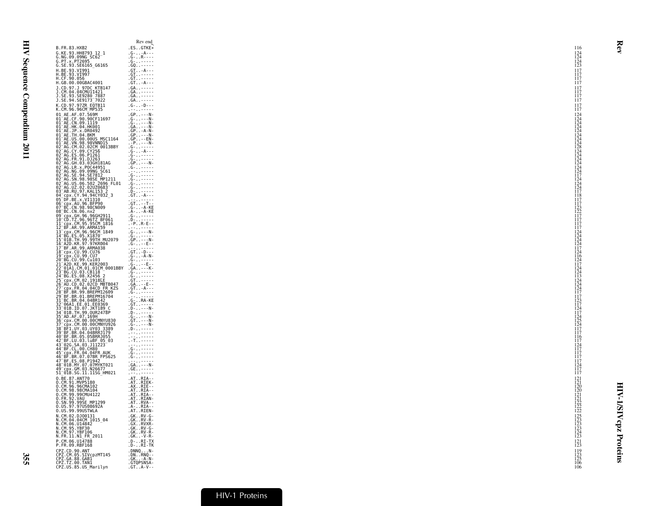|                                                                                                                                                                                                                                                                | Rev end                                                                                                                                                |                                                                                     |
|----------------------------------------------------------------------------------------------------------------------------------------------------------------------------------------------------------------------------------------------------------------|--------------------------------------------------------------------------------------------------------------------------------------------------------|-------------------------------------------------------------------------------------|
| B.FR.83.HXB2                                                                                                                                                                                                                                                   | $.ES. . GTKE*$                                                                                                                                         | 116                                                                                 |
| G.KE.93.HH8793_12_1<br>G.NG.09.09NG_SC62<br>G.PT.x.PT2695<br>G.SE.93.SE6165_G6165                                                                                                                                                                              | $-G - . - A - - -$<br>$.6 - R - - -$                                                                                                                   | $^{124}_{124}$                                                                      |
|                                                                                                                                                                                                                                                                |                                                                                                                                                        | 123                                                                                 |
| H.BE.93.VI991                                                                                                                                                                                                                                                  | $.GT. -A--$                                                                                                                                            |                                                                                     |
| H.BE.93.VĪ997<br>H.CF.90.056                                                                                                                                                                                                                                   | $\frac{6T}{9L}$                                                                                                                                        | $\frac{117}{117}$                                                                   |
| H.GB.00.00GBAC4001                                                                                                                                                                                                                                             | $.GT. -A--$                                                                                                                                            | 117                                                                                 |
| J.CD.97.J 97DC KTB147<br>J.CM.04.04CMU11421<br>J.SE.93.SE9280_7887                                                                                                                                                                                             | GA.                                                                                                                                                    | 117                                                                                 |
|                                                                                                                                                                                                                                                                | .GA. . - - - - -                                                                                                                                       | $\frac{1}{1}$ $\frac{1}{7}$                                                         |
| J.SE.94.SE9173 7022                                                                                                                                                                                                                                            | GA.                                                                                                                                                    | 117                                                                                 |
| K.CD.97.97ZR EQTB11<br>K.CM.96.96CM MP535                                                                                                                                                                                                                      | $-G - . - D - - -$                                                                                                                                     | 117                                                                                 |
|                                                                                                                                                                                                                                                                | $\mathcal{L} \times \mathcal{L}$ , where $\mathcal{L} \times \mathcal{L}$<br>$GP - N-$                                                                 | 117                                                                                 |
| 01_AE.AF.07.569M<br>01 <sup>_</sup> AE.CF.90.90CF11697                                                                                                                                                                                                         |                                                                                                                                                        | $^{124}_{124}$                                                                      |
| 01 AE.CN.09.1119                                                                                                                                                                                                                                               |                                                                                                                                                        |                                                                                     |
|                                                                                                                                                                                                                                                                |                                                                                                                                                        |                                                                                     |
| 01-AE .HK .04 .HK001<br>01-AE .JP .x .DR0492<br>01-AE .JP .x .DR0492<br>01-AE .US .00 .00US_MSC1164                                                                                                                                                            |                                                                                                                                                        | $124$<br>$124$<br>$124$<br>$124$<br>$124$                                           |
|                                                                                                                                                                                                                                                                |                                                                                                                                                        |                                                                                     |
|                                                                                                                                                                                                                                                                | $.6 - - - - - -$<br>.G--A---                                                                                                                           |                                                                                     |
|                                                                                                                                                                                                                                                                | . g- - - - - -                                                                                                                                         | $124$<br>$128$<br>$124$<br>$124$<br>$124$                                           |
|                                                                                                                                                                                                                                                                |                                                                                                                                                        | $\frac{124}{124}$                                                                   |
|                                                                                                                                                                                                                                                                | $.6 - - - - -$                                                                                                                                         |                                                                                     |
|                                                                                                                                                                                                                                                                | : - - : : - - - - -<br>. g - . : - - - - -                                                                                                             | $\frac{124}{117}$                                                                   |
|                                                                                                                                                                                                                                                                | $.9 - - - - - -$<br>$.6 - - - - - -$                                                                                                                   | 124                                                                                 |
|                                                                                                                                                                                                                                                                | $. 6 - - - - - -$                                                                                                                                      |                                                                                     |
|                                                                                                                                                                                                                                                                | . D <u>-</u> - - - - -<br>.GT-A---                                                                                                                     | $\frac{124}{124}$<br>$\frac{177}{118}$                                              |
|                                                                                                                                                                                                                                                                | $GT$ . $T$                                                                                                                                             |                                                                                     |
|                                                                                                                                                                                                                                                                | $.6 - . - A - KE$                                                                                                                                      | 123                                                                                 |
| 08_BC.CN.06.nx2<br>09_cpx.GH.96.96GH2911<br>10_CD.TZ.96.96TZ_BF061                                                                                                                                                                                             | .A--A-KE<br>. G- - - - - -                                                                                                                             | $\frac{122}{117}$                                                                   |
| $-$ CDX $-$ CM $-$ 95 $-$ 95 CM $-$ 1816                                                                                                                                                                                                                       | $. D - - - - - -$<br>$-P.R-E-$                                                                                                                         | 117                                                                                 |
| $\mathsf{B} \mathsf{F}$ .AR.99.ARMA159                                                                                                                                                                                                                         | age avere                                                                                                                                              | 117                                                                                 |
| 13-cpx.cm.96.96CM<br>14-BG.ES.05.X1870<br>15-01B.TH.99.99TH_MU2079<br>16-A2D.KR.97.97KR004                                                                                                                                                                     | $-G - . - - - N -$                                                                                                                                     | $\frac{124}{124}$                                                                   |
|                                                                                                                                                                                                                                                                | $-G - C$<br>$-G - C$<br>$-G - C$<br>$-G - C$<br>$-G - C$                                                                                               | 124                                                                                 |
| 17 BF.AR.99.ARMA038                                                                                                                                                                                                                                            |                                                                                                                                                        | $\overline{124}$<br>117                                                             |
|                                                                                                                                                                                                                                                                | $\overline{GT}$ . $-D-1$                                                                                                                               | 124                                                                                 |
|                                                                                                                                                                                                                                                                |                                                                                                                                                        | $\frac{116}{124}$                                                                   |
|                                                                                                                                                                                                                                                                |                                                                                                                                                        | 124                                                                                 |
|                                                                                                                                                                                                                                                                |                                                                                                                                                        | $\frac{15}{113}$                                                                    |
|                                                                                                                                                                                                                                                                |                                                                                                                                                        | 124                                                                                 |
|                                                                                                                                                                                                                                                                |                                                                                                                                                        | 124<br>124                                                                          |
|                                                                                                                                                                                                                                                                |                                                                                                                                                        |                                                                                     |
|                                                                                                                                                                                                                                                                |                                                                                                                                                        | $\frac{1}{117}$<br>$\frac{1}{123}$<br>$\frac{1}{17}$                                |
|                                                                                                                                                                                                                                                                |                                                                                                                                                        |                                                                                     |
|                                                                                                                                                                                                                                                                |                                                                                                                                                        | $\frac{124}{117}$                                                                   |
|                                                                                                                                                                                                                                                                |                                                                                                                                                        | $\frac{124}{125}$                                                                   |
|                                                                                                                                                                                                                                                                |                                                                                                                                                        | 124                                                                                 |
| 10 Hz, AR, 99, ARM8038<br>10 Hz, AR, 99, ARM8038<br>10 Hz, AR, 99, ARM8038<br>20 Hz, Cl, 99, CU7<br>20 Hz, Cl, 99, CU7<br>22 Hz, Cl, 99, CU7<br>22 Hz, 10 Hz, 10 Hz, 10 Hz, 10 Hz, 10 Hz, 10 Hz, 10 Hz, 22<br>23 Hz, Cl, 02, 02, 02, 00 HBT8                   | $\mathcal{L} \times \mathcal{L}$ , where $\mathcal{L} \times \mathcal{L}$                                                                              | 117<br>117                                                                          |
|                                                                                                                                                                                                                                                                | <b>STAR</b>                                                                                                                                            | $\frac{116}{117}$                                                                   |
|                                                                                                                                                                                                                                                                | .                                                                                                                                                      |                                                                                     |
|                                                                                                                                                                                                                                                                | $-6 - 1 - 1 - 1 - 1$<br>$-6 - 1 - - - - -$                                                                                                             | $\frac{124}{117}$                                                                   |
|                                                                                                                                                                                                                                                                | . G- - - - - -                                                                                                                                         | $\frac{1}{1}$ $\frac{1}{7}$                                                         |
| 39 BF1.07, 03.0769<br>42 BF1.08, 04.04BRN1179<br>42 BF: LU.03.1.uBF 05<br>42 BF: LU.03.1.uBF 05<br>44 BF: CL.00.1.uBF<br>44 BF: CL.00.1.uBP<br>44 BF: CL.00.1.uB0<br>44 BF: CL.00.1.uB0<br>44 BF: CL.00.1.07<br>44 BF: CR.07.07.07<br>44 BF: CR.07.07.07<br>44 | GA. 7777                                                                                                                                               | $\frac{124}{117}$                                                                   |
| 49 cpx. GM. 03. N26677<br>51 01B. SG. 11. 11SG_HM021                                                                                                                                                                                                           | GE.<br>$\label{eq:2.1} \begin{array}{lllllllllll} \bullet & \bullet & \bullet & \bullet & \bullet & \bullet & \bullet & \bullet & \bullet \end{array}$ | 117                                                                                 |
| 0.BE.87.ANT70<br>0.CM.91.MVP5180                                                                                                                                                                                                                               |                                                                                                                                                        |                                                                                     |
| 0.CM.96.96CMA102                                                                                                                                                                                                                                               | AT. RIA--<br>-AT. RIEK-<br>-AX. RIE--                                                                                                                  | $\frac{121}{121}$                                                                   |
| 0.CM.98.98CMA104                                                                                                                                                                                                                                               | $AT. RIA-$                                                                                                                                             |                                                                                     |
| O.<br>CM.99.99CMU4122                                                                                                                                                                                                                                          | $AT. RIA-$                                                                                                                                             | $\begin{array}{c} 120 \\ 121 \\ 121 \\ 122 \\ 122 \\ 122 \\ 122 \\ 122 \end{array}$ |
| 0.FR.92.VAU<br>0.SN.99.99SE_MP1299<br>0.US.97.97US08692A                                                                                                                                                                                                       |                                                                                                                                                        |                                                                                     |
| 0. US. 99. 99 USTWLA                                                                                                                                                                                                                                           | ATRIAN-<br>-ATRVA--<br>-A--.RIA--<br>-ATRIEN-                                                                                                          |                                                                                     |
| N.CM.02.DJ00131<br>N.CM.04.04CM 1015_04<br>N.CM.06.U14842                                                                                                                                                                                                      | $.GK. . RV-G-$                                                                                                                                         | $\frac{125}{123}$                                                                   |
|                                                                                                                                                                                                                                                                | .GKRV-R-<br>.GXRVXR-                                                                                                                                   |                                                                                     |
| N.CM.95.YBF30<br>N.CM.97.YBF106                                                                                                                                                                                                                                | $GK$ $RV - G$                                                                                                                                          |                                                                                     |
| N.FR.11.N1_FR_2011                                                                                                                                                                                                                                             | $.GKRV-R-$<br>.GK-V-R-                                                                                                                                 | $\frac{123}{124}$                                                                   |
| P.CM.06.U14788<br>P.FR.09.RBF168                                                                                                                                                                                                                               | .D-RI-TX<br>.D-RI-TK                                                                                                                                   | 121                                                                                 |
|                                                                                                                                                                                                                                                                | $.$ DNNQ $.$ $.$ $N-$                                                                                                                                  | 123<br>119                                                                          |
| CPZ.CD.90.ANT<br>CPZ.CM.05.SIVcpzMT145<br>CPZ.CM.05.SIVcpzMT145<br>CPZ.GA.88.GAB1<br>CPZ.TZ.00.TAN1<br>CPZ.US.85.US_Marilyn                                                                                                                                    | $DM. RNO -$                                                                                                                                            | $\frac{123}{125}$                                                                   |
|                                                                                                                                                                                                                                                                | $-GK. - A-N-$<br>.GTQPSNSA-                                                                                                                            | 106                                                                                 |
|                                                                                                                                                                                                                                                                | $.GT$ . $A-V -$                                                                                                                                        | 106                                                                                 |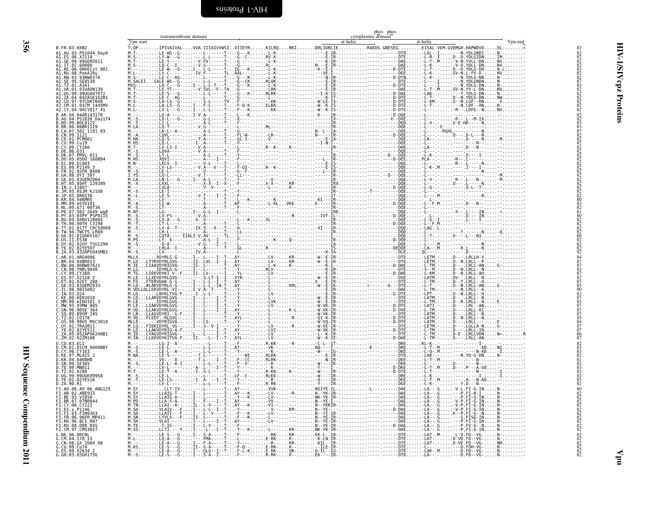| $\overline{11}$<br>ヘー・コード くりょう<br>i<br>I<br>i |  |  |
|-----------------------------------------------|--|--|

<span id="page-43-0"></span>ú.

|                                                                         |           | transmembrane domain |  |  | phos phos<br>$\frac{\text{pyups}}{\alpha - \text{helix}}$ |                                                                                                                                          |         |
|-------------------------------------------------------------------------|-----------|----------------------|--|--|-----------------------------------------------------------|------------------------------------------------------------------------------------------------------------------------------------------|---------|
| B. FR. 83. HXB2                                                         | Vpu start |                      |  |  |                                                           | $\alpha$ -helix<br>v pu start<br>Τ. QP TPIVAIVAL VVA . IIIAIVWSI VIIEYR KILRQ RKI DRLIDRLIE REDS . GNESEG EISAL . VEM . GVEMGH . HAPWDVD | Vpu end |
| A1.AU.03.PS1044 Day0<br>A1.ES.06.X2110                                  |           |                      |  |  |                                                           |                                                                                                                                          |         |
| A1.GE.99.99GEMZ011<br>A1.IT.02.60000                                    |           |                      |  |  |                                                           |                                                                                                                                          |         |
| Al.KE.06.06KECst_001<br>Al.RU.08.PokAlRu<br>Al.RW.93.93RW037A           |           |                      |  |  |                                                           |                                                                                                                                          |         |
| 1.SE.95.SE8538                                                          |           |                      |  |  |                                                           |                                                                                                                                          |         |
| TZ.01.A341<br>01.01UADN139                                              |           |                      |  |  |                                                           |                                                                                                                                          |         |
| 99.99116407072<br>04 047ASK162R1                                        |           |                      |  |  |                                                           |                                                                                                                                          |         |
| 97.97CDKTB48<br>CM.01.01CM 1445MV                                       |           |                      |  |  |                                                           |                                                                                                                                          |         |
| A2.CY.94.94CY017 41<br>B.AR.04.04AR143170                               |           |                      |  |  |                                                           |                                                                                                                                          |         |
| .AU.04.PS1038 Day174<br>BO.99.BOL0122                                   |           |                      |  |  |                                                           |                                                                                                                                          |         |
| .BR.06.06BRIII9                                                         |           |                      |  |  |                                                           |                                                                                                                                          |         |
| B.CA.07.502 II9I_03<br>B.CN.09.112I<br>B.CO.01.PCM001                   |           |                      |  |  |                                                           |                                                                                                                                          |         |
| B.CU.99.Cu19<br>B.CY.09.CY266                                           |           |                      |  |  |                                                           |                                                                                                                                          |         |
| B.DE.86.D31<br>B.DK.07.PMVL 011                                         |           |                      |  |  |                                                           |                                                                                                                                          |         |
| .DO.05.05DO 160884<br>EC.89.EC003                                       |           |                      |  |  |                                                           |                                                                                                                                          |         |
| B.ES.09.P2149 3<br>B.FR.92.92FR BX08                                    |           |                      |  |  |                                                           |                                                                                                                                          |         |
| .GA.88.OYI 397<br>.GE.03.03GEMZ004                                      |           |                      |  |  |                                                           |                                                                                                                                          |         |
| HT.05.05HT 129389<br>.IN.x.11807<br>.JM.05.05JM KJ108                   |           |                      |  |  |                                                           |                                                                                                                                          |         |
| .1P.05.DR6538                                                           |           |                      |  |  |                                                           |                                                                                                                                          |         |
| KR.04.04KMH5<br>99.mSTD101                                              |           |                      |  |  |                                                           |                                                                                                                                          |         |
| .PE.07.502-2649 wg8<br>.PY.03.03PY PSP0115                              |           |                      |  |  |                                                           |                                                                                                                                          |         |
| .RU.04.04RU128005                                                       |           |                      |  |  |                                                           |                                                                                                                                          |         |
| TH.00.00TH C3198<br>TT.01.01TT CRC50069                                 |           |                      |  |  |                                                           |                                                                                                                                          |         |
| B.TW.94.TWCYS LM49<br>B.UA.01.01UAKV167<br>B.US.11.ES38                 |           |                      |  |  |                                                           |                                                                                                                                          |         |
| 02.02YE507                                                              |           |                      |  |  |                                                           |                                                                                                                                          |         |
| B.ZA.03.03ZAPS045MB2                                                    |           |                      |  |  |                                                           |                                                                                                                                          |         |
| .AR.01.ARG4006<br>04.04BR013                                            |           |                      |  |  |                                                           |                                                                                                                                          |         |
| BW.00.00BW07621<br>CN.98.YNRL9840                                       |           |                      |  |  |                                                           |                                                                                                                                          |         |
| .CY.09.CY260<br>.ES.07.X2118 2<br>ET.02.02ET 288                        |           |                      |  |  |                                                           |                                                                                                                                          |         |
| GE.03.03GEMZ033.<br>IL.98.98IS002                                       |           |                      |  |  |                                                           |                                                                                                                                          |         |
| . IN .03.D24<br>C.KE.00.KER2010                                         |           |                      |  |  |                                                           |                                                                                                                                          |         |
| .MM.99.mIDU101 3<br>MW.93.93MW 965                                      |           |                      |  |  |                                                           |                                                                                                                                          |         |
| SN.90.90SE 364<br>S0.89.89SM 145                                        |           |                      |  |  |                                                           |                                                                                                                                          |         |
| C.TZ.02.CO178<br>C.US.98.98US MSC3018                                   |           |                      |  |  |                                                           |                                                                                                                                          |         |
| .UY.01.TRA3011<br>.YE.02.02YE511                                        |           |                      |  |  |                                                           |                                                                                                                                          |         |
| 05.05ZAPSK240B1.<br>C.ZM.02.02ZM108                                     |           |                      |  |  |                                                           |                                                                                                                                          |         |
| D.CD.83.ELI<br>CM.01.01CM 0009BBY                                       |           |                      |  |  |                                                           |                                                                                                                                          |         |
| D.CY.06.CY163<br>D.KE.97.ML415 2<br>D.KR.04.04KBH8                      |           |                      |  |  |                                                           |                                                                                                                                          |         |
| .SN.90.SE365                                                            |           |                      |  |  |                                                           |                                                                                                                                          |         |
| .99.MN011                                                               |           |                      |  |  |                                                           |                                                                                                                                          |         |
| D.TZ.01.A280<br>D.UG.99.99UGK09958<br>D.VE.02.02YE516                   |           |                      |  |  |                                                           |                                                                                                                                          |         |
| D.ZA.90.R1<br>F1.A0.06.A0.06.ANG125                                     |           |                      |  |  |                                                           |                                                                                                                                          |         |
| F1.AR.02.ARE933<br>F1.BE.93.VI850                                       |           |                      |  |  |                                                           |                                                                                                                                          |         |
| F1.BR.07.07BR844                                                        |           |                      |  |  |                                                           |                                                                                                                                          |         |
| ES.x.P1146<br>F1.FI.93.FIN9363                                          |           |                      |  |  |                                                           |                                                                                                                                          |         |
| F1.FR.96.96FR MP411<br>-1.RO.96.BCI R07<br>-1.RU.08.D88 845             |           |                      |  |  |                                                           |                                                                                                                                          |         |
| 2.CM.97.CM53657                                                         |           |                      |  |  |                                                           |                                                                                                                                          |         |
| G.BE.96.DRCBL                                                           |           |                      |  |  |                                                           |                                                                                                                                          |         |
| G.CM.04.178 15<br>G.CN.08.GX_2084_08<br>G.CU.99.Cu74<br>G.ES.09.X2634 2 |           |                      |  |  |                                                           |                                                                                                                                          |         |
| G.GH.03.03GH175G                                                        |           |                      |  |  |                                                           | - LA - - . - - - - D . FD - - VG -                                                                                                       |         |

<span id="page-43-1"></span>HIV-1/SIV cpz Proteins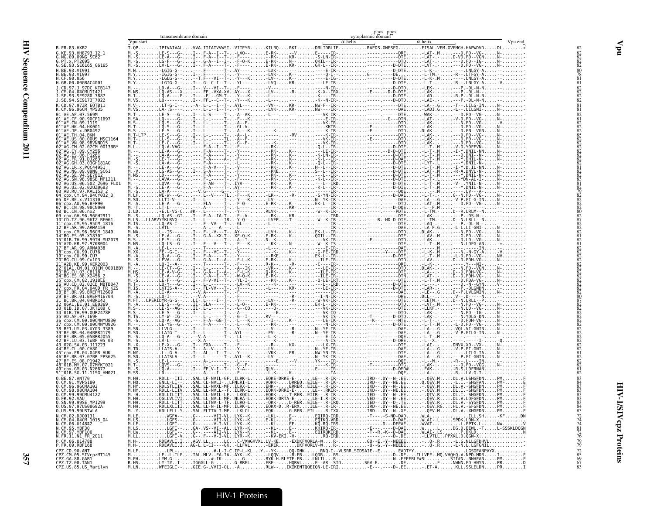|                                                                                                    | Vpu start | transmembrane domain | cytoplasmic domain<br>$\alpha$ -helix<br>$\alpha$ -helix                                  | Vpu end         |
|----------------------------------------------------------------------------------------------------|-----------|----------------------|-------------------------------------------------------------------------------------------|-----------------|
| B.FR.83.HXB2                                                                                       |           |                      | T.QPIPIVAIVALVVA.IIIAIVVWSIVIIEYRKILRQRKIDRLIDRLIERAEDS.GNESEGEISAL.VEM.GVEMGH.HAPWDVDDL* |                 |
| G.KE.93.HH8793 12 1                                                                                |           |                      |                                                                                           |                 |
| G.NG.09.09NG SC62<br>G.PT.x.PT2695                                                                 |           |                      |                                                                                           |                 |
| G.SE.93.SE6165 G6165<br>H.BE.93.VI991                                                              |           |                      |                                                                                           |                 |
| H.BE.93.VI997                                                                                      |           |                      |                                                                                           |                 |
| H.CF.90.056<br>H.GB.00.00GBAC4001                                                                  |           |                      |                                                                                           |                 |
| J.CD.97.J 97DC KTB147<br>J.CM.04.04CMU11421                                                        |           |                      |                                                                                           |                 |
| J.SE.93.SE9280 7887                                                                                |           |                      |                                                                                           |                 |
| J.SE.94.SE9173 7022<br>K.CD.97.97ZR EQTB11                                                         |           |                      |                                                                                           |                 |
| K.CM.96.96CM MP535<br>01 AE.AF.07.569M                                                             |           |                      |                                                                                           |                 |
| 01 AE.CF.90.90CF11697                                                                              |           |                      |                                                                                           |                 |
| 01 AE.CN.09.1119<br>01 AE.HK.04.HK001<br>01 AE.JP.x.DR0492                                         |           |                      |                                                                                           |                 |
| $01^-$ AE.TH.04.BKM                                                                                |           |                      |                                                                                           |                 |
| 01 AE.US.00.00US MSC1164<br>01 AE. VN. 98. 98 VNND15                                               |           |                      |                                                                                           |                 |
| 02 AG.CM.02.02CM 0013BBY                                                                           |           |                      |                                                                                           |                 |
| 02 AG.CY.09.CY256<br>02 AG.ES.06.P1261                                                             |           |                      |                                                                                           |                 |
| 02 AG. FR. 91. DJ263<br>02 AG. GH. 03. 03GH181AG                                                   |           |                      |                                                                                           |                 |
| 02 <sup>-</sup> AG.LR.x.P0C44951<br>02 AG.NG.09.09NG SC61                                          |           |                      |                                                                                           |                 |
| 02 AG. SE. 94. SE7812                                                                              |           |                      |                                                                                           |                 |
| 02 AG. SN. 98. 98SE MP1211<br>02 AG. US. 06. 502 2696 FL01                                         |           |                      |                                                                                           |                 |
| 02 <sup>-</sup> AG.UZ.02.02UZ0683<br>03 AB.RU.97.KAL153 2<br>04 cpx.CY.94.94CY032_3                |           |                      |                                                                                           |                 |
| 05 DF.BE.x.VI1310                                                                                  |           |                      |                                                                                           |                 |
| 06 Cpx. AU. 96. BFP90<br>07 BC.CN.98.98CN009                                                       |           |                      |                                                                                           |                 |
| 08 BC.CN.06.nx2                                                                                    |           |                      |                                                                                           |                 |
| 09 cpx.GH.96.96GH2911<br>10 CD.TZ.96.96TZ BF061<br>11 cpx.CM.95.95CM 1816                          |           |                      |                                                                                           |                 |
| 12 BF AR 99 ARMA159                                                                                |           |                      |                                                                                           |                 |
| 13 cpx.CM.96.96CM 1849<br>14 BG.ES.05.X1870                                                        |           |                      |                                                                                           |                 |
| 15 <sup>-</sup> 01B.TH.99.99TH MU2079<br>16 A2D.KR.97.97KR004                                      |           |                      |                                                                                           |                 |
| 17 BF.AR.99.ARMA038<br>18 CDX.CU.99.CU76                                                           |           |                      |                                                                                           |                 |
| 19 cpx.CU.99.CU7<br>20 BG.CU.99.Cu103                                                              |           |                      |                                                                                           |                 |
| 21 <sup>-</sup> A2D.KE.99.KER2003                                                                  |           |                      |                                                                                           |                 |
| 22 <sup>-</sup> 01A1.CM.01.01CM 0001BBY<br>23 BG.CU.03.CB118                                       |           |                      |                                                                                           |                 |
| 24 <sup>-</sup> BG.ES.08.X2456                                                                     |           |                      |                                                                                           |                 |
| 25 CDX. CM. 02.1918LE<br>26 AU. CD. 02. 02CD MBTB047<br>27 CDX. FR. 04. 04CD FR. KZS               |           |                      |                                                                                           |                 |
| 28 BF.BR.99.BREPM12609<br>29 <sup>-</sup> BF.BR.01.BREPM16704                                      |           |                      |                                                                                           |                 |
| 31 BC.BR.04.04BR142<br>32 <sup>-</sup> 06A1.EE.01.EE0369                                           |           |                      |                                                                                           |                 |
| 33 <sup>-</sup> 01B.ID.07.JKT189                                                                   |           |                      |                                                                                           |                 |
| 34 <sup>–</sup> 01B.TH.99.OUR2478P<br>35 <sup>-</sup> AD.AF.07.169H                                |           |                      |                                                                                           |                 |
| 36 <sup>-</sup> cpx.CM.00.00CMNYU830<br>37 cpx.CM.00.00CMNYU926                                    |           |                      |                                                                                           |                 |
| 38 <sup>-</sup> BF1.UY.03.UY03 3389<br>39 BF.BR.04.04BRRJ179                                       |           |                      |                                                                                           |                 |
| 40 BF.BR.05.05BRRJ055<br>42 BF.LU.03.luBF 05 03                                                    |           |                      |                                                                                           |                 |
| 43 <sup>-</sup> 02G.SA.03.J11223<br>44 BF.CL.00.CH80                                               |           |                      |                                                                                           |                 |
| 45 cpx.FR.04.04FR AUK                                                                              |           |                      |                                                                                           |                 |
| 46 BF BR 07 07BR FPS625<br>47 BF.ES.08.P1942                                                       |           |                      |                                                                                           |                 |
| 48 01B.MY.07.07MYKT021<br>49 cpx. GM. 03. N26677                                                   |           |                      |                                                                                           |                 |
| 51 01B.SG.11.11SG HM021<br>0.BE.87.ANT70                                                           |           |                      |                                                                                           |                 |
| 0.CM.91.MVP5180<br>0. CM. 96. 96 CMA102                                                            |           |                      |                                                                                           |                 |
| 0.CM.98.98CMA104                                                                                   |           |                      |                                                                                           |                 |
| 0.CM.99.99CMU4122<br>0. FR. 92. VAU                                                                |           |                      |                                                                                           |                 |
| 0.SN.99.99SE MP1299<br>.97050869ZA                                                                 |           |                      |                                                                                           |                 |
| 0.US.99.99USTWLA                                                                                   |           |                      |                                                                                           | 83              |
| N.CM.02.DJ00131                                                                                    |           |                      |                                                                                           |                 |
|                                                                                                    |           |                      |                                                                                           |                 |
| N.CM.04.04CM 1015_04<br>N.CM.06.U14842<br>N.CM.95.YBF30<br>N.CM.97.YBF106<br>N.FR.11.N1_FR_2011    |           |                      |                                                                                           |                 |
| P.CM.06.U14788                                                                                     |           |                      |                                                                                           | 7247481226      |
| P.FR.09.RBF168                                                                                     |           |                      |                                                                                           | $^{72}_{85}$    |
| CPZ.CD.90.ANT<br>CPZ.CM.05.SIVcpzMT145<br>CPZ.GA.88.GAB1<br>CPZ.TZ.00.TAN1<br>CPZ.US.85.US_Marilyn |           |                      |                                                                                           |                 |
|                                                                                                    |           |                      |                                                                                           | $\frac{69}{67}$ |
|                                                                                                    |           |                      |                                                                                           |                 |

phos <sup>p</sup>hos

transmembrane domain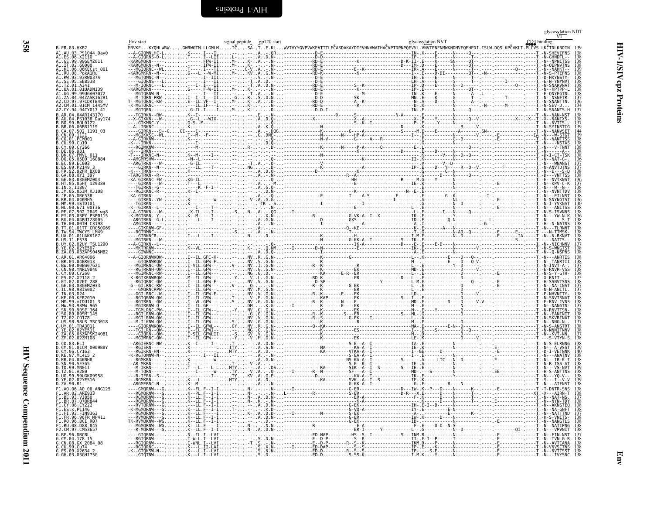<span id="page-45-1"></span><span id="page-45-0"></span>

| B. FR. 83. HXB2<br>A1.AU.03.PS1044 Day0                                                  | MRVKEKYQHLWRWGWRWGTM.LLGMLMIČSATE.KLWVTVYYGVPVWKEATTTLFČASDAKAYDTEVHNVWATHAČVPTDPNPQEVVL.VNVTENFMMWKNDMVEQMHEDI.ISLW.DQSLKPČVKLT.PLČVS.LKČTDLKNDTN 139 |  |  |  |  |  |
|------------------------------------------------------------------------------------------|--------------------------------------------------------------------------------------------------------------------------------------------------------|--|--|--|--|--|
| A1.ES.06.X2110 <sup>--0</sup>                                                            |                                                                                                                                                        |  |  |  |  |  |
| A1.IT.02.60000<br>A1.KE.06.06KECst 001                                                   |                                                                                                                                                        |  |  |  |  |  |
| A1.RU.08.PokA1Ru-<br>A1.RW.93.93RW037A<br>A1.SE.95.SE8538                                |                                                                                                                                                        |  |  |  |  |  |
| A1.TZ.01.A341<br>A1.UA.01.01UADN139<br>A1.UG.99.99UGA07072                               |                                                                                                                                                        |  |  |  |  |  |
| A1.ZA.04.04ZASK162B1<br>A2.CD.97.97CDKTB48                                               |                                                                                                                                                        |  |  |  |  |  |
| A2.CM.01.01CM 1445MV<br>A2.CY.94.94CY017 41                                              |                                                                                                                                                        |  |  |  |  |  |
| B.AR.04.04AR143170<br>B.AU.04.PS1038 Day174<br>B.BO.99.BOL0122                           |                                                                                                                                                        |  |  |  |  |  |
| B.BR.06.06BRIII9<br>B.CA.07.502_1191_03                                                  |                                                                                                                                                        |  |  |  |  |  |
| B.CN.09.1121<br>B.CO.01.PCM001<br>B.CU.99.Cu19                                           |                                                                                                                                                        |  |  |  |  |  |
| B.CY.09.CY266<br>B.DE.86.D31                                                             |                                                                                                                                                        |  |  |  |  |  |
| B.DK.07.PMVL 011<br>B.DO.05.05D0 160884                                                  |                                                                                                                                                        |  |  |  |  |  |
| B.EC.89.EC003<br>B.ES.09.P2149 3<br>B. FR. 92. 92 FR BX08                                |                                                                                                                                                        |  |  |  |  |  |
| B.GA.88.0YI 397<br>B.GE.03.03GEMZ004                                                     |                                                                                                                                                        |  |  |  |  |  |
| B.HT.05.05HT 129389<br>B.IN.x.11807<br>B.JM.05.05JM KJ108                                |                                                                                                                                                        |  |  |  |  |  |
| B.JP.05.DR6538<br>B.KR.04.04KMH5                                                         |                                                                                                                                                        |  |  |  |  |  |
| B.MM.99.mSTD101<br>B.NL.00.671 00T36<br>B.PE.07.502 <sup>-2649</sup> wq8                 |                                                                                                                                                        |  |  |  |  |  |
| B.PY.03.03PY PSP0115<br>B.RU.04.04RUI28005                                               |                                                                                                                                                        |  |  |  |  |  |
| B. TH.00.00TH C3198<br>B.TT.01.01TTCRC50069<br>B.TW.94.TWCYS LM49                        |                                                                                                                                                        |  |  |  |  |  |
| B.UA.01.01UAKV167                                                                        |                                                                                                                                                        |  |  |  |  |  |
| B.UY.02.02UY TSU1290<br>B.YE.02.02YE507<br>B.ZA.03.03ZAPS045MB2                          |                                                                                                                                                        |  |  |  |  |  |
| C.AR.01.ARG4006<br>C.BR.04.04BR013                                                       |                                                                                                                                                        |  |  |  |  |  |
| C.BW.00.00BW07621<br>C. CN. 98. YNRL 9840                                                |                                                                                                                                                        |  |  |  |  |  |
| C.CY.09.CY260<br>C.ES.07.X2118 2<br>C.ET.02.02ET 288                                     |                                                                                                                                                        |  |  |  |  |  |
| C.GE.03.03GEMZ033<br>C.IL.98.98IS002                                                     |                                                                                                                                                        |  |  |  |  |  |
| C.IN.03.D24<br>C.KE.00.KER2010                                                           |                                                                                                                                                        |  |  |  |  |  |
| C.MM.99.mIDU101 3<br>C.MW.93.93MW 965                                                    |                                                                                                                                                        |  |  |  |  |  |
| C.SN.90.90SE 364<br>C.SO.89.89SM 145<br>C.TZ.02.C0178                                    |                                                                                                                                                        |  |  |  |  |  |
| C.US.98.98US MSC3018<br>C.UY.01.TRA3011                                                  |                                                                                                                                                        |  |  |  |  |  |
| C.YE.02.02YE511<br>C.ZA.05.05ZAPSK240B1<br>C.ZM.02.02ZM108                               |                                                                                                                                                        |  |  |  |  |  |
| D.CD.83.ELI                                                                              |                                                                                                                                                        |  |  |  |  |  |
| D.CM.01.01CM 0009BBY<br>D.CY.06.CY163<br>D.KE.97.ML415_2                                 |                                                                                                                                                        |  |  |  |  |  |
| D.KR.04.04KBH8<br>D.TD.99.MN011                                                          |                                                                                                                                                        |  |  |  |  |  |
| D.TZ.01.A280<br>D.UG.99.99UGK09958<br>D.YE.02.02YE516                                    |                                                                                                                                                        |  |  |  |  |  |
| D.ZA.90.R1<br>F1.A0.06.A0 06 ANG125                                                      |                                                                                                                                                        |  |  |  |  |  |
| F1.BE.93.VI850<br>F1.BR.07.07BR844                                                       |                                                                                                                                                        |  |  |  |  |  |
| F1.CY.08.CY222<br>F1.ES.x.P1146<br>F1.FI.93.FIN9363                                      |                                                                                                                                                        |  |  |  |  |  |
| F1.FR.96.96FR MP411                                                                      |                                                                                                                                                        |  |  |  |  |  |
| F1.R0.96.BCI_R07<br>F1.R0.96.BCI_R07<br>F1.RU.08.D88 <sup>-845</sup><br>F2.CM.97.CM53657 |                                                                                                                                                        |  |  |  |  |  |
| G.BE.96.DRCBL<br>G.CM.04.178 15<br>G.CN.08.GX_2084_08                                    |                                                                                                                                                        |  |  |  |  |  |
| G.CU.99.Cu74                                                                             |                                                                                                                                                        |  |  |  |  |  |
| G.ES.09.X2634 2<br>G. GH. 03.03GH175G                                                    |                                                                                                                                                        |  |  |  |  |  |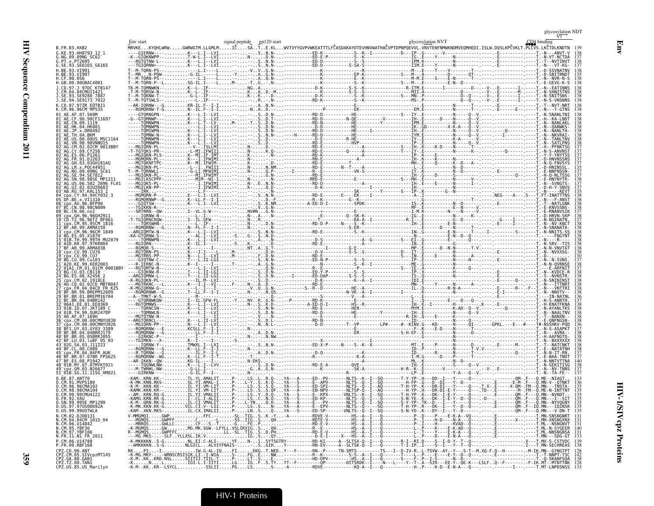| B.FR.83.HXB2                                                                                 |  |  |  | Env start (SIDA binding ) signal peptide gp120 start (SIDA binding glycosylation NVT) signal peptide gp120 start<br>MRVKEKYQHLWRWGWRWGTM.LLGMLMIČSATE.KLWVTVYYGVPVWKEATTTLFČASDAKAYDTEVHNVWATHAČVPTDPNPQE   |  |
|----------------------------------------------------------------------------------------------|--|--|--|-------------------------------------------------------------------------------------------------------------------------------------------------------------------------------------------------------------|--|
| G.KE.93.HH8793 12 1<br>G.NG.09.09NG SC62                                                     |  |  |  |                                                                                                                                                                                                             |  |
| G.PT.x.PT2695<br>G.SE.93.SE6165_G6165                                                        |  |  |  |                                                                                                                                                                                                             |  |
| .BE.93.VI991<br>CF.90.056                                                                    |  |  |  |                                                                                                                                                                                                             |  |
| GB.00.00GBAC4001                                                                             |  |  |  |                                                                                                                                                                                                             |  |
|                                                                                              |  |  |  |                                                                                                                                                                                                             |  |
|                                                                                              |  |  |  |                                                                                                                                                                                                             |  |
| CM.96.96CM MP535                                                                             |  |  |  |                                                                                                                                                                                                             |  |
|                                                                                              |  |  |  |                                                                                                                                                                                                             |  |
| 1 <sup>-</sup> AE.TH.04.BKM                                                                  |  |  |  |                                                                                                                                                                                                             |  |
|                                                                                              |  |  |  |                                                                                                                                                                                                             |  |
|                                                                                              |  |  |  |                                                                                                                                                                                                             |  |
|                                                                                              |  |  |  |                                                                                                                                                                                                             |  |
|                                                                                              |  |  |  |                                                                                                                                                                                                             |  |
| 98.98SE MP1211                                                                               |  |  |  |                                                                                                                                                                                                             |  |
| cnx.CY.94.94CY032 3                                                                          |  |  |  |                                                                                                                                                                                                             |  |
| DF.BE.x.VI1310<br>cpx.AU.96.BFP90                                                            |  |  |  |                                                                                                                                                                                                             |  |
| CN.98.98CN009                                                                                |  |  |  |                                                                                                                                                                                                             |  |
| cpx.CM.95.95CM 1816                                                                          |  |  |  |                                                                                                                                                                                                             |  |
| 99.ARMA159<br>cpx.CM.96.96CM 1849                                                            |  |  |  |                                                                                                                                                                                                             |  |
| 01B.TH.99.99TH MU2079                                                                        |  |  |  |                                                                                                                                                                                                             |  |
| A2D.KR.97.97KR004<br>BF.AR.99.ARMA038<br>cnx.CU.99.CU76                                      |  |  |  |                                                                                                                                                                                                             |  |
|                                                                                              |  |  |  |                                                                                                                                                                                                             |  |
| 01A1.CM.01.01CM 0001BB                                                                       |  |  |  |                                                                                                                                                                                                             |  |
|                                                                                              |  |  |  |                                                                                                                                                                                                             |  |
| AU.CD.02.02CD MBTB047<br>FR.04.04CD FR KZS                                                   |  |  |  |                                                                                                                                                                                                             |  |
| 99.BREPM12609<br>.01.BREPM16704<br>RR 04 04RR142                                             |  |  |  |                                                                                                                                                                                                             |  |
| 06A1.EE.01.EE0369<br>01B.ID.07.JKT189                                                        |  |  |  |                                                                                                                                                                                                             |  |
| .0UR2478P<br>AD. AF. 07. 169H                                                                |  |  |  |                                                                                                                                                                                                             |  |
|                                                                                              |  |  |  |                                                                                                                                                                                                             |  |
| BF.BR.04.04BRR1179<br>BR.05.05BRR1055                                                        |  |  |  |                                                                                                                                                                                                             |  |
| 03. LuBF 05 03                                                                               |  |  |  |                                                                                                                                                                                                             |  |
| FR 04 04FR AIII                                                                              |  |  |  |                                                                                                                                                                                                             |  |
| 8 01B.MY.07.07MYKT021                                                                        |  |  |  |                                                                                                                                                                                                             |  |
| cpx.GM.03.N26677<br>1 01B.SG.11.11SG HM021                                                   |  |  |  |                                                                                                                                                                                                             |  |
| CM.96.96CMA102                                                                               |  |  |  |                                                                                                                                                                                                             |  |
| CM.98.98CMA104<br>0.CM.99.99CMU4122                                                          |  |  |  | -AM-.KRN.RQ-GIL.YI.VMALIIP-LSYD.Q-YA---S-----E--KPX------VNLTŠ--R--I-SQ------T-H-YP-.K---DK--I-E-Y-----Q---.------E-----------OM-.F---Ö                                                                     |  |
| FR.92.VAU<br>0.SN.99.99SE MP1299                                                             |  |  |  | YA---S-----ED-KP--------NLTS--Q--I---Q-------S-N-YE-.K---DK--I-E-Y--D--Q--- .-D-- .----------QM-.F---Q                                                                                                      |  |
| 0.US.97.97US08692A<br>0.US.99.99USTWLA                                                       |  |  |  | -K-MI-QRN-RK-GIIIIIIIIIIIIIIIIIIIIIIIIP-IILTYNIIIOIH.IIIYA---A-----E--PY-------NITS--0--I--SQ------S-Y-YP-ITK--DI--T---Q----I-----OM-IE---OM-IE---OMM-NYVQGNY_133<br>-K-MK.KKN.KK-GIII.CX.IV-LIIP-LSSNP-YA- |  |
| N.CM.02.DJ00131<br>N.CM.04.04CM 1015 04                                                      |  |  |  |                                                                                                                                                                                                             |  |
| N.CM.06.U14842<br>N.CM.05.YBF30<br>N.CM.97.YBF106                                            |  |  |  |                                                                                                                                                                                                             |  |
| N.FR.11.N1 FR 2011<br>P.CM.06.U14788                                                         |  |  |  | -K-MKKKKNS-GNL.EI.C-ALI-YFN-ISYTSGTRY---------RD-KI----A--SLTSX-Q--I--Q------R-I-PI.D---S--I-D-Y--T--Q---.-------------------V---T.MX-S-CSTVDC 139<br>--AMKKKKNS-GNLGICLALVIYFNAIS--S.                      |  |
| P.FR.09.RBF168<br>CPZ.CD.90.ANT<br>CPZ.CM.05.SIVcpzMT145<br>CPZ.GA.88.GAB1<br>CPZ.TZ.00.TAN1 |  |  |  |                                                                                                                                                                                                             |  |
|                                                                                              |  |  |  |                                                                                                                                                                                                             |  |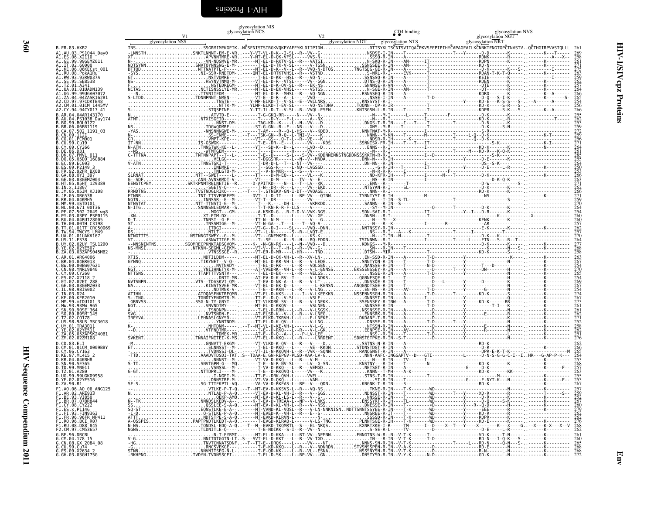<span id="page-47-0"></span>

|                                                                                                                  | V1                | glycosylation NCS | glycosylation NIS |                   | CD <sub>4</sub> binding | glycosylation NVS<br>glycosylation NGT                                                                                                              |                   |
|------------------------------------------------------------------------------------------------------------------|-------------------|-------------------|-------------------|-------------------|-------------------------|-----------------------------------------------------------------------------------------------------------------------------------------------------|-------------------|
| B.FR.83.HXB2                                                                                                     | glycosylation NSS |                   |                   | glycosylation NDT | glycosylation NTS       | glycosylation NKT<br>TNSSSGRMIMEKGEIKNČSFNISTSIRGKVQKEYAFFYKLDIIPIDNDTTSYKLTSČNTSVITQAČPKVSFEPIPIHYČAPAGFAILKČNNKTFNGTGPČTNVSTVOČTHGIRPVVSTOLLL 261 |                   |
| A1.AU.03.PS1044_Day0                                                                                             |                   |                   |                   |                   |                         |                                                                                                                                                     |                   |
| A1.IT.02.60000                                                                                                   |                   |                   |                   |                   |                         |                                                                                                                                                     |                   |
| A1.KE.06.06KECst_001<br>A1.RU.08.PokA1Ru                                                                         |                   |                   |                   |                   |                         |                                                                                                                                                     |                   |
| A1.RW.93.93RW037A<br>A1.SE.95.SE8538<br>A1.TZ.01.A341                                                            |                   |                   |                   |                   |                         |                                                                                                                                                     |                   |
| A1.UA.01.01UADN139<br>A1.UG.99.99UGA07072                                                                        |                   |                   |                   |                   |                         |                                                                                                                                                     | 264               |
| A1.ZA.04.04ZASK162B1<br>A2.CD.97.97CDKTB48<br>A2.CM.01.01CM 1445MV                                               |                   |                   |                   |                   |                         |                                                                                                                                                     | 254<br>256        |
| A2.CY.94.94CY017 41<br>B.AR.04.04AR143170                                                                        |                   |                   |                   |                   |                         |                                                                                                                                                     |                   |
| .AU.04.PS1038 Day174<br>.BO.99.BOL0122                                                                           |                   |                   |                   |                   |                         |                                                                                                                                                     |                   |
| .BR.06.06BR1119<br>.CA.07.502 1191_03<br>.CN.09.1121                                                             |                   |                   |                   |                   |                         |                                                                                                                                                     |                   |
| .CO.01.PCM001<br>.CU.99.Cu19                                                                                     |                   |                   |                   |                   |                         |                                                                                                                                                     |                   |
| .CY.09.CY266<br>.DE.86.D31                                                                                       |                   |                   |                   |                   |                         |                                                                                                                                                     |                   |
| .DK.07.PMVL 011<br>.DO.05.05D0 <sup>-</sup> 160884<br>EC.89.EC003                                                |                   |                   |                   |                   |                         |                                                                                                                                                     |                   |
| ES.09.P2149 3<br>FR.92.92FR BX08                                                                                 |                   |                   |                   |                   |                         |                                                                                                                                                     |                   |
| .GA.88.OYI 397<br>.GE.03.03GEMZ004                                                                               |                   |                   |                   |                   |                         |                                                                                                                                                     | $\frac{266}{263}$ |
| HT.05.05HT 129389.<br>.IN.x.11807<br>.JM.05.05JM KJ108                                                           |                   |                   |                   |                   |                         |                                                                                                                                                     | 266               |
| .JP.05.DR6538<br>.KR.04.04KMH5                                                                                   |                   |                   |                   |                   |                         |                                                                                                                                                     |                   |
| MM.99.mSTD101<br>NL.00.671 00T36                                                                                 |                   |                   |                   |                   |                         |                                                                                                                                                     |                   |
| .PE.07.502 2649 wg8<br>.PY.03.03PY PSP0115<br>RU.04.04RU128005                                                   |                   |                   |                   |                   |                         |                                                                                                                                                     | 260               |
| .TH.00.00TH C3198<br>.TT.01.01TT <sup>-</sup> CRC50069                                                           |                   |                   |                   |                   |                         |                                                                                                                                                     | 262<br>257<br>270 |
| .TW.94.TWCYS LM49<br>UA.01.01UAKV167<br>.US.11.ES38                                                              |                   |                   |                   |                   |                         |                                                                                                                                                     | 264<br>277        |
| .UY.02.02UY_TSU1290<br>YE.02.02YE507                                                                             |                   |                   |                   |                   |                         |                                                                                                                                                     |                   |
| .ZA.03.03ZAPS045MB2<br>.AR.01.ARG4006<br>.BR.04.04BR013                                                          |                   |                   |                   |                   |                         |                                                                                                                                                     | 258               |
| .BW.00.00BW07621<br>.CN.98.YNRL9840                                                                              |                   |                   |                   |                   |                         |                                                                                                                                                     |                   |
| CY.09.CY260<br>ES.07.X2118 2                                                                                     |                   |                   |                   |                   |                         |                                                                                                                                                     |                   |
| GE.03.03GEMZ033.<br>.IL.98.98IS002                                                                               |                   |                   |                   |                   |                         |                                                                                                                                                     |                   |
| KF 00 KFR2016                                                                                                    |                   |                   |                   |                   |                         |                                                                                                                                                     | 267               |
| MM.99.mIDU101 3<br>MW.93.93MW 965                                                                                |                   |                   |                   |                   |                         |                                                                                                                                                     |                   |
| .SN.90.90SE <sup>-</sup> 364<br>.SO.89.89SMT145<br>.TZ.02.C0178                                                  |                   |                   |                   |                   |                         |                                                                                                                                                     |                   |
| .US.98.98US MSC3018<br>.UY.01.TRA3011                                                                            |                   |                   |                   |                   |                         |                                                                                                                                                     | 252<br>258<br>262 |
| .YE.02.02YE511<br>.ZA.05.05ZAPSK240B1<br>.ZM.02.02ZM108                                                          |                   |                   |                   |                   |                         |                                                                                                                                                     |                   |
| D.CD.83.ELI<br>CM.01.01CM 0009BBY.                                                                               |                   |                   |                   |                   |                         |                                                                                                                                                     |                   |
| .CY.06.CY163<br>.KE.97.ML415 2                                                                                   |                   |                   |                   |                   |                         |                                                                                                                                                     | 265               |
| .KR.04.04KBH8<br>.SN.90.SE365<br>.TD.99.MN011                                                                    |                   |                   |                   |                   |                         |                                                                                                                                                     |                   |
| TZ.01.A280.<br>.UG.99.99UGK09958                                                                                 |                   |                   |                   |                   |                         |                                                                                                                                                     |                   |
| 0.YE.02.02YE516<br>D.ZA.90.R1                                                                                    |                   |                   |                   |                   |                         |                                                                                                                                                     |                   |
| F1.A0.06.A0 06 ANG125<br>F1.BE.93.VI850                                                                          |                   |                   |                   |                   |                         |                                                                                                                                                     |                   |
| F1.BE.95.07880<br>F1.BR.07.07BR844<br>F1.CY.08.CY222<br>F1.ES.x.P1146<br>F1.FI.93.FIN9363                        |                   |                   |                   |                   |                         |                                                                                                                                                     |                   |
|                                                                                                                  |                   |                   |                   |                   |                         |                                                                                                                                                     |                   |
| F1.FR.96.96FR MP411<br>F1.R0.96.BCI_R07<br>F1.R0.96.BCI_R07<br>F1.RU.08.D88 <sup>-</sup> 845<br>F2.CM.97.CM53657 |                   |                   |                   |                   |                         |                                                                                                                                                     |                   |
|                                                                                                                  |                   |                   |                   |                   |                         |                                                                                                                                                     |                   |
|                                                                                                                  |                   |                   |                   |                   |                         |                                                                                                                                                     |                   |
| G.CU.99.Cu74<br>G.ES.09.X2634_2                                                                                  |                   |                   |                   |                   |                         |                                                                                                                                                     |                   |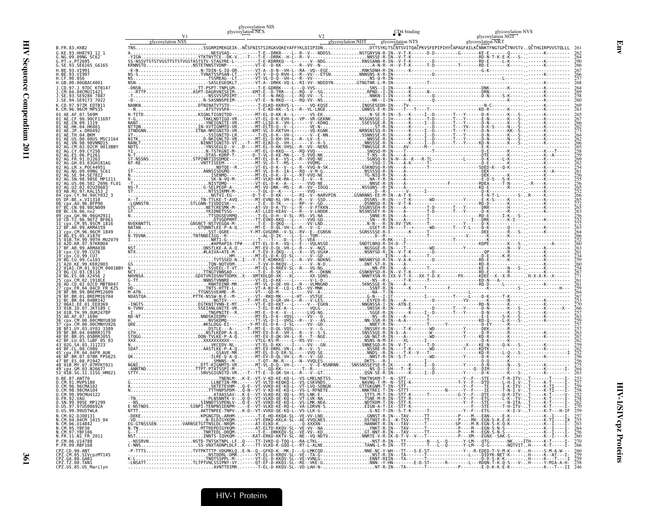|                                                                                                                     | glycosylation NIS<br>glycosylation NCS                                                                                                                                                                                         |                   | CD <sub>4</sub> binding                                                                     | glycosylation NVS                      |
|---------------------------------------------------------------------------------------------------------------------|--------------------------------------------------------------------------------------------------------------------------------------------------------------------------------------------------------------------------------|-------------------|---------------------------------------------------------------------------------------------|----------------------------------------|
| glycosylation NSS                                                                                                   |                                                                                                                                                                                                                                | glycosylation NDT | glycosylation NTS                                                                           | glycosylation NGT<br>glycosylation NKT |
| B. FR. 83. HXB2                                                                                                     | SSGRMIMEKGEIKNČSFNISTSIRGKVQKEYAFFYKLDIIPIDNDTTSYKLTSČNTSVITQAČPKVSFEPIPIHYČAPAGFAILKČNNKTFNGTGPČTNVSTVQČTHGIRPVVSTQLLL 26                                                                                                     |                   |                                                                                             |                                        |
| G.KE.93.HH8793 12 1<br>G.NG.09.09NG SC62 <sup>-</sup>                                                               |                                                                                                                                                                                                                                |                   | ---L--R--V---NDDSSNSTGNYSN-R-IN--V-T-K------D-D---------G-------KE-E-------0-----------K--- |                                        |
| G.PT.x.PT2695<br>G.SE.93.SE6165_G6165                                                                               |                                                                                                                                                                                                                                |                   |                                                                                             |                                        |
| RF 93.VT991                                                                                                         |                                                                                                                                                                                                                                |                   |                                                                                             |                                        |
| .CF.90.056<br>.GB.00.00GBAC4001                                                                                     |                                                                                                                                                                                                                                |                   |                                                                                             |                                        |
|                                                                                                                     |                                                                                                                                                                                                                                |                   |                                                                                             |                                        |
|                                                                                                                     |                                                                                                                                                                                                                                |                   |                                                                                             |                                        |
| SE.94.SE9173 7022                                                                                                   |                                                                                                                                                                                                                                |                   |                                                                                             |                                        |
|                                                                                                                     | ATSTVVSPA---------T-E-KD-KK--S-L--R--VL <sup>3</sup> LNGEGNNSS-E-R-IN----T---T----T--------------------KD-R-------K------ ----                                                                                                 |                   |                                                                                             |                                        |
|                                                                                                                     |                                                                                                                                                                                                                                |                   |                                                                                             |                                        |
|                                                                                                                     |                                                                                                                                                                                                                                |                   |                                                                                             |                                        |
|                                                                                                                     |                                                                                                                                                                                                                                |                   |                                                                                             |                                        |
| CM 0013BBY                                                                                                          |                                                                                                                                                                                                                                |                   |                                                                                             |                                        |
|                                                                                                                     |                                                                                                                                                                                                                                |                   |                                                                                             |                                        |
|                                                                                                                     |                                                                                                                                                                                                                                |                   |                                                                                             |                                        |
|                                                                                                                     |                                                                                                                                                                                                                                |                   |                                                                                             |                                        |
|                                                                                                                     | NATION AND CONTIDUCTION CONTINUES AND CONTINUES ARE CONTINUES AND CONTINUES ARE CONTINUES AND CONTINUES ARE CONTINUES AND CONTINUES ARE CONTINUES AND CONTINUES ARE CONTINUES AND CONTINUES ARE CONTINUES AND CONTINUES ARE CO |                   |                                                                                             |                                        |
|                                                                                                                     |                                                                                                                                                                                                                                |                   |                                                                                             |                                        |
| 94CY032 3                                                                                                           |                                                                                                                                                                                                                                |                   |                                                                                             |                                        |
| <b>xVT1310</b>                                                                                                      |                                                                                                                                                                                                                                |                   |                                                                                             |                                        |
|                                                                                                                     |                                                                                                                                                                                                                                |                   |                                                                                             |                                        |
|                                                                                                                     |                                                                                                                                                                                                                                |                   |                                                                                             |                                        |
| 95CM 1816<br>.96.96CM 1849                                                                                          |                                                                                                                                                                                                                                |                   |                                                                                             |                                        |
|                                                                                                                     |                                                                                                                                                                                                                                |                   |                                                                                             |                                        |
| A2D.KR.97.97KR004<br>99.ARMA038                                                                                     |                                                                                                                                                                                                                                |                   |                                                                                             |                                        |
|                                                                                                                     |                                                                                                                                                                                                                                |                   |                                                                                             |                                        |
|                                                                                                                     |                                                                                                                                                                                                                                |                   |                                                                                             |                                        |
|                                                                                                                     |                                                                                                                                                                                                                                |                   |                                                                                             |                                        |
|                                                                                                                     |                                                                                                                                                                                                                                |                   |                                                                                             |                                        |
| .04.04CD FR KZS                                                                                                     |                                                                                                                                                                                                                                |                   |                                                                                             |                                        |
|                                                                                                                     |                                                                                                                                                                                                                                |                   |                                                                                             |                                        |
|                                                                                                                     |                                                                                                                                                                                                                                |                   |                                                                                             |                                        |
| .JKT189 C                                                                                                           |                                                                                                                                                                                                                                |                   |                                                                                             |                                        |
|                                                                                                                     |                                                                                                                                                                                                                                |                   |                                                                                             |                                        |
|                                                                                                                     |                                                                                                                                                                                                                                |                   |                                                                                             |                                        |
|                                                                                                                     |                                                                                                                                                                                                                                |                   |                                                                                             |                                        |
|                                                                                                                     |                                                                                                                                                                                                                                |                   |                                                                                             |                                        |
| 04.04FR AUK                                                                                                         |                                                                                                                                                                                                                                |                   |                                                                                             |                                        |
|                                                                                                                     |                                                                                                                                                                                                                                |                   |                                                                                             |                                        |
|                                                                                                                     |                                                                                                                                                                                                                                |                   |                                                                                             |                                        |
|                                                                                                                     |                                                                                                                                                                                                                                |                   | .<br>.SKVNDSNAVNG-T-M--N--ŠTI-K--------------------T-Y--F---DTD-----L-H-T-V-IIT-----        |                                        |
| CM.96.96CMA102<br>CM.98.98CMA104                                                                                    |                                                                                                                                                                                                                                |                   | /Q-SDNGNGTTGKGNM-T-IN--STT------------------------Y--F----TE-----T-                         |                                        |
| 0.FR.92.VAU                                                                                                         | TAASSAV-K-E--VT-VLKD-KE-00-L--RS-                                                                                                                                                                                              |                   | MK-E-STTS-M-T-IN--STT-K------T---------G-Y--F---DTE-----Q-R-ITV-T-----K.                    |                                        |
| Ö.SN.99.99SE MP1299<br>O.US.97.97US08692A                                                                           |                                                                                                                                                                                                                                |                   |                                                                                             |                                        |
| 0.US.99.99USTWLA<br>N.CM.02.DJ00131                                                                                 |                                                                                                                                                                                                                                |                   |                                                                                             |                                        |
| N.CM.02.0J000131<br>N.CM.04.04CM 1015_04<br>N.CM.06.014842<br>N.CM.95.YBF30<br>N.CM.97.YBF106<br>N.FR.11.N1_FR_2011 |                                                                                                                                                                                                                                |                   |                                                                                             |                                        |
|                                                                                                                     |                                                                                                                                                                                                                                |                   |                                                                                             |                                        |
| P.CM.06.U14788                                                                                                      |                                                                                                                                                                                                                                |                   |                                                                                             |                                        |
| P.FR.09.RBF168                                                                                                      | --NSSRVNNSTD-TNTSKTNPL-LFQ----TT-IVKD-Q-TQQ-L--RA-LTKL--NST-R-IN---TT------N---L-Q------Y-LM---QTG-------NK--ITH-----K-T-----I- 270<br>C-NNSSS-VNXTADNPLDLFK----TT-VLK                                                         |                   |                                                                                             |                                        |
| . r<br>CPZ.CD.90.ANT<br>CPZ.CM.05.SIVcpzMT145<br>CPZ.GA.88.GAB1<br>CPZ.TZ.00.TAN1                                   |                                                                                                                                                                                                                                |                   |                                                                                             |                                        |
| CPZ.US.85.US Marilyn                                                                                                |                                                                                                                                                                                                                                |                   |                                                                                             |                                        |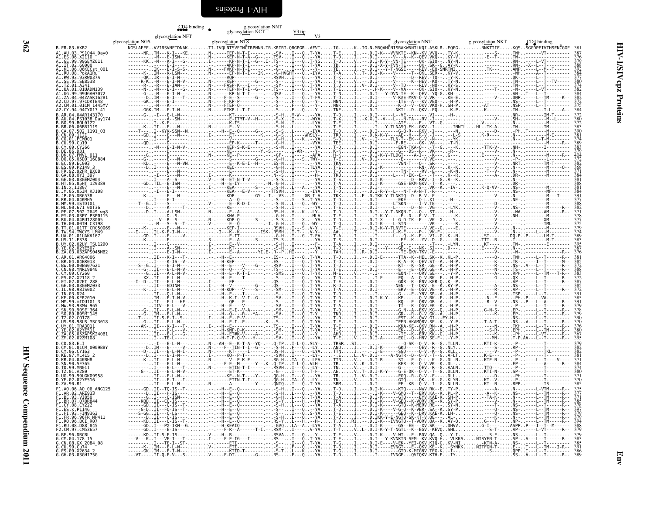#### $CD4$  binding

<span id="page-49-0"></span>glycosylation NNT<br>glycosylation NCT

| glycosylation NGS<br>B.FR.83.HXB2<br>AU.03.PS1044 Day0<br>.06.X2110<br>99.99GEMZ011<br>.02.60000<br>06.06KECst 001<br>08.PokA1Ru<br>93.93RW037A<br>5. SE8538<br>19 9911GA0707<br>04 047ASK162R1<br>$.04$ AR143170<br>PS1038 Dav174<br>9.B0L0122<br>.06 <sub>BR1119</sub><br>.502 1191 03<br>.09.1121<br>.01.PCM001<br>9.Cu19<br>07.PMVL 011<br>$.05D0^-160884$<br>88.0YI 397<br>03.03GEMZ004<br>05.05HT 129389<br>M KJ108<br>1.04KMH5<br>99.mSTD101<br>00.671 00T36<br>.502 <sup>-</sup> 2649 wg8<br>.03PY PSP0115<br>04.04RU128005<br>00.00TH C3198<br>01TT CRC50069<br>01.01UAKV167<br>.ĒS38<br>.02UY TSU1290<br>B.ZA.03.03ZAPS045MB2<br>ARG4006<br>00BW07621<br>8. YNRL 9840<br>.02ET 288<br>03GEMZ033<br>98IS002<br>99.mIDU101 3<br>10.90SE <sup>-</sup> 364<br>08.9805 MSC3018<br>01 TRA3011<br>05ZAPSK240B1<br>02.02ZM108<br>83.ELI<br>$\overline{1.01}$ CM 0009BBY<br>06.CY163<br>97.ML415 2<br>04.04KBH8<br>90.SE365<br>99.MN011<br>01.A280<br>99UGK09958<br>02.02YE516<br>90.R1<br>A0.06.A0 06 ANG125<br>3.VI850<br>07RR844<br><b>08 CY222</b><br>P1146<br>93. FIN9363<br>06.96FR MP411<br>98.D88 <sup>-</sup> 845<br>97.CM53657<br>96.DRCBL<br>.GX 2084 08<br>:.cu.99.cu74<br>:.es.09.x2634 | glycosylation NFT | glycosylation NCT |  |  |
|-------------------------------------------------------------------------------------------------------------------------------------------------------------------------------------------------------------------------------------------------------------------------------------------------------------------------------------------------------------------------------------------------------------------------------------------------------------------------------------------------------------------------------------------------------------------------------------------------------------------------------------------------------------------------------------------------------------------------------------------------------------------------------------------------------------------------------------------------------------------------------------------------------------------------------------------------------------------------------------------------------------------------------------------------------------------------------------------------------------------------------------------------------------------------------------------------------|-------------------|-------------------|--|--|
|                                                                                                                                                                                                                                                                                                                                                                                                                                                                                                                                                                                                                                                                                                                                                                                                                                                                                                                                                                                                                                                                                                                                                                                                       |                   |                   |  |  |
|                                                                                                                                                                                                                                                                                                                                                                                                                                                                                                                                                                                                                                                                                                                                                                                                                                                                                                                                                                                                                                                                                                                                                                                                       |                   |                   |  |  |
|                                                                                                                                                                                                                                                                                                                                                                                                                                                                                                                                                                                                                                                                                                                                                                                                                                                                                                                                                                                                                                                                                                                                                                                                       |                   |                   |  |  |
|                                                                                                                                                                                                                                                                                                                                                                                                                                                                                                                                                                                                                                                                                                                                                                                                                                                                                                                                                                                                                                                                                                                                                                                                       |                   |                   |  |  |
|                                                                                                                                                                                                                                                                                                                                                                                                                                                                                                                                                                                                                                                                                                                                                                                                                                                                                                                                                                                                                                                                                                                                                                                                       |                   |                   |  |  |
|                                                                                                                                                                                                                                                                                                                                                                                                                                                                                                                                                                                                                                                                                                                                                                                                                                                                                                                                                                                                                                                                                                                                                                                                       |                   |                   |  |  |
|                                                                                                                                                                                                                                                                                                                                                                                                                                                                                                                                                                                                                                                                                                                                                                                                                                                                                                                                                                                                                                                                                                                                                                                                       |                   |                   |  |  |
|                                                                                                                                                                                                                                                                                                                                                                                                                                                                                                                                                                                                                                                                                                                                                                                                                                                                                                                                                                                                                                                                                                                                                                                                       |                   |                   |  |  |
|                                                                                                                                                                                                                                                                                                                                                                                                                                                                                                                                                                                                                                                                                                                                                                                                                                                                                                                                                                                                                                                                                                                                                                                                       |                   |                   |  |  |
|                                                                                                                                                                                                                                                                                                                                                                                                                                                                                                                                                                                                                                                                                                                                                                                                                                                                                                                                                                                                                                                                                                                                                                                                       |                   |                   |  |  |
|                                                                                                                                                                                                                                                                                                                                                                                                                                                                                                                                                                                                                                                                                                                                                                                                                                                                                                                                                                                                                                                                                                                                                                                                       |                   |                   |  |  |
|                                                                                                                                                                                                                                                                                                                                                                                                                                                                                                                                                                                                                                                                                                                                                                                                                                                                                                                                                                                                                                                                                                                                                                                                       |                   |                   |  |  |
|                                                                                                                                                                                                                                                                                                                                                                                                                                                                                                                                                                                                                                                                                                                                                                                                                                                                                                                                                                                                                                                                                                                                                                                                       |                   |                   |  |  |
|                                                                                                                                                                                                                                                                                                                                                                                                                                                                                                                                                                                                                                                                                                                                                                                                                                                                                                                                                                                                                                                                                                                                                                                                       |                   |                   |  |  |
|                                                                                                                                                                                                                                                                                                                                                                                                                                                                                                                                                                                                                                                                                                                                                                                                                                                                                                                                                                                                                                                                                                                                                                                                       |                   |                   |  |  |
|                                                                                                                                                                                                                                                                                                                                                                                                                                                                                                                                                                                                                                                                                                                                                                                                                                                                                                                                                                                                                                                                                                                                                                                                       |                   |                   |  |  |
|                                                                                                                                                                                                                                                                                                                                                                                                                                                                                                                                                                                                                                                                                                                                                                                                                                                                                                                                                                                                                                                                                                                                                                                                       |                   |                   |  |  |
|                                                                                                                                                                                                                                                                                                                                                                                                                                                                                                                                                                                                                                                                                                                                                                                                                                                                                                                                                                                                                                                                                                                                                                                                       |                   |                   |  |  |
|                                                                                                                                                                                                                                                                                                                                                                                                                                                                                                                                                                                                                                                                                                                                                                                                                                                                                                                                                                                                                                                                                                                                                                                                       |                   |                   |  |  |
|                                                                                                                                                                                                                                                                                                                                                                                                                                                                                                                                                                                                                                                                                                                                                                                                                                                                                                                                                                                                                                                                                                                                                                                                       |                   |                   |  |  |
|                                                                                                                                                                                                                                                                                                                                                                                                                                                                                                                                                                                                                                                                                                                                                                                                                                                                                                                                                                                                                                                                                                                                                                                                       |                   |                   |  |  |
|                                                                                                                                                                                                                                                                                                                                                                                                                                                                                                                                                                                                                                                                                                                                                                                                                                                                                                                                                                                                                                                                                                                                                                                                       |                   |                   |  |  |
|                                                                                                                                                                                                                                                                                                                                                                                                                                                                                                                                                                                                                                                                                                                                                                                                                                                                                                                                                                                                                                                                                                                                                                                                       |                   |                   |  |  |
|                                                                                                                                                                                                                                                                                                                                                                                                                                                                                                                                                                                                                                                                                                                                                                                                                                                                                                                                                                                                                                                                                                                                                                                                       |                   |                   |  |  |
|                                                                                                                                                                                                                                                                                                                                                                                                                                                                                                                                                                                                                                                                                                                                                                                                                                                                                                                                                                                                                                                                                                                                                                                                       |                   |                   |  |  |
|                                                                                                                                                                                                                                                                                                                                                                                                                                                                                                                                                                                                                                                                                                                                                                                                                                                                                                                                                                                                                                                                                                                                                                                                       |                   |                   |  |  |
|                                                                                                                                                                                                                                                                                                                                                                                                                                                                                                                                                                                                                                                                                                                                                                                                                                                                                                                                                                                                                                                                                                                                                                                                       |                   |                   |  |  |
|                                                                                                                                                                                                                                                                                                                                                                                                                                                                                                                                                                                                                                                                                                                                                                                                                                                                                                                                                                                                                                                                                                                                                                                                       |                   |                   |  |  |
|                                                                                                                                                                                                                                                                                                                                                                                                                                                                                                                                                                                                                                                                                                                                                                                                                                                                                                                                                                                                                                                                                                                                                                                                       |                   |                   |  |  |
|                                                                                                                                                                                                                                                                                                                                                                                                                                                                                                                                                                                                                                                                                                                                                                                                                                                                                                                                                                                                                                                                                                                                                                                                       |                   |                   |  |  |
|                                                                                                                                                                                                                                                                                                                                                                                                                                                                                                                                                                                                                                                                                                                                                                                                                                                                                                                                                                                                                                                                                                                                                                                                       |                   |                   |  |  |
|                                                                                                                                                                                                                                                                                                                                                                                                                                                                                                                                                                                                                                                                                                                                                                                                                                                                                                                                                                                                                                                                                                                                                                                                       |                   |                   |  |  |
|                                                                                                                                                                                                                                                                                                                                                                                                                                                                                                                                                                                                                                                                                                                                                                                                                                                                                                                                                                                                                                                                                                                                                                                                       |                   |                   |  |  |
|                                                                                                                                                                                                                                                                                                                                                                                                                                                                                                                                                                                                                                                                                                                                                                                                                                                                                                                                                                                                                                                                                                                                                                                                       |                   |                   |  |  |
|                                                                                                                                                                                                                                                                                                                                                                                                                                                                                                                                                                                                                                                                                                                                                                                                                                                                                                                                                                                                                                                                                                                                                                                                       |                   |                   |  |  |
|                                                                                                                                                                                                                                                                                                                                                                                                                                                                                                                                                                                                                                                                                                                                                                                                                                                                                                                                                                                                                                                                                                                                                                                                       |                   |                   |  |  |
|                                                                                                                                                                                                                                                                                                                                                                                                                                                                                                                                                                                                                                                                                                                                                                                                                                                                                                                                                                                                                                                                                                                                                                                                       |                   |                   |  |  |
|                                                                                                                                                                                                                                                                                                                                                                                                                                                                                                                                                                                                                                                                                                                                                                                                                                                                                                                                                                                                                                                                                                                                                                                                       |                   |                   |  |  |
|                                                                                                                                                                                                                                                                                                                                                                                                                                                                                                                                                                                                                                                                                                                                                                                                                                                                                                                                                                                                                                                                                                                                                                                                       |                   |                   |  |  |
|                                                                                                                                                                                                                                                                                                                                                                                                                                                                                                                                                                                                                                                                                                                                                                                                                                                                                                                                                                                                                                                                                                                                                                                                       |                   |                   |  |  |
|                                                                                                                                                                                                                                                                                                                                                                                                                                                                                                                                                                                                                                                                                                                                                                                                                                                                                                                                                                                                                                                                                                                                                                                                       |                   |                   |  |  |
|                                                                                                                                                                                                                                                                                                                                                                                                                                                                                                                                                                                                                                                                                                                                                                                                                                                                                                                                                                                                                                                                                                                                                                                                       |                   |                   |  |  |
|                                                                                                                                                                                                                                                                                                                                                                                                                                                                                                                                                                                                                                                                                                                                                                                                                                                                                                                                                                                                                                                                                                                                                                                                       |                   |                   |  |  |
|                                                                                                                                                                                                                                                                                                                                                                                                                                                                                                                                                                                                                                                                                                                                                                                                                                                                                                                                                                                                                                                                                                                                                                                                       |                   |                   |  |  |
|                                                                                                                                                                                                                                                                                                                                                                                                                                                                                                                                                                                                                                                                                                                                                                                                                                                                                                                                                                                                                                                                                                                                                                                                       |                   |                   |  |  |
|                                                                                                                                                                                                                                                                                                                                                                                                                                                                                                                                                                                                                                                                                                                                                                                                                                                                                                                                                                                                                                                                                                                                                                                                       |                   |                   |  |  |
|                                                                                                                                                                                                                                                                                                                                                                                                                                                                                                                                                                                                                                                                                                                                                                                                                                                                                                                                                                                                                                                                                                                                                                                                       |                   |                   |  |  |
|                                                                                                                                                                                                                                                                                                                                                                                                                                                                                                                                                                                                                                                                                                                                                                                                                                                                                                                                                                                                                                                                                                                                                                                                       |                   |                   |  |  |
|                                                                                                                                                                                                                                                                                                                                                                                                                                                                                                                                                                                                                                                                                                                                                                                                                                                                                                                                                                                                                                                                                                                                                                                                       |                   |                   |  |  |
|                                                                                                                                                                                                                                                                                                                                                                                                                                                                                                                                                                                                                                                                                                                                                                                                                                                                                                                                                                                                                                                                                                                                                                                                       |                   |                   |  |  |
|                                                                                                                                                                                                                                                                                                                                                                                                                                                                                                                                                                                                                                                                                                                                                                                                                                                                                                                                                                                                                                                                                                                                                                                                       |                   |                   |  |  |
|                                                                                                                                                                                                                                                                                                                                                                                                                                                                                                                                                                                                                                                                                                                                                                                                                                                                                                                                                                                                                                                                                                                                                                                                       |                   |                   |  |  |
|                                                                                                                                                                                                                                                                                                                                                                                                                                                                                                                                                                                                                                                                                                                                                                                                                                                                                                                                                                                                                                                                                                                                                                                                       |                   |                   |  |  |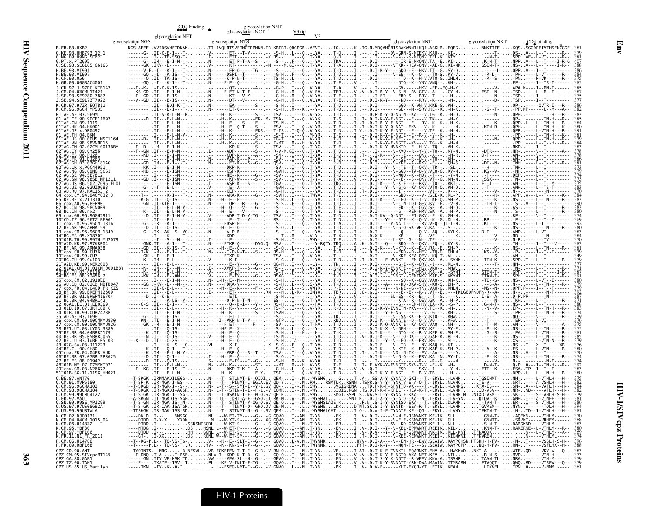B.FR.83.HXB2

glycosylation NGS

**GD4** binding <br>glycosylation NFT glycosylation NCT V3 tip<br>consulation NCT V3 tip<br>V3

| 6. NG. 99. 09NG SC62<br>6. PT. x. PT2695<br>6. SE - 93. SE6165<br>6. SE - 93. SE6165<br>H. BE - 93. VI991<br>H. GE - 90. 056<br>H. GE - 90. 056<br>H. GE - 90. 066<br>H. GE - 90. 066<br>H. GE - 00. 066<br>H. GE - 00. 066<br>H. GE - 00. 066<br>H. G       |  |
|--------------------------------------------------------------------------------------------------------------------------------------------------------------------------------------------------------------------------------------------------------------|--|
|                                                                                                                                                                                                                                                              |  |
|                                                                                                                                                                                                                                                              |  |
|                                                                                                                                                                                                                                                              |  |
|                                                                                                                                                                                                                                                              |  |
|                                                                                                                                                                                                                                                              |  |
|                                                                                                                                                                                                                                                              |  |
|                                                                                                                                                                                                                                                              |  |
|                                                                                                                                                                                                                                                              |  |
|                                                                                                                                                                                                                                                              |  |
|                                                                                                                                                                                                                                                              |  |
| K.CD.97.97ZR EQTB11<br>K.CM.96.96CM_MP535                                                                                                                                                                                                                    |  |
|                                                                                                                                                                                                                                                              |  |
|                                                                                                                                                                                                                                                              |  |
|                                                                                                                                                                                                                                                              |  |
|                                                                                                                                                                                                                                                              |  |
|                                                                                                                                                                                                                                                              |  |
|                                                                                                                                                                                                                                                              |  |
|                                                                                                                                                                                                                                                              |  |
|                                                                                                                                                                                                                                                              |  |
|                                                                                                                                                                                                                                                              |  |
|                                                                                                                                                                                                                                                              |  |
|                                                                                                                                                                                                                                                              |  |
|                                                                                                                                                                                                                                                              |  |
|                                                                                                                                                                                                                                                              |  |
|                                                                                                                                                                                                                                                              |  |
|                                                                                                                                                                                                                                                              |  |
|                                                                                                                                                                                                                                                              |  |
|                                                                                                                                                                                                                                                              |  |
|                                                                                                                                                                                                                                                              |  |
|                                                                                                                                                                                                                                                              |  |
|                                                                                                                                                                                                                                                              |  |
|                                                                                                                                                                                                                                                              |  |
|                                                                                                                                                                                                                                                              |  |
|                                                                                                                                                                                                                                                              |  |
|                                                                                                                                                                                                                                                              |  |
|                                                                                                                                                                                                                                                              |  |
|                                                                                                                                                                                                                                                              |  |
|                                                                                                                                                                                                                                                              |  |
|                                                                                                                                                                                                                                                              |  |
|                                                                                                                                                                                                                                                              |  |
|                                                                                                                                                                                                                                                              |  |
|                                                                                                                                                                                                                                                              |  |
|                                                                                                                                                                                                                                                              |  |
|                                                                                                                                                                                                                                                              |  |
|                                                                                                                                                                                                                                                              |  |
|                                                                                                                                                                                                                                                              |  |
|                                                                                                                                                                                                                                                              |  |
|                                                                                                                                                                                                                                                              |  |
|                                                                                                                                                                                                                                                              |  |
|                                                                                                                                                                                                                                                              |  |
|                                                                                                                                                                                                                                                              |  |
|                                                                                                                                                                                                                                                              |  |
|                                                                                                                                                                                                                                                              |  |
|                                                                                                                                                                                                                                                              |  |
|                                                                                                                                                                                                                                                              |  |
|                                                                                                                                                                                                                                                              |  |
|                                                                                                                                                                                                                                                              |  |
|                                                                                                                                                                                                                                                              |  |
|                                                                                                                                                                                                                                                              |  |
|                                                                                                                                                                                                                                                              |  |
|                                                                                                                                                                                                                                                              |  |
|                                                                                                                                                                                                                                                              |  |
|                                                                                                                                                                                                                                                              |  |
|                                                                                                                                                                                                                                                              |  |
|                                                                                                                                                                                                                                                              |  |
|                                                                                                                                                                                                                                                              |  |
|                                                                                                                                                                                                                                                              |  |
|                                                                                                                                                                                                                                                              |  |
|                                                                                                                                                                                                                                                              |  |
|                                                                                                                                                                                                                                                              |  |
|                                                                                                                                                                                                                                                              |  |
|                                                                                                                                                                                                                                                              |  |
| K. (M. 06. 96CM MP1<br>251 AE. CF. 90. 900 (F111697<br>01 AE. AF. 07. 569M<br>01 AE. CR. 09. 901<br>01 AE. CR. 09. 1119<br>01 AE. HW (09. 1119<br>01 AE. HW (09. 1119<br>01 AE. HW (09. 11982<br>01 AE. JP. x, DR0492<br>01 AE. JP. x, DR0492<br>0           |  |
|                                                                                                                                                                                                                                                              |  |
|                                                                                                                                                                                                                                                              |  |
|                                                                                                                                                                                                                                                              |  |
|                                                                                                                                                                                                                                                              |  |
|                                                                                                                                                                                                                                                              |  |
|                                                                                                                                                                                                                                                              |  |
|                                                                                                                                                                                                                                                              |  |
|                                                                                                                                                                                                                                                              |  |
|                                                                                                                                                                                                                                                              |  |
|                                                                                                                                                                                                                                                              |  |
|                                                                                                                                                                                                                                                              |  |
| 51 ° 018. SG. 11. 11156_HM<br>0. CM - 91. 2007. 2007.<br>0. CM - 96. 96CMA102<br>0. CM - 96. 96CMA102<br>0. CM - 96. 96CMA102<br>0. CM - 99. 99CMA1022<br>0. SN. 99. 99CMA1122<br>0. SN. 99. 99CMA1125_04<br>0. US. 99. 99USTWLA<br>N. CM - 06. 014842<br>N. |  |

|                      | glycosylation NGS<br>NGSLAEEEVVIRSVNFTDNAKTI.IVQLNTSVEINČTRPNNN.TR.KRIRI.QRGPGRAFVTIGKIG.N.MRQAHČNISRAKWNNTLKQI.ASKLREQFGNNKTIIFKQSSGGDPEIVTHSFNČGGE<br>$\frac{M(5) \times 0.05}{M(5) \times 0.05} \times 0.05 \times 0.05 \times 0.05 \times 0.05 \times 0.05 \times 0.05 \times 0.05 \times 0.05 \times 0.05 \times 0.05 \times 0.05 \times 0.05 \times 0.05 \times 0.05 \times 0.05 \times 0.05 \times 0.05 \times 0.05 \times 0.05 \times 0.05 \times 0.05 \times 0.05 \times 0.05 \times 0.05 \times 0.05 \times 0.05 \times 0.05 \times 0$ | glycosylation NTS |                                                                                                                                                                                                                                                                                                                                                                                                                                       |                                                                    | glycosylation NNT                                          | glycosylation NKT                                                              | $D_2$ binding                               |  |
|----------------------|--------------------------------------------------------------------------------------------------------------------------------------------------------------------------------------------------------------------------------------------------------------------------------------------------------------------------------------------------------------------------------------------------------------------------------------------------------------------------------------------------------------------------------------------------|-------------------|---------------------------------------------------------------------------------------------------------------------------------------------------------------------------------------------------------------------------------------------------------------------------------------------------------------------------------------------------------------------------------------------------------------------------------------|--------------------------------------------------------------------|------------------------------------------------------------|--------------------------------------------------------------------------------|---------------------------------------------|--|
|                      |                                                                                                                                                                                                                                                                                                                                                                                                                                                                                                                                                  |                   |                                                                                                                                                                                                                                                                                                                                                                                                                                       |                                                                    |                                                            |                                                                                |                                             |  |
|                      |                                                                                                                                                                                                                                                                                                                                                                                                                                                                                                                                                  |                   |                                                                                                                                                                                                                                                                                                                                                                                                                                       |                                                                    |                                                            |                                                                                |                                             |  |
| E6165 G6165          |                                                                                                                                                                                                                                                                                                                                                                                                                                                                                                                                                  |                   |                                                                                                                                                                                                                                                                                                                                                                                                                                       |                                                                    |                                                            |                                                                                |                                             |  |
|                      |                                                                                                                                                                                                                                                                                                                                                                                                                                                                                                                                                  |                   |                                                                                                                                                                                                                                                                                                                                                                                                                                       |                                                                    |                                                            |                                                                                |                                             |  |
|                      |                                                                                                                                                                                                                                                                                                                                                                                                                                                                                                                                                  |                   |                                                                                                                                                                                                                                                                                                                                                                                                                                       |                                                                    |                                                            |                                                                                |                                             |  |
|                      |                                                                                                                                                                                                                                                                                                                                                                                                                                                                                                                                                  |                   |                                                                                                                                                                                                                                                                                                                                                                                                                                       |                                                                    |                                                            |                                                                                |                                             |  |
|                      |                                                                                                                                                                                                                                                                                                                                                                                                                                                                                                                                                  |                   |                                                                                                                                                                                                                                                                                                                                                                                                                                       |                                                                    |                                                            |                                                                                |                                             |  |
|                      |                                                                                                                                                                                                                                                                                                                                                                                                                                                                                                                                                  |                   |                                                                                                                                                                                                                                                                                                                                                                                                                                       |                                                                    |                                                            |                                                                                |                                             |  |
|                      |                                                                                                                                                                                                                                                                                                                                                                                                                                                                                                                                                  |                   |                                                                                                                                                                                                                                                                                                                                                                                                                                       |                                                                    |                                                            |                                                                                |                                             |  |
|                      |                                                                                                                                                                                                                                                                                                                                                                                                                                                                                                                                                  |                   |                                                                                                                                                                                                                                                                                                                                                                                                                                       |                                                                    |                                                            |                                                                                |                                             |  |
|                      |                                                                                                                                                                                                                                                                                                                                                                                                                                                                                                                                                  |                   |                                                                                                                                                                                                                                                                                                                                                                                                                                       |                                                                    |                                                            |                                                                                |                                             |  |
| HK001.               |                                                                                                                                                                                                                                                                                                                                                                                                                                                                                                                                                  |                   |                                                                                                                                                                                                                                                                                                                                                                                                                                       |                                                                    |                                                            |                                                                                |                                             |  |
|                      |                                                                                                                                                                                                                                                                                                                                                                                                                                                                                                                                                  |                   |                                                                                                                                                                                                                                                                                                                                                                                                                                       |                                                                    |                                                            |                                                                                |                                             |  |
|                      |                                                                                                                                                                                                                                                                                                                                                                                                                                                                                                                                                  |                   |                                                                                                                                                                                                                                                                                                                                                                                                                                       |                                                                    |                                                            |                                                                                |                                             |  |
| 92CM 0013BBY         |                                                                                                                                                                                                                                                                                                                                                                                                                                                                                                                                                  |                   |                                                                                                                                                                                                                                                                                                                                                                                                                                       |                                                                    |                                                            |                                                                                |                                             |  |
|                      |                                                                                                                                                                                                                                                                                                                                                                                                                                                                                                                                                  |                   |                                                                                                                                                                                                                                                                                                                                                                                                                                       |                                                                    |                                                            |                                                                                |                                             |  |
|                      |                                                                                                                                                                                                                                                                                                                                                                                                                                                                                                                                                  |                   |                                                                                                                                                                                                                                                                                                                                                                                                                                       |                                                                    |                                                            |                                                                                |                                             |  |
|                      |                                                                                                                                                                                                                                                                                                                                                                                                                                                                                                                                                  |                   |                                                                                                                                                                                                                                                                                                                                                                                                                                       |                                                                    |                                                            |                                                                                |                                             |  |
|                      |                                                                                                                                                                                                                                                                                                                                                                                                                                                                                                                                                  |                   |                                                                                                                                                                                                                                                                                                                                                                                                                                       |                                                                    |                                                            |                                                                                |                                             |  |
|                      |                                                                                                                                                                                                                                                                                                                                                                                                                                                                                                                                                  |                   |                                                                                                                                                                                                                                                                                                                                                                                                                                       |                                                                    |                                                            |                                                                                |                                             |  |
|                      |                                                                                                                                                                                                                                                                                                                                                                                                                                                                                                                                                  |                   |                                                                                                                                                                                                                                                                                                                                                                                                                                       |                                                                    |                                                            |                                                                                |                                             |  |
|                      |                                                                                                                                                                                                                                                                                                                                                                                                                                                                                                                                                  |                   |                                                                                                                                                                                                                                                                                                                                                                                                                                       |                                                                    |                                                            |                                                                                |                                             |  |
|                      |                                                                                                                                                                                                                                                                                                                                                                                                                                                                                                                                                  |                   |                                                                                                                                                                                                                                                                                                                                                                                                                                       |                                                                    |                                                            |                                                                                |                                             |  |
|                      |                                                                                                                                                                                                                                                                                                                                                                                                                                                                                                                                                  |                   |                                                                                                                                                                                                                                                                                                                                                                                                                                       |                                                                    |                                                            |                                                                                |                                             |  |
|                      |                                                                                                                                                                                                                                                                                                                                                                                                                                                                                                                                                  |                   |                                                                                                                                                                                                                                                                                                                                                                                                                                       |                                                                    |                                                            |                                                                                |                                             |  |
|                      |                                                                                                                                                                                                                                                                                                                                                                                                                                                                                                                                                  |                   |                                                                                                                                                                                                                                                                                                                                                                                                                                       |                                                                    |                                                            |                                                                                |                                             |  |
| .96CM 1849           |                                                                                                                                                                                                                                                                                                                                                                                                                                                                                                                                                  |                   |                                                                                                                                                                                                                                                                                                                                                                                                                                       |                                                                    |                                                            |                                                                                |                                             |  |
|                      |                                                                                                                                                                                                                                                                                                                                                                                                                                                                                                                                                  |                   |                                                                                                                                                                                                                                                                                                                                                                                                                                       |                                                                    |                                                            |                                                                                |                                             |  |
| ARMA038              |                                                                                                                                                                                                                                                                                                                                                                                                                                                                                                                                                  |                   |                                                                                                                                                                                                                                                                                                                                                                                                                                       |                                                                    |                                                            |                                                                                |                                             |  |
|                      |                                                                                                                                                                                                                                                                                                                                                                                                                                                                                                                                                  |                   |                                                                                                                                                                                                                                                                                                                                                                                                                                       |                                                                    |                                                            |                                                                                |                                             |  |
|                      |                                                                                                                                                                                                                                                                                                                                                                                                                                                                                                                                                  |                   | $\begin{array}{cccccccccccc} \textbf{I} & \textbf{I} & \textbf{I} & \textbf{I} & \textbf{I} & \textbf{I} & \textbf{I} & \textbf{I} & \textbf{I} & \textbf{I} & \textbf{I} & \textbf{I} & \textbf{I} & \textbf{I} & \textbf{I} & \textbf{I} & \textbf{I} & \textbf{I} & \textbf{I} & \textbf{I} & \textbf{I} & \textbf{I} & \textbf{I} & \textbf{I} & \textbf{I} & \textbf{I} & \textbf{I} & \textbf{I} & \textbf{I} & \textbf{I} & \$ |                                                                    |                                                            |                                                                                |                                             |  |
|                      |                                                                                                                                                                                                                                                                                                                                                                                                                                                                                                                                                  |                   |                                                                                                                                                                                                                                                                                                                                                                                                                                       |                                                                    | EVNKTE - - E - - HGV . VKQ - -                             |                                                                                |                                             |  |
|                      |                                                                                                                                                                                                                                                                                                                                                                                                                                                                                                                                                  |                   |                                                                                                                                                                                                                                                                                                                                                                                                                                       |                                                                    | I-E-F-VVN-TA--E-MOKV.KA--A.<br>I-----IVNGT--GEMINKV.KAE-S. |                                                                                |                                             |  |
|                      |                                                                                                                                                                                                                                                                                                                                                                                                                                                                                                                                                  |                   |                                                                                                                                                                                                                                                                                                                                                                                                                                       |                                                                    |                                                            |                                                                                |                                             |  |
|                      |                                                                                                                                                                                                                                                                                                                                                                                                                                                                                                                                                  |                   |                                                                                                                                                                                                                                                                                                                                                                                                                                       |                                                                    |                                                            |                                                                                |                                             |  |
|                      |                                                                                                                                                                                                                                                                                                                                                                                                                                                                                                                                                  |                   |                                                                                                                                                                                                                                                                                                                                                                                                                                       |                                                                    |                                                            |                                                                                |                                             |  |
|                      |                                                                                                                                                                                                                                                                                                                                                                                                                                                                                                                                                  |                   |                                                                                                                                                                                                                                                                                                                                                                                                                                       |                                                                    |                                                            |                                                                                |                                             |  |
|                      |                                                                                                                                                                                                                                                                                                                                                                                                                                                                                                                                                  |                   |                                                                                                                                                                                                                                                                                                                                                                                                                                       |                                                                    |                                                            |                                                                                |                                             |  |
|                      |                                                                                                                                                                                                                                                                                                                                                                                                                                                                                                                                                  |                   |                                                                                                                                                                                                                                                                                                                                                                                                                                       |                                                                    |                                                            |                                                                                |                                             |  |
|                      |                                                                                                                                                                                                                                                                                                                                                                                                                                                                                                                                                  |                   |                                                                                                                                                                                                                                                                                                                                                                                                                                       |                                                                    |                                                            |                                                                                |                                             |  |
|                      |                                                                                                                                                                                                                                                                                                                                                                                                                                                                                                                                                  |                   |                                                                                                                                                                                                                                                                                                                                                                                                                                       |                                                                    |                                                            |                                                                                |                                             |  |
|                      |                                                                                                                                                                                                                                                                                                                                                                                                                                                                                                                                                  |                   |                                                                                                                                                                                                                                                                                                                                                                                                                                       |                                                                    |                                                            |                                                                                |                                             |  |
|                      |                                                                                                                                                                                                                                                                                                                                                                                                                                                                                                                                                  |                   |                                                                                                                                                                                                                                                                                                                                                                                                                                       |                                                                    |                                                            |                                                                                |                                             |  |
|                      |                                                                                                                                                                                                                                                                                                                                                                                                                                                                                                                                                  |                   |                                                                                                                                                                                                                                                                                                                                                                                                                                       |                                                                    | -K----VD--N-TK---EV.                                       |                                                                                |                                             |  |
|                      |                                                                                                                                                                                                                                                                                                                                                                                                                                                                                                                                                  |                   |                                                                                                                                                                                                                                                                                                                                                                                                                                       |                                                                    |                                                            |                                                                                |                                             |  |
|                      |                                                                                                                                                                                                                                                                                                                                                                                                                                                                                                                                                  |                   |                                                                                                                                                                                                                                                                                                                                                                                                                                       |                                                                    |                                                            |                                                                                |                                             |  |
|                      |                                                                                                                                                                                                                                                                                                                                                                                                                                                                                                                                                  |                   |                                                                                                                                                                                                                                                                                                                                                                                                                                       |                                                                    |                                                            | ETT--K-ESAT<br>-------RPPL<br>TGSINMT-NH-                                      |                                             |  |
| ANT70                |                                                                                                                                                                                                                                                                                                                                                                                                                                                                                                                                                  |                   | $-0$ IDIOEM $-$ I $-$ -.M $-WYSMG$ $-$ GTA-                                                                                                                                                                                                                                                                                                                                                                                           |                                                                    |                                                            |                                                                                |                                             |  |
|                      |                                                                                                                                                                                                                                                                                                                                                                                                                                                                                                                                                  |                   |                                                                                                                                                                                                                                                                                                                                                                                                                                       |                                                                    |                                                            | . TË - V - - - -<br><tx -="" -<="" is="" td=""><td></td><td></td></tx>         |                                             |  |
| 99CMU4122            |                                                                                                                                                                                                                                                                                                                                                                                                                                                                                                                                                  |                   |                                                                                                                                                                                                                                                                                                                                                                                                                                       |                                                                    |                                                            | NTXD-VSM--                                                                     |                                             |  |
| .<br>SE MP1299       |                                                                                                                                                                                                                                                                                                                                                                                                                                                                                                                                                  |                   |                                                                                                                                                                                                                                                                                                                                                                                                                                       |                                                                    |                                                            |                                                                                |                                             |  |
| S08692A              |                                                                                                                                                                                                                                                                                                                                                                                                                                                                                                                                                  |                   |                                                                                                                                                                                                                                                                                                                                                                                                                                       | SNI.K. - .b. . - .<br>P.N - .S-I-Y-KYNISD.<br>ATNT SK.S-I-Y-EYNIK- |                                                            | - LVEYN. 0TDV--K- GNH<br>DLRNN. T-TVN-T- ER-<br>- LVNN. TGVREM-- NYN<br>- LVNN |                                             |  |
| 99USTWLA<br>D.100131 |                                                                                                                                                                                                                                                                                                                                                                                                                                                                                                                                                  |                   |                                                                                                                                                                                                                                                                                                                                                                                                                                       |                                                                    |                                                            | LVNYTEKIN-T--N-TD--I-VTH̀LH-<br>LLGNN-T-AOEKN-----VTHLM-                       |                                             |  |
| 04CM 1015 04         |                                                                                                                                                                                                                                                                                                                                                                                                                                                                                                                                                  |                   |                                                                                                                                                                                                                                                                                                                                                                                                                                       |                                                                    |                                                            |                                                                                | -SR̀VNI-----VRHFM---<br>RARGKND----VTHLML-- |  |
|                      |                                                                                                                                                                                                                                                                                                                                                                                                                                                                                                                                                  |                   |                                                                                                                                                                                                                                                                                                                                                                                                                                       |                                                                    |                                                            |                                                                                |                                             |  |
| N1 FR 2011           |                                                                                                                                                                                                                                                                                                                                                                                                                                                                                                                                                  |                   |                                                                                                                                                                                                                                                                                                                                                                                                                                       |                                                                    |                                                            |                                                                                |                                             |  |
| 1114788              |                                                                                                                                                                                                                                                                                                                                                                                                                                                                                                                                                  |                   |                                                                                                                                                                                                                                                                                                                                                                                                                                       |                                                                    |                                                            | KR--EWV.SEAIWKAYPOHSN.HTSKH-H-FV-                                              |                                             |  |
| RBF168               | $P.L--.$ TQ-VS-TR<br>YQTNTS.--MNGR-NESVLVR.FGKEFENLT-T-I--G-R.-V.RNLQI---MT-YNVE                                                                                                                                                                                                                                                                                                                                                                                                                                                                 |                   |                                                                                                                                                                                                                                                                                                                                                                                                                                       |                                                                    |                                                            | KAYPQPPNQ-H-FV-RN-                                                             |                                             |  |
| SIVcnzMT145          |                                                                                                                                                                                                                                                                                                                                                                                                                                                                                                                                                  |                   |                                                                                                                                                                                                                                                                                                                                                                                                                                       |                                                                    |                                                            |                                                                                |                                             |  |
| 00. TAN1             |                                                                                                                                                                                                                                                                                                                                                                                                                                                                                                                                                  |                   |                                                                                                                                                                                                                                                                                                                                                                                                                                       |                                                                    |                                                            |                                                                                |                                             |  |
| US.85.US Marilyn     |                                                                                                                                                                                                                                                                                                                                                                                                                                                                                                                                                  |                   |                                                                                                                                                                                                                                                                                                                                                                                                                                       |                                                                    |                                                            |                                                                                |                                             |  |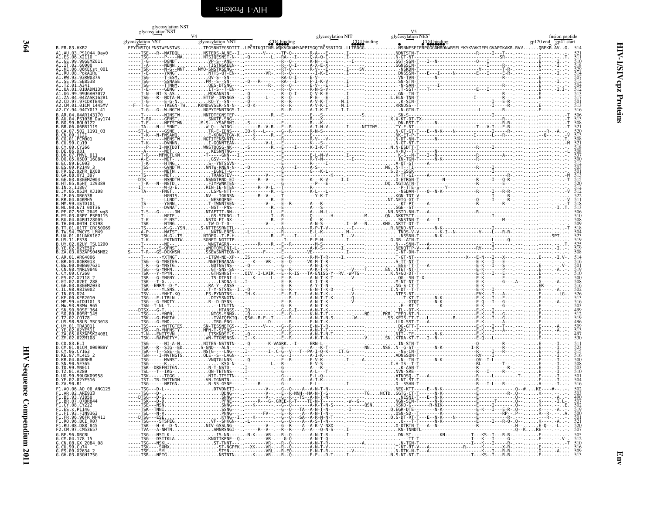# <span id="page-51-0"></span>glycosylation NST

|                                                             | glycosylation NST |                   | glycosylation NIT                                                                | V <sub>5</sub><br>glycosylation NES |                                                                                                                                                                                       |
|-------------------------------------------------------------|-------------------|-------------------|----------------------------------------------------------------------------------|-------------------------------------|---------------------------------------------------------------------------------------------------------------------------------------------------------------------------------------|
|                                                             | glycosylation NST | glycosylation NNT | CD4 binding                                                                      |                                     | gp120 end gp41 start                                                                                                                                                                  |
| B.FR.83.HXB2                                                |                   |                   | FFYCNSTOLFNSTWFNSTWSTEGSNNTEGSDTITLPCRIKOIINM.WOKVGKAMYAPPISGOIRCSSNITGL.LLTRDGG |                                     | FYČNSTQLFNSTWFNSTWSTEGSNNTEGSDTITLPČRIKQIINM.WQKVGKAMYAPPISGQIRČSSNITGL.LLTRDGGNSNNESEIFRPGGGDMRDNWRSELYKYKVVKIEPLGVAPTKAKR.RVVOREKR.AVG. 514<br>----ISE---R--NATDQL,NSTERSEALHE.-I-- |
| A1.AU.03.PS1044 Day0<br>A1.ES.06.X2110<br>A1.GE.99.99GEMZ01 |                   |                   |                                                                                  |                                     |                                                                                                                                                                                       |
| 02.60000                                                    |                   |                   |                                                                                  |                                     |                                                                                                                                                                                       |
| KE.06.06KECst 001.<br>RU.08.PokA1Ru                         |                   |                   |                                                                                  |                                     |                                                                                                                                                                                       |
| 93RW037A                                                    |                   |                   |                                                                                  |                                     |                                                                                                                                                                                       |
|                                                             |                   |                   |                                                                                  |                                     |                                                                                                                                                                                       |
|                                                             |                   |                   |                                                                                  |                                     |                                                                                                                                                                                       |
|                                                             |                   |                   |                                                                                  |                                     |                                                                                                                                                                                       |
| 04 04AR143170                                               |                   |                   |                                                                                  |                                     |                                                                                                                                                                                       |
| PS1038 Dav174                                               |                   |                   |                                                                                  |                                     |                                                                                                                                                                                       |
|                                                             |                   |                   |                                                                                  |                                     |                                                                                                                                                                                       |
| 3.CN.09.1121<br>01.PCM001                                   |                   |                   |                                                                                  |                                     |                                                                                                                                                                                       |
|                                                             |                   |                   |                                                                                  |                                     |                                                                                                                                                                                       |
|                                                             |                   |                   |                                                                                  |                                     |                                                                                                                                                                                       |
| B.DK.07.PMVL 011<br>$.05D0^-160884$                         |                   |                   |                                                                                  |                                     |                                                                                                                                                                                       |
|                                                             |                   |                   |                                                                                  |                                     |                                                                                                                                                                                       |
|                                                             |                   |                   |                                                                                  |                                     |                                                                                                                                                                                       |
| .03.03GEMZ004<br>HT.05.05HT 129389                          |                   |                   |                                                                                  |                                     |                                                                                                                                                                                       |
| KJ108                                                       |                   |                   |                                                                                  |                                     |                                                                                                                                                                                       |
|                                                             |                   |                   |                                                                                  |                                     |                                                                                                                                                                                       |
| .671 00T36                                                  |                   |                   |                                                                                  |                                     |                                                                                                                                                                                       |
| <sup>-</sup> 2649 wa<br>03.03PY PSP0115                     |                   |                   |                                                                                  |                                     |                                                                                                                                                                                       |
| 04.04RU128005<br>00 00TH C3198                              |                   |                   |                                                                                  |                                     |                                                                                                                                                                                       |
| 91TT CRC50069                                               |                   |                   |                                                                                  |                                     |                                                                                                                                                                                       |
| 01.01UAKV167                                                |                   |                   |                                                                                  |                                     |                                                                                                                                                                                       |
| .02UY TSU1290                                               |                   |                   |                                                                                  |                                     |                                                                                                                                                                                       |
| B.ZA.03.03ZAPS045MB2                                        |                   |                   |                                                                                  |                                     |                                                                                                                                                                                       |
| ARG4006                                                     |                   |                   |                                                                                  |                                     |                                                                                                                                                                                       |
| 90BW07621                                                   |                   |                   |                                                                                  |                                     |                                                                                                                                                                                       |
|                                                             |                   |                   |                                                                                  |                                     |                                                                                                                                                                                       |
|                                                             |                   |                   |                                                                                  |                                     |                                                                                                                                                                                       |
|                                                             |                   |                   |                                                                                  |                                     |                                                                                                                                                                                       |
| mTDII101 3                                                  |                   |                   |                                                                                  |                                     |                                                                                                                                                                                       |
| 90.90SE <sup>-364</sup>                                     |                   |                   |                                                                                  |                                     |                                                                                                                                                                                       |
|                                                             |                   |                   |                                                                                  |                                     |                                                                                                                                                                                       |
| 98.98US MSC3018<br>TRA3011                                  |                   |                   |                                                                                  |                                     |                                                                                                                                                                                       |
| 57APSK240B1                                                 |                   |                   |                                                                                  |                                     |                                                                                                                                                                                       |
|                                                             |                   |                   |                                                                                  |                                     |                                                                                                                                                                                       |
| 01.01CM 0009BBY<br>CY.06.CY163                              |                   |                   |                                                                                  |                                     |                                                                                                                                                                                       |
| 04.04KBH8                                                   |                   |                   |                                                                                  |                                     |                                                                                                                                                                                       |
|                                                             |                   |                   |                                                                                  |                                     |                                                                                                                                                                                       |
| 99 MN011<br>A280                                            |                   |                   |                                                                                  |                                     |                                                                                                                                                                                       |
| 9UGK09958                                                   |                   |                   |                                                                                  |                                     |                                                                                                                                                                                       |
|                                                             |                   |                   |                                                                                  |                                     |                                                                                                                                                                                       |
|                                                             |                   |                   |                                                                                  |                                     |                                                                                                                                                                                       |
|                                                             |                   |                   |                                                                                  |                                     | 507<br>502<br>519                                                                                                                                                                     |
|                                                             |                   |                   |                                                                                  |                                     |                                                                                                                                                                                       |
|                                                             |                   |                   |                                                                                  |                                     |                                                                                                                                                                                       |
| D88 <sup>-845</sup><br>CM5365                               |                   |                   |                                                                                  |                                     |                                                                                                                                                                                       |
| DRCRI                                                       |                   |                   |                                                                                  |                                     |                                                                                                                                                                                       |
|                                                             |                   |                   |                                                                                  |                                     |                                                                                                                                                                                       |
| G.CU.99.Cu74 - -<br>G.ES.09.X2634 2<br>G.GH.03.03GH175G     |                   |                   |                                                                                  |                                     |                                                                                                                                                                                       |
|                                                             |                   |                   |                                                                                  |                                     |                                                                                                                                                                                       |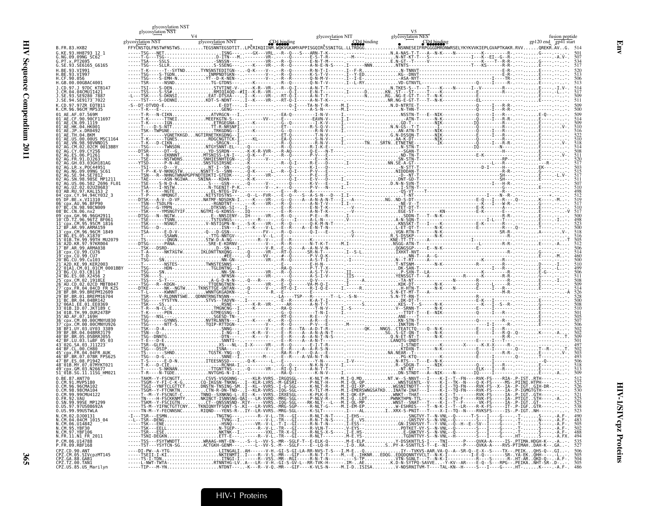| Į<br>í<br>ï<br>ì |
|------------------|
| i                |
| J                |
| ľ<br>֚֓          |
| Š<br>í           |

|                                                                                                                          | glycosylation NST<br>glycosylation NST |                   |                                                                        | glycosylation NIT | glycosylation NES | fusion peptide                                                                                                                                                                                         |
|--------------------------------------------------------------------------------------------------------------------------|----------------------------------------|-------------------|------------------------------------------------------------------------|-------------------|-------------------|--------------------------------------------------------------------------------------------------------------------------------------------------------------------------------------------------------|
| B. FR. 83. HXB2                                                                                                          | glycosylation NST                      | glycosylation NNT |                                                                        | CD4 binding       |                   | gp120 end gp41 start<br>FFYČNSTOLFNSTWFNSTWSTEGSNNTEGSDTITLPČRIKOIINM.WOKVGKAMYAPPISGOIRČSSNITGL.LLTRDGGNSNNESEIFRPGGGDMRDNWRSELYKYKVVKIEPLGVAPTKAKR.RVVOREKR.AVG. 514                                 |
| <b>G KE Q3 HH87Q3 12 1</b><br>G.NG.09.09NG SC62                                                                          |                                        |                   |                                                                        |                   |                   |                                                                                                                                                                                                        |
| G.SE.93.SE6165                                                                                                           |                                        |                   |                                                                        |                   |                   |                                                                                                                                                                                                        |
| .CF.90.056                                                                                                               |                                        |                   |                                                                        |                   |                   |                                                                                                                                                                                                        |
| GB.00.00GBAC4001.                                                                                                        |                                        |                   |                                                                        |                   |                   |                                                                                                                                                                                                        |
| SE.94.SE9173 7022                                                                                                        |                                        |                   |                                                                        |                   |                   |                                                                                                                                                                                                        |
|                                                                                                                          |                                        |                   |                                                                        |                   |                   |                                                                                                                                                                                                        |
|                                                                                                                          |                                        |                   |                                                                        |                   |                   |                                                                                                                                                                                                        |
|                                                                                                                          |                                        |                   |                                                                        |                   |                   |                                                                                                                                                                                                        |
|                                                                                                                          |                                        |                   |                                                                        |                   |                   |                                                                                                                                                                                                        |
| 2CM 0013BBY                                                                                                              |                                        |                   |                                                                        |                   |                   |                                                                                                                                                                                                        |
|                                                                                                                          |                                        |                   |                                                                        |                   |                   |                                                                                                                                                                                                        |
|                                                                                                                          |                                        |                   |                                                                        |                   |                   |                                                                                                                                                                                                        |
|                                                                                                                          |                                        |                   |                                                                        |                   |                   |                                                                                                                                                                                                        |
|                                                                                                                          |                                        |                   |                                                                        |                   |                   |                                                                                                                                                                                                        |
|                                                                                                                          |                                        |                   |                                                                        |                   |                   |                                                                                                                                                                                                        |
|                                                                                                                          |                                        |                   |                                                                        |                   |                   |                                                                                                                                                                                                        |
|                                                                                                                          |                                        |                   |                                                                        |                   |                   |                                                                                                                                                                                                        |
|                                                                                                                          |                                        |                   |                                                                        |                   |                   |                                                                                                                                                                                                        |
|                                                                                                                          |                                        |                   |                                                                        |                   |                   |                                                                                                                                                                                                        |
| A2D.KR.97.97KR004                                                                                                        |                                        |                   |                                                                        |                   |                   |                                                                                                                                                                                                        |
|                                                                                                                          |                                        |                   |                                                                        |                   |                   |                                                                                                                                                                                                        |
|                                                                                                                          |                                        |                   |                                                                        |                   |                   |                                                                                                                                                                                                        |
|                                                                                                                          |                                        |                   |                                                                        |                   |                   |                                                                                                                                                                                                        |
|                                                                                                                          |                                        |                   |                                                                        |                   |                   |                                                                                                                                                                                                        |
|                                                                                                                          |                                        |                   |                                                                        |                   |                   |                                                                                                                                                                                                        |
|                                                                                                                          |                                        |                   |                                                                        |                   |                   |                                                                                                                                                                                                        |
|                                                                                                                          |                                        |                   |                                                                        |                   |                   |                                                                                                                                                                                                        |
|                                                                                                                          |                                        |                   |                                                                        |                   |                   |                                                                                                                                                                                                        |
|                                                                                                                          |                                        |                   |                                                                        |                   |                   |                                                                                                                                                                                                        |
|                                                                                                                          |                                        |                   |                                                                        |                   |                   |                                                                                                                                                                                                        |
|                                                                                                                          |                                        |                   |                                                                        |                   |                   |                                                                                                                                                                                                        |
|                                                                                                                          |                                        |                   |                                                                        |                   |                   |                                                                                                                                                                                                        |
| CM.96.96CMA102                                                                                                           |                                        |                   |                                                                        |                   |                   |                                                                                                                                                                                                        |
| CM.98.98CMA104                                                                                                           |                                        |                   | SCNGT-CTNNO--SXNKNG-L-.EI--K---VVRS.-IRXESGL-----K-PLK-E-----M.I-OK-EP |                   |                   | -----TSGI--YNFTCLGTTCTDMSTN-TNSING-SMI--KL--VVRS.-I-G-SGL-----K-NLT-R----M.I-ðI-XPNGSXITNDTTT--V----E-I--TO-FN----XVK-FS--X--IA-P-IGTGIH-DR-!--!.-.<br>-----ISGM--Y-FICNKINCIN-R-DN-IND-I--KLR-VVRS.-  |
| 0.FR.92.VAU<br>Ö.SN.99.99SE MP1299<br>O.US.97.97US08692A                                                                 |                                        |                   |                                                                        |                   |                   | $\frac{525}{538}$<br>538<br>523                                                                                                                                                                        |
| 0.US.99.99USTWLA<br>N.CM.02.DJ00131                                                                                      |                                        |                   |                                                                        |                   |                   |                                                                                                                                                                                                        |
| N.CM.02.03000151<br>N.CM.04.04CM 1015_04<br>N.CM.06.U14842<br>N.CM.97.YBF106<br>N.FR.11.N1_FR_2011<br>N.FR.11.N1_FR_2011 |                                        |                   |                                                                        |                   |                   | $\frac{483}{505}$                                                                                                                                                                                      |
|                                                                                                                          |                                        |                   |                                                                        |                   |                   | 488<br>494                                                                                                                                                                                             |
| P.CM.06.U14788<br>P.FR.09.RBF168                                                                                         |                                        |                   |                                                                        |                   |                   | -----TSS---FSYTWNDTTWRAAG-HNT-EN---S--L--VV-S.-MR--SGLF-T--E-ELK-Q------ M.E-ELPY-DSSKNTTLS-I----TNI-----P---QVKA-A-----IS-.PTIMA.HDGH-K--.-A-.<br>-----TST---YSYTCN-SGACTGKH-GENM-------L--VV-<br>535 |
| CPZ.CD.90.ANT<br>CPZ.CM.05.SIVcpzMT145<br>CPZ.GA.88.GAB1<br>CPZ.TZ.00.TAN1                                               |                                        |                   |                                                                        |                   |                   |                                                                                                                                                                                                        |
| CPZ.US.85.US Marilyn                                                                                                     |                                        |                   |                                                                        |                   |                   |                                                                                                                                                                                                        |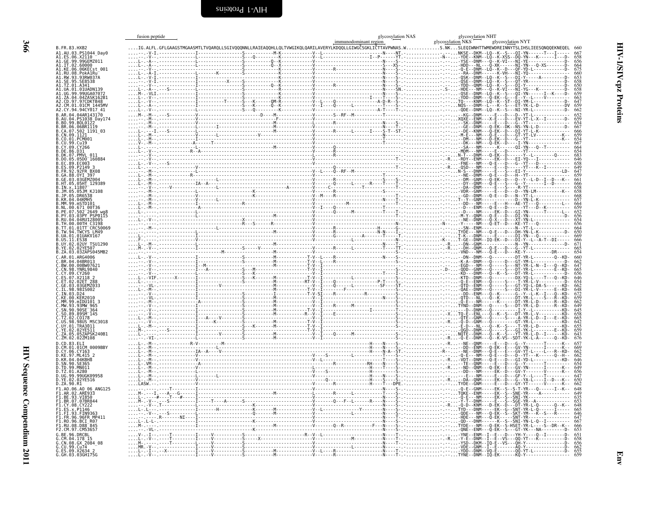<span id="page-53-0"></span>

| B. FR. 83. HXB2                                                                                    |  |                                                                    |
|----------------------------------------------------------------------------------------------------|--|--------------------------------------------------------------------|
| A1.AU.03.PS1044 Day0                                                                               |  |                                                                    |
| A1.ES.06.X2110<br>A1.GE.99.99GEMZ011<br>A1.KE.06.00000<br>A1.KE.06.06KECst_001<br>A1.RU.08.PokA1Ru |  | 667<br>658<br>656<br>664<br>675<br>650<br>658<br>658<br>658<br>658 |
|                                                                                                    |  |                                                                    |
| .RW.93.93RW03                                                                                      |  |                                                                    |
| A1.SE.95.SE8538                                                                                    |  |                                                                    |
| A1.TZ.01.A341<br>A1.TZ.01.A341<br>A1.UA.01.01UADN139                                               |  |                                                                    |
| 99.99UGA07072<br>A1.ZA.04.04ZASK162B1                                                              |  |                                                                    |
| .CD.97.97CDKTB48<br>CM.01.01CM 1445MV                                                              |  | $663$<br>$647$<br>$659$<br>$662$                                   |
| A2.CY.94.94CY017 41                                                                                |  |                                                                    |
| B.AR.04.04AR143170<br>B.AU.04.PS1038 Day174                                                        |  |                                                                    |
| B.BR.06.06BR1119                                                                                   |  |                                                                    |
| B.CA.07.502_1191_03                                                                                |  | 65296547666596654665866866686649                                   |
| B.CN.09.1121                                                                                       |  |                                                                    |
|                                                                                                    |  |                                                                    |
| R.DK.07.PMVI 011                                                                                   |  |                                                                    |
| B.DO.05.05DO 160884                                                                                |  |                                                                    |
| B.EC.89.EC003<br>B.ES.09.P2149 3<br>B.FR.92.92FR BX08                                              |  |                                                                    |
| B.GA.88.0YI 397                                                                                    |  |                                                                    |
| B.GE.03.03GEMZ004<br>B.HT.05.05HT 129389                                                           |  |                                                                    |
| B.IN.x.11807<br>.05JM KJ108                                                                        |  | 66658665764656666666671                                            |
|                                                                                                    |  |                                                                    |
|                                                                                                    |  |                                                                    |
|                                                                                                    |  |                                                                    |
| B.PE.07.502 <sup>-</sup> 2649-wg8<br>B.PY.03.03PY PSP0115<br>B.RU.04.04RU128005                    |  |                                                                    |
| B.TH.00.00TH C3198                                                                                 |  |                                                                    |
| .TT.01.01TT <sup>-</sup> CRC50069<br>B.TW.94.TWCYS LM49                                            |  |                                                                    |
| 3.UA.01.01UAKV167<br>B.US.11.ES38<br>B.UY.02.02UY TSU1290                                          |  |                                                                    |
| B.YE.02.02YE507                                                                                    |  |                                                                    |
| B.ZA.03.03ZAPS045MB2                                                                               |  |                                                                    |
| C.AR.01.ARG4006<br>C.BR.04.04BR013                                                                 |  | 660<br>662<br>647<br>656<br>656<br>654<br>654<br>672<br>672<br>659 |
| C.BW.00.00BW07621<br>C.CN.98.YNRL9840                                                              |  |                                                                    |
| C.CY.09.CY260                                                                                      |  |                                                                    |
| 03GEMZ033                                                                                          |  |                                                                    |
| .03                                                                                                |  |                                                                    |
|                                                                                                    |  |                                                                    |
| MW.93.93MW                                                                                         |  |                                                                    |
| SN.90.90SE 364                                                                                     |  |                                                                    |
| C.SO.89.89SM 145<br>C.TZ.02.CO178<br>C.US.98.98US MSC3018                                          |  |                                                                    |
| C.UY.01.TRA3011                                                                                    |  |                                                                    |
| Č. YE. 02.02YES11<br>C. ZA.05.05ZAPSK240B1                                                         |  | 662<br>649<br>658<br>665<br>642<br>655<br>643<br>643               |
| C.ZM.02.02ZM108                                                                                    |  |                                                                    |
| D.CD.83.ELI<br>D.CM.01.01CM 0009BBY                                                                |  | 657<br>662<br>662<br>664<br>654<br>656<br>647<br>650               |
| D.CY.06.CY163<br>D.KE.97.ML415                                                                     |  |                                                                    |
| D.KR.04.04KBH8<br>D.SN.90.SE365                                                                    |  |                                                                    |
| D.TD.99.MN011<br>D.TZ.01.A280                                                                      |  |                                                                    |
| D.UG.99.99UGK09958                                                                                 |  |                                                                    |
| D.ZA.90.R1                                                                                         |  |                                                                    |
| F1.A0.06.A0_06 ANG125                                                                              |  |                                                                    |
| F1.AR.02.ARE933<br>F1.BE.93.VI850                                                                  |  | 648<br>649<br>653<br>648<br>665<br>647<br>666<br>666<br>653        |
|                                                                                                    |  |                                                                    |
| F1.FI.93.FIN9363                                                                                   |  |                                                                    |
| FR.96.96FR MP411                                                                                   |  |                                                                    |
| F1.RO.96.BCI_R07<br>F1.RU.08.D88 <sup>-</sup> 845                                                  |  |                                                                    |
| F2.CM.97.CM53657<br>G.BE.96.DRCBL                                                                  |  |                                                                    |
| CM.04.178 15                                                                                       |  |                                                                    |
|                                                                                                    |  |                                                                    |
| 6.CN.08.6X 2084_08<br>6.CU.09.Cu74<br>6.ES.09.X2634 2<br>6.GH.03.03GH175G                          |  | 651<br>658<br>656<br>662<br>655<br>659                             |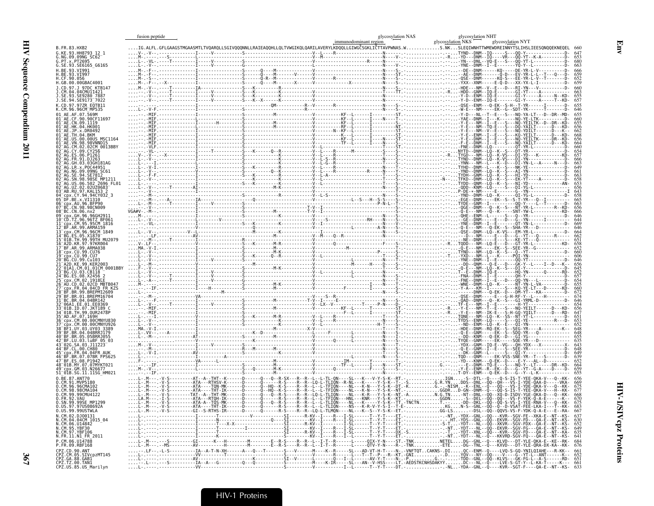|                                                                                                                      | fusion peptide |  | glycosylation NAS | glycosylation NHT |                                                                                                                                                                                                                             |
|----------------------------------------------------------------------------------------------------------------------|----------------|--|-------------------|-------------------|-----------------------------------------------------------------------------------------------------------------------------------------------------------------------------------------------------------------------------|
| B.FR.83.HXB2                                                                                                         |                |  |                   |                   |                                                                                                                                                                                                                             |
| G.KE.93.HH8793 12 1<br>G.NG.09.09NG SC62<br>G.PT.x.PT2695                                                            |                |  |                   |                   |                                                                                                                                                                                                                             |
| G.SE.93.SE6165 G6165                                                                                                 |                |  |                   |                   |                                                                                                                                                                                                                             |
| H.BE.93.VI991                                                                                                        |                |  |                   |                   |                                                                                                                                                                                                                             |
| H.BE.93.VI997<br>H.CF.90.056<br>H.GB.00.00GBAC4001                                                                   |                |  |                   |                   |                                                                                                                                                                                                                             |
| J.CD.97.J 97DC KTB147                                                                                                |                |  |                   |                   |                                                                                                                                                                                                                             |
| J.CM.04.04CMU11421<br>J.SE.93.SE9280 7887<br>J.SE.94.SE9173 <sup>-</sup> 7022                                        |                |  |                   |                   |                                                                                                                                                                                                                             |
| K.CD.97.97ZR EOTB11                                                                                                  |                |  |                   |                   |                                                                                                                                                                                                                             |
| K.CM.96.96CM MP535                                                                                                   |                |  |                   |                   |                                                                                                                                                                                                                             |
| 01 <sup>-</sup> AE.CN.09.1119                                                                                        |                |  |                   |                   |                                                                                                                                                                                                                             |
| 01 <sup>-</sup> AE.HK.04.HK001                                                                                       |                |  |                   |                   |                                                                                                                                                                                                                             |
| 01 <sup>-</sup> AE.US.00.00US MSC1164                                                                                |                |  |                   |                   |                                                                                                                                                                                                                             |
| 01 <sup>-</sup> AE.VN.98.98VNND15<br>CM.02.02CM 0013BBY                                                              |                |  |                   |                   |                                                                                                                                                                                                                             |
|                                                                                                                      |                |  |                   |                   |                                                                                                                                                                                                                             |
| GH.03.03GH181AG                                                                                                      |                |  |                   |                   |                                                                                                                                                                                                                             |
| 2 <sup>-</sup> AG.NG.09.09NG SC61                                                                                    |                |  |                   |                   |                                                                                                                                                                                                                             |
|                                                                                                                      |                |  |                   |                   |                                                                                                                                                                                                                             |
| )3 <sup>-</sup> AB.RU.97.KAL153                                                                                      |                |  |                   |                   |                                                                                                                                                                                                                             |
|                                                                                                                      |                |  |                   |                   |                                                                                                                                                                                                                             |
| $06$ <sup>-</sup> $cmx$ . AU. 96. BFP9 $6$<br>07 BC.CN.98.98CN009                                                    |                |  |                   |                   |                                                                                                                                                                                                                             |
|                                                                                                                      |                |  |                   |                   |                                                                                                                                                                                                                             |
| 11 cpx.CM.95.95CM 1816                                                                                               |                |  |                   |                   |                                                                                                                                                                                                                             |
| BF.AR.99.ARMA159                                                                                                     |                |  |                   |                   |                                                                                                                                                                                                                             |
| 14 BG.ES.05.X1870<br>15 <sup>-</sup> 01B.TH.99.99TH MU2079                                                           |                |  |                   |                   |                                                                                                                                                                                                                             |
| 16 A2D.KR.97.97KR004<br>17 BF.AR.99.ARMA038                                                                          |                |  |                   |                   |                                                                                                                                                                                                                             |
| 18 <sup>-</sup> cpx.CU.99.CU76<br>19 <sup>-</sup> cpx.CU.99.CU7<br>20 <sup>–</sup> BG.CU.99.Cu103                    |                |  |                   |                   |                                                                                                                                                                                                                             |
| 21 <sup>-</sup> A2D.KE.99.KER2003<br>2_01A1.CM.01.01CM 0001BBY                                                       |                |  |                   |                   |                                                                                                                                                                                                                             |
|                                                                                                                      |                |  |                   |                   |                                                                                                                                                                                                                             |
| 5 cpx.CM.02.1918LE!                                                                                                  |                |  |                   |                   |                                                                                                                                                                                                                             |
|                                                                                                                      |                |  |                   |                   |                                                                                                                                                                                                                             |
| 31 BC.BR.04.04BR142                                                                                                  |                |  |                   |                   |                                                                                                                                                                                                                             |
| 3 <sup>-</sup> 01B.ID.07.JKT189 (                                                                                    |                |  |                   |                   |                                                                                                                                                                                                                             |
| 34 <sup>–</sup> 01B.TH.99.0UR2478P<br>35 <sup>-</sup> AD AF 07 169H                                                  |                |  |                   |                   |                                                                                                                                                                                                                             |
|                                                                                                                      |                |  |                   |                   |                                                                                                                                                                                                                             |
| 38 <sup>-</sup> BF1.UY.03.UY03 3389<br>39 <sup>-</sup> BF.BR.04.04BRRJ179                                            |                |  |                   |                   |                                                                                                                                                                                                                             |
| 40 <sup>-</sup> BF.BR.05.05BRRJ055<br>2 <sup>-</sup> BF.LU.03.luBF 05 03<br>3 <sup>-</sup> 02G.SA.03.J11223          |                |  |                   |                   |                                                                                                                                                                                                                             |
| 45 <sup>-</sup> cpx.FR.04.04FR AUK                                                                                   |                |  |                   |                   |                                                                                                                                                                                                                             |
| 3R.07.07BR FPS625<br>7 BF.ES.08.P1942                                                                                |                |  |                   |                   |                                                                                                                                                                                                                             |
| 48 <sup>-</sup> 01B.MY.07.07MYKT021<br>49 <sup>-</sup> cpx.GM.03.N26677                                              |                |  |                   |                   |                                                                                                                                                                                                                             |
| 51 <sup>-</sup> 01B.SG.11.11SG HM021<br>0.RF.87.ANT70                                                                |                |  |                   |                   |                                                                                                                                                                                                                             |
| 0.CM.91.MVP5180<br>O.CM.96.96CMA102                                                                                  |                |  |                   |                   |                                                                                                                                                                                                                             |
| 0.CM.98.98CMA104                                                                                                     |                |  |                   |                   |                                                                                                                                                                                                                             |
| 0.CM.99.99CMU4122<br>0.FR.92.VAU<br>0.SN.99.99SE_MP1299                                                              |                |  |                   |                   |                                                                                                                                                                                                                             |
| 0.05.97.970508692A<br>0.05.99.990STWLA                                                                               |                |  |                   |                   |                                                                                                                                                                                                                             |
| N.CM.02.DJ00131<br>N.CM.04.04CM 1015 04                                                                              |                |  |                   |                   | 630                                                                                                                                                                                                                         |
| N.CM.04.04CM<br>N.CM.06.U14842<br>N.CM.95.YBF30<br>N.CM.97.YBF106                                                    |                |  |                   |                   | 649                                                                                                                                                                                                                         |
| N.FR.11.N1 FR 2011                                                                                                   |                |  |                   |                   | 64                                                                                                                                                                                                                          |
| P.CM.06.U14788<br>P.FR.09.RBF168                                                                                     |                |  |                   |                   | L-.M---.--S--------GI------K---H-------M-------E--R-S----R--R--L--I-T--R-------OIX-Y-N----ST.-TNKNETELDG--GNL--Q---KLVD---DT-YLE-QKA-E--KE--RK---<br>L-.M---.--MS---------AV----------H-------M-------E--R-S-<br>684<br>676 |
|                                                                                                                      |                |  |                   |                   | -.LF--.-L-S----------IA--A-T-N-XH------A---Q---T------S---V------M----K--R-----SL---AD-VT-H-T----N-.-VNFTQTCAKNS-.DIQC--ENM--Q---LVQ-S-GQ-YNILQIAHE---R-KK--                                                                |
| CPZ.CD.90.ANT<br>CPZ.CM.05.SIVcpzMT145<br>CPZ.GA.88.GAB1<br>CPZ.GA.88.GAB1<br>CPZ.TZ.00.TAN1<br>CPZ.US.85.US_Marilyn |                |  |                   |                   |                                                                                                                                                                                                                             |
|                                                                                                                      |                |  |                   |                   |                                                                                                                                                                                                                             |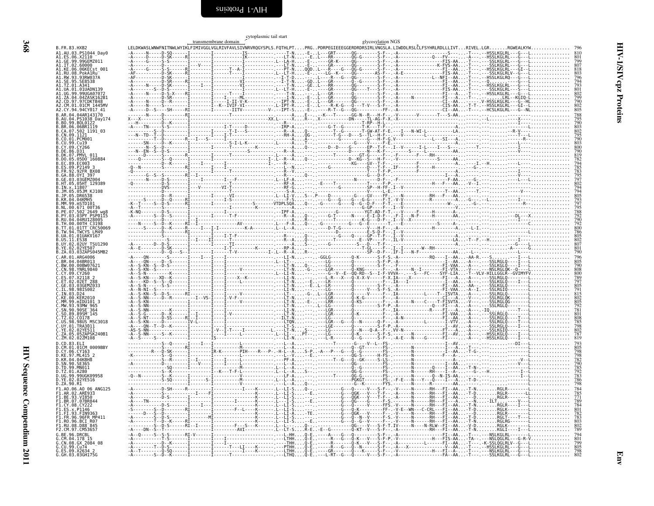<span id="page-55-0"></span>

|                             | cytoplasmic tail start<br>glycosylation NGS                                      |  |                      |  |                      |             |                                                                                                                                                                                                                                                                                                                                                                                                                                                                                  |                                                                                                      |  |  |  |
|-----------------------------|----------------------------------------------------------------------------------|--|----------------------|--|----------------------|-------------|----------------------------------------------------------------------------------------------------------------------------------------------------------------------------------------------------------------------------------------------------------------------------------------------------------------------------------------------------------------------------------------------------------------------------------------------------------------------------------|------------------------------------------------------------------------------------------------------|--|--|--|
| B.FR.83.HXB2                |                                                                                  |  | transmembrane domain |  |                      |             |                                                                                                                                                                                                                                                                                                                                                                                                                                                                                  |                                                                                                      |  |  |  |
|                             | A1.AU.03.PS1044_Day0                                                             |  |                      |  |                      |             |                                                                                                                                                                                                                                                                                                                                                                                                                                                                                  |                                                                                                      |  |  |  |
|                             | A1.ES.06.X2110 7<br>A1.GE.99.99GEMZ011<br>A1.IT.02.60000<br>A1.KE.06.06KECst 001 |  |                      |  |                      |             |                                                                                                                                                                                                                                                                                                                                                                                                                                                                                  |                                                                                                      |  |  |  |
|                             | A1.RU.08.PokA1Ru                                                                 |  |                      |  |                      |             |                                                                                                                                                                                                                                                                                                                                                                                                                                                                                  | 818<br>803<br>796<br>794<br>793<br>802<br>799<br>802<br>805                                          |  |  |  |
|                             | A1.RW.93.93RW037A                                                                |  |                      |  |                      |             |                                                                                                                                                                                                                                                                                                                                                                                                                                                                                  |                                                                                                      |  |  |  |
| A1.TZ.01.A341               | A1 HA 01 01HADN139                                                               |  |                      |  |                      |             |                                                                                                                                                                                                                                                                                                                                                                                                                                                                                  |                                                                                                      |  |  |  |
|                             | 99UGA0707<br>1.ZA.04.04ZASK162B1                                                 |  |                      |  |                      |             |                                                                                                                                                                                                                                                                                                                                                                                                                                                                                  |                                                                                                      |  |  |  |
|                             | A2.CD.97.97CDKTB48<br>A2.CM.01.01CM 1445MV                                       |  |                      |  |                      |             |                                                                                                                                                                                                                                                                                                                                                                                                                                                                                  |                                                                                                      |  |  |  |
|                             | A2.CY.94.94CY017 41<br>B.AR.04.04AR143170                                        |  |                      |  |                      |             |                                                                                                                                                                                                                                                                                                                                                                                                                                                                                  |                                                                                                      |  |  |  |
|                             | PS1038 Day174<br>B.BO.99.BOL0122                                                 |  |                      |  |                      |             |                                                                                                                                                                                                                                                                                                                                                                                                                                                                                  | 788<br>795<br>790<br>803<br>802<br>795<br>790<br>800<br>800<br>790<br>819                            |  |  |  |
|                             | B.BR.06.06BR1119<br>B.CA.07.502_1191_03                                          |  |                      |  |                      |             |                                                                                                                                                                                                                                                                                                                                                                                                                                                                                  |                                                                                                      |  |  |  |
| B.CN.09.1121                |                                                                                  |  |                      |  |                      |             |                                                                                                                                                                                                                                                                                                                                                                                                                                                                                  |                                                                                                      |  |  |  |
|                             | .CY266                                                                           |  |                      |  |                      |             |                                                                                                                                                                                                                                                                                                                                                                                                                                                                                  |                                                                                                      |  |  |  |
| R. DE . 86.<br>R.DK.07.PMVL |                                                                                  |  |                      |  |                      |             |                                                                                                                                                                                                                                                                                                                                                                                                                                                                                  |                                                                                                      |  |  |  |
| B.EC.89.EC003               | B.DO.05.05DO 160884                                                              |  |                      |  |                      |             |                                                                                                                                                                                                                                                                                                                                                                                                                                                                                  |                                                                                                      |  |  |  |
|                             | B.ES.09.P2149 3<br>B.FR.92.92FR BX08                                             |  |                      |  |                      |             |                                                                                                                                                                                                                                                                                                                                                                                                                                                                                  |                                                                                                      |  |  |  |
|                             | B.GA.88.OYI 397                                                                  |  |                      |  |                      |             |                                                                                                                                                                                                                                                                                                                                                                                                                                                                                  |                                                                                                      |  |  |  |
|                             | В.GE.03.03GEMZ004<br>В.GE.03.03GEMZ004<br>В.HT.05.05HT 129389                    |  |                      |  |                      |             |                                                                                                                                                                                                                                                                                                                                                                                                                                                                                  |                                                                                                      |  |  |  |
|                             | .05JM KJ108                                                                      |  |                      |  |                      |             |                                                                                                                                                                                                                                                                                                                                                                                                                                                                                  |                                                                                                      |  |  |  |
| 3.KR.04.04KMH5              | R.MM.99.mSTD101                                                                  |  |                      |  |                      |             |                                                                                                                                                                                                                                                                                                                                                                                                                                                                                  |                                                                                                      |  |  |  |
|                             | B.NL.00.671 00T36<br>B.PE.07.502 2649 wg                                         |  |                      |  |                      |             |                                                                                                                                                                                                                                                                                                                                                                                                                                                                                  |                                                                                                      |  |  |  |
|                             | .RU.04.04RU128005                                                                |  |                      |  |                      |             |                                                                                                                                                                                                                                                                                                                                                                                                                                                                                  |                                                                                                      |  |  |  |
|                             | .TH.00.00TH_C3198<br>.TT.01.01TT_CRC50069                                        |  |                      |  |                      |             |                                                                                                                                                                                                                                                                                                                                                                                                                                                                                  |                                                                                                      |  |  |  |
|                             | B.TW.94.TWCYS LM49<br>.UA.01.01UAKV167                                           |  |                      |  |                      |             |                                                                                                                                                                                                                                                                                                                                                                                                                                                                                  |                                                                                                      |  |  |  |
|                             | ES38<br>B.UY.02.02UY TSU1290                                                     |  |                      |  |                      |             |                                                                                                                                                                                                                                                                                                                                                                                                                                                                                  | 7824778797922444533777958829020865227922086522792208652279220865227022008652270220086522700200865227 |  |  |  |
|                             | B.YE.02.02YE507<br>B.ZA.03.03ZAPS045MB2                                          |  |                      |  |                      |             |                                                                                                                                                                                                                                                                                                                                                                                                                                                                                  |                                                                                                      |  |  |  |
|                             | C.AR.01.ARG4006                                                                  |  |                      |  |                      |             |                                                                                                                                                                                                                                                                                                                                                                                                                                                                                  | 796                                                                                                  |  |  |  |
|                             | .BW.00.00BW07621<br>.CN.98.YNRL9840                                              |  |                      |  |                      |             |                                                                                                                                                                                                                                                                                                                                                                                                                                                                                  | 805<br>790<br>808<br>800<br>789                                                                      |  |  |  |
| CY.09.CY260<br>ES.07.X2118  | X2118 2                                                                          |  |                      |  |                      |             |                                                                                                                                                                                                                                                                                                                                                                                                                                                                                  |                                                                                                      |  |  |  |
| ET.02                       | 02ET 288                                                                         |  |                      |  |                      |             |                                                                                                                                                                                                                                                                                                                                                                                                                                                                                  | 797<br>805<br>791                                                                                    |  |  |  |
| $C.$ TN $.03.$ D24 $\,$     |                                                                                  |  |                      |  |                      |             |                                                                                                                                                                                                                                                                                                                                                                                                                                                                                  |                                                                                                      |  |  |  |
|                             | MM.99.mIDU101 3                                                                  |  |                      |  |                      |             |                                                                                                                                                                                                                                                                                                                                                                                                                                                                                  |                                                                                                      |  |  |  |
|                             | MW.93.93MW 965<br>$0.5N.90.905E^-364$                                            |  |                      |  |                      |             |                                                                                                                                                                                                                                                                                                                                                                                                                                                                                  | 805<br>792<br>781<br>801                                                                             |  |  |  |
|                             | $.50.89.89$ SM $-145$                                                            |  |                      |  |                      |             |                                                                                                                                                                                                                                                                                                                                                                                                                                                                                  |                                                                                                      |  |  |  |
|                             | C.US.98.98US MSC3018<br>LIIY 01 TRA3011                                          |  |                      |  |                      |             |                                                                                                                                                                                                                                                                                                                                                                                                                                                                                  | 808<br>785<br>798<br>802<br>787                                                                      |  |  |  |
|                             | C.YE.02.02YE511<br>.05ZAPSK240B1                                                 |  |                      |  |                      |             |                                                                                                                                                                                                                                                                                                                                                                                                                                                                                  |                                                                                                      |  |  |  |
| D.CD.83.ELI                 | C.ZM.02.02ZM108                                                                  |  |                      |  |                      |             |                                                                                                                                                                                                                                                                                                                                                                                                                                                                                  |                                                                                                      |  |  |  |
|                             | D.CM.01.01CM 0009BBY<br>D.CY.06.CY163                                            |  |                      |  |                      |             |                                                                                                                                                                                                                                                                                                                                                                                                                                                                                  | 793<br>805<br>798<br>7982<br>785<br>792<br>783<br>798<br>798                                         |  |  |  |
|                             | D.KE.97.ML415 2<br>.04KBH8                                                       |  |                      |  |                      |             |                                                                                                                                                                                                                                                                                                                                                                                                                                                                                  |                                                                                                      |  |  |  |
| D.TD.99.MN011               |                                                                                  |  |                      |  |                      |             |                                                                                                                                                                                                                                                                                                                                                                                                                                                                                  |                                                                                                      |  |  |  |
| 1. TZ . 01<br>D.UG.99       | A280<br>99UGK09958                                                               |  |                      |  |                      |             |                                                                                                                                                                                                                                                                                                                                                                                                                                                                                  |                                                                                                      |  |  |  |
| D.ZA.90.R1                  | D.YE.02.02YE516                                                                  |  |                      |  |                      |             |                                                                                                                                                                                                                                                                                                                                                                                                                                                                                  |                                                                                                      |  |  |  |
|                             | F1.A0.06.A0.06.ANG125<br>02.ARE933                                               |  |                      |  |                      |             |                                                                                                                                                                                                                                                                                                                                                                                                                                                                                  | 784<br>785<br>771                                                                                    |  |  |  |
| F1 RF 93 VT850              | 1.BR.07.07BR844                                                                  |  |                      |  |                      |             | $\begin{minipage}[t]{.0.99\textwidth}\begin{minipage}[t]{.0.99\textwidth}\begin{minipage}[t]{.0.99\textwidth}\begin{minipage}[t]{.0.99\textwidth}\begin{minipage}[t]{.0.99\textwidth}\begin{minipage}[t]{.0.99\textwidth}\begin{minipage}[t]{.0.99\textwidth}\begin{minipage}[t]{.0.99\textwidth}\begin{minipage}[t]{.0.99\textwidth}\begin{minipage}[t]{.0.99\textwidth}\begin{minipage}[t]{.0.99\textwidth}\begin{minipage}[t]{.0.99\textwidth}\begin{minipage}[t]{.0.99\text$ |                                                                                                      |  |  |  |
|                             |                                                                                  |  |                      |  |                      |             |                                                                                                                                                                                                                                                                                                                                                                                                                                                                                  | 789<br>784<br>801<br>782<br>783<br>803<br>803                                                        |  |  |  |
|                             | F1.FI.93.FIN9363<br>1.FR.96.96FR MP411                                           |  |                      |  |                      | RH---FI--AA |                                                                                                                                                                                                                                                                                                                                                                                                                                                                                  |                                                                                                      |  |  |  |
|                             | F1 RN 96 RCT R07<br>$1.$ RU. $08.$ D $88^ 845$                                   |  |                      |  |                      |             | .RGLRG-------L                                                                                                                                                                                                                                                                                                                                                                                                                                                                   |                                                                                                      |  |  |  |
|                             | F2.CM.97.CM5365.                                                                 |  |                      |  |                      |             |                                                                                                                                                                                                                                                                                                                                                                                                                                                                                  | 789                                                                                                  |  |  |  |
| .BE.96.DRCBL                | .CM.04.178 15                                                                    |  |                      |  |                      |             |                                                                                                                                                                                                                                                                                                                                                                                                                                                                                  | 794<br>$\frac{801}{799}$                                                                             |  |  |  |
|                             | G.CN.08.GX 2084_08<br>G.CU.99.Cu74<br>G.ES.09.X2634 2<br>G.GH.03.03GH175G        |  |                      |  |                      |             |                                                                                                                                                                                                                                                                                                                                                                                                                                                                                  | 805                                                                                                  |  |  |  |
|                             |                                                                                  |  |                      |  | -LTHQQ-E---L-RT--G-- |             |                                                                                                                                                                                                                                                                                                                                                                                                                                                                                  |                                                                                                      |  |  |  |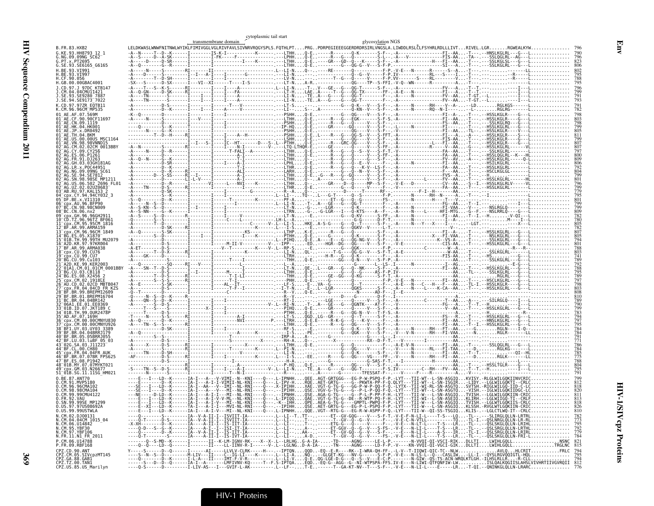|              |                                                                                                          |                                                                                                                                                                                                                                                                                                          | transmembrane domain | cytoplasmic tail start | glycosylation NGS |                                                                                                                                            |  |  |
|--------------|----------------------------------------------------------------------------------------------------------|----------------------------------------------------------------------------------------------------------------------------------------------------------------------------------------------------------------------------------------------------------------------------------------------------------|----------------------|------------------------|-------------------|--------------------------------------------------------------------------------------------------------------------------------------------|--|--|
| B.FR.83.HXB2 |                                                                                                          | LELDKWASLWNWFNITNWLWYIKLFIMIVGGLVGLRIVFAVLSIVNRVRQGYSPLS.FQTHLPTPRGPDRPEGIEEEGGERDRDRSIRLVNGSLA.LIWDDLRSLĈLFSYHRLRDLLLIVTRIVEL.LGRRGWEALKYW                                                                                                                                                              |                      |                        |                   |                                                                                                                                            |  |  |
|              | G.KE.93.HH8793 12 1<br>G.NG.09.09NG SC62<br>G.PT.x.PT2695                                                |                                                                                                                                                                                                                                                                                                          |                      |                        |                   | ----T--D--K------I--------IS-K-I------------K------ .--LTHHQ-E----R------Q-K------S-F--.A-------------FI--AA-T---.,--HNSLKGLRL---G---L     |  |  |
|              | G.SE.93.SE6165_G6165                                                                                     |                                                                                                                                                                                                                                                                                                          |                      |                        |                   |                                                                                                                                            |  |  |
|              | H.BE.93.VI991<br>.BE.93.VI997                                                                            |                                                                                                                                                                                                                                                                                                          |                      |                        |                   |                                                                                                                                            |  |  |
| H.CF.90.056  | .GB.00.00GBAC4001                                                                                        |                                                                                                                                                                                                                                                                                                          |                      |                        |                   |                                                                                                                                            |  |  |
|              |                                                                                                          |                                                                                                                                                                                                                                                                                                          |                      |                        |                   |                                                                                                                                            |  |  |
|              | .SE.93.SE9280 7887<br>.SE.94.SE9173 <sup>-</sup> 7022                                                    |                                                                                                                                                                                                                                                                                                          |                      |                        |                   |                                                                                                                                            |  |  |
|              | CD.97.97ZR E0TB11<br>.CM.96.96CMTMP535                                                                   |                                                                                                                                                                                                                                                                                                          |                      |                        |                   |                                                                                                                                            |  |  |
|              | AF AF 07 569M<br>AF CF 90 90CF1169                                                                       |                                                                                                                                                                                                                                                                                                          |                      |                        |                   |                                                                                                                                            |  |  |
|              | "AE.CN.09.1119<br>01 AE HK 04 HK001                                                                      |                                                                                                                                                                                                                                                                                                          |                      |                        |                   |                                                                                                                                            |  |  |
|              |                                                                                                          |                                                                                                                                                                                                                                                                                                          |                      |                        |                   |                                                                                                                                            |  |  |
|              |                                                                                                          |                                                                                                                                                                                                                                                                                                          |                      |                        |                   |                                                                                                                                            |  |  |
|              | CM.02.02CM 0013BRY                                                                                       |                                                                                                                                                                                                                                                                                                          |                      |                        |                   |                                                                                                                                            |  |  |
|              |                                                                                                          |                                                                                                                                                                                                                                                                                                          |                      |                        |                   |                                                                                                                                            |  |  |
|              |                                                                                                          |                                                                                                                                                                                                                                                                                                          |                      |                        |                   |                                                                                                                                            |  |  |
|              | AG.SN.98.98SE MP1211                                                                                     |                                                                                                                                                                                                                                                                                                          |                      |                        |                   |                                                                                                                                            |  |  |
|              | 502 2696 FL01                                                                                            |                                                                                                                                                                                                                                                                                                          |                      |                        |                   |                                                                                                                                            |  |  |
|              | AR RU 97 KAL153<br>cpx.CY.94.94CY032 3                                                                   |                                                                                                                                                                                                                                                                                                          |                      |                        |                   |                                                                                                                                            |  |  |
|              | $\mathsf{DF}.\mathsf{BE}.\mathsf{x}.\mathsf{VI1310}$<br>cnx.AU.96.BFP90                                  |                                                                                                                                                                                                                                                                                                          |                      |                        |                   |                                                                                                                                            |  |  |
|              | 3C.CN.98.98CN009<br>08 BC.CN.06.nx2                                                                      |                                                                                                                                                                                                                                                                                                          |                      |                        |                   |                                                                                                                                            |  |  |
|              |                                                                                                          |                                                                                                                                                                                                                                                                                                          |                      |                        |                   |                                                                                                                                            |  |  |
|              | .CM.95.95CM 1816<br>AR 99 ARMA159                                                                        |                                                                                                                                                                                                                                                                                                          |                      |                        |                   |                                                                                                                                            |  |  |
|              | cnx.CM.96.96CM 1849<br>01B.TH.99.99TH MU2079                                                             |                                                                                                                                                                                                                                                                                                          |                      |                        |                   |                                                                                                                                            |  |  |
|              | A2D.KR.97.97KR004<br>BF.AR.99.ARMA038                                                                    |                                                                                                                                                                                                                                                                                                          |                      |                        |                   |                                                                                                                                            |  |  |
|              | cnx.CU.99.CU76                                                                                           |                                                                                                                                                                                                                                                                                                          |                      |                        |                   |                                                                                                                                            |  |  |
|              | A2D.KE.99.KER2003                                                                                        |                                                                                                                                                                                                                                                                                                          |                      |                        |                   |                                                                                                                                            |  |  |
|              | 01A1.CM.01.01CM.0001RRY                                                                                  |                                                                                                                                                                                                                                                                                                          |                      |                        |                   |                                                                                                                                            |  |  |
|              |                                                                                                          |                                                                                                                                                                                                                                                                                                          |                      |                        |                   |                                                                                                                                            |  |  |
|              | AU.CD.02.02CD MBTB047<br>cpx.FR.04.04CD FR KZS                                                           |                                                                                                                                                                                                                                                                                                          |                      |                        |                   |                                                                                                                                            |  |  |
|              | 99.BREPM12609<br>BF.BR.01.BREPM16704                                                                     |                                                                                                                                                                                                                                                                                                          |                      |                        |                   |                                                                                                                                            |  |  |
|              | BC.BR.04.04BR142<br>06A1.EE.01.EE0369                                                                    |                                                                                                                                                                                                                                                                                                          |                      |                        |                   |                                                                                                                                            |  |  |
|              | 01B.ID.07.JKT189<br>.0UR2478F<br>AD AF 07 169H                                                           |                                                                                                                                                                                                                                                                                                          |                      |                        |                   |                                                                                                                                            |  |  |
|              | CDX.CM.00.00CMNYU830<br>nx.CM.00.00CMNYU926                                                              |                                                                                                                                                                                                                                                                                                          |                      |                        |                   |                                                                                                                                            |  |  |
|              | BF.BR.04.04BRR1179                                                                                       |                                                                                                                                                                                                                                                                                                          |                      |                        |                   |                                                                                                                                            |  |  |
|              | RR 05 05RRR1055<br>.03.luBF 05 03                                                                        |                                                                                                                                                                                                                                                                                                          |                      |                        |                   |                                                                                                                                            |  |  |
|              |                                                                                                          |                                                                                                                                                                                                                                                                                                          |                      |                        |                   |                                                                                                                                            |  |  |
|              | .FR.04.04FR AUI<br>BR.07.07BR FPS625                                                                     |                                                                                                                                                                                                                                                                                                          |                      |                        |                   |                                                                                                                                            |  |  |
|              | 48 <sup>-</sup> 01B.MY.07.07MYKT02<br>cpx.GM.03.N26677_                                                  |                                                                                                                                                                                                                                                                                                          |                      |                        |                   |                                                                                                                                            |  |  |
|              | 51_01B.SG.11.11SG HM021                                                                                  | -E---I---LD--K------IA-I---A---V-VIMI--N--KNI----O---.L-IPNHHOEEAGT-GRTGGG---EG-P-W-PSPO-F-P.-LYT---TII-WT--L-SN-ASGIOKVISY.-RLGLWILGOKIINVCRIC                                                                                                                                                          |                      |                        |                   |                                                                                                                                            |  |  |
|              | CM.91.MVP5180<br>CM.96.96CMA102                                                                          |                                                                                                                                                                                                                                                                                                          |                      |                        |                   | I---LD--K------IA-I--AA---V--IMI--NL-RNI----O--- X-IPIHHXAEVGT-G-TG-G---GG-P-W-P-QQ-F-Q.-LYTX--TII-WI-RL-SN-ASGTQSVTSH.-RIGLWILGQ-IID-C-LC |  |  |
|              | 0.CM.98.98CMA104<br>0.CM.99.99CMU4122                                                                    | ---SE---I----D--K------IA-I---A---V---MI--NL-RNI----Q---.--IPIHHQSEVGV-G-TG-G---G--P-L-P-QQ-F-Q.-LYT---TII-WT--L-SN-ASGTQ-VISH.--IGLWILGQKIIDGC-LC<br>---NE-----D-LD--K------IA-I---A-I-I---MI--NL-RNI----Q---.--IPNHHQSEAGA-G-TG-----G--P-L-P-PP-F-H.-LYT---TII-W---L-SN-ASGIQTVISH.--LGLWILGQKIIN-CR   |                      |                        |                   |                                                                                                                                            |  |  |
| 0.FR.92.VAU  | 0.SN.99.99SE MP1299                                                                                      | ----E---I---LD--K------IA-I---A-I-V-V-ML--NL-KNI----Q---.L-IPIQQQAEVGT-G-TG-G--DE--R-WTP-PQ-F-H.-LYT---TII-WI--L-SN-ASEIQKLIRH.--LGLWIIGQ-TI--CRLF<br>----E---I---LD--K------IA-I---A-I-V---MI--ML-KNI----Q--- -K--IHHQPEAEA-G-TG-G----GMPTL-PWPQ-F-P.-LYT---TII-W---L-SN-ASGIQTVISH.--LGLWTLGQKIIS-CRLC |                      |                        |                   |                                                                                                                                            |  |  |
| U . U.       | 97U5U809ZA<br>0.US.99.99USTWLA                                                                           |                                                                                                                                                                                                                                                                                                          |                      |                        |                   |                                                                                                                                            |  |  |
|              | N.CM.02.DJ00131<br>N.CM.04.04CM 1015 04                                                                  |                                                                                                                                                                                                                                                                                                          |                      |                        |                   |                                                                                                                                            |  |  |
|              | N.CM.06.U14842<br>N.CM.05.YBF30<br>N.CM.97.YBF106                                                        |                                                                                                                                                                                                                                                                                                          |                      |                        |                   |                                                                                                                                            |  |  |
|              | N.FR.11.N1 FR 2011                                                                                       |                                                                                                                                                                                                                                                                                                          |                      |                        |                   |                                                                                                                                            |  |  |
|              | P.CM.06.U14788<br>P.FR.09.RBF168                                                                         | ------0--S-MD--K------I-------II--K-LM-IGNV-RK----X--X-L--LRLHGG-A-IA--TD-----AGNG-----LE-L-P.------N-VVOI-QI-VSCI-RIKDLLTILWIHLGQLLNSNC 821<br>----Q--Q----LD--Q-----I------II----LL-IINV-R-I---                                                                                                        |                      |                        |                   |                                                                                                                                            |  |  |
|              | .<br>CPZ.CD.90.ANT<br>CPZ.CM.05.SIVcpzMT145<br>CPZ.TZ.00.TAN1<br>CPZ.TC.06.TAN1<br>CPZ.TC.05.TIS.Marilyn |                                                                                                                                                                                                                                                                                                          |                      |                        |                   |                                                                                                                                            |  |  |
|              |                                                                                                          |                                                                                                                                                                                                                                                                                                          |                      |                        |                   |                                                                                                                                            |  |  |
|              | CPZ.US.85.US Marilyn                                                                                     |                                                                                                                                                                                                                                                                                                          |                      |                        |                   |                                                                                                                                            |  |  |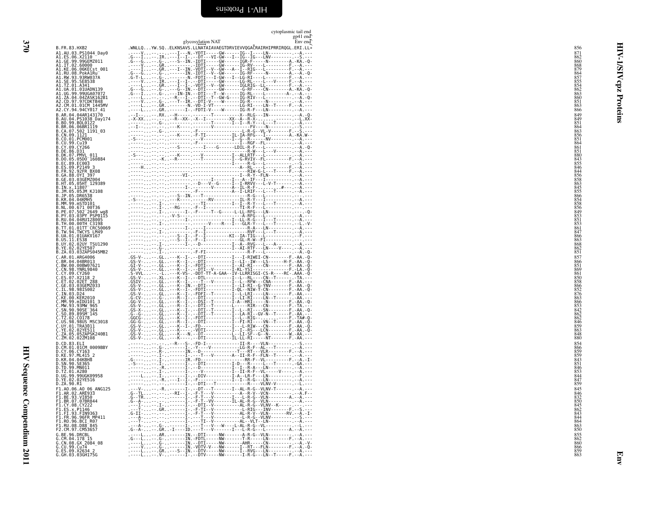<span id="page-57-0"></span>

|                                                                                                                     | cytoplasmic tail end<br>gp41 end                                                                                                                                                                                                                                                                                                                                                                                                                                                 |                                                             |          |
|---------------------------------------------------------------------------------------------------------------------|----------------------------------------------------------------------------------------------------------------------------------------------------------------------------------------------------------------------------------------------------------------------------------------------------------------------------------------------------------------------------------------------------------------------------------------------------------------------------------|-------------------------------------------------------------|----------|
| B.FR.83.HXB2                                                                                                        | Env end<br>glycosylation NAT<br>.WNLLQYW.SQELKNSAVS.LLNATAIAVAEGTDRVIEVVQGAČRAIRHIPRRIRQGL.ERI.LL*                                                                                                                                                                                                                                                                                                                                                                               | 856                                                         |          |
| A1.AU.03.PS1044 Day0<br>A1.ES.06.X2110 ---.<br>A1.GE.99.99GEMZ011                                                   | . $\frac{1}{2}$<br>$\frac{1}{2}$<br>$\frac{1}{2}$<br>$\frac{1}{2}$<br>$\frac{1}{2}$<br>$\frac{1}{2}$<br>$\frac{1}{2}$<br>$\frac{1}{2}$<br>$\frac{1}{2}$<br>$\frac{1}{2}$<br>$\frac{1}{2}$<br>$\frac{1}{2}$<br>$\frac{1}{2}$<br>$\frac{1}{2}$<br>$\frac{1}{2}$<br>$\frac{1}{2}$<br>$\frac{1}{2}$<br>$\frac{1}{2}$<br>$\frac{1}{2}$<br>$\frac{1}{2}$<br>                                                                                                                           | 871<br>862<br>860                                           |          |
| A1.IT.02.60000<br>A1.KE.06.06KECst_001                                                                              |                                                                                                                                                                                                                                                                                                                                                                                                                                                                                  | $\frac{868}{879}$                                           | à        |
| A1.RU.08.PokA1Ru<br>A1.RW.93.93RW037A<br>A1.SE.95.SE8538                                                            |                                                                                                                                                                                                                                                                                                                                                                                                                                                                                  | 864<br>857<br>855<br>854                                    |          |
| A1.TZ.01.A341<br>A1.UA.01.01UADN139                                                                                 | . - - - L. - GR. . - - - I - - I - . - VDTI - - V - - GW- - - - - - IGLRIG- - LL - - - - - - - - - - A<br>. G - - -G - - . G - - - - G - - IN. - - DTI - - - - - GW- - - - - - - G-RF - - - - CN- - - - - - - A                                                                                                                                                                                                                                                                  | 862                                                         | cpz      |
| A1.UG.99.99UGA07072<br>A1.ZA.04.04ZASK162B1<br>A2.CD.97.97CDKTB48<br>A2.CM.01.01CM_1445MV                           |                                                                                                                                                                                                                                                                                                                                                                                                                                                                                  | $\frac{863}{860}$<br>851                                    |          |
| A2.CY.94.94CY017_41                                                                                                 | . - - - - L - - . GR. . - - - - - - I - . - FDTI - V - - - - W - - - - - - IG-R-F - - - LN - - - - - - - - - - - A . - - -                                                                                                                                                                                                                                                                                                                                                       | 863<br>866                                                  |          |
| B.AR.04.04AR143170<br>B.AU.04.PS1038 Day174                                                                         |                                                                                                                                                                                                                                                                                                                                                                                                                                                                                  | 849<br>849                                                  | Proteins |
| 3.BO.99.BOL0122<br>B.BR.06.06BR1119<br>B.CA.07.502_1191_03                                                          |                                                                                                                                                                                                                                                                                                                                                                                                                                                                                  | 851<br>864                                                  |          |
| .CN.09.1121<br>B.CO.OI.PCMOO1<br>B.CU.99.Cu19                                                                       |                                                                                                                                                                                                                                                                                                                                                                                                                                                                                  | 863<br>856<br>851<br>864                                    |          |
| .CY.09.CY266<br>B.DE.86.D31                                                                                         |                                                                                                                                                                                                                                                                                                                                                                                                                                                                                  | 861<br>851                                                  |          |
| B.DK.07.PMVL 011<br>3.DO.05.05DO 160884                                                                             |                                                                                                                                                                                                                                                                                                                                                                                                                                                                                  | 880<br>$843$<br>$855$                                       |          |
| B.EC.89.EC003<br>B.ES.09.P2149 3                                                                                    |                                                                                                                                                                                                                                                                                                                                                                                                                                                                                  | 846<br>844                                                  |          |
| B.FR.92.92FR BX08<br>B.GA.88.0YI 397<br>3.GE.03.03GEMZ004                                                           |                                                                                                                                                                                                                                                                                                                                                                                                                                                                                  | 856<br>858                                                  |          |
| B.HT.05.05HT_T29389<br>B.IN.x.11807<br>.JM.05.05JM KJ108                                                            |                                                                                                                                                                                                                                                                                                                                                                                                                                                                                  |                                                             |          |
| .JP.05.DR6538<br>.KR.04.04KMH5                                                                                      |                                                                                                                                                                                                                                                                                                                                                                                                                                                                                  |                                                             |          |
| B.MM.99.mSTD101<br>B.NL.00.671_00T36<br>PE.07.502 <sup>-</sup> 2649 wg8.                                            |                                                                                                                                                                                                                                                                                                                                                                                                                                                                                  | 863<br>845<br>855<br>856<br>854<br>858<br>856<br>849<br>853 |          |
| PY.03.03PY PSP0115.<br>.RU.04.04RUI28005                                                                            |                                                                                                                                                                                                                                                                                                                                                                                                                                                                                  | 851                                                         |          |
| .TH.00.00TH_C3198<br>B.TT.01.01TT <sup>-</sup> CRC50069<br>B.TW.94.TWCYS LM49                                       |                                                                                                                                                                                                                                                                                                                                                                                                                                                                                  | $\frac{853}{861}$<br>847                                    |          |
| B.UA.01.01UAKV167<br>B.US.11.ES38                                                                                   |                                                                                                                                                                                                                                                                                                                                                                                                                                                                                  | $\frac{866}{863}$<br>868                                    |          |
| B.UY.02.02UY TSU1290<br>B.YE.02.02YE507<br>B.ZA.03.03ZAPS045MB2                                                     |                                                                                                                                                                                                                                                                                                                                                                                                                                                                                  | 862<br>851                                                  |          |
| C.AR.01.ARG4006<br>.BR.04.04BR013                                                                                   |                                                                                                                                                                                                                                                                                                                                                                                                                                                                                  | 857<br>866                                                  |          |
| C.BW.00.00BW07621<br>C.CN.98.YNRL9840<br>.CY.09.CY260                                                               |                                                                                                                                                                                                                                                                                                                                                                                                                                                                                  | 851<br>869                                                  |          |
| C.ES.07.X2118 2<br>C.ET.02.02ET 288                                                                                 |                                                                                                                                                                                                                                                                                                                                                                                                                                                                                  | 861<br>850<br>858                                           |          |
| Č.GE.03.03GEMZ033<br>C.IL.98.98IS002<br>C.IN.03.D24                                                                 |                                                                                                                                                                                                                                                                                                                                                                                                                                                                                  | 866<br>852<br>876                                           |          |
| C.KE.00.KER2010<br>.MM.99.mIDU101 3<br>.MW.93.93MW 965                                                              |                                                                                                                                                                                                                                                                                                                                                                                                                                                                                  | 863<br>866<br>853                                           |          |
| $\mathrel{\mathop:}$ . SN . 90.90SE $^-$ 364<br>.S0.89.89SM_145                                                     |                                                                                                                                                                                                                                                                                                                                                                                                                                                                                  | 842                                                         |          |
| .TZ.02.CO178<br>.US.98.98US MSC3018<br>C.UY.01.TRA3011                                                              |                                                                                                                                                                                                                                                                                                                                                                                                                                                                                  | 862<br>862<br>862<br>846<br>859<br>863                      |          |
| Č.ÝE.02.02YE511<br>C.ZA.05.05ZAPSK240B1                                                                             | $\begin{array}{cccccccccccc} \texttt{CGS-V} & \texttt{} & \texttt{G1} & \texttt{G2} & \texttt{G3} & \texttt{G4} & \texttt{G5} & \texttt{G5} & \texttt{G6} & \texttt{G6} & \texttt{G6} & \texttt{G6} & \texttt{G6} & \texttt{G6} & \texttt{G6} & \texttt{G6} & \texttt{G6} & \texttt{G6} & \texttt{G6} & \texttt{G6} & \texttt{G6} & \texttt{G6} & \texttt{G6} & \texttt{G$                                                                                                       | $\frac{848}{880}$                                           |          |
| C.ZM.02.02ZM108<br>D.CD.83.ELI                                                                                      |                                                                                                                                                                                                                                                                                                                                                                                                                                                                                  | 854                                                         |          |
| D.CM.01.01CM 0009BBY<br>D.CY.06.CY163<br>D.KE.97.ML415 2<br>D.KR.04.04KBH8                                          | $\begin{minipage}{0.99\textwidth} \begin{tabular}{ c c c c } \hline & . & . & . & . & . & . & . & . \\ \hline & . & . & . & . & . & . \\ \hline & . & . & . & . & . & . \\ \hline & . & . & . & . & . & . \\ \hline & . & . & . & . & . \\ \hline & . & . & . & . & . \\ \hline & . & . & . & . & . \\ \hline & . & . & . & . & . \\ \hline & . & . & . & . & . \\ \hline & . & . & . & . & . \\ \hline & . & . & . & . & . \\ \hline & . & . & . & . & . \\ \hline & . & . & .$ | 866<br>859<br>859<br>843                                    |          |
| .SN.90.SE365<br>D.TD.99.MN011                                                                                       |                                                                                                                                                                                                                                                                                                                                                                                                                                                                                  | $\frac{851}{846}$                                           |          |
| D.TZ.01.A280<br>D.UG.99.99UGK09958<br>D.YE.02.02YE516                                                               |                                                                                                                                                                                                                                                                                                                                                                                                                                                                                  | 844<br>847<br>859                                           |          |
| D.ZA.90.R1<br>F1.AO.06.AO 06 ANG125                                                                                 |                                                                                                                                                                                                                                                                                                                                                                                                                                                                                  | 845                                                         |          |
| F1.AR.02.ARE933<br>F1.BE.93.VI850<br>F1.BR.07.07BR8                                                                 |                                                                                                                                                                                                                                                                                                                                                                                                                                                                                  | 846<br>832                                                  |          |
| F1.BR.07.07BR044<br>F1.CY.08.CY222<br>F1.ES.x.P1146<br>F1.FI.93.FIN9363                                             | . - - -T - - - . GR. . - - - - - - I - . - F - TI - - V - - - - - - - - - - - L-RIG- - - INV - - - - - - F . - -S . - - -                                                                                                                                                                                                                                                                                                                                                        | 845                                                         |          |
|                                                                                                                     | .G-II- - - - - - - - - I- . -F-T- - - V- - - - - - - - - - AL-R-V- - VLN- - - - - - - RV . - - À.<br>. - - -A - - - - - - - - - I - . - - T - - - V - - - - - - - - - - L-R-G - - VLNV - - - - - - - - - S. - - -<br>. - - -T - - - - - - - - - I - . - - TI - - V - - - - - - - - - - AL - - VLT - - LN - - - - - - - - - - - - A. - - -                                                                                                                                        | 862<br>843<br>844<br>864                                    |          |
| F1.FR.96.96FR_MP411<br>F1.FR.96.96FR_MP411<br>F1.RO.96.BCI_R07<br>F1.RU.08.D88 <sup>=</sup> 845<br>F2.CM.97.CM53657 |                                                                                                                                                                                                                                                                                                                                                                                                                                                                                  | $\frac{863}{850}$                                           |          |
| G.BE.96.DRCBL<br>G.CM.04.178 15                                                                                     |                                                                                                                                                                                                                                                                                                                                                                                                                                                                                  |                                                             |          |
| G.CN.08.GX_2084_08<br>G.CU.99.Cu74<br>G.ES.09.X2634_2                                                               |                                                                                                                                                                                                                                                                                                                                                                                                                                                                                  | 855<br>855<br>862<br>866<br>859<br>859                      |          |
| G.GH.03.03GH175G                                                                                                    |                                                                                                                                                                                                                                                                                                                                                                                                                                                                                  |                                                             | Ð<br>ă   |
|                                                                                                                     |                                                                                                                                                                                                                                                                                                                                                                                                                                                                                  |                                                             |          |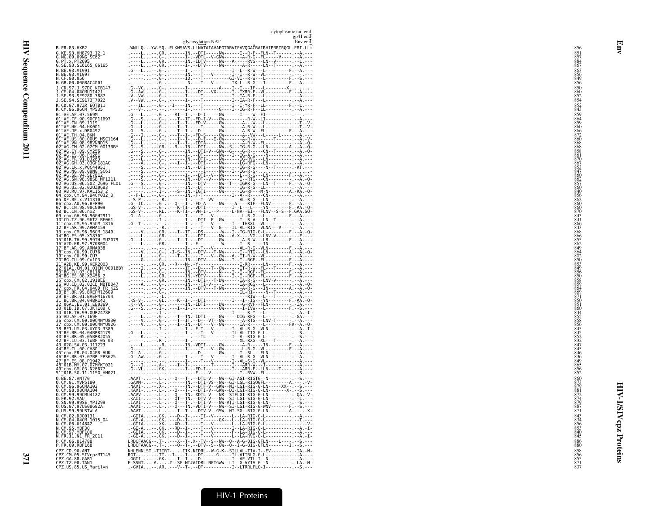371

| glycosylation NAT<br>Env end<br>.WNLLQYW.SQELKNSAVS.LLNATAIAVAEGTDRVIEVVQGAČRAIRHIPRRIRQGL.ERI.LL*<br>B.FR.83.HXB2<br>. -----L--.GR------IN-DTI-----NW------I--R-F--FLN--T-------.---A---<br>. -----L--.G-------I-VDTI--V-GWW-------A-R-G--FL----V--------A---<br>. ----L--.GR-----IN-IDTV-----NW---A-----RVG---LN--V------<br>G.KE.93.HH8793 12 1<br>G.NG.09.09NG SC62<br>G.PT.x.PT2695<br>G.SE.93.SE6165_G6165<br>H.BE.93.VI991<br>H.BE.93.VI997<br>H.CF.90.056<br>H.GB.00.00GBAC4001<br>J.CD.97.J 97DC KTB147<br>J.CM.04.04CMU11421<br>J.SE.93.SE9280 7887<br>J.SE.94.SE9173 7022<br>K.CD.97.97ZR EQTB11<br>ILG-INT-------------I--I-YR-F--LL----------------F<br>K.CM.96.96CM MP535<br>01 AE.AF.07.569M<br>01 AE.CF.90.90CF11697<br>01 AE.CN.09.1119<br>01 AE.HK.04.HK001<br>01 AE. JP. x. DR0492<br>01 AE. TH. 04. BKM<br>01 AE.US.00.00US MSC1164<br>01 <sup>-</sup> AE.VN.98.98VNND15<br>02 AG.CM.02.02CM 0013BBY<br>02 AG.CY.09.CY256<br>02 AG.ES.06.P1261<br>02 AG. FR. 91. DJ263<br>02 AG. GH. 03.03GH181AG<br>02 AG. LR. x. POC44951<br>02 <sup>-</sup> AG.NG.09.09NG SC61<br>02 AG. SE. 94. SE7812<br>02 AG. SN. 98. 98SE_MP1211<br>02 AG. US. 06. 502_2696_FL01<br>02 AG. UZ. 02. 02UZ0683<br>03 AB.RU.97.KAL153 2<br>03-AB.RO.CY.94.94CY032_3<br>05-DF.BE.x.VI1310<br>06-Cpx.AU.96.BFP90<br>07-BC.CN.98.98CN009<br>08-BC.CN.96.DRCN009<br>08-BC.CN.06.DRCN009<br>09 cpx.GH.96.96GH2911<br>10 CD.TZ.96.96TZ BF061<br>11 cpx.CM.95.95CM_1816<br>12-BF.AR.99.ARMA159<br>13-cpx.CM.96.96CM_1849<br>14-BG.ES.05.X1870<br>15 01B. TH. 99.99TH MU2079<br>16 A2D.KR.97.97KR004<br>17 BF.AR.99.ARMA038<br>18 cpx. CU. 99. CU76<br>19 cpx. CU. 99. CU76<br>20 BG. CU. 99. Cu103<br>21 A2D.KE.99.KER2003<br>22 <sup>-</sup> 01A1.CM.01.01CM 0001BBY<br>23-BG.CU.03.CB118<br>24-BG.ES.08.X2456-2<br>25 <sup>-</sup> cpx.CM.02.1918EE<br>26-AU.CD.02.02CD MBTB047<br>27-cpx.FR.04.04CD FR KZS<br>28-BF.BR.99.BREPM16699<br>29-BF.BR.01.BREPM16704<br>31-BC.BR.04.04BR142<br>32-06A1.EE.01.EE0369<br>33-01B.ID.07.JKT189-C<br>34 01B. TH. 99. 0UR2478P<br>35 AD. AF. 07. 169H<br>36 cpx.CM.00.00CMNYU830<br>37 cpx.cm.00.00CMNYU926<br>38 BF1.UY.03.UY03_3389<br>39 BF.BR.04.04BRRJ179<br>39 BF: BR: 05.05BRRJ055<br>42 BF: LU.03. LuBF 05.03<br>43 02G. SA.03. J11223<br>44 BF: CL.00. CH80<br>45 cpx. FR. 04.04FR AUK<br>46 BF.BR.07.07BR FPS625<br>47 BF.ES.08.P1942<br>48 01B.MY.07.07MYKT021<br>49 cpx.GM.03.N26677<br>51 01B.SG.11.11SG_HM021<br>$\begin{minipage}{0.9\textwidth} \begin{tabular}{@{}c@{}}\textbf{AA} & \textbf{AA} & \textbf{AA} & \textbf{AA} & \textbf{AA} & \textbf{AA} & \textbf{AA} & \textbf{AA} & \textbf{AA} & \textbf{AA} & \textbf{AA} & \textbf{AA} & \textbf{AA} & \textbf{AA} & \textbf{AA} & \textbf{AA} & \textbf{AA} & \textbf{AA} & \textbf{AA} & \textbf{AA} & \textbf{AA} & \textbf{AA} & \textbf{AA} & \textbf{AA} & \textbf{AA} & \textbf{AA} & \textbf{AA} & \textbf{AA$<br>0.BE.87.ANT70<br>0.CM.91.MVP5180<br>0.CM.96.96CMA102<br>0.CM.98.98CMA104<br>0.CM.99.99CMU4122<br>0.FR.92.VAU<br>0.SN.99.99SE_MP1299<br>.AAVI- - - . L- - -Q- - -TN . -VDTI -V- - -NW- -SI - LGI - RIG-G-WNV- - - - - - - F. - -S. - -<br>0.US.97.97US08692A<br>0. US. 99.99USTWLA<br>.AAVT- - - . L - - - - I - -T - . - - DTV - V - -GSW - -NI - SG - -RIG - G - LN - - - - - - - - A . - - - . - X-<br>N.CM.02.DJ00131<br>.-GIIA--.GK---D--I-.---TI--V-------L--LA-RIG-G-L----------.--A.---<br>.-GI-A-.GK---B--I----T------GX---L--LA-RIG-G-L------------ --T.---<br>.-GI-A--.XK--XD--I-.---I---V-------L--LA-RIG-G-L------------ -------------<br>N.CM.04.04CM 1015 04<br>N.CM.06.U14842<br>N.CM.95.YBF30<br>. -GI - A - - . GK - - RD - - I - . - - -T - -- V - - - - - - - I - - LA - RIG - G - L - - - - - - - - - - - - - - A . - I -<br>N.CM.97.YBF106<br>.-GIIA--.GK---D--I----T---V--------F--LA-RIG-G-L------------ --A.---<br>.-GI-A--.GK---D--I-.---T---V-------L--LA-RVG-G-L------------ --A.-I-<br>N.FR.11.N1 FR 2011<br>LRDCFAACG--.T----X--T-.X--TV--S--NW--Q--A-G-0IG-GFLN----L----.-S.---<br>LRDCFAACG--.T----Q--T-.--DTV--S--GW--Q--I-G-QIG-GFLN--------I.--S.---<br>P.CM.06.U14788<br>P.FR.09.RBF168 |
|-----------------------------------------------------------------------------------------------------------------------------------------------------------------------------------------------------------------------------------------------------------------------------------------------------------------------------------------------------------------------------------------------------------------------------------------------------------------------------------------------------------------------------------------------------------------------------------------------------------------------------------------------------------------------------------------------------------------------------------------------------------------------------------------------------------------------------------------------------------------------------------------------------------------------------------------------------------------------------------------------------------------------------------------------------------------------------------------------------------------------------------------------------------------------------------------------------------------------------------------------------------------------------------------------------------------------------------------------------------------------------------------------------------------------------------------------------------------------------------------------------------------------------------------------------------------------------------------------------------------------------------------------------------------------------------------------------------------------------------------------------------------------------------------------------------------------------------------------------------------------------------------------------------------------------------------------------------------------------------------------------------------------------------------------------------------------------------------------------------------------------------------------------------------------------------------------------------------------------------------------------------------------------------------------------------------------------------------------------------------------------------------------------------------------------------------------------------------------------------------------------------------------------------------------------------------------------------------------------------------------------------------------------------------------------------------------------------------------------------------------------------------------------------------------------------------------------------------------------------------------------------------------------------------------------------------------------------------------------------------------------------------------------------------------------------------------------------------------------------------------------------------------------------------------------------------------------------------------------------------------------------------------------------------------------------------------------------------------------------------------------------------------------------------------------------------------------------------------------------------------------------------------------------------------------------------------------------------------------------------------------------------------------------------------------------------------------------------------------------------------------------------------------------------------------------------------------------------------------------------------------------------------------------------------------------------------------------------------------------------------------------------------------------------------------------------------------------------------------------------------------------------------------|
|                                                                                                                                                                                                                                                                                                                                                                                                                                                                                                                                                                                                                                                                                                                                                                                                                                                                                                                                                                                                                                                                                                                                                                                                                                                                                                                                                                                                                                                                                                                                                                                                                                                                                                                                                                                                                                                                                                                                                                                                                                                                                                                                                                                                                                                                                                                                                                                                                                                                                                                                                                                                                                                                                                                                                                                                                                                                                                                                                                                                                                                                                                                                                                                                                                                                                                                                                                                                                                                                                                                                                                                                                                                                                                                                                                                                                                                                                                                                                                                                                                                                                                                                                     |
|                                                                                                                                                                                                                                                                                                                                                                                                                                                                                                                                                                                                                                                                                                                                                                                                                                                                                                                                                                                                                                                                                                                                                                                                                                                                                                                                                                                                                                                                                                                                                                                                                                                                                                                                                                                                                                                                                                                                                                                                                                                                                                                                                                                                                                                                                                                                                                                                                                                                                                                                                                                                                                                                                                                                                                                                                                                                                                                                                                                                                                                                                                                                                                                                                                                                                                                                                                                                                                                                                                                                                                                                                                                                                                                                                                                                                                                                                                                                                                                                                                                                                                                                                     |
|                                                                                                                                                                                                                                                                                                                                                                                                                                                                                                                                                                                                                                                                                                                                                                                                                                                                                                                                                                                                                                                                                                                                                                                                                                                                                                                                                                                                                                                                                                                                                                                                                                                                                                                                                                                                                                                                                                                                                                                                                                                                                                                                                                                                                                                                                                                                                                                                                                                                                                                                                                                                                                                                                                                                                                                                                                                                                                                                                                                                                                                                                                                                                                                                                                                                                                                                                                                                                                                                                                                                                                                                                                                                                                                                                                                                                                                                                                                                                                                                                                                                                                                                                     |
|                                                                                                                                                                                                                                                                                                                                                                                                                                                                                                                                                                                                                                                                                                                                                                                                                                                                                                                                                                                                                                                                                                                                                                                                                                                                                                                                                                                                                                                                                                                                                                                                                                                                                                                                                                                                                                                                                                                                                                                                                                                                                                                                                                                                                                                                                                                                                                                                                                                                                                                                                                                                                                                                                                                                                                                                                                                                                                                                                                                                                                                                                                                                                                                                                                                                                                                                                                                                                                                                                                                                                                                                                                                                                                                                                                                                                                                                                                                                                                                                                                                                                                                                                     |
|                                                                                                                                                                                                                                                                                                                                                                                                                                                                                                                                                                                                                                                                                                                                                                                                                                                                                                                                                                                                                                                                                                                                                                                                                                                                                                                                                                                                                                                                                                                                                                                                                                                                                                                                                                                                                                                                                                                                                                                                                                                                                                                                                                                                                                                                                                                                                                                                                                                                                                                                                                                                                                                                                                                                                                                                                                                                                                                                                                                                                                                                                                                                                                                                                                                                                                                                                                                                                                                                                                                                                                                                                                                                                                                                                                                                                                                                                                                                                                                                                                                                                                                                                     |
|                                                                                                                                                                                                                                                                                                                                                                                                                                                                                                                                                                                                                                                                                                                                                                                                                                                                                                                                                                                                                                                                                                                                                                                                                                                                                                                                                                                                                                                                                                                                                                                                                                                                                                                                                                                                                                                                                                                                                                                                                                                                                                                                                                                                                                                                                                                                                                                                                                                                                                                                                                                                                                                                                                                                                                                                                                                                                                                                                                                                                                                                                                                                                                                                                                                                                                                                                                                                                                                                                                                                                                                                                                                                                                                                                                                                                                                                                                                                                                                                                                                                                                                                                     |
|                                                                                                                                                                                                                                                                                                                                                                                                                                                                                                                                                                                                                                                                                                                                                                                                                                                                                                                                                                                                                                                                                                                                                                                                                                                                                                                                                                                                                                                                                                                                                                                                                                                                                                                                                                                                                                                                                                                                                                                                                                                                                                                                                                                                                                                                                                                                                                                                                                                                                                                                                                                                                                                                                                                                                                                                                                                                                                                                                                                                                                                                                                                                                                                                                                                                                                                                                                                                                                                                                                                                                                                                                                                                                                                                                                                                                                                                                                                                                                                                                                                                                                                                                     |
|                                                                                                                                                                                                                                                                                                                                                                                                                                                                                                                                                                                                                                                                                                                                                                                                                                                                                                                                                                                                                                                                                                                                                                                                                                                                                                                                                                                                                                                                                                                                                                                                                                                                                                                                                                                                                                                                                                                                                                                                                                                                                                                                                                                                                                                                                                                                                                                                                                                                                                                                                                                                                                                                                                                                                                                                                                                                                                                                                                                                                                                                                                                                                                                                                                                                                                                                                                                                                                                                                                                                                                                                                                                                                                                                                                                                                                                                                                                                                                                                                                                                                                                                                     |
|                                                                                                                                                                                                                                                                                                                                                                                                                                                                                                                                                                                                                                                                                                                                                                                                                                                                                                                                                                                                                                                                                                                                                                                                                                                                                                                                                                                                                                                                                                                                                                                                                                                                                                                                                                                                                                                                                                                                                                                                                                                                                                                                                                                                                                                                                                                                                                                                                                                                                                                                                                                                                                                                                                                                                                                                                                                                                                                                                                                                                                                                                                                                                                                                                                                                                                                                                                                                                                                                                                                                                                                                                                                                                                                                                                                                                                                                                                                                                                                                                                                                                                                                                     |
|                                                                                                                                                                                                                                                                                                                                                                                                                                                                                                                                                                                                                                                                                                                                                                                                                                                                                                                                                                                                                                                                                                                                                                                                                                                                                                                                                                                                                                                                                                                                                                                                                                                                                                                                                                                                                                                                                                                                                                                                                                                                                                                                                                                                                                                                                                                                                                                                                                                                                                                                                                                                                                                                                                                                                                                                                                                                                                                                                                                                                                                                                                                                                                                                                                                                                                                                                                                                                                                                                                                                                                                                                                                                                                                                                                                                                                                                                                                                                                                                                                                                                                                                                     |
|                                                                                                                                                                                                                                                                                                                                                                                                                                                                                                                                                                                                                                                                                                                                                                                                                                                                                                                                                                                                                                                                                                                                                                                                                                                                                                                                                                                                                                                                                                                                                                                                                                                                                                                                                                                                                                                                                                                                                                                                                                                                                                                                                                                                                                                                                                                                                                                                                                                                                                                                                                                                                                                                                                                                                                                                                                                                                                                                                                                                                                                                                                                                                                                                                                                                                                                                                                                                                                                                                                                                                                                                                                                                                                                                                                                                                                                                                                                                                                                                                                                                                                                                                     |
|                                                                                                                                                                                                                                                                                                                                                                                                                                                                                                                                                                                                                                                                                                                                                                                                                                                                                                                                                                                                                                                                                                                                                                                                                                                                                                                                                                                                                                                                                                                                                                                                                                                                                                                                                                                                                                                                                                                                                                                                                                                                                                                                                                                                                                                                                                                                                                                                                                                                                                                                                                                                                                                                                                                                                                                                                                                                                                                                                                                                                                                                                                                                                                                                                                                                                                                                                                                                                                                                                                                                                                                                                                                                                                                                                                                                                                                                                                                                                                                                                                                                                                                                                     |
|                                                                                                                                                                                                                                                                                                                                                                                                                                                                                                                                                                                                                                                                                                                                                                                                                                                                                                                                                                                                                                                                                                                                                                                                                                                                                                                                                                                                                                                                                                                                                                                                                                                                                                                                                                                                                                                                                                                                                                                                                                                                                                                                                                                                                                                                                                                                                                                                                                                                                                                                                                                                                                                                                                                                                                                                                                                                                                                                                                                                                                                                                                                                                                                                                                                                                                                                                                                                                                                                                                                                                                                                                                                                                                                                                                                                                                                                                                                                                                                                                                                                                                                                                     |
|                                                                                                                                                                                                                                                                                                                                                                                                                                                                                                                                                                                                                                                                                                                                                                                                                                                                                                                                                                                                                                                                                                                                                                                                                                                                                                                                                                                                                                                                                                                                                                                                                                                                                                                                                                                                                                                                                                                                                                                                                                                                                                                                                                                                                                                                                                                                                                                                                                                                                                                                                                                                                                                                                                                                                                                                                                                                                                                                                                                                                                                                                                                                                                                                                                                                                                                                                                                                                                                                                                                                                                                                                                                                                                                                                                                                                                                                                                                                                                                                                                                                                                                                                     |
|                                                                                                                                                                                                                                                                                                                                                                                                                                                                                                                                                                                                                                                                                                                                                                                                                                                                                                                                                                                                                                                                                                                                                                                                                                                                                                                                                                                                                                                                                                                                                                                                                                                                                                                                                                                                                                                                                                                                                                                                                                                                                                                                                                                                                                                                                                                                                                                                                                                                                                                                                                                                                                                                                                                                                                                                                                                                                                                                                                                                                                                                                                                                                                                                                                                                                                                                                                                                                                                                                                                                                                                                                                                                                                                                                                                                                                                                                                                                                                                                                                                                                                                                                     |
|                                                                                                                                                                                                                                                                                                                                                                                                                                                                                                                                                                                                                                                                                                                                                                                                                                                                                                                                                                                                                                                                                                                                                                                                                                                                                                                                                                                                                                                                                                                                                                                                                                                                                                                                                                                                                                                                                                                                                                                                                                                                                                                                                                                                                                                                                                                                                                                                                                                                                                                                                                                                                                                                                                                                                                                                                                                                                                                                                                                                                                                                                                                                                                                                                                                                                                                                                                                                                                                                                                                                                                                                                                                                                                                                                                                                                                                                                                                                                                                                                                                                                                                                                     |
|                                                                                                                                                                                                                                                                                                                                                                                                                                                                                                                                                                                                                                                                                                                                                                                                                                                                                                                                                                                                                                                                                                                                                                                                                                                                                                                                                                                                                                                                                                                                                                                                                                                                                                                                                                                                                                                                                                                                                                                                                                                                                                                                                                                                                                                                                                                                                                                                                                                                                                                                                                                                                                                                                                                                                                                                                                                                                                                                                                                                                                                                                                                                                                                                                                                                                                                                                                                                                                                                                                                                                                                                                                                                                                                                                                                                                                                                                                                                                                                                                                                                                                                                                     |
|                                                                                                                                                                                                                                                                                                                                                                                                                                                                                                                                                                                                                                                                                                                                                                                                                                                                                                                                                                                                                                                                                                                                                                                                                                                                                                                                                                                                                                                                                                                                                                                                                                                                                                                                                                                                                                                                                                                                                                                                                                                                                                                                                                                                                                                                                                                                                                                                                                                                                                                                                                                                                                                                                                                                                                                                                                                                                                                                                                                                                                                                                                                                                                                                                                                                                                                                                                                                                                                                                                                                                                                                                                                                                                                                                                                                                                                                                                                                                                                                                                                                                                                                                     |
|                                                                                                                                                                                                                                                                                                                                                                                                                                                                                                                                                                                                                                                                                                                                                                                                                                                                                                                                                                                                                                                                                                                                                                                                                                                                                                                                                                                                                                                                                                                                                                                                                                                                                                                                                                                                                                                                                                                                                                                                                                                                                                                                                                                                                                                                                                                                                                                                                                                                                                                                                                                                                                                                                                                                                                                                                                                                                                                                                                                                                                                                                                                                                                                                                                                                                                                                                                                                                                                                                                                                                                                                                                                                                                                                                                                                                                                                                                                                                                                                                                                                                                                                                     |
|                                                                                                                                                                                                                                                                                                                                                                                                                                                                                                                                                                                                                                                                                                                                                                                                                                                                                                                                                                                                                                                                                                                                                                                                                                                                                                                                                                                                                                                                                                                                                                                                                                                                                                                                                                                                                                                                                                                                                                                                                                                                                                                                                                                                                                                                                                                                                                                                                                                                                                                                                                                                                                                                                                                                                                                                                                                                                                                                                                                                                                                                                                                                                                                                                                                                                                                                                                                                                                                                                                                                                                                                                                                                                                                                                                                                                                                                                                                                                                                                                                                                                                                                                     |
|                                                                                                                                                                                                                                                                                                                                                                                                                                                                                                                                                                                                                                                                                                                                                                                                                                                                                                                                                                                                                                                                                                                                                                                                                                                                                                                                                                                                                                                                                                                                                                                                                                                                                                                                                                                                                                                                                                                                                                                                                                                                                                                                                                                                                                                                                                                                                                                                                                                                                                                                                                                                                                                                                                                                                                                                                                                                                                                                                                                                                                                                                                                                                                                                                                                                                                                                                                                                                                                                                                                                                                                                                                                                                                                                                                                                                                                                                                                                                                                                                                                                                                                                                     |
|                                                                                                                                                                                                                                                                                                                                                                                                                                                                                                                                                                                                                                                                                                                                                                                                                                                                                                                                                                                                                                                                                                                                                                                                                                                                                                                                                                                                                                                                                                                                                                                                                                                                                                                                                                                                                                                                                                                                                                                                                                                                                                                                                                                                                                                                                                                                                                                                                                                                                                                                                                                                                                                                                                                                                                                                                                                                                                                                                                                                                                                                                                                                                                                                                                                                                                                                                                                                                                                                                                                                                                                                                                                                                                                                                                                                                                                                                                                                                                                                                                                                                                                                                     |
|                                                                                                                                                                                                                                                                                                                                                                                                                                                                                                                                                                                                                                                                                                                                                                                                                                                                                                                                                                                                                                                                                                                                                                                                                                                                                                                                                                                                                                                                                                                                                                                                                                                                                                                                                                                                                                                                                                                                                                                                                                                                                                                                                                                                                                                                                                                                                                                                                                                                                                                                                                                                                                                                                                                                                                                                                                                                                                                                                                                                                                                                                                                                                                                                                                                                                                                                                                                                                                                                                                                                                                                                                                                                                                                                                                                                                                                                                                                                                                                                                                                                                                                                                     |
|                                                                                                                                                                                                                                                                                                                                                                                                                                                                                                                                                                                                                                                                                                                                                                                                                                                                                                                                                                                                                                                                                                                                                                                                                                                                                                                                                                                                                                                                                                                                                                                                                                                                                                                                                                                                                                                                                                                                                                                                                                                                                                                                                                                                                                                                                                                                                                                                                                                                                                                                                                                                                                                                                                                                                                                                                                                                                                                                                                                                                                                                                                                                                                                                                                                                                                                                                                                                                                                                                                                                                                                                                                                                                                                                                                                                                                                                                                                                                                                                                                                                                                                                                     |
|                                                                                                                                                                                                                                                                                                                                                                                                                                                                                                                                                                                                                                                                                                                                                                                                                                                                                                                                                                                                                                                                                                                                                                                                                                                                                                                                                                                                                                                                                                                                                                                                                                                                                                                                                                                                                                                                                                                                                                                                                                                                                                                                                                                                                                                                                                                                                                                                                                                                                                                                                                                                                                                                                                                                                                                                                                                                                                                                                                                                                                                                                                                                                                                                                                                                                                                                                                                                                                                                                                                                                                                                                                                                                                                                                                                                                                                                                                                                                                                                                                                                                                                                                     |
|                                                                                                                                                                                                                                                                                                                                                                                                                                                                                                                                                                                                                                                                                                                                                                                                                                                                                                                                                                                                                                                                                                                                                                                                                                                                                                                                                                                                                                                                                                                                                                                                                                                                                                                                                                                                                                                                                                                                                                                                                                                                                                                                                                                                                                                                                                                                                                                                                                                                                                                                                                                                                                                                                                                                                                                                                                                                                                                                                                                                                                                                                                                                                                                                                                                                                                                                                                                                                                                                                                                                                                                                                                                                                                                                                                                                                                                                                                                                                                                                                                                                                                                                                     |
|                                                                                                                                                                                                                                                                                                                                                                                                                                                                                                                                                                                                                                                                                                                                                                                                                                                                                                                                                                                                                                                                                                                                                                                                                                                                                                                                                                                                                                                                                                                                                                                                                                                                                                                                                                                                                                                                                                                                                                                                                                                                                                                                                                                                                                                                                                                                                                                                                                                                                                                                                                                                                                                                                                                                                                                                                                                                                                                                                                                                                                                                                                                                                                                                                                                                                                                                                                                                                                                                                                                                                                                                                                                                                                                                                                                                                                                                                                                                                                                                                                                                                                                                                     |
|                                                                                                                                                                                                                                                                                                                                                                                                                                                                                                                                                                                                                                                                                                                                                                                                                                                                                                                                                                                                                                                                                                                                                                                                                                                                                                                                                                                                                                                                                                                                                                                                                                                                                                                                                                                                                                                                                                                                                                                                                                                                                                                                                                                                                                                                                                                                                                                                                                                                                                                                                                                                                                                                                                                                                                                                                                                                                                                                                                                                                                                                                                                                                                                                                                                                                                                                                                                                                                                                                                                                                                                                                                                                                                                                                                                                                                                                                                                                                                                                                                                                                                                                                     |
|                                                                                                                                                                                                                                                                                                                                                                                                                                                                                                                                                                                                                                                                                                                                                                                                                                                                                                                                                                                                                                                                                                                                                                                                                                                                                                                                                                                                                                                                                                                                                                                                                                                                                                                                                                                                                                                                                                                                                                                                                                                                                                                                                                                                                                                                                                                                                                                                                                                                                                                                                                                                                                                                                                                                                                                                                                                                                                                                                                                                                                                                                                                                                                                                                                                                                                                                                                                                                                                                                                                                                                                                                                                                                                                                                                                                                                                                                                                                                                                                                                                                                                                                                     |
|                                                                                                                                                                                                                                                                                                                                                                                                                                                                                                                                                                                                                                                                                                                                                                                                                                                                                                                                                                                                                                                                                                                                                                                                                                                                                                                                                                                                                                                                                                                                                                                                                                                                                                                                                                                                                                                                                                                                                                                                                                                                                                                                                                                                                                                                                                                                                                                                                                                                                                                                                                                                                                                                                                                                                                                                                                                                                                                                                                                                                                                                                                                                                                                                                                                                                                                                                                                                                                                                                                                                                                                                                                                                                                                                                                                                                                                                                                                                                                                                                                                                                                                                                     |
|                                                                                                                                                                                                                                                                                                                                                                                                                                                                                                                                                                                                                                                                                                                                                                                                                                                                                                                                                                                                                                                                                                                                                                                                                                                                                                                                                                                                                                                                                                                                                                                                                                                                                                                                                                                                                                                                                                                                                                                                                                                                                                                                                                                                                                                                                                                                                                                                                                                                                                                                                                                                                                                                                                                                                                                                                                                                                                                                                                                                                                                                                                                                                                                                                                                                                                                                                                                                                                                                                                                                                                                                                                                                                                                                                                                                                                                                                                                                                                                                                                                                                                                                                     |
|                                                                                                                                                                                                                                                                                                                                                                                                                                                                                                                                                                                                                                                                                                                                                                                                                                                                                                                                                                                                                                                                                                                                                                                                                                                                                                                                                                                                                                                                                                                                                                                                                                                                                                                                                                                                                                                                                                                                                                                                                                                                                                                                                                                                                                                                                                                                                                                                                                                                                                                                                                                                                                                                                                                                                                                                                                                                                                                                                                                                                                                                                                                                                                                                                                                                                                                                                                                                                                                                                                                                                                                                                                                                                                                                                                                                                                                                                                                                                                                                                                                                                                                                                     |
|                                                                                                                                                                                                                                                                                                                                                                                                                                                                                                                                                                                                                                                                                                                                                                                                                                                                                                                                                                                                                                                                                                                                                                                                                                                                                                                                                                                                                                                                                                                                                                                                                                                                                                                                                                                                                                                                                                                                                                                                                                                                                                                                                                                                                                                                                                                                                                                                                                                                                                                                                                                                                                                                                                                                                                                                                                                                                                                                                                                                                                                                                                                                                                                                                                                                                                                                                                                                                                                                                                                                                                                                                                                                                                                                                                                                                                                                                                                                                                                                                                                                                                                                                     |
|                                                                                                                                                                                                                                                                                                                                                                                                                                                                                                                                                                                                                                                                                                                                                                                                                                                                                                                                                                                                                                                                                                                                                                                                                                                                                                                                                                                                                                                                                                                                                                                                                                                                                                                                                                                                                                                                                                                                                                                                                                                                                                                                                                                                                                                                                                                                                                                                                                                                                                                                                                                                                                                                                                                                                                                                                                                                                                                                                                                                                                                                                                                                                                                                                                                                                                                                                                                                                                                                                                                                                                                                                                                                                                                                                                                                                                                                                                                                                                                                                                                                                                                                                     |
|                                                                                                                                                                                                                                                                                                                                                                                                                                                                                                                                                                                                                                                                                                                                                                                                                                                                                                                                                                                                                                                                                                                                                                                                                                                                                                                                                                                                                                                                                                                                                                                                                                                                                                                                                                                                                                                                                                                                                                                                                                                                                                                                                                                                                                                                                                                                                                                                                                                                                                                                                                                                                                                                                                                                                                                                                                                                                                                                                                                                                                                                                                                                                                                                                                                                                                                                                                                                                                                                                                                                                                                                                                                                                                                                                                                                                                                                                                                                                                                                                                                                                                                                                     |
|                                                                                                                                                                                                                                                                                                                                                                                                                                                                                                                                                                                                                                                                                                                                                                                                                                                                                                                                                                                                                                                                                                                                                                                                                                                                                                                                                                                                                                                                                                                                                                                                                                                                                                                                                                                                                                                                                                                                                                                                                                                                                                                                                                                                                                                                                                                                                                                                                                                                                                                                                                                                                                                                                                                                                                                                                                                                                                                                                                                                                                                                                                                                                                                                                                                                                                                                                                                                                                                                                                                                                                                                                                                                                                                                                                                                                                                                                                                                                                                                                                                                                                                                                     |
|                                                                                                                                                                                                                                                                                                                                                                                                                                                                                                                                                                                                                                                                                                                                                                                                                                                                                                                                                                                                                                                                                                                                                                                                                                                                                                                                                                                                                                                                                                                                                                                                                                                                                                                                                                                                                                                                                                                                                                                                                                                                                                                                                                                                                                                                                                                                                                                                                                                                                                                                                                                                                                                                                                                                                                                                                                                                                                                                                                                                                                                                                                                                                                                                                                                                                                                                                                                                                                                                                                                                                                                                                                                                                                                                                                                                                                                                                                                                                                                                                                                                                                                                                     |
|                                                                                                                                                                                                                                                                                                                                                                                                                                                                                                                                                                                                                                                                                                                                                                                                                                                                                                                                                                                                                                                                                                                                                                                                                                                                                                                                                                                                                                                                                                                                                                                                                                                                                                                                                                                                                                                                                                                                                                                                                                                                                                                                                                                                                                                                                                                                                                                                                                                                                                                                                                                                                                                                                                                                                                                                                                                                                                                                                                                                                                                                                                                                                                                                                                                                                                                                                                                                                                                                                                                                                                                                                                                                                                                                                                                                                                                                                                                                                                                                                                                                                                                                                     |
|                                                                                                                                                                                                                                                                                                                                                                                                                                                                                                                                                                                                                                                                                                                                                                                                                                                                                                                                                                                                                                                                                                                                                                                                                                                                                                                                                                                                                                                                                                                                                                                                                                                                                                                                                                                                                                                                                                                                                                                                                                                                                                                                                                                                                                                                                                                                                                                                                                                                                                                                                                                                                                                                                                                                                                                                                                                                                                                                                                                                                                                                                                                                                                                                                                                                                                                                                                                                                                                                                                                                                                                                                                                                                                                                                                                                                                                                                                                                                                                                                                                                                                                                                     |
|                                                                                                                                                                                                                                                                                                                                                                                                                                                                                                                                                                                                                                                                                                                                                                                                                                                                                                                                                                                                                                                                                                                                                                                                                                                                                                                                                                                                                                                                                                                                                                                                                                                                                                                                                                                                                                                                                                                                                                                                                                                                                                                                                                                                                                                                                                                                                                                                                                                                                                                                                                                                                                                                                                                                                                                                                                                                                                                                                                                                                                                                                                                                                                                                                                                                                                                                                                                                                                                                                                                                                                                                                                                                                                                                                                                                                                                                                                                                                                                                                                                                                                                                                     |
|                                                                                                                                                                                                                                                                                                                                                                                                                                                                                                                                                                                                                                                                                                                                                                                                                                                                                                                                                                                                                                                                                                                                                                                                                                                                                                                                                                                                                                                                                                                                                                                                                                                                                                                                                                                                                                                                                                                                                                                                                                                                                                                                                                                                                                                                                                                                                                                                                                                                                                                                                                                                                                                                                                                                                                                                                                                                                                                                                                                                                                                                                                                                                                                                                                                                                                                                                                                                                                                                                                                                                                                                                                                                                                                                                                                                                                                                                                                                                                                                                                                                                                                                                     |
|                                                                                                                                                                                                                                                                                                                                                                                                                                                                                                                                                                                                                                                                                                                                                                                                                                                                                                                                                                                                                                                                                                                                                                                                                                                                                                                                                                                                                                                                                                                                                                                                                                                                                                                                                                                                                                                                                                                                                                                                                                                                                                                                                                                                                                                                                                                                                                                                                                                                                                                                                                                                                                                                                                                                                                                                                                                                                                                                                                                                                                                                                                                                                                                                                                                                                                                                                                                                                                                                                                                                                                                                                                                                                                                                                                                                                                                                                                                                                                                                                                                                                                                                                     |
|                                                                                                                                                                                                                                                                                                                                                                                                                                                                                                                                                                                                                                                                                                                                                                                                                                                                                                                                                                                                                                                                                                                                                                                                                                                                                                                                                                                                                                                                                                                                                                                                                                                                                                                                                                                                                                                                                                                                                                                                                                                                                                                                                                                                                                                                                                                                                                                                                                                                                                                                                                                                                                                                                                                                                                                                                                                                                                                                                                                                                                                                                                                                                                                                                                                                                                                                                                                                                                                                                                                                                                                                                                                                                                                                                                                                                                                                                                                                                                                                                                                                                                                                                     |
|                                                                                                                                                                                                                                                                                                                                                                                                                                                                                                                                                                                                                                                                                                                                                                                                                                                                                                                                                                                                                                                                                                                                                                                                                                                                                                                                                                                                                                                                                                                                                                                                                                                                                                                                                                                                                                                                                                                                                                                                                                                                                                                                                                                                                                                                                                                                                                                                                                                                                                                                                                                                                                                                                                                                                                                                                                                                                                                                                                                                                                                                                                                                                                                                                                                                                                                                                                                                                                                                                                                                                                                                                                                                                                                                                                                                                                                                                                                                                                                                                                                                                                                                                     |
|                                                                                                                                                                                                                                                                                                                                                                                                                                                                                                                                                                                                                                                                                                                                                                                                                                                                                                                                                                                                                                                                                                                                                                                                                                                                                                                                                                                                                                                                                                                                                                                                                                                                                                                                                                                                                                                                                                                                                                                                                                                                                                                                                                                                                                                                                                                                                                                                                                                                                                                                                                                                                                                                                                                                                                                                                                                                                                                                                                                                                                                                                                                                                                                                                                                                                                                                                                                                                                                                                                                                                                                                                                                                                                                                                                                                                                                                                                                                                                                                                                                                                                                                                     |
|                                                                                                                                                                                                                                                                                                                                                                                                                                                                                                                                                                                                                                                                                                                                                                                                                                                                                                                                                                                                                                                                                                                                                                                                                                                                                                                                                                                                                                                                                                                                                                                                                                                                                                                                                                                                                                                                                                                                                                                                                                                                                                                                                                                                                                                                                                                                                                                                                                                                                                                                                                                                                                                                                                                                                                                                                                                                                                                                                                                                                                                                                                                                                                                                                                                                                                                                                                                                                                                                                                                                                                                                                                                                                                                                                                                                                                                                                                                                                                                                                                                                                                                                                     |
|                                                                                                                                                                                                                                                                                                                                                                                                                                                                                                                                                                                                                                                                                                                                                                                                                                                                                                                                                                                                                                                                                                                                                                                                                                                                                                                                                                                                                                                                                                                                                                                                                                                                                                                                                                                                                                                                                                                                                                                                                                                                                                                                                                                                                                                                                                                                                                                                                                                                                                                                                                                                                                                                                                                                                                                                                                                                                                                                                                                                                                                                                                                                                                                                                                                                                                                                                                                                                                                                                                                                                                                                                                                                                                                                                                                                                                                                                                                                                                                                                                                                                                                                                     |
|                                                                                                                                                                                                                                                                                                                                                                                                                                                                                                                                                                                                                                                                                                                                                                                                                                                                                                                                                                                                                                                                                                                                                                                                                                                                                                                                                                                                                                                                                                                                                                                                                                                                                                                                                                                                                                                                                                                                                                                                                                                                                                                                                                                                                                                                                                                                                                                                                                                                                                                                                                                                                                                                                                                                                                                                                                                                                                                                                                                                                                                                                                                                                                                                                                                                                                                                                                                                                                                                                                                                                                                                                                                                                                                                                                                                                                                                                                                                                                                                                                                                                                                                                     |
|                                                                                                                                                                                                                                                                                                                                                                                                                                                                                                                                                                                                                                                                                                                                                                                                                                                                                                                                                                                                                                                                                                                                                                                                                                                                                                                                                                                                                                                                                                                                                                                                                                                                                                                                                                                                                                                                                                                                                                                                                                                                                                                                                                                                                                                                                                                                                                                                                                                                                                                                                                                                                                                                                                                                                                                                                                                                                                                                                                                                                                                                                                                                                                                                                                                                                                                                                                                                                                                                                                                                                                                                                                                                                                                                                                                                                                                                                                                                                                                                                                                                                                                                                     |
|                                                                                                                                                                                                                                                                                                                                                                                                                                                                                                                                                                                                                                                                                                                                                                                                                                                                                                                                                                                                                                                                                                                                                                                                                                                                                                                                                                                                                                                                                                                                                                                                                                                                                                                                                                                                                                                                                                                                                                                                                                                                                                                                                                                                                                                                                                                                                                                                                                                                                                                                                                                                                                                                                                                                                                                                                                                                                                                                                                                                                                                                                                                                                                                                                                                                                                                                                                                                                                                                                                                                                                                                                                                                                                                                                                                                                                                                                                                                                                                                                                                                                                                                                     |
|                                                                                                                                                                                                                                                                                                                                                                                                                                                                                                                                                                                                                                                                                                                                                                                                                                                                                                                                                                                                                                                                                                                                                                                                                                                                                                                                                                                                                                                                                                                                                                                                                                                                                                                                                                                                                                                                                                                                                                                                                                                                                                                                                                                                                                                                                                                                                                                                                                                                                                                                                                                                                                                                                                                                                                                                                                                                                                                                                                                                                                                                                                                                                                                                                                                                                                                                                                                                                                                                                                                                                                                                                                                                                                                                                                                                                                                                                                                                                                                                                                                                                                                                                     |
|                                                                                                                                                                                                                                                                                                                                                                                                                                                                                                                                                                                                                                                                                                                                                                                                                                                                                                                                                                                                                                                                                                                                                                                                                                                                                                                                                                                                                                                                                                                                                                                                                                                                                                                                                                                                                                                                                                                                                                                                                                                                                                                                                                                                                                                                                                                                                                                                                                                                                                                                                                                                                                                                                                                                                                                                                                                                                                                                                                                                                                                                                                                                                                                                                                                                                                                                                                                                                                                                                                                                                                                                                                                                                                                                                                                                                                                                                                                                                                                                                                                                                                                                                     |
|                                                                                                                                                                                                                                                                                                                                                                                                                                                                                                                                                                                                                                                                                                                                                                                                                                                                                                                                                                                                                                                                                                                                                                                                                                                                                                                                                                                                                                                                                                                                                                                                                                                                                                                                                                                                                                                                                                                                                                                                                                                                                                                                                                                                                                                                                                                                                                                                                                                                                                                                                                                                                                                                                                                                                                                                                                                                                                                                                                                                                                                                                                                                                                                                                                                                                                                                                                                                                                                                                                                                                                                                                                                                                                                                                                                                                                                                                                                                                                                                                                                                                                                                                     |
|                                                                                                                                                                                                                                                                                                                                                                                                                                                                                                                                                                                                                                                                                                                                                                                                                                                                                                                                                                                                                                                                                                                                                                                                                                                                                                                                                                                                                                                                                                                                                                                                                                                                                                                                                                                                                                                                                                                                                                                                                                                                                                                                                                                                                                                                                                                                                                                                                                                                                                                                                                                                                                                                                                                                                                                                                                                                                                                                                                                                                                                                                                                                                                                                                                                                                                                                                                                                                                                                                                                                                                                                                                                                                                                                                                                                                                                                                                                                                                                                                                                                                                                                                     |
|                                                                                                                                                                                                                                                                                                                                                                                                                                                                                                                                                                                                                                                                                                                                                                                                                                                                                                                                                                                                                                                                                                                                                                                                                                                                                                                                                                                                                                                                                                                                                                                                                                                                                                                                                                                                                                                                                                                                                                                                                                                                                                                                                                                                                                                                                                                                                                                                                                                                                                                                                                                                                                                                                                                                                                                                                                                                                                                                                                                                                                                                                                                                                                                                                                                                                                                                                                                                                                                                                                                                                                                                                                                                                                                                                                                                                                                                                                                                                                                                                                                                                                                                                     |
|                                                                                                                                                                                                                                                                                                                                                                                                                                                                                                                                                                                                                                                                                                                                                                                                                                                                                                                                                                                                                                                                                                                                                                                                                                                                                                                                                                                                                                                                                                                                                                                                                                                                                                                                                                                                                                                                                                                                                                                                                                                                                                                                                                                                                                                                                                                                                                                                                                                                                                                                                                                                                                                                                                                                                                                                                                                                                                                                                                                                                                                                                                                                                                                                                                                                                                                                                                                                                                                                                                                                                                                                                                                                                                                                                                                                                                                                                                                                                                                                                                                                                                                                                     |
|                                                                                                                                                                                                                                                                                                                                                                                                                                                                                                                                                                                                                                                                                                                                                                                                                                                                                                                                                                                                                                                                                                                                                                                                                                                                                                                                                                                                                                                                                                                                                                                                                                                                                                                                                                                                                                                                                                                                                                                                                                                                                                                                                                                                                                                                                                                                                                                                                                                                                                                                                                                                                                                                                                                                                                                                                                                                                                                                                                                                                                                                                                                                                                                                                                                                                                                                                                                                                                                                                                                                                                                                                                                                                                                                                                                                                                                                                                                                                                                                                                                                                                                                                     |
|                                                                                                                                                                                                                                                                                                                                                                                                                                                                                                                                                                                                                                                                                                                                                                                                                                                                                                                                                                                                                                                                                                                                                                                                                                                                                                                                                                                                                                                                                                                                                                                                                                                                                                                                                                                                                                                                                                                                                                                                                                                                                                                                                                                                                                                                                                                                                                                                                                                                                                                                                                                                                                                                                                                                                                                                                                                                                                                                                                                                                                                                                                                                                                                                                                                                                                                                                                                                                                                                                                                                                                                                                                                                                                                                                                                                                                                                                                                                                                                                                                                                                                                                                     |
|                                                                                                                                                                                                                                                                                                                                                                                                                                                                                                                                                                                                                                                                                                                                                                                                                                                                                                                                                                                                                                                                                                                                                                                                                                                                                                                                                                                                                                                                                                                                                                                                                                                                                                                                                                                                                                                                                                                                                                                                                                                                                                                                                                                                                                                                                                                                                                                                                                                                                                                                                                                                                                                                                                                                                                                                                                                                                                                                                                                                                                                                                                                                                                                                                                                                                                                                                                                                                                                                                                                                                                                                                                                                                                                                                                                                                                                                                                                                                                                                                                                                                                                                                     |
|                                                                                                                                                                                                                                                                                                                                                                                                                                                                                                                                                                                                                                                                                                                                                                                                                                                                                                                                                                                                                                                                                                                                                                                                                                                                                                                                                                                                                                                                                                                                                                                                                                                                                                                                                                                                                                                                                                                                                                                                                                                                                                                                                                                                                                                                                                                                                                                                                                                                                                                                                                                                                                                                                                                                                                                                                                                                                                                                                                                                                                                                                                                                                                                                                                                                                                                                                                                                                                                                                                                                                                                                                                                                                                                                                                                                                                                                                                                                                                                                                                                                                                                                                     |
|                                                                                                                                                                                                                                                                                                                                                                                                                                                                                                                                                                                                                                                                                                                                                                                                                                                                                                                                                                                                                                                                                                                                                                                                                                                                                                                                                                                                                                                                                                                                                                                                                                                                                                                                                                                                                                                                                                                                                                                                                                                                                                                                                                                                                                                                                                                                                                                                                                                                                                                                                                                                                                                                                                                                                                                                                                                                                                                                                                                                                                                                                                                                                                                                                                                                                                                                                                                                                                                                                                                                                                                                                                                                                                                                                                                                                                                                                                                                                                                                                                                                                                                                                     |
|                                                                                                                                                                                                                                                                                                                                                                                                                                                                                                                                                                                                                                                                                                                                                                                                                                                                                                                                                                                                                                                                                                                                                                                                                                                                                                                                                                                                                                                                                                                                                                                                                                                                                                                                                                                                                                                                                                                                                                                                                                                                                                                                                                                                                                                                                                                                                                                                                                                                                                                                                                                                                                                                                                                                                                                                                                                                                                                                                                                                                                                                                                                                                                                                                                                                                                                                                                                                                                                                                                                                                                                                                                                                                                                                                                                                                                                                                                                                                                                                                                                                                                                                                     |
|                                                                                                                                                                                                                                                                                                                                                                                                                                                                                                                                                                                                                                                                                                                                                                                                                                                                                                                                                                                                                                                                                                                                                                                                                                                                                                                                                                                                                                                                                                                                                                                                                                                                                                                                                                                                                                                                                                                                                                                                                                                                                                                                                                                                                                                                                                                                                                                                                                                                                                                                                                                                                                                                                                                                                                                                                                                                                                                                                                                                                                                                                                                                                                                                                                                                                                                                                                                                                                                                                                                                                                                                                                                                                                                                                                                                                                                                                                                                                                                                                                                                                                                                                     |
|                                                                                                                                                                                                                                                                                                                                                                                                                                                                                                                                                                                                                                                                                                                                                                                                                                                                                                                                                                                                                                                                                                                                                                                                                                                                                                                                                                                                                                                                                                                                                                                                                                                                                                                                                                                                                                                                                                                                                                                                                                                                                                                                                                                                                                                                                                                                                                                                                                                                                                                                                                                                                                                                                                                                                                                                                                                                                                                                                                                                                                                                                                                                                                                                                                                                                                                                                                                                                                                                                                                                                                                                                                                                                                                                                                                                                                                                                                                                                                                                                                                                                                                                                     |
|                                                                                                                                                                                                                                                                                                                                                                                                                                                                                                                                                                                                                                                                                                                                                                                                                                                                                                                                                                                                                                                                                                                                                                                                                                                                                                                                                                                                                                                                                                                                                                                                                                                                                                                                                                                                                                                                                                                                                                                                                                                                                                                                                                                                                                                                                                                                                                                                                                                                                                                                                                                                                                                                                                                                                                                                                                                                                                                                                                                                                                                                                                                                                                                                                                                                                                                                                                                                                                                                                                                                                                                                                                                                                                                                                                                                                                                                                                                                                                                                                                                                                                                                                     |
|                                                                                                                                                                                                                                                                                                                                                                                                                                                                                                                                                                                                                                                                                                                                                                                                                                                                                                                                                                                                                                                                                                                                                                                                                                                                                                                                                                                                                                                                                                                                                                                                                                                                                                                                                                                                                                                                                                                                                                                                                                                                                                                                                                                                                                                                                                                                                                                                                                                                                                                                                                                                                                                                                                                                                                                                                                                                                                                                                                                                                                                                                                                                                                                                                                                                                                                                                                                                                                                                                                                                                                                                                                                                                                                                                                                                                                                                                                                                                                                                                                                                                                                                                     |
|                                                                                                                                                                                                                                                                                                                                                                                                                                                                                                                                                                                                                                                                                                                                                                                                                                                                                                                                                                                                                                                                                                                                                                                                                                                                                                                                                                                                                                                                                                                                                                                                                                                                                                                                                                                                                                                                                                                                                                                                                                                                                                                                                                                                                                                                                                                                                                                                                                                                                                                                                                                                                                                                                                                                                                                                                                                                                                                                                                                                                                                                                                                                                                                                                                                                                                                                                                                                                                                                                                                                                                                                                                                                                                                                                                                                                                                                                                                                                                                                                                                                                                                                                     |
|                                                                                                                                                                                                                                                                                                                                                                                                                                                                                                                                                                                                                                                                                                                                                                                                                                                                                                                                                                                                                                                                                                                                                                                                                                                                                                                                                                                                                                                                                                                                                                                                                                                                                                                                                                                                                                                                                                                                                                                                                                                                                                                                                                                                                                                                                                                                                                                                                                                                                                                                                                                                                                                                                                                                                                                                                                                                                                                                                                                                                                                                                                                                                                                                                                                                                                                                                                                                                                                                                                                                                                                                                                                                                                                                                                                                                                                                                                                                                                                                                                                                                                                                                     |
|                                                                                                                                                                                                                                                                                                                                                                                                                                                                                                                                                                                                                                                                                                                                                                                                                                                                                                                                                                                                                                                                                                                                                                                                                                                                                                                                                                                                                                                                                                                                                                                                                                                                                                                                                                                                                                                                                                                                                                                                                                                                                                                                                                                                                                                                                                                                                                                                                                                                                                                                                                                                                                                                                                                                                                                                                                                                                                                                                                                                                                                                                                                                                                                                                                                                                                                                                                                                                                                                                                                                                                                                                                                                                                                                                                                                                                                                                                                                                                                                                                                                                                                                                     |
| CPZ.CD.90.ANT<br>CPZ.CM.05.SIVcpzMT145                                                                                                                                                                                                                                                                                                                                                                                                                                                                                                                                                                                                                                                                                                                                                                                                                                                                                                                                                                                                                                                                                                                                                                                                                                                                                                                                                                                                                                                                                                                                                                                                                                                                                                                                                                                                                                                                                                                                                                                                                                                                                                                                                                                                                                                                                                                                                                                                                                                                                                                                                                                                                                                                                                                                                                                                                                                                                                                                                                                                                                                                                                                                                                                                                                                                                                                                                                                                                                                                                                                                                                                                                                                                                                                                                                                                                                                                                                                                                                                                                                                                                                              |
| CPZ.GA.88.GAB1<br>CPZ.TZ.00.TAN1                                                                                                                                                                                                                                                                                                                                                                                                                                                                                                                                                                                                                                                                                                                                                                                                                                                                                                                                                                                                                                                                                                                                                                                                                                                                                                                                                                                                                                                                                                                                                                                                                                                                                                                                                                                                                                                                                                                                                                                                                                                                                                                                                                                                                                                                                                                                                                                                                                                                                                                                                                                                                                                                                                                                                                                                                                                                                                                                                                                                                                                                                                                                                                                                                                                                                                                                                                                                                                                                                                                                                                                                                                                                                                                                                                                                                                                                                                                                                                                                                                                                                                                    |
| E-SSNT-A#--SF-NT#AIDRL-NFTGWW--LI--G-VYIA-G--N---------.-LA.-N-<br>.-GVIA--.AR---V--T-.--DT-----------I--LTRRLFLG-I-------------S.---<br>CPZ.US.85.US_Marilyn                                                                                                                                                                                                                                                                                                                                                                                                                                                                                                                                                                                                                                                                                                                                                                                                                                                                                                                                                                                                                                                                                                                                                                                                                                                                                                                                                                                                                                                                                                                                                                                                                                                                                                                                                                                                                                                                                                                                                                                                                                                                                                                                                                                                                                                                                                                                                                                                                                                                                                                                                                                                                                                                                                                                                                                                                                                                                                                                                                                                                                                                                                                                                                                                                                                                                                                                                                                                                                                                                                                                                                                                                                                                                                                                                                                                                                                                                                                                                                                       |

Env end gp41 end cytoplasmic tail end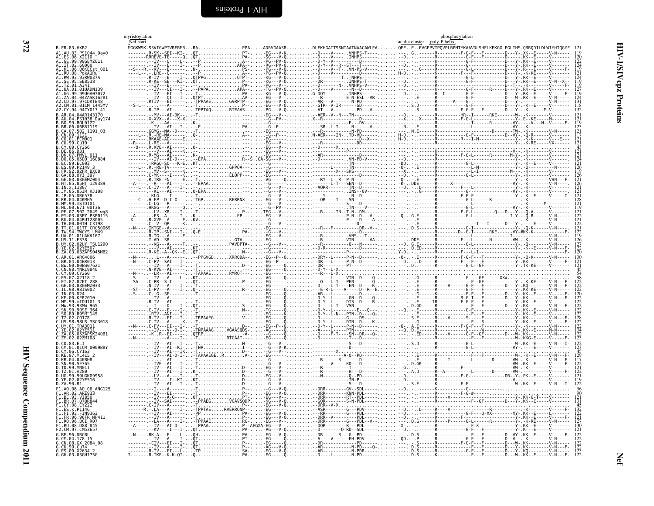<span id="page-59-1"></span><span id="page-59-0"></span>

|                                                                | myristoylation<br>Nef start |                                                                                                                                      |  | acidic cluster poly-P helix | phosphorylation |  |
|----------------------------------------------------------------|-----------------------------|--------------------------------------------------------------------------------------------------------------------------------------|--|-----------------------------|-----------------|--|
| B.FR.83.HXB2<br>A1.AU.03.PS1044 Day0                           |                             | .<br>MGGKWSK.SSVIGWPTVRERMRRAEPAADRVGAASRDLEKHGAITSSNTAATNAACAWLEAOEEEEVGFPVTPOVPLRPMTYKAAVDLSHFLKEKGGLEGLIHS.ORRODILDLWIYHTOGYF 121 |  |                             |                 |  |
| A1.ES.06.X2110 --                                              |                             |                                                                                                                                      |  |                             |                 |  |
| A1.IT.02.60000<br>A1.KE.06.06KECst 001                         |                             |                                                                                                                                      |  |                             |                 |  |
| A1.RU.08.PokA1Ru                                               |                             |                                                                                                                                      |  |                             |                 |  |
| A1.RW.93.93RW037A<br>SE8538.                                   |                             |                                                                                                                                      |  |                             |                 |  |
| A1.TZ.01.A341<br>A1.UA.01.01UADN139                            |                             |                                                                                                                                      |  |                             |                 |  |
| UG.99.99UGA07072                                               |                             |                                                                                                                                      |  |                             |                 |  |
| A2.CM.01.01CM 1445MV                                           |                             |                                                                                                                                      |  |                             |                 |  |
| A2.CY.94.94CY017 41                                            |                             |                                                                                                                                      |  |                             |                 |  |
| B.AR.04.04AR143170<br>B.AU.04.PS1038 Day174                    |                             |                                                                                                                                      |  |                             |                 |  |
| B.BO.99.BOL0122<br>B.BR.06.06BR1119                            |                             |                                                                                                                                      |  |                             |                 |  |
| B.CA.07.502 1191 03<br>B.CN.09.1121                            |                             |                                                                                                                                      |  |                             |                 |  |
| B.CO.01.PCM001<br>B.CU.99.Cu19                                 |                             |                                                                                                                                      |  |                             |                 |  |
| B.CY.09.CY266<br>B.DE.86.D31                                   |                             |                                                                                                                                      |  |                             |                 |  |
| B.DK.07.PMVL 011                                               |                             |                                                                                                                                      |  |                             |                 |  |
| $.05.05D0^-160884$<br>B.EC.89.EC003                            |                             |                                                                                                                                      |  |                             |                 |  |
| B.ES.09.P2149 3<br>B.FR.92.92FR BX08                           |                             |                                                                                                                                      |  |                             |                 |  |
| B.GA.88.OYI 397<br>B.GE.03.03GEMZ004                           |                             |                                                                                                                                      |  |                             |                 |  |
| B.HT.05.05HT 129389<br>B.IN.x.11807                            |                             |                                                                                                                                      |  |                             |                 |  |
| B.JM.05.05JM KJ108<br>B.JP.05.DR6538                           |                             |                                                                                                                                      |  |                             |                 |  |
| B.KR.04.04KMH5<br>B.MM.99.mSTD101                              |                             |                                                                                                                                      |  |                             |                 |  |
| .00.671 00T36                                                  |                             |                                                                                                                                      |  |                             |                 |  |
| B.PE.07.502 <sup>-</sup> 2649 wq8<br>B.PY.03.03PY PSP0115      |                             |                                                                                                                                      |  |                             |                 |  |
| R. RIL 04. 04RHT28005<br>.TH.00.00TH C3198                     |                             |                                                                                                                                      |  |                             |                 |  |
| TT.01.01TT <sup>-</sup> CRC50069<br>B.TW.94.TWCYS LM49         |                             |                                                                                                                                      |  |                             |                 |  |
| B.UA.01.01UAKV167<br>B.US.11.ES38                              |                             |                                                                                                                                      |  |                             |                 |  |
| B.UY.02.02UY TSU1290<br>B.YE.02.02YE507                        |                             |                                                                                                                                      |  |                             |                 |  |
| B.ZA.03.03ZAPS045MB2                                           |                             |                                                                                                                                      |  |                             |                 |  |
| C.AR.01.ARG4006<br>C.BR.04.04BR013                             |                             |                                                                                                                                      |  |                             |                 |  |
| C.BW.00.00BW07621<br>C.CN.98.YNRL9840                          |                             |                                                                                                                                      |  |                             |                 |  |
| C.CY.09.CY260<br>07.X2118                                      |                             |                                                                                                                                      |  |                             |                 |  |
| C.ET.02.02ET 288<br>03.03GEMZ033                               |                             |                                                                                                                                      |  |                             |                 |  |
| .98.98IS002<br>.IN.03.D24                                      |                             |                                                                                                                                      |  |                             |                 |  |
| C.KE.00.KER2010                                                |                             |                                                                                                                                      |  |                             |                 |  |
| C.MM.99.mIDU101 3<br>.MW.93.93MW 965                           |                             |                                                                                                                                      |  |                             |                 |  |
| C.SN.90.90SE <sup>-</sup> 364<br>C.SO.89.89SM <sup>-</sup> 145 |                             |                                                                                                                                      |  |                             |                 |  |
| C.TZ.02.CO178<br>C.US.98.98US MSC3018                          |                             |                                                                                                                                      |  |                             |                 |  |
| C.UY.01.TRA3011<br>C.YE.02.02YE511                             |                             |                                                                                                                                      |  |                             |                 |  |
| 05.05ZAPSK240B1<br>C.ZM.02.02ZM108                             |                             |                                                                                                                                      |  |                             |                 |  |
| D.CD.83.ELI<br>D.CM.01.01CM 0009BBY                            |                             |                                                                                                                                      |  |                             |                 |  |
| D.CY.06.CY163                                                  |                             |                                                                                                                                      |  |                             |                 |  |
| D.KE.97.ML415 2<br>D.KR.04.04KBH8                              |                             |                                                                                                                                      |  |                             |                 |  |
| D.SN.90.SE365<br>D.TD.99.MN011                                 |                             |                                                                                                                                      |  |                             |                 |  |
| TZ.01.A280.<br>D.UG.99.99UGK09958                              |                             |                                                                                                                                      |  |                             |                 |  |
| D.YE.02.02YE516<br>D.ZA.90.R1                                  |                             |                                                                                                                                      |  |                             |                 |  |
| F1.A0.06.A0 06 ANG125<br>F1.AR.02.ARE933                       |                             |                                                                                                                                      |  |                             |                 |  |
| F1.BE.93.VI850<br>F1.BR.07.07BR844                             |                             |                                                                                                                                      |  |                             |                 |  |
| F1.CY.08.CY222                                                 |                             |                                                                                                                                      |  |                             |                 |  |
| F1.ES.x.P1146<br>F1.FI.93.FIN9363                              |                             |                                                                                                                                      |  |                             |                 |  |
| F1.FR.96.96FR MP411                                            |                             |                                                                                                                                      |  |                             |                 |  |
| F1.R0.96.BCI R07<br>F1.RU.08.D88-845<br>F2.CM.97.CM53657       |                             |                                                                                                                                      |  |                             |                 |  |
| G.BE.96.DRCBL                                                  |                             |                                                                                                                                      |  |                             |                 |  |
| G.CM.04.178 15<br>G.CN.08.GX_2084_08                           |                             |                                                                                                                                      |  |                             |                 |  |
| G.CU.99.Cu74<br>G.ES.09.X2634_2                                |                             |                                                                                                                                      |  |                             |                 |  |
| G.GH.03.03GH175G                                               |                             |                                                                                                                                      |  |                             |                 |  |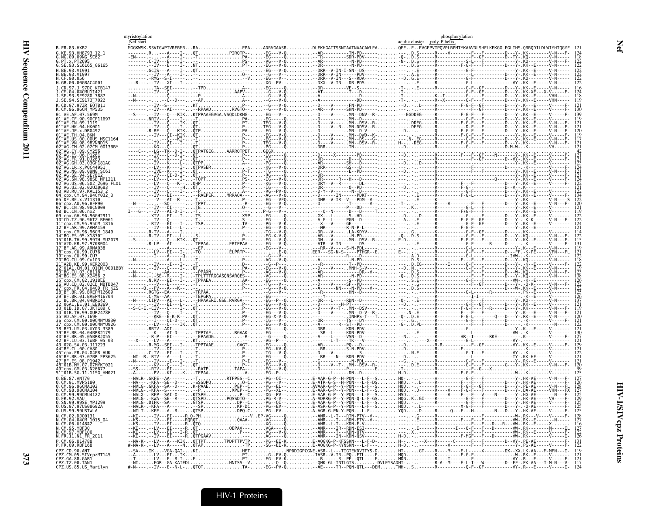|                                                                                           | myristoylation<br>Nef start |                                                               |                                                                                                                                                                                                                                                                                                                                                                                                              | acidic cluster poly-P helix | phosphorylation |  |
|-------------------------------------------------------------------------------------------|-----------------------------|---------------------------------------------------------------|--------------------------------------------------------------------------------------------------------------------------------------------------------------------------------------------------------------------------------------------------------------------------------------------------------------------------------------------------------------------------------------------------------------|-----------------------------|-----------------|--|
| B.FR.83.HXB2<br>G.KE.93.HH8793 12 1                                                       |                             |                                                               | MGGKWSK.SSVIGWPTVRERMRRAPPAADRVGAASRDLEKHGAITSSNTAATNAACAWLEAQEEEEVGFPVTPQVPLRPMTYKAAVDLSHFLKEKGGLEGLIHS.QRRQDILDLWIYHTQGYF                                                                                                                                                                                                                                                                                  |                             |                 |  |
| G.NG.09.09NG SC62<br>G.PT.x.PT2695                                                        |                             |                                                               | $\begin{tabular}{@{}c@{}} \textbf{MGCNAGK}, \textbf{SUSU} & \textbf{RUSU} & \textbf{RUSU} & \textbf{RUSU} & \textbf{RUSU} & \textbf{RUSU} & \textbf{RUSU} & \textbf{RUSU} & \textbf{RUSU} & \textbf{RUSU} & \textbf{RUSU} & \textbf{RUSU} & \textbf{RUSU} & \textbf{RUSU} & \textbf{RUSU} & \textbf{RUSU} & \textbf{RUSU} & \textbf{RUSU} & \textbf{RUSU} & \textbf{RUSU} & \textbf{RUSU} & \textbf{RUSU} &$ |                             |                 |  |
| G.SE.93.SE6165_G6165<br>H.BE.93.VI991                                                     |                             |                                                               |                                                                                                                                                                                                                                                                                                                                                                                                              |                             |                 |  |
| BE.93.VI997<br>CF.90.056                                                                  |                             |                                                               |                                                                                                                                                                                                                                                                                                                                                                                                              |                             |                 |  |
| H.GB.00.00GBAC4001<br>1.CD.97.1.97DC KTR147                                               |                             |                                                               |                                                                                                                                                                                                                                                                                                                                                                                                              |                             |                 |  |
| CM.04.04CMU11421<br>SE.93.SE9280 7887                                                     |                             |                                                               |                                                                                                                                                                                                                                                                                                                                                                                                              |                             |                 |  |
| J.SE.94.SE9173 <sup>-</sup> 7022                                                          |                             |                                                               |                                                                                                                                                                                                                                                                                                                                                                                                              |                             |                 |  |
| K.CD.97.97ZR EQTB11                                                                       |                             |                                                               |                                                                                                                                                                                                                                                                                                                                                                                                              |                             |                 |  |
| CE.90.90CE11693                                                                           |                             |                                                               |                                                                                                                                                                                                                                                                                                                                                                                                              |                             |                 |  |
|                                                                                           |                             |                                                               |                                                                                                                                                                                                                                                                                                                                                                                                              |                             |                 |  |
| 01 AE JP x DR0492                                                                         |                             |                                                               |                                                                                                                                                                                                                                                                                                                                                                                                              |                             |                 |  |
| 02CM 0013BBY                                                                              |                             |                                                               |                                                                                                                                                                                                                                                                                                                                                                                                              |                             |                 |  |
|                                                                                           |                             |                                                               |                                                                                                                                                                                                                                                                                                                                                                                                              |                             |                 |  |
|                                                                                           |                             |                                                               |                                                                                                                                                                                                                                                                                                                                                                                                              |                             |                 |  |
|                                                                                           |                             |                                                               |                                                                                                                                                                                                                                                                                                                                                                                                              |                             |                 |  |
|                                                                                           |                             |                                                               |                                                                                                                                                                                                                                                                                                                                                                                                              |                             |                 |  |
|                                                                                           |                             |                                                               |                                                                                                                                                                                                                                                                                                                                                                                                              |                             |                 |  |
| CY 94 94CY032                                                                             |                             |                                                               |                                                                                                                                                                                                                                                                                                                                                                                                              |                             |                 |  |
|                                                                                           |                             |                                                               |                                                                                                                                                                                                                                                                                                                                                                                                              |                             |                 |  |
|                                                                                           |                             |                                                               |                                                                                                                                                                                                                                                                                                                                                                                                              |                             |                 |  |
|                                                                                           |                             |                                                               |                                                                                                                                                                                                                                                                                                                                                                                                              |                             |                 |  |
| cnx.CM.96.96CM 1849-                                                                      |                             |                                                               |                                                                                                                                                                                                                                                                                                                                                                                                              |                             |                 |  |
|                                                                                           |                             |                                                               |                                                                                                                                                                                                                                                                                                                                                                                                              |                             |                 |  |
|                                                                                           |                             |                                                               |                                                                                                                                                                                                                                                                                                                                                                                                              |                             |                 |  |
|                                                                                           |                             |                                                               |                                                                                                                                                                                                                                                                                                                                                                                                              |                             |                 |  |
| .CU.99.Cu103                                                                              |                             |                                                               |                                                                                                                                                                                                                                                                                                                                                                                                              |                             |                 |  |
|                                                                                           |                             |                                                               |                                                                                                                                                                                                                                                                                                                                                                                                              |                             |                 |  |
|                                                                                           |                             |                                                               |                                                                                                                                                                                                                                                                                                                                                                                                              |                             |                 |  |
|                                                                                           |                             |                                                               |                                                                                                                                                                                                                                                                                                                                                                                                              |                             |                 |  |
|                                                                                           |                             |                                                               |                                                                                                                                                                                                                                                                                                                                                                                                              |                             |                 |  |
| 06A1.EE.01.EE0369<br>. TD. 07. 1KT189                                                     |                             |                                                               |                                                                                                                                                                                                                                                                                                                                                                                                              |                             |                 |  |
|                                                                                           |                             |                                                               |                                                                                                                                                                                                                                                                                                                                                                                                              |                             |                 |  |
|                                                                                           |                             |                                                               |                                                                                                                                                                                                                                                                                                                                                                                                              |                             |                 |  |
|                                                                                           |                             |                                                               |                                                                                                                                                                                                                                                                                                                                                                                                              |                             |                 |  |
| BR.05.05BRR.1055<br>BF.LU.03.luBF 05 03                                                   |                             |                                                               |                                                                                                                                                                                                                                                                                                                                                                                                              |                             |                 |  |
|                                                                                           |                             |                                                               |                                                                                                                                                                                                                                                                                                                                                                                                              |                             |                 |  |
|                                                                                           |                             |                                                               |                                                                                                                                                                                                                                                                                                                                                                                                              |                             |                 |  |
| 48 <sup>-</sup> 01B.MY.07.07MYKT021<br>.GM.03.N26677                                      |                             |                                                               |                                                                                                                                                                                                                                                                                                                                                                                                              |                             |                 |  |
| 51_01B.SG.11.11SG HM021                                                                   |                             |                                                               |                                                                                                                                                                                                                                                                                                                                                                                                              |                             |                 |  |
| 0.BE.87.ANT70<br>0.CM.96.96CMA102                                                         |                             |                                                               |                                                                                                                                                                                                                                                                                                                                                                                                              |                             |                 |  |
| .CM.98.98CMA104<br>0.CM.99.99CMU412                                                       |                             |                                                               |                                                                                                                                                                                                                                                                                                                                                                                                              |                             |                 |  |
| 0.FR.92.VAU                                                                               |                             | $-NVLG - SKWA - SE - R - \ldots QTSPD \ldots QSDD1Q - \ldots$ | PG-R-V--A-ADRRG-P--Y-PQN-Q-L-F-GSHQGKGI----R-----------G-                                                                                                                                                                                                                                                                                                                                                    |                             |                 |  |
| 0.US.97.97US08692A<br>0.US.99.99USTWLA                                                    |                             |                                                               |                                                                                                                                                                                                                                                                                                                                                                                                              |                             |                 |  |
| N.CM.02.DJ00131<br>N.CM.04.04CM_1015_04                                                   |                             |                                                               |                                                                                                                                                                                                                                                                                                                                                                                                              |                             |                 |  |
|                                                                                           |                             |                                                               |                                                                                                                                                                                                                                                                                                                                                                                                              |                             |                 |  |
| N.CM.06.U14842<br>N.CM.06.U14842<br>N.CM.95.YBF30<br>N.CM.97.YBF106<br>N.FR.11.N1_FR_2011 |                             |                                                               |                                                                                                                                                                                                                                                                                                                                                                                                              |                             |                 |  |
| P.CM.06.U14788<br>P.FR.09.RBF168                                                          |                             |                                                               |                                                                                                                                                                                                                                                                                                                                                                                                              |                             |                 |  |
|                                                                                           |                             |                                                               |                                                                                                                                                                                                                                                                                                                                                                                                              |                             |                 |  |
|                                                                                           |                             |                                                               |                                                                                                                                                                                                                                                                                                                                                                                                              |                             |                 |  |
|                                                                                           |                             |                                                               |                                                                                                                                                                                                                                                                                                                                                                                                              |                             |                 |  |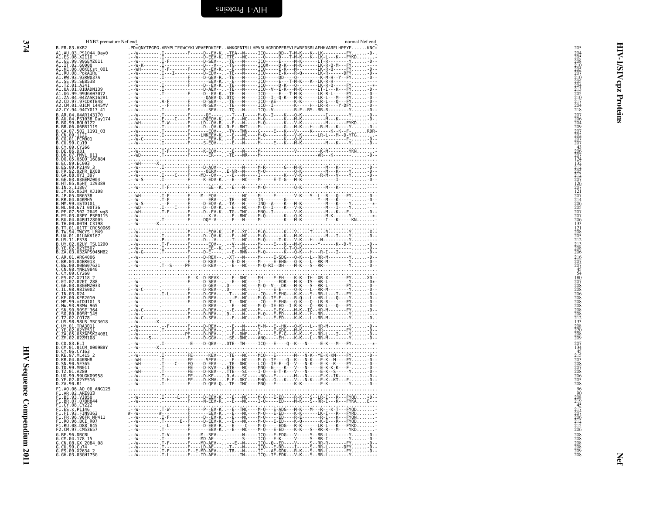<span id="page-61-0"></span>

| HXB2 premature Nef end<br>B.FR.83.HXB2                                                                                                                    | normal Nef end<br>.PD*QNYTPGPG.VRYPLTFGWCYKLVPVEPDKIEEANKGENTSLLHPVSLHGMDDPEREVLEWRFDSRLAFHHVARELHPEYFKNC*                                                                                                                                                                                                                                                                                                                                                                                           | 205                                                                                     |
|-----------------------------------------------------------------------------------------------------------------------------------------------------------|------------------------------------------------------------------------------------------------------------------------------------------------------------------------------------------------------------------------------------------------------------------------------------------------------------------------------------------------------------------------------------------------------------------------------------------------------------------------------------------------------|-----------------------------------------------------------------------------------------|
| A1.AU.03.PS1044_Day0<br>A1.ES.06.X2110 -<br>A1.GE.99.99GEMZ011<br>A1.IT.02.60000                                                                          |                                                                                                                                                                                                                                                                                                                                                                                                                                                                                                      | 204<br>205<br>205<br>205<br>205<br>205<br>210<br>213<br>205<br>210<br>217<br>204<br>218 |
|                                                                                                                                                           |                                                                                                                                                                                                                                                                                                                                                                                                                                                                                                      | ত                                                                                       |
| A1.KE.06.06KECst_001<br>A1.RU.08.PokA1Ru<br>A1.RW.93.93RW037A<br>A1.SE.95.SE8538                                                                          |                                                                                                                                                                                                                                                                                                                                                                                                                                                                                                      |                                                                                         |
| A1.TZ.01.A341                                                                                                                                             |                                                                                                                                                                                                                                                                                                                                                                                                                                                                                                      | cpz                                                                                     |
| A1.UA.01.01UADN139<br>A1.UG.99.99UGA07072                                                                                                                 |                                                                                                                                                                                                                                                                                                                                                                                                                                                                                                      |                                                                                         |
| A1.ZA.04.04ZASK162B1<br>A2.CD.97.97CDKTB48<br>A2.CM.01.01CM_1445MV                                                                                        |                                                                                                                                                                                                                                                                                                                                                                                                                                                                                                      |                                                                                         |
| A2.CY.94.94CY017 41<br>B.AR.04.04AR143170                                                                                                                 |                                                                                                                                                                                                                                                                                                                                                                                                                                                                                                      | Proteins                                                                                |
| B.AU.04.P51038<br>B.BO.99.B0L0122<br>B.BO.99.B0L0122<br>B.CA.06.06BR1119<br>B.CA.07.502 1191_03<br>B.CN.09.1121                                           |                                                                                                                                                                                                                                                                                                                                                                                                                                                                                                      |                                                                                         |
|                                                                                                                                                           |                                                                                                                                                                                                                                                                                                                                                                                                                                                                                                      |                                                                                         |
| B.CO.01.PCM001<br>B.CU.99.Cu19                                                                                                                            |                                                                                                                                                                                                                                                                                                                                                                                                                                                                                                      |                                                                                         |
| B.CY.09.CY266                                                                                                                                             |                                                                                                                                                                                                                                                                                                                                                                                                                                                                                                      |                                                                                         |
| B.DE.86.D31<br>B.DK.07.PMVL_011<br>B.DO.05.05DO_160884<br>B.EC.89.EC003                                                                                   |                                                                                                                                                                                                                                                                                                                                                                                                                                                                                                      |                                                                                         |
| B.E. 89. P2149<br>B.ES. 99. P2149<br>B.GA.88.0YI 397<br>B.GE. 03. 0YI 397<br>B.H. 05. 05. P307004<br>B.H. 2. 11807<br>B. JM. 2. 11807<br>B. JM. 05. 05.2M | $\begin{minipage}{0.99\textwidth} \begin{minipage}{0.99\textwidth} \begin{minipage}{0.99\textwidth} \begin{minipage}{0.99\textwidth} \begin{minipage}{0.99\textwidth} \begin{minipage}{0.99\textwidth} \begin{minipage}{0.99\textwidth} \begin{minipage}{0.99\textwidth} \begin{minipage}{0.99\textwidth} \begin{minipage}{0.99\textwidth} \begin{minipage}{0.99\textwidth} \begin{minipage}{0.99\textwidth} \begin{minipage}{0.99\textwidth} \begin{minipage}{0.99\textwidth} \begin{minipage}{0.9$ |                                                                                         |
|                                                                                                                                                           |                                                                                                                                                                                                                                                                                                                                                                                                                                                                                                      |                                                                                         |
|                                                                                                                                                           |                                                                                                                                                                                                                                                                                                                                                                                                                                                                                                      |                                                                                         |
| B.JP.05.DR6538<br>B.KR.04.04KMH5                                                                                                                          |                                                                                                                                                                                                                                                                                                                                                                                                                                                                                                      |                                                                                         |
| B.MM.99.mSTD101<br>B.NL.00.671_00T36<br>B.PE.07.502_2649_wg8                                                                                              |                                                                                                                                                                                                                                                                                                                                                                                                                                                                                                      |                                                                                         |
| B.PY.03.03PY PSP0115                                                                                                                                      |                                                                                                                                                                                                                                                                                                                                                                                                                                                                                                      |                                                                                         |
| RU.04.04RUI28005<br>B.TH.00.00TH C3198                                                                                                                    |                                                                                                                                                                                                                                                                                                                                                                                                                                                                                                      |                                                                                         |
| B. TT. 01.01TT CRC50069<br>B. TW. 94. TWCYS LM49<br>B. UA. 01.01UAKV167<br>B. US. 11. ES38                                                                |                                                                                                                                                                                                                                                                                                                                                                                                                                                                                                      |                                                                                         |
| B.UY.02.02UY TSU1290                                                                                                                                      |                                                                                                                                                                                                                                                                                                                                                                                                                                                                                                      |                                                                                         |
| B.YE.02.02YE507<br>B.ZA.03.03ZAPS045MB2                                                                                                                   |                                                                                                                                                                                                                                                                                                                                                                                                                                                                                                      |                                                                                         |
| C.AR.01.ARG4006<br>C.BR.04.04BR013<br>C.BW.00.00BW07621                                                                                                   |                                                                                                                                                                                                                                                                                                                                                                                                                                                                                                      | 216<br>207<br>207<br>45<br>45<br>40<br>207<br>208<br>208<br>206<br>206<br>208           |
| C.CN.98.YNRL9840<br>C.CY.09.CY260                                                                                                                         |                                                                                                                                                                                                                                                                                                                                                                                                                                                                                                      |                                                                                         |
| C.ES.07.X2118 2<br>C.ET.02.02ET 288<br>C.GE.03.03GEMZ033                                                                                                  | $\begin{array}{cccccccccccccccc} \mathbf{W} & \mathbf{C} & \mathbf{A} & \mathbf{B} & \mathbf{B} & \mathbf{C} & \mathbf{A} & \mathbf{C} & \mathbf{A} & \mathbf{C} & \mathbf{A} & \mathbf{C} & \mathbf{A} & \mathbf{C} & \mathbf{A} & \mathbf{C} & \mathbf{A} & \mathbf{C} & \mathbf{A} & \mathbf{C} & \mathbf{A} & \mathbf{C} & \mathbf{A} & \mathbf{C} & \mathbf{A} & \mathbf{C} & \mathbf{A} & \mathbf{C} & \mathbf{A} & \mathbf{C} &$                                                              |                                                                                         |
| C.IL.98.98IS002<br>C.IN.03.024                                                                                                                            |                                                                                                                                                                                                                                                                                                                                                                                                                                                                                                      |                                                                                         |
| C.KE.00.KER2010                                                                                                                                           |                                                                                                                                                                                                                                                                                                                                                                                                                                                                                                      |                                                                                         |
| C.MM.99.mTDU101<br>C.MM.99.mTDU101 3<br>C.MM.93.93MW 965<br>C.SN.90.90SE-364<br>C.TZ.02.C0178<br>C.TZ.02.C0178<br>C.US.98.98US.NSC3018                    |                                                                                                                                                                                                                                                                                                                                                                                                                                                                                                      | 208<br>208<br>208<br>208<br>212<br>33<br>208<br>220<br>208<br>209                       |
|                                                                                                                                                           |                                                                                                                                                                                                                                                                                                                                                                                                                                                                                                      |                                                                                         |
| C.UY.01.TRA3011<br>C.YE.02.02YE511<br>C.ZA.05.05ZAPSK240B1                                                                                                |                                                                                                                                                                                                                                                                                                                                                                                                                                                                                                      |                                                                                         |
| C.ZM.02.02ZM108                                                                                                                                           |                                                                                                                                                                                                                                                                                                                                                                                                                                                                                                      |                                                                                         |
| D.CD.83.ELI<br>D.CM.01.01CM 0009BBY<br>D.CY.06.CY163                                                                                                      | WIE----D-QEV--DTE--TN-----ICQ---E----Q--K---N-----E-K---M----FY--*-                                                                                                                                                                                                                                                                                                                                                                                                                                  | $^{207}_{134}$                                                                          |
|                                                                                                                                                           |                                                                                                                                                                                                                                                                                                                                                                                                                                                                                                      | 45<br>215<br>203<br>208<br>208<br>206<br>206<br>205<br>208                              |
| D.KE.97.ML415 2<br>D.KR.04.04KBH8<br>D.SN.90.SE365<br>D.TD.99.MN011                                                                                       |                                                                                                                                                                                                                                                                                                                                                                                                                                                                                                      |                                                                                         |
| D.TZ.01.A280<br>D.UG.99.99UGK09958                                                                                                                        |                                                                                                                                                                                                                                                                                                                                                                                                                                                                                                      |                                                                                         |
| D.YE.02.02YE516<br>D.ZA.90.R1<br>F1.A0.06.A0 06 ANG125                                                                                                    |                                                                                                                                                                                                                                                                                                                                                                                                                                                                                                      |                                                                                         |
| F1.AR.02.ARE933<br>F1.BE.93.VI850                                                                                                                         |                                                                                                                                                                                                                                                                                                                                                                                                                                                                                                      | $96$<br>$90$<br>$208$<br>$219$<br>$45$<br>$217$<br>$207$                                |
| F1.BR.07.07BR844<br>F1.CY.08.CY222                                                                                                                        |                                                                                                                                                                                                                                                                                                                                                                                                                                                                                                      |                                                                                         |
| F1.ES.x.P1146<br>F1.FI.93.FIN9363                                                                                                                         |                                                                                                                                                                                                                                                                                                                                                                                                                                                                                                      |                                                                                         |
| F1.FR.96.96FR_MP411<br>F1.R0.96.BCI_R07<br>F1.RU.08.D88 845                                                                                               |                                                                                                                                                                                                                                                                                                                                                                                                                                                                                                      | $\frac{206}{212}$<br>$\frac{212}{215}$                                                  |
| F2.CM.97.CM53657                                                                                                                                          |                                                                                                                                                                                                                                                                                                                                                                                                                                                                                                      |                                                                                         |
| 6.BE.96.DRCBL<br>G.CM.04.178 15<br>G.CN.08.GX 2084_08<br>G.CU.99.Cu74                                                                                     |                                                                                                                                                                                                                                                                                                                                                                                                                                                                                                      |                                                                                         |
| G.ES.09.X2634 2<br>G.GH.03.03GH175G                                                                                                                       |                                                                                                                                                                                                                                                                                                                                                                                                                                                                                                      | 208<br>208<br>208<br>208<br>209<br>209<br>208                                           |
|                                                                                                                                                           |                                                                                                                                                                                                                                                                                                                                                                                                                                                                                                      | ξē                                                                                      |